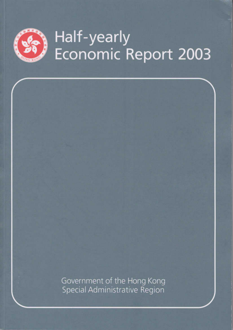

# Half-yearly<br>Economic Report 2003

Government of the Hong Kong Special Administrative Region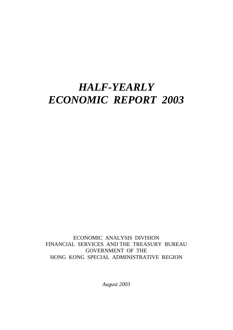## *HALF-YEARLY ECONOMIC REPORT 2003*

ECONOMIC ANALYSIS DIVISION FINANCIAL SERVICES AND THE TREASURY BUREAU GOVERNMENT OF THE HONG KONG SPECIAL ADMINISTRATIVE REGION

*August 2003*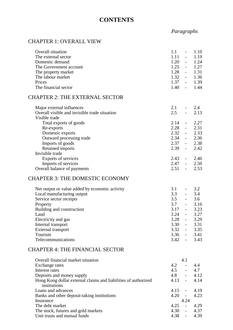## **CONTENTS**

#### *Paragraphs*

## CHAPTER 1: OVERALL VIEW

| Overall situation<br>The external sector<br>Domestic demand<br>The Government account<br>The property market<br>The labour market<br>Prices<br>The financial sector                                                                                          | 1.1<br>$\overline{\phantom{a}}$<br>$1.11 - -$<br>$1.20 -$<br>$1.25 - 1.27$<br>$1.28 - 1.31$<br>$1.32 - 1.36$<br>$1.37 - 1.39$<br>$1.40 - 1.44$                                                            | 1.10<br>1.19<br>1.24                    |
|--------------------------------------------------------------------------------------------------------------------------------------------------------------------------------------------------------------------------------------------------------------|-----------------------------------------------------------------------------------------------------------------------------------------------------------------------------------------------------------|-----------------------------------------|
| CHAPTER 2: THE EXTERNAL SECTOR                                                                                                                                                                                                                               |                                                                                                                                                                                                           |                                         |
| Major external influences<br>Overall visible and invisible trade situation<br>Visible trade                                                                                                                                                                  | 2.1<br>2.5<br>$\omega_{\rm{max}}$                                                                                                                                                                         | $-2.4$<br>2.13                          |
| Total exports of goods<br>Re-exports<br>Domestic exports<br>Outward processing trade<br>Imports of goods<br>Retained imports<br>Invisible trade                                                                                                              | 2.14<br>$2.28 - 2.31$<br>$2.32 - 2.33$<br>$2.34 - 2.36$<br>$2.37 - 2.38$<br>$2.39 - 2.42$                                                                                                                 | $-2.27$                                 |
| Exports of services<br>Imports of services<br>Overall balance of payments                                                                                                                                                                                    | $2.43 - 2.46$<br>$2.47 - 2.50$<br>$2.51 -$                                                                                                                                                                | 2.53                                    |
| <b>CHAPTER 3: THE DOMESTIC ECONOMY</b>                                                                                                                                                                                                                       |                                                                                                                                                                                                           |                                         |
| Net output or value added by economic activity<br>Local manufacturing output<br>Service sector receipts<br>Property<br>Building and construction<br>Land<br>Electricity and gas<br>Internal transport<br>External transport<br>Tourism<br>Telecommunications | 3.1<br>$\frac{3.3}{3.5}$<br>$\omega_{\rm{max}}$<br>$3.7 - 3.16$<br>$3.17 - 3.23$<br>$3.24 - 3.27$<br>3.28<br>$\Delta \sim 100$<br>3.30<br>$\mathbb{L}$<br>$3.32 - 3.35$<br>$3.36 - 3.41$<br>$3.42 - 3.43$ | $-3.2$<br>$-3.4$<br>3.6<br>3.29<br>3.31 |
| <b>CHAPTER 4: THE FINANCIAL SECTOR</b>                                                                                                                                                                                                                       |                                                                                                                                                                                                           |                                         |
| Overall financial market situation<br>Exchange rates<br>Interest rates<br>Deposits and money supply<br>Hong Kong dollar external claims and liabilities of authorized                                                                                        | 4.1<br>4.2<br>$\Delta \sim 10$<br>4.5<br>$\omega_{\rm{max}}$<br>4.8<br>$\omega_{\rm{max}}$<br>$4.13 -$                                                                                                    | 4.4<br>4.7<br>4.12<br>4.14              |

Hong Kong dollar external claims and liabilities of authorized

Loans and advances<br>Banks and other deposit-taking institutions<br>4.20 - 4.23

Banks and other deposit-taking institutions 4.20 - 4.24 Insurance 4.24<br>The debt market 4.25 The debt market 4.25 - 4.29<br>The stock, futures and gold markets 4.30 - 4.37 The stock, futures and gold markets 4.30 - 4.37<br>Unit trusts and mutual funds 4.38 - 4.39

institutions

Unit trusts and mutual funds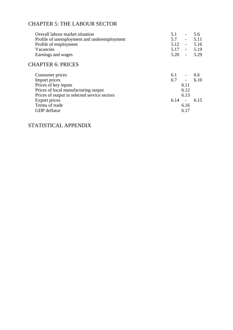## CHAPTER 5: THE LABOUR SECTOR

| Overall labour market situation              | 5.1<br>$\overline{\phantom{a}}$ | 5.6  |
|----------------------------------------------|---------------------------------|------|
| Profile of unemployment and underemployment  | 5.7<br>$\overline{\phantom{a}}$ | 5.11 |
| Profile of employment                        | 5.12<br>$\sim$                  | 5.16 |
| Vacancies                                    | $5.17 -$                        | 5.19 |
| Earnings and wages                           | 5.20<br>$\sim$                  | 5.29 |
| <b>CHAPTER 6: PRICES</b>                     |                                 |      |
| Consumer prices                              | 6.1<br>$\overline{\phantom{a}}$ | 6.6  |
| Import prices                                | 6.7<br>$\sim$                   | 6.10 |
| Prices of key inputs                         | 6.11                            |      |
| Prices of local manufacturing output         | 6.12                            |      |
| Prices of output in selected service sectors | 6.13                            |      |
| Export prices                                | 6.14<br>$\sim$ $\sim$           | 6.15 |
| Terms of trade                               | 6.16                            |      |
| GDP deflator                                 | 6.17                            |      |

## STATISTICAL APPENDIX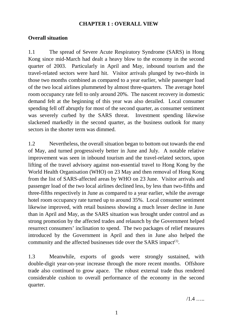## **CHAPTER 1 : OVERALL VIEW**

## **Overall situation**

1.1 The spread of Severe Acute Respiratory Syndrome (SARS) in Hong Kong since mid-March had dealt a heavy blow to the economy in the second quarter of 2003. Particularly in April and May, inbound tourism and the travel-related sectors were hard hit. Visitor arrivals plunged by two-thirds in those two months combined as compared to a year earlier, while passenger load of the two local airlines plummeted by almost three-quarters. The average hotel room occupancy rate fell to only around 20%. The nascent recovery in domestic demand felt at the beginning of this year was also derailed. Local consumer spending fell off abruptly for most of the second quarter, as consumer sentiment was severely curbed by the SARS threat. Investment spending likewise slackened markedly in the second quarter, as the business outlook for many sectors in the shorter term was dimmed.

1.2 Nevertheless, the overall situation began to bottom out towards the end of May, and turned progressively better in June and July. A notable relative improvement was seen in inbound tourism and the travel-related sectors, upon lifting of the travel advisory against non-essential travel to Hong Kong by the World Health Organisation (WHO) on 23 May and then removal of Hong Kong from the list of SARS-affected areas by WHO on 23 June. Visitor arrivals and passenger load of the two local airlines declined less, by less than two-fifths and three-fifths respectively in June as compared to a year earlier, while the average hotel room occupancy rate turned up to around 35%. Local consumer sentiment likewise improved, with retail business showing a much lesser decline in June than in April and May, as the SARS situation was brought under control and as strong promotion by the affected trades and relaunch by the Government helped resurrect consumers' inclination to spend. The two packages of relief measures introduced by the Government in April and then in June also helped the community and the affected businesses tide over the SARS impact<sup> $(1)$ </sup>.

1.3 Meanwhile, exports of goods were strongly sustained, with double-digit year-on-year increase through the more recent months. Offshore trade also continued to grow apace. The robust external trade thus rendered considerable cushion to overall performance of the economy in the second quarter.

 $/1.4$  ……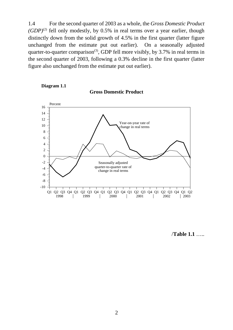1.4 For the second quarter of 2003 as a whole, the *Gross Domestic Product*  $(GDP)^{(2)}$  fell only modestly, by 0.5% in real terms over a year earlier, though distinctly down from the solid growth of 4.5% in the first quarter (latter figure unchanged from the estimate put out earlier). On a seasonally adjusted quarter-to-quarter comparison<sup>(3)</sup>, GDP fell more visibly, by 3.7% in real terms in the second quarter of 2003, following a 0.3% decline in the first quarter (latter figure also unchanged from the estimate put out earlier).



**Diagram 1.1**

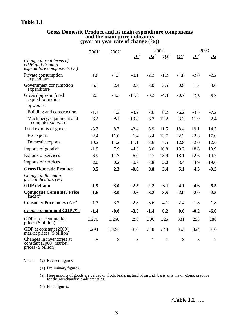## **Table 1.1**

## **Gross Domestic Product and its main expenditure components and the main price indicators (year-on-year rate of change (%))**

|                                                                               | $2001$ <sup>#</sup> | $2002$ <sup>#</sup> |                           |              | 2002         |                   |                           | 2003           |
|-------------------------------------------------------------------------------|---------------------|---------------------|---------------------------|--------------|--------------|-------------------|---------------------------|----------------|
|                                                                               |                     |                     | $\mathbf{Q1}^{\text{\#}}$ | $\Omega^*$   | $Q3^*$       | $04$ <sup>#</sup> | $\mathbf{Q1}^{\text{\#}}$ | $Q2^+$         |
| Change in real terms of<br>$GDP$ and its main<br>expenditure components $(%)$ |                     |                     |                           |              |              |                   |                           |                |
| Private consumption<br>expenditure                                            | 1.6                 | $-1.3$              | $-0.1$                    | $-2.2$       | $-1.2$       | $-1.8$            | $-2.0$                    | $-2.2$         |
| Government consumption<br>expenditure                                         | 6.1                 | 2.4                 | 2.3                       | 3.0          | 3.5          | 0.8               | 1.3                       | 0.6            |
| Gross domestic fixed<br>capital formation                                     | 2.7                 | $-4.3$              | $-11.8$                   | $-0.2$       | $-4.3$       | $-0.7$            | 3.5                       | $-5.3$         |
| of which:                                                                     |                     |                     |                           |              |              |                   |                           |                |
| Building and construction                                                     | $-1.1$              | 1.2                 | $-3.2$                    | 7.6          | 8.2          | $-6.2$            | $-3.5$                    | $-7.2$         |
| Machinery, equipment and<br>computer software                                 | 6.2                 | $-9.1$              | $-19.8$                   | $-6.7$       | $-12.2$      | 3.2               | 11.9                      | $-2.4$         |
| Total exports of goods                                                        | $-3.3$              | 8.7                 | $-2.4$                    | 5.9          | 11.5         | 18.4              | 19.1                      | 14.3           |
| Re-exports                                                                    | $-2.4$              | 11.0                | $-1.4$                    | 8.4          | 13.7         | 22.2              | 22.3                      | 17.0           |
| Domestic exports                                                              | $-10.2$             | $-11.2$             | $-11.1$                   | $-13.6$      | $-7.5$       | $-12.9$           | $-12.0$                   | $-12.6$        |
| Imports of $goods^{(a)}$                                                      | $-1.9$              | 7.9                 | $-4.0$                    | 6.0          | 10.8         | 18.2              | 18.8                      | 10.9           |
| Exports of services                                                           | 6.9                 | 11.7                | 6.0                       | 7.7          | 13.9         | 18.1              | 12.6                      | $-14.7$        |
| Imports of services                                                           | 2.0                 | 0.2                 | $-0.7$                    | $-3.8$       | 2.0          | 3.4               | $-3.9$                    | $-19.6$        |
| <b>Gross Domestic Product</b>                                                 | 0.5                 | 2.3                 | $-0.6$                    | 0.8          | 3.4          | 5.1               | 4.5                       | $-0.5$         |
| Change in the main<br>price indicators $(\frac{\%}{\%})$                      |                     |                     |                           |              |              |                   |                           |                |
| <b>GDP</b> deflator                                                           | $-1.9$              | $-3.0$              | $-2.3$                    | $-2.2$       | $-3.1$       | $-4.1$            | $-4.6$                    | $-5.5$         |
| <b>Composite Consumer Price</b><br>Index <sup>(b)</sup>                       | $-1.6$              | $-3.0$              | $-2.6$                    | $-3.2$       | $-3.5$       | $-2.9$            | $-2.0$                    | $-2.5$         |
| Consumer Price Index $(A)$ <sup>(b)</sup>                                     | $-1.7$              | $-3.2$              | $-2.8$                    | $-3.6$       | $-4.1$       | $-2.4$            | $-1.8$                    | $-1.8$         |
| <i>Change in nominal GDP</i> $(%)$                                            | $-1.4$              | $-0.8$              | $-3.0$                    | $-1.4$       | 0.2          | 0.8               | $-0.2$                    | $-6.0$         |
| GDP at current market<br>prices (\$ billion)                                  | 1,270               | 1,260               | 298                       | 306          | 325          | 331               | 298                       | 288            |
| GDP at constant (2000)<br>market prices (\$ billion)                          | 1,294               | 1,324               | 310                       | 318          | 343          | 353               | 324                       | 316            |
| Changes in inventories at<br>constant (2000) market<br>prices (\$ billion)    | $-5$                | 3                   | $-3$                      | $\mathbf{1}$ | $\mathbf{1}$ | 3                 | 3                         | $\overline{2}$ |

Notes : (#) Revised figures.

(+) Preliminary figures.

(a) Here imports of goods are valued on f.o.b. basis, instead of on c.i.f. basis as is the on-going practice for the merchandise trade statistics.

(b) Final figures.

/**Table 1.2** …..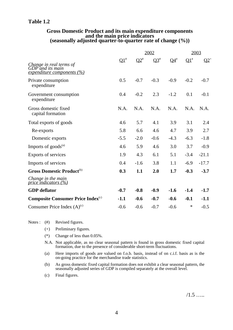### **Table 1.2**

## **Gross Domestic Product and its main expenditure components and the main price indicators (seasonally adjusted quarter-to-quarter rate of change (%))**

|                                                                                  |                 |        | 2002   |        | 2003            |         |  |
|----------------------------------------------------------------------------------|-----------------|--------|--------|--------|-----------------|---------|--|
| Change in real terms of<br>GDP and its main<br><u>expenditure components (%)</u> | $\mathbf{Q1}^*$ | $Q2^*$ | $Q3^*$ | $Q4^*$ | $\mathbf{Q1}^*$ | $Q2^+$  |  |
| Private consumption<br>expenditure                                               | 0.5             | $-0.7$ | $-0.3$ | $-0.9$ | $-0.2$          | $-0.7$  |  |
| Government consumption<br>expenditure                                            | 0.4             | $-0.2$ | 2.3    | $-1.2$ | 0.1             | $-0.1$  |  |
| Gross domestic fixed<br>capital formation                                        | N.A.            | N.A.   | N.A.   | N.A.   | N.A.            | N.A.    |  |
| Total exports of goods                                                           | 4.6             | 5.7    | 4.1    | 3.9    | 3.1             | 2.4     |  |
| Re-exports                                                                       | 5.8             | 6.6    | 4.6    | 4.7    | 3.9             | 2.7     |  |
| Domestic exports                                                                 | $-5.5$          | $-2.0$ | $-0.6$ | $-4.3$ | $-6.3$          | $-1.8$  |  |
| Imports of goods <sup>(a)</sup>                                                  | 4.6             | 5.9    | 4.6    | 3.0    | 3.7             | $-0.9$  |  |
| Exports of services                                                              | 1.9             | 4.3    | 6.1    | 5.1    | $-3.4$          | $-21.1$ |  |
| Imports of services                                                              | 0.4             | $-1.6$ | 3.8    | 1.1    | $-6.9$          | $-17.7$ |  |
| Gross Domestic Product <sup>(b)</sup>                                            | 0.3             | 1.1    | 2.0    | 1.7    | $-0.3$          | $-3.7$  |  |
| Change in the main<br>price indicators $(%)$                                     |                 |        |        |        |                 |         |  |
| <b>GDP</b> deflator                                                              | $-0.7$          | $-0.8$ | $-0.9$ | $-1.6$ | $-1.4$          | $-1.7$  |  |
| <b>Composite Consumer Price Index</b> <sup>(c)</sup>                             | $-1.1$          | $-0.6$ | $-0.7$ | $-0.6$ | $-0.1$          | $-1.1$  |  |
| Consumer Price Index $(A)^{(c)}$                                                 | $-0.6$          | $-0.6$ | $-0.7$ | $-0.6$ | $\ast$          | $-0.5$  |  |

Notes : (#) Revised figures.

- (+) Preliminary figures.
- (\*) Change of less than 0.05%.
- N.A. Not applicable, as no clear seasonal pattern is found in gross domestic fixed capital formation, due to the presence of considerable short-term fluctuations.
- (a) Here imports of goods are valued on f.o.b. basis, instead of on c.i.f. basis as is the on-going practice for the merchandise trade statistics.
- (b) As gross domestic fixed capital formation does not exhibit a clear seasonal pattern, the seasonally adjusted series of GDP is compiled separately at the overall level.
- (c) Final figures.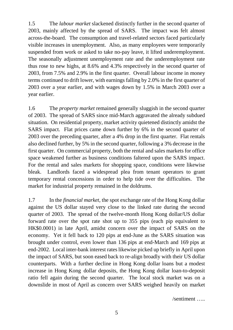1.5 The *labour market* slackened distinctly further in the second quarter of 2003, mainly affected by the spread of SARS. The impact was felt almost across-the-board. The consumption and travel-related sectors faced particularly visible increases in unemployment. Also, as many employees were temporarily suspended from work or asked to take no-pay leave, it lifted underemployment. The seasonally adjustment unemployment rate and the underemployment rate thus rose to new highs, at 8.6% and 4.3% respectively in the second quarter of 2003, from 7.5% and 2.9% in the first quarter. Overall labour income in money terms continued to drift lower, with earnings falling by 2.0% in the first quarter of 2003 over a year earlier, and with wages down by 1.5% in March 2003 over a year earlier.

1.6 The *property market* remained generally sluggish in the second quarter of 2003. The spread of SARS since mid-March aggravated the already subdued situation. On residential property, market activity quietened distinctly amidst the SARS impact. Flat prices came down further by 6% in the second quarter of 2003 over the preceding quarter, after a 4% drop in the first quarter. Flat rentals also declined further, by 5% in the second quarter, following a 3% decrease in the first quarter. On commercial property, both the rental and sales markets for office space weakened further as business conditions faltered upon the SARS impact. For the rental and sales markets for shopping space, conditions were likewise bleak. Landlords faced a widespread plea from tenant operators to grant temporary rental concessions in order to help tide over the difficulties. The market for industrial property remained in the doldrums.

1.7 In the *financial market*, the spot exchange rate of the Hong Kong dollar against the US dollar stayed very close to the linked rate during the second quarter of 2003. The spread of the twelve-month Hong Kong dollar/US dollar forward rate over the spot rate shot up to 355 pips (each pip equivalent to HK\$0.0001) in late April, amidst concern over the impact of SARS on the economy. Yet it fell back to 120 pips at end-June as the SARS situation was brought under control, even lower than 136 pips at end-March and 169 pips at end-2002. Local inter-bank interest rates likewise picked up briefly in April upon the impact of SARS, but soon eased back to re-align broadly with their US dollar counterparts. With a further decline in Hong Kong dollar loans but a modest increase in Hong Kong dollar deposits, the Hong Kong dollar loan-to-deposit ratio fell again during the second quarter. The local stock market was on a downslide in most of April as concern over SARS weighed heavily on market

/sentiment …..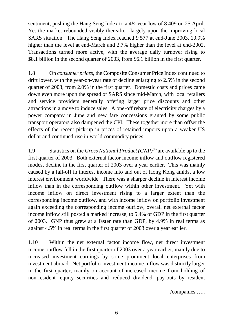sentiment, pushing the Hang Seng Index to a 4½-year low of 8 409 on 25 April. Yet the market rebounded visibly thereafter, largely upon the improving local SARS situation. The Hang Seng Index reached 9 577 at end-June 2003, 10.9% higher than the level at end-March and 2.7% higher than the level at end-2002. Transactions turned more active, with the average daily turnover rising to \$8.1 billion in the second quarter of 2003, from \$6.1 billion in the first quarter.

1.8 On *consumer prices*, the Composite Consumer Price Index continued to drift lower, with the year-on-year rate of decline enlarging to 2.5% in the second quarter of 2003, from 2.0% in the first quarter. Domestic costs and prices came down even more upon the spread of SARS since mid-March, with local retailers and service providers generally offering larger price discounts and other attractions in a move to induce sales. A one-off rebate of electricity charges by a power company in June and new fare concessions granted by some public transport operators also dampened the CPI. These together more than offset the effects of the recent pick-up in prices of retained imports upon a weaker US dollar and continued rise in world commodity prices.

1.9 Statistics on the *Gross National Product (GNP)*(4) are available up to the first quarter of 2003. Both external factor income inflow and outflow registered modest decline in the first quarter of 2003 over a year earlier. This was mainly caused by a fall-off in interest income into and out of Hong Kong amidst a low interest environment worldwide. There was a sharper decline in interest income inflow than in the corresponding outflow within other investment. Yet with income inflow on direct investment rising to a larger extent than the corresponding income outflow, and with income inflow on portfolio investment again exceeding the corresponding income outflow, overall net external factor income inflow still posted a marked increase, to 5.4% of GDP in the first quarter of 2003. GNP thus grew at a faster rate than GDP, by 4.9% in real terms as against 4.5% in real terms in the first quarter of 2003 over a year earlier.

1.10 Within the net external factor income flow, net direct investment income outflow fell in the first quarter of 2003 over a year earlier, mainly due to increased investment earnings by some prominent local enterprises from investment abroad. Net portfolio investment income inflow was distinctly larger in the first quarter, mainly on account of increased income from holding of non-resident equity securities and reduced dividend pay-outs by resident

/companies …..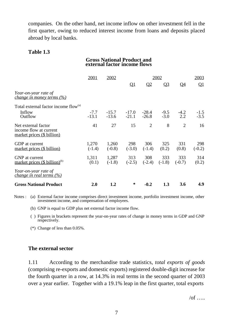companies. On the other hand, net income inflow on other investment fell in the first quarter, owing to reduced interest income from loans and deposits placed abroad by local banks.

#### **Table 1.3**

#### **Gross National Product and external factor income flows**

|                                                                             | 2001              | 2002               |                    |                    | 2002             |                 | 2003             |
|-----------------------------------------------------------------------------|-------------------|--------------------|--------------------|--------------------|------------------|-----------------|------------------|
|                                                                             |                   |                    | $\mathbf{Q}1$      | $\mathbf{Q}$       | Q <sub>3</sub>   | <u>Q4</u>       | $\mathbf{Q}$     |
| Year-on-year rate of<br><i>change in money terms (%)</i>                    |                   |                    |                    |                    |                  |                 |                  |
| Total external factor income flow <sup>(a)</sup>                            |                   |                    |                    |                    |                  |                 |                  |
| Inflow<br>Outflow                                                           | $-7.7$<br>$-13.1$ | $-15.7$<br>$-13.6$ | $-17.0$<br>$-21.1$ | $-28.4$<br>$-26.8$ | $-9.5$<br>$-3.0$ | $-4.2$<br>2.2   | $-1.5$<br>$-3.5$ |
| Net external factor<br>income flow at current<br>market prices (\$ billion) | 41                | 27                 | 15                 | $\overline{2}$     | 8                | $\overline{2}$  | 16               |
| GDP at current<br>market prices (\$ billion)                                | 1,270<br>$(-1.4)$ | 1,260<br>$(-0.8)$  | 298<br>$(-3.0)$    | 306<br>$(-1.4)$    | 325<br>(0.2)     | 331<br>(0.8)    | 298<br>$(-0.2)$  |
| GNP at current<br>market prices $(\$~\text{billion})^{(b)}$                 | 1,311<br>(0.1)    | 1,287<br>$(-1.8)$  | 313<br>$(-2.5)$    | 308<br>$(-2.4)$    | 333<br>$(-1.8)$  | 333<br>$(-0.7)$ | 314<br>(0.2)     |
| Year-on-year rate of<br><i>change in real terms (%)</i>                     |                   |                    |                    |                    |                  |                 |                  |
| <b>Gross National Product</b>                                               | 2.0               | 1.2                | $\ast$             | $-0.2$             | 1.3              | 3.6             | 4.9              |

Notes : (a) External factor income comprises direct investment income, portfolio investment income, other investment income, and compensation of employees.

- (b) GNP is equal to GDP plus net external factor income flow.
- ( ) Figures in brackets represent the year-on-year rates of change in money terms in GDP and GNP respectively.
- (\*) Change of less than 0.05%.

#### **The external sector**

1.11 According to the merchandise trade statistics, *total exports of goods* (comprising re-exports and domestic exports) registered double-digit increase for the fourth quarter in a row, at 14.3% in real terms in the second quarter of 2003 over a year earlier. Together with a 19.1% leap in the first quarter, total exports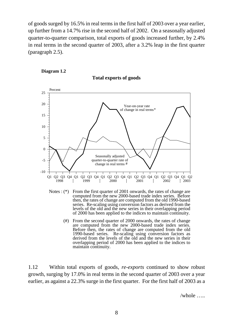of goods surged by 16.5% in real terms in the first half of 2003 over a year earlier, up further from a 14.7% rise in the second half of 2002. On a seasonally adjusted quarter-to-quarter comparison, total exports of goods increased further, by 2.4% in real terms in the second quarter of 2003, after a 3.2% leap in the first quarter (paragraph 2.5).







- Notes : (\*) From the first quarter of 2001 onwards, the rates of change are computed from the new 2000-based trade index series. Before then, the rates of change are computed from the old 1990-based series. Re-scaling using conversion factors as derived from the levels of the old and the new series in their overlapping period of 2000 has been applied to the indices to maintain continuity.
	- (#) From the second quarter of 2000 onwards, the rates of change are computed from the new 2000-based trade index series. Before then, the rates of change are computed from the old 1990-based series. Re-scaling using conversion factors as derived from the levels of the old and the new series in their overlapping period of 2000 has been applied to the indices to maintain continuity.

1.12 Within total exports of goods, *re-exports* continued to show robust growth, surging by 17.0% in real terms in the second quarter of 2003 over a year earlier, as against a 22.3% surge in the first quarter. For the first half of 2003 as a

/whole …..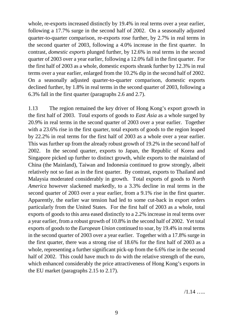whole, re-exports increased distinctly by 19.4% in real terms over a year earlier, following a 17.7% surge in the second half of 2002. On a seasonally adjusted quarter-to-quarter comparison, re-exports rose further, by 2.7% in real terms in the second quarter of 2003, following a 4.0% increase in the first quarter. In contrast, *domestic exports* plunged further, by 12.6% in real terms in the second quarter of 2003 over a year earlier, following a 12.0% fall in the first quarter. For the first half of 2003 as a whole, domestic exports shrank further by 12.3% in real terms over a year earlier, enlarged from the 10.2% dip in the second half of 2002. On a seasonally adjusted quarter-to-quarter comparison, domestic exports declined further, by 1.8% in real terms in the second quarter of 2003, following a 6.3% fall in the first quarter (paragraphs 2.6 and 2.7).

1.13 The region remained the key driver of Hong Kong's export growth in the first half of 2003. Total exports of goods to *East Asia* as a whole surged by 20.9% in real terms in the second quarter of 2003 over a year earlier. Together with a 23.6% rise in the first quarter, total exports of goods to the region leaped by 22.2% in real terms for the first half of 2003 as a whole over a year earlier. This was further up from the already robust growth of 19.2% in the second half of 2002. In the second quarter, exports to Japan, the Republic of Korea and Singapore picked up further to distinct growth, while exports to the mainland of China (the Mainland), Taiwan and Indonesia continued to grow strongly, albeit relatively not so fast as in the first quarter. By contrast, exports to Thailand and Malaysia moderated considerably in growth. Total exports of goods to *North America* however slackened markedly, to a 3.3% decline in real terms in the second quarter of 2003 over a year earlier, from a 9.1% rise in the first quarter. Apparently, the earlier war tension had led to some cut-back in export orders particularly from the United States. For the first half of 2003 as a whole, total exports of goods to this area eased distinctly to a 2.2% increase in real terms over a year earlier, from a robust growth of 10.8% in the second half of 2002. Yet total exports of goods to the *European Union* continued to soar, by 19.4% in real terms in the second quarter of 2003 over a year earlier. Together with a 17.8% surge in the first quarter, there was a strong rise of 18.6% for the first half of 2003 as a whole, representing a further significant pick-up from the 6.6% rise in the second half of 2002. This could have much to do with the relative strength of the euro, which enhanced considerably the price attractiveness of Hong Kong's exports in the EU market (paragraphs 2.15 to 2.17).

 $/1.14$  …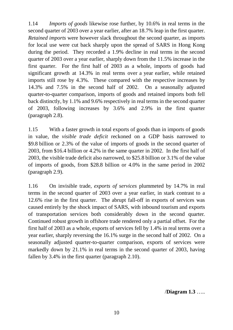1.14 *Imports of goods* likewise rose further, by 10.6% in real terms in the second quarter of 2003 over a year earlier, after an 18.7% leap in the first quarter. *Retained imports* were however slack throughout the second quarter, as imports for local use were cut back sharply upon the spread of SARS in Hong Kong during the period. They recorded a 1.9% decline in real terms in the second quarter of 2003 over a year earlier, sharply down from the 11.5% increase in the first quarter. For the first half of 2003 as a whole, imports of goods had significant growth at 14.3% in real terms over a year earlier, while retained imports still rose by 4.3%. These compared with the respective increases by 14.3% and 7.5% in the second half of 2002. On a seasonally adjusted quarter-to-quarter comparison, imports of goods and retained imports both fell back distinctly, by 1.1% and 9.6% respectively in real terms in the second quarter of 2003, following increases by 3.6% and 2.9% in the first quarter (paragraph 2.8).

1.15 With a faster growth in total exports of goods than in imports of goods in value, the *visible trade deficit* reckoned on a GDP basis narrowed to \$9.8 billion or 2.3% of the value of imports of goods in the second quarter of 2003, from \$16.4 billion or 4.2% in the same quarter in 2002. In the first half of 2003, the visible trade deficit also narrowed, to \$25.8 billion or 3.1% of the value of imports of goods, from \$28.8 billion or 4.0% in the same period in 2002 (paragraph 2.9).

1.16 On invisible trade, *exports of services* plummeted by 14.7% in real terms in the second quarter of 2003 over a year earlier, in stark contrast to a 12.6% rise in the first quarter. The abrupt fall-off in exports of services was caused entirely by the shock impact of SARS, with inbound tourism and exports of transportation services both considerably down in the second quarter. Continued robust growth in offshore trade rendered only a partial offset. For the first half of 2003 as a whole, exports of services fell by 1.4% in real terms over a year earlier, sharply reversing the 16.1% surge in the second half of 2002. On a seasonally adjusted quarter-to-quarter comparison, exports of services were markedly down by 21.1% in real terms in the second quarter of 2003, having fallen by 3.4% in the first quarter (paragraph 2.10).

/**Diagram 1.3** …..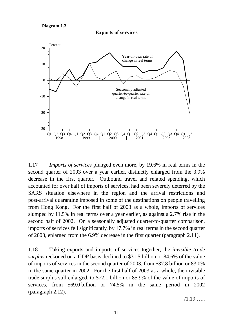**Diagram 1.3**





1.17 *Imports of services* plunged even more, by 19.6% in real terms in the second quarter of 2003 over a year earlier, distinctly enlarged from the 3.9% decrease in the first quarter. Outbound travel and related spending, which accounted for over half of imports of services, had been severely deterred by the SARS situation elsewhere in the region and the arrival restrictions and post-arrival quarantine imposed in some of the destinations on people travelling from Hong Kong. For the first half of 2003 as a whole, imports of services slumped by 11.5% in real terms over a year earlier, as against a 2.7% rise in the second half of 2002. On a seasonally adjusted quarter-to-quarter comparison, imports of services fell significantly, by 17.7% in real terms in the second quarter of 2003, enlarged from the 6.9% decrease in the first quarter (paragraph 2.11).

1.18 Taking exports and imports of services together, the *invisible trade surplus* reckoned on a GDP basis declined to \$31.5 billion or 84.6% of the value of imports of services in the second quarter of 2003, from \$37.8 billion or 83.0% in the same quarter in 2002. For the first half of 2003 as a whole, the invisible trade surplus still enlarged, to \$72.1 billion or 85.9% of the value of imports of services, from \$69.0 billion or 74.5% in the same period in 2002 (paragraph 2.12).

 $/1.19$  …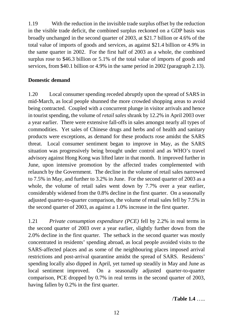1.19 With the reduction in the invisible trade surplus offset by the reduction in the visible trade deficit, the combined surplus reckoned on a GDP basis was broadly unchanged in the second quarter of 2003, at \$21.7 billion or 4.6% of the total value of imports of goods and services, as against \$21.4 billion or 4.9% in the same quarter in 2002. For the first half of 2003 as a whole, the combined surplus rose to \$46.3 billion or 5.1% of the total value of imports of goods and services, from \$40.1 billion or 4.9% in the same period in 2002 (paragraph 2.13).

## **Domestic demand**

1.20 Local consumer spending receded abruptly upon the spread of SARS in mid-March, as local people shunned the more crowded shopping areas to avoid being contracted. Coupled with a concurrent plunge in visitor arrivals and hence in tourist spending, the volume of *retail sales* shrank by 12.2% in April 2003 over a year earlier. There were extensive fall-offs in sales amongst nearly all types of commodities. Yet sales of Chinese drugs and herbs and of health and sanitary products were exceptions, as demand for these products rose amidst the SARS threat. Local consumer sentiment began to improve in May, as the SARS situation was progressively being brought under control and as WHO's travel advisory against Hong Kong was lifted later in that month. It improved further in June, upon intensive promotion by the affected trades complemented with relaunch by the Government. The decline in the volume of retail sales narrowed to 7.5% in May, and further to 3.2% in June. For the second quarter of 2003 as a whole, the volume of retail sales went down by 7.7% over a year earlier, considerably widened from the 0.8% decline in the first quarter. On a seasonally adjusted quarter-to-quarter comparison, the volume of retail sales fell by 7.5% in the second quarter of 2003, as against a 1.0% increase in the first quarter.

1.21 *Private consumption expenditure (PCE)* fell by 2.2% in real terms in the second quarter of 2003 over a year earlier, slightly further down from the 2.0% decline in the first quarter. The setback in the second quarter was mostly concentrated in residents' spending abroad, as local people avoided visits to the SARS-affected places and as some of the neighbouring places imposed arrival restrictions and post-arrival quarantine amidst the spread of SARS. Residents' spending locally also dipped in April, yet turned up steadily in May and June as local sentiment improved. On a seasonally adjusted quarter-to-quarter comparison, PCE dropped by 0.7% in real terms in the second quarter of 2003, having fallen by 0.2% in the first quarter.

/**Table 1.4** …..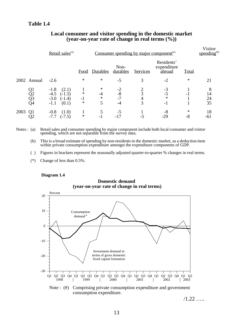#### **Table 1.4**

|      |                      | Retail sales <sup>(a)</sup>                                                    |                          |                               |                            |             | Consumer spending by major component <sup>(a)</sup> |              |                     |  |
|------|----------------------|--------------------------------------------------------------------------------|--------------------------|-------------------------------|----------------------------|-------------|-----------------------------------------------------|--------------|---------------------|--|
|      |                      |                                                                                | Food                     | <b>Durables</b>               | Non-<br>durables           | Services    | Residents'<br>expenditure<br>abroad                 | <b>Total</b> |                     |  |
|      | 2002 Annual          | $-2.6$                                                                         | $\ast$                   | $\ast$                        | $-5$                       | 3           | $-2$                                                | ∗            | 21                  |  |
|      | Q1<br>Q2<br>Q3<br>Q4 | $-1.8$<br>(2.1)<br>$-4.5$<br>$(-1.5)$<br>$-3.0$<br>$(-1.4)$<br>(0.1)<br>$-1.1$ | $\ast$<br>$-1$<br>$\ast$ | $\ast$<br>$-4$<br>$\ast$<br>5 | $-2$<br>$-8$<br>$-7$<br>-4 | 3<br>4<br>3 | $-3$<br>$-5$<br>$\ast$<br>$-1$                      |              | 8<br>14<br>24<br>35 |  |
| 2003 | Q <sub>1</sub><br>Q2 | (1.0)<br>$-0.8$<br>$(-7.5)$<br>$-7.7$                                          | $\ast$                   | $-1$                          | $-5$                       | $-5$        | -8<br>$-29$                                         | ∗<br>$-8$    | 18<br>$-61$         |  |

#### **Local consumer and visitor spending in the domestic market (year-on-year rate of change in real terms (%))**

Notes : (a) Retail sales and consumer spending by major component include both local consumer and visitor spending, which are not separable from the survey data.

(b) This is a broad estimate of spending by non-residents in the domestic market, as a deduction item within private consumption expenditure amongst the expenditure components of GDP.

( ) Figures in brackets represent the seasonally adjusted quarter-to-quarter % changes in real terms.

(\*) Change of less than 0.5%.

#### **Diagram 1.4**

**Domestic demand (year-on-year rate of change in real terms)**



Note : (#) Comprising private consumption expenditure and government consumption expenditure.

 $/1.22$  …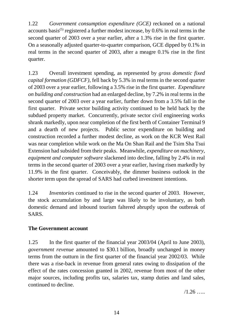1.22 *Government consumption expenditure (GCE)* reckoned on a national accounts basis<sup>(5)</sup> registered a further modest increase, by  $0.6\%$  in real terms in the second quarter of 2003 over a year earlier, after a 1.3% rise in the first quarter. On a seasonally adjusted quarter-to-quarter comparison, GCE dipped by 0.1% in real terms in the second quarter of 2003, after a meagre 0.1% rise in the first quarter.

1.23 Overall investment spending, as represented by *gross domestic fixed capital formation (GDFCF)*, fell back by 5.3% in real terms in the second quarter of 2003 over a year earlier, following a 3.5% rise in the first quarter. *Expenditure on building and construction* had an enlarged decline, by 7.2% in real terms in the second quarter of 2003 over a year earlier, further down from a 3.5% fall in the first quarter. Private sector building activity continued to be held back by the subdued property market. Concurrently, private sector civil engineering works shrank markedly, upon near completion of the first berth of Container Terminal 9 and a dearth of new projects. Public sector expenditure on building and construction recorded a further modest decline, as work on the KCR West Rail was near completion while work on the Ma On Shan Rail and the Tsim Sha Tsui Extension had subsided from their peaks. Meanwhile, *expenditure on machinery, equipment and computer software* slackened into decline, falling by 2.4% in real terms in the second quarter of 2003 over a year earlier, having risen markedly by 11.9% in the first quarter. Conceivably, the dimmer business outlook in the shorter term upon the spread of SARS had curbed investment intentions.

1.24 *Inventories* continued to rise in the second quarter of 2003. However, the stock accumulation by and large was likely to be involuntary, as both domestic demand and inbound tourism faltered abruptly upon the outbreak of SARS.

## **The Government account**

1.25 In the first quarter of the financial year 2003/04 (April to June 2003), *government revenue* amounted to \$30.1 billion, broadly unchanged in money terms from the outturn in the first quarter of the financial year 2002/03. While there was a rise-back in revenue from general rates owing to dissipation of the effect of the rates concession granted in 2002, revenue from most of the other major sources, including profits tax, salaries tax, stamp duties and land sales, continued to decline.

 $/1.26$  ….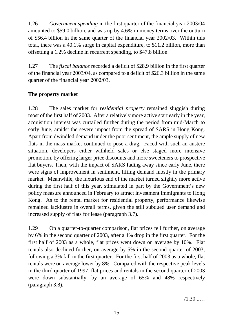1.26 *Government spending* in the first quarter of the financial year 2003/04 amounted to \$59.0 billion, and was up by 4.6% in money terms over the outturn of \$56.4 billion in the same quarter of the financial year 2002/03. Within this total, there was a 40.1% surge in capital expenditure, to \$11.2 billion, more than offsetting a 1.2% decline in recurrent spending, to \$47.8 billion.

1.27 The *fiscal balance* recorded a deficit of \$28.9 billion in the first quarter of the financial year 2003/04, as compared to a deficit of \$26.3 billion in the same quarter of the financial year 2002/03.

## **The property market**

1.28 The sales market for *residential property* remained sluggish during most of the first half of 2003. After a relatively more active start early in the year, acquisition interest was curtailed further during the period from mid-March to early June, amidst the severe impact from the spread of SARS in Hong Kong. Apart from dwindled demand under the poor sentiment, the ample supply of new flats in the mass market continued to pose a drag. Faced with such an austere situation, developers either withheld sales or else staged more intensive promotion, by offering larger price discounts and more sweeteners to prospective flat buyers. Then, with the impact of SARS fading away since early June, there were signs of improvement in sentiment, lifting demand mostly in the primary market. Meanwhile, the luxurious end of the market turned slightly more active during the first half of this year, stimulated in part by the Government's new policy measure announced in February to attract investment immigrants to Hong Kong. As to the rental market for residential property, performance likewise remained lacklustre in overall terms, given the still subdued user demand and increased supply of flats for lease (paragraph 3.7).

1.29 On a quarter-to-quarter comparison, flat prices fell further, on average by 6% in the second quarter of 2003, after a 4% drop in the first quarter. For the first half of 2003 as a whole, flat prices went down on average by 10%. Flat rentals also declined further, on average by 5% in the second quarter of 2003, following a 3% fall in the first quarter. For the first half of 2003 as a whole, flat rentals were on average lower by 8%. Compared with the respective peak levels in the third quarter of 1997, flat prices and rentals in the second quarter of 2003 were down substantially, by an average of 65% and 48% respectively (paragraph 3.8).

 $/1.30$  ....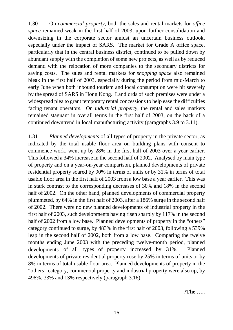1.30 On *commercial property*, both the sales and rental markets for *office space* remained weak in the first half of 2003, upon further consolidation and downsizing in the corporate sector amidst an uncertain business outlook, especially under the impact of SARS. The market for Grade A office space, particularly that in the central business district, continued to be pulled down by abundant supply with the completion of some new projects, as well as by reduced demand with the relocation of more companies to the secondary districts for saving costs. The sales and rental markets for *shopping space* also remained bleak in the first half of 2003, especially during the period from mid-March to early June when both inbound tourism and local consumption were hit severely by the spread of SARS in Hong Kong. Landlords of such premises were under a widespread plea to grant temporary rental concessions to help ease the difficulties facing tenant operators. On *industrial property*, the rental and sales markets remained stagnant in overall terms in the first half of 2003, on the back of a continued downtrend in local manufacturing activity (paragraphs 3.9 to 3.11).

1.31 *Planned developments* of all types of property in the private sector, as indicated by the total usable floor area on building plans with consent to commence work, went up by 28% in the first half of 2003 over a year earlier. This followed a 34% increase in the second half of 2002. Analysed by main type of property and on a year-on-year comparison, planned developments of private residential property soared by 90% in terms of units or by 31% in terms of total usable floor area in the first half of 2003 from a low base a year earlier. This was in stark contrast to the corresponding decreases of 30% and 18% in the second half of 2002. On the other hand, planned developments of commercial property plummeted, by 64% in the first half of 2003, after a 186% surge in the second half of 2002. There were no new planned developments of industrial property in the first half of 2003, such developments having risen sharply by 117% in the second half of 2002 from a low base. Planned developments of property in the "others" category continued to surge, by 483% in the first half of 2003, following a 539% leap in the second half of 2002, both from a low base. Comparing the twelve months ending June 2003 with the preceding twelve-month period, planned developments of all types of property increased by 31%. Planned developments of private residential property rose by 25% in terms of units or by 8% in terms of total usable floor area. Planned developments of property in the "others" category, commercial property and industrial property were also up, by 498%, 33% and 13% respectively (paragraph 3.16).

**/The** …..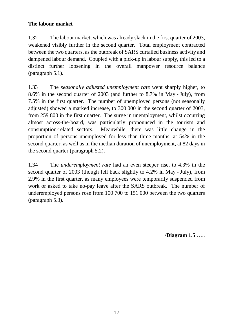## **The labour market**

1.32 The labour market, which was already slack in the first quarter of 2003, weakened visibly further in the second quarter. Total employment contracted between the two quarters, as the outbreak of SARS curtailed business activity and dampened labour demand. Coupled with a pick-up in labour supply, this led to a distinct further loosening in the overall manpower resource balance (paragraph 5.1).

1.33 The *seasonally adjusted unemployment rate* went sharply higher, to 8.6% in the second quarter of 2003 (and further to 8.7% in May - July), from 7.5% in the first quarter. The number of unemployed persons (not seasonally adjusted) showed a marked increase, to 300 000 in the second quarter of 2003, from 259 800 in the first quarter. The surge in unemployment, whilst occurring almost across-the-board, was particularly pronounced in the tourism and consumption-related sectors. Meanwhile, there was little change in the proportion of persons unemployed for less than three months, at 54% in the second quarter, as well as in the median duration of unemployment, at 82 days in the second quarter (paragraph 5.2).

1.34 The *underemployment rate* had an even steeper rise, to 4.3% in the second quarter of 2003 (though fell back slightly to 4.2% in May - July), from 2.9% in the first quarter, as many employees were temporarily suspended from work or asked to take no-pay leave after the SARS outbreak. The number of underemployed persons rose from 100 700 to 151 000 between the two quarters (paragraph 5.3).

/**Diagram 1.5** …..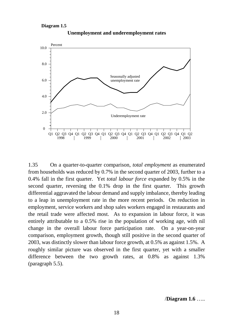#### **Diagram 1.5**



**Unemployment and underemployment rates**

1.35 On a quarter-to-quarter comparison, *total employment* as enumerated from households was reduced by 0.7% in the second quarter of 2003, further to a 0.4% fall in the first quarter. Yet *total labour force* expanded by 0.5% in the second quarter, reversing the 0.1% drop in the first quarter. This growth differential aggravated the labour demand and supply imbalance, thereby leading to a leap in unemployment rate in the more recent periods. On reduction in employment, service workers and shop sales workers engaged in restaurants and the retail trade were affected most. As to expansion in labour force, it was entirely attributable to a 0.5% rise in the population of working age, with nil change in the overall labour force participation rate. On a year-on-year comparison, employment growth, though still positive in the second quarter of 2003, was distinctly slower than labour force growth, at 0.5% as against 1.5%. A roughly similar picture was observed in the first quarter, yet with a smaller difference between the two growth rates, at 0.8% as against 1.3% (paragraph 5.5).

/**Diagram 1.6** …..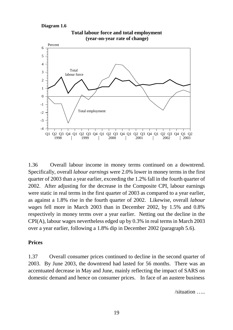#### **Diagram 1.6**



**Total labour force and total employment (year-on-year rate of change)**

1.36 Overall labour income in money terms continued on a downtrend. Specifically, overall *labour earnings* were 2.0% lower in money terms in the first quarter of 2003 than a year earlier, exceeding the 1.2% fall in the fourth quarter of 2002. After adjusting for the decrease in the Composite CPI, labour earnings were static in real terms in the first quarter of 2003 as compared to a year earlier, as against a 1.8% rise in the fourth quarter of 2002. Likewise, overall *labour wages* fell more in March 2003 than in December 2002, by 1.5% and 0.8% respectively in money terms over a year earlier. Netting out the decline in the CPI(A), labour wages nevertheless edged up by 0.3% in real terms in March 2003 over a year earlier, following a 1.8% dip in December 2002 (paragraph 5.6).

#### **Prices**

1.37 Overall consumer prices continued to decline in the second quarter of 2003. By June 2003, the downtrend had lasted for 56 months. There was an accentuated decrease in May and June, mainly reflecting the impact of SARS on domestic demand and hence on consumer prices. In face of an austere business

/situation …..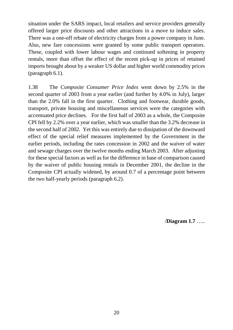situation under the SARS impact, local retailers and service providers generally offered larger price discounts and other attractions in a move to induce sales. There was a one-off rebate of electricity charges from a power company in June. Also, new fare concessions were granted by some public transport operators. These, coupled with lower labour wages and continued softening in property rentals, more than offset the effect of the recent pick-up in prices of retained imports brought about by a weaker US dollar and higher world commodity prices (paragraph 6.1).

1.38 The *Composite Consumer Price Index* went down by 2.5% in the second quarter of 2003 from a year earlier (and further by 4.0% in July), larger than the 2.0% fall in the first quarter. Clothing and footwear, durable goods, transport, private housing and miscellaneous services were the categories with accentuated price declines. For the first half of 2003 as a whole, the Composite CPI fell by 2.2% over a year earlier, which was smaller than the 3.2% decrease in the second half of 2002. Yet this was entirely due to dissipation of the downward effect of the special relief measures implemented by the Government in the earlier periods, including the rates concession in 2002 and the waiver of water and sewage charges over the twelve months ending March 2003. After adjusting for these special factors as well as for the difference in base of comparison caused by the waiver of public housing rentals in December 2001, the decline in the Composite CPI actually widened, by around 0.7 of a percentage point between the two half-yearly periods (paragraph 6.2).

/**Diagram 1.7** …..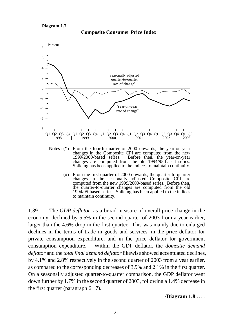



- changes in the Composite CPI are computed from the new 1999/2000-based series. Before then, the vear-on-vear Before then, the year-on-year changes are computed from the old 1994/95-based series. Splicing has been applied to the indices to maintain continuity.
	- (#) From the first quarter of 2000 onwards, the quarter-to-quarter changes in the seasonally adjusted Composite CPI are computed from the new 1999/2000-based series. Before then, the quarter-to-quarter changes are computed from the old 1994/95-based series. Splicing has been applied to the indices to maintain continuity.

1.39 The *GDP deflator*, as a broad measure of overall price change in the economy, declined by 5.5% in the second quarter of 2003 from a year earlier, larger than the 4.6% drop in the first quarter. This was mainly due to enlarged declines in the terms of trade in goods and services, in the price deflator for private consumption expenditure, and in the price deflator for government consumption expenditure. Within the GDP deflator, the *domestic demand deflator* and the *total final demand deflator* likewise showed accentuated declines, by 4.1% and 2.8% respectively in the second quarter of 2003 from a year earlier, as compared to the corresponding decreases of 3.9% and 2.1% in the first quarter. On a seasonally adjusted quarter-to-quarter comparison, the GDP deflator went down further by 1.7% in the second quarter of 2003, following a 1.4% decrease in the first quarter (paragraph 6.17).

/**Diagram 1.8** …..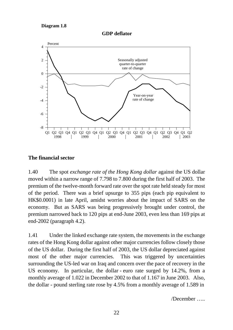**Diagram 1.8**

**GDP deflator**



#### **The financial sector**

1.40 The spot *exchange rate of the Hong Kong dollar* against the US dollar moved within a narrow range of 7.798 to 7.800 during the first half of 2003. The premium of the twelve-month forward rate over the spot rate held steady for most of the period. There was a brief upsurge to 355 pips (each pip equivalent to HK\$0.0001) in late April, amidst worries about the impact of SARS on the economy. But as SARS was being progressively brought under control, the premium narrowed back to 120 pips at end-June 2003, even less than 169 pips at end-2002 (paragraph 4.2).

1.41 Under the linked exchange rate system, the movements in the exchange rates of the Hong Kong dollar against other major currencies follow closely those of the US dollar. During the first half of 2003, the US dollar depreciated against most of the other major currencies. This was triggered by uncertainties surrounding the US-led war on Iraq and concern over the pace of recovery in the US economy. In particular, the dollar - euro rate surged by 14.2%, from a monthly average of 1.022 in December 2002 to that of 1.167 in June 2003. Also, the dollar - pound sterling rate rose by 4.5% from a monthly average of 1.589 in

/December …..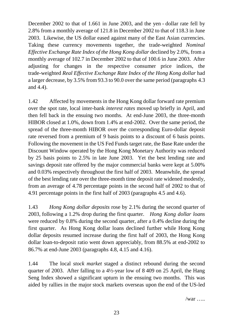December 2002 to that of 1.661 in June 2003, and the yen - dollar rate fell by 2.8% from a monthly average of 121.8 in December 2002 to that of 118.3 in June 2003. Likewise, the US dollar eased against many of the East Asian currencies. Taking these currency movements together, the trade-weighted *Nominal Effective Exchange Rate Index of the Hong Kong dollar declined by 2.0%, from a* monthly average of 102.7 in December 2002 to that of 100.6 in June 2003. After adjusting for changes in the respective consumer price indices, the trade-weighted *Real Effective Exchange Rate Index of the Hong Kong dollar* had a larger decrease, by 3.5% from 93.3 to 90.0 over the same period (paragraphs 4.3 and 4.4).

1.42 Affected by movements in the Hong Kong dollar forward rate premium over the spot rate, local inter-bank *interest rates* moved up briefly in April, and then fell back in the ensuing two months. At end-June 2003, the three-month HIBOR closed at 1.0%, down from 1.4% at end-2002. Over the same period, the spread of the three-month HIBOR over the corresponding Euro-dollar deposit rate reversed from a premium of 9 basis points to a discount of 6 basis points. Following the movement in the US Fed Funds target rate, the Base Rate under the Discount Window operated by the Hong Kong Monetary Authority was reduced by 25 basis points to 2.5% in late June 2003. Yet the best lending rate and savings deposit rate offered by the major commercial banks were kept at 5.00% and 0.03% respectively throughout the first half of 2003. Meanwhile, the spread of the best lending rate over the three-month time deposit rate widened modestly, from an average of 4.78 percentage points in the second half of 2002 to that of 4.91 percentage points in the first half of 2003 (paragraphs 4.5 and 4.6).

1.43 *Hong Kong dollar deposits* rose by 2.1% during the second quarter of 2003, following a 1.2% drop during the first quarter. *Hong Kong dollar loans* were reduced by 0.8% during the second quarter, after a 0.4% decline during the first quarter. As Hong Kong dollar loans declined further while Hong Kong dollar deposits resumed increase during the first half of 2003, the Hong Kong dollar loan-to-deposit ratio went down appreciably, from 88.5% at end-2002 to 86.7% at end-June 2003 (paragraphs 4.8, 4.15 and 4.16).

1.44 The local *stock market* staged a distinct rebound during the second quarter of 2003. After falling to a 4½-year low of 8 409 on 25 April, the Hang Seng Index showed a significant upturn in the ensuing two months. This was aided by rallies in the major stock markets overseas upon the end of the US-led

 $/\text{war}$  ….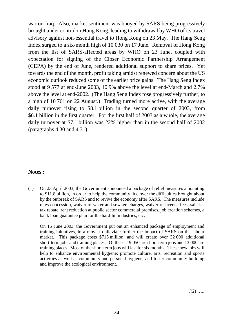war on Iraq. Also, market sentiment was buoyed by SARS being progressively brought under control in Hong Kong, leading to withdrawal by WHO of its travel advisory against non-essential travel to Hong Kong on 23 May. The Hang Seng Index surged to a six-month high of 10 030 on 17 June. Removal of Hong Kong from the list of SARS-affected areas by WHO on 23 June, coupled with expectation for signing of the Closer Economic Partnership Arrangement (CEPA) by the end of June, rendered additional support to share prices. Yet towards the end of the month, profit taking amidst renewed concern about the US economic outlook reduced some of the earlier price gains. The Hang Seng Index stood at 9 577 at end-June 2003, 10.9% above the level at end-March and 2.7% above the level at end-2002. (The Hang Seng Index rose progressively further, to a high of 10 761 on 22 August.) Trading turned more active, with the average daily turnover rising to \$8.1 billion in the second quarter of 2003, from \$6.1 billion in the first quarter. For the first half of 2003 as a whole, the average daily turnover at \$7.1 billion was 22% higher than in the second half of 2002 (paragraphs 4.30 and 4.31).

#### **Notes :**

(1) On 23 April 2003, the Government announced a package of relief measures amounting to \$11.8 billion, in order to help the community tide over the difficulties brought about by the outbreak of SARS and to revive the economy after SARS. The measures include rates concession, waiver of water and sewage charges, waiver of licence fees, salaries tax rebate, rent reduction at public sector commercial premises, job creation schemes, a bank loan guarantee plan for the hard-hit industries, etc.

On 15 June 2003, the Government put out an enhanced package of employment and training initiatives, in a move to alleviate further the impact of SARS on the labour market. This package costs \$715 million, and will create over 32 000 additional short-term jobs and training places. Of these, 19 050 are short-term jobs and 13 000 are training places. Most of the short-term jobs will last for six months. These new jobs will help to enhance environmental hygiene; promote culture, arts, recreation and sports activities as well as community and personal hygiene; and foster community building and improve the ecological environment.

 $/(2)$  …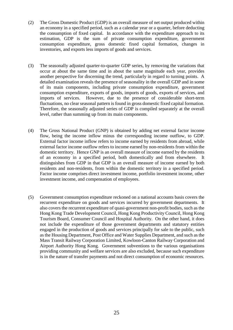- (2) The Gross Domestic Product (GDP) is an overall measure of net output produced within an economy in a specified period, such as a calendar year or a quarter, before deducting the consumption of fixed capital. In accordance with the expenditure approach to its estimation, GDP is the sum of private consumption expenditure, government consumption expenditure, gross domestic fixed capital formation, changes in inventories, and exports less imports of goods and services.
- (3) The seasonally adjusted quarter-to-quarter GDP series, by removing the variations that occur at about the same time and in about the same magnitude each year, provides another perspective for discerning the trend, particularly in regard to turning points. A detailed examination reveals the presence of seasonality in the overall GDP and in some of its main components, including private consumption expenditure, government consumption expenditure, exports of goods, imports of goods, exports of services, and imports of services. However, due to the presence of considerable short-term fluctuations, no clear seasonal pattern is found in gross domestic fixed capital formation. Therefore, the seasonally adjusted series of GDP is compiled separately at the overall level, rather than summing up from its main components.
- (4) The Gross National Product (GNP) is obtained by adding net external factor income flow, being the income inflow minus the corresponding income outflow, to GDP. External factor income inflow refers to income earned by residents from abroad, while external factor income outflow refers to income earned by non-residents from within the domestic territory. Hence GNP is an overall measure of income earned by the residents of an economy in a specified period, both domestically and from elsewhere. It distinguishes from GDP in that GDP is an overall measure of income earned by both residents and non-residents, from within the domestic territory in a specified period. Factor income comprises direct investment income, portfolio investment income, other investment income, and compensation of employees.
- (5) Government consumption expenditure reckoned on a national accounts basis covers the recurrent expenditure on goods and services incurred by government departments. It also covers the recurrent expenditure of quasi-government non-profit bodies, such as the Hong Kong Trade Development Council, Hong Kong Productivity Council, Hong Kong Tourism Board, Consumer Council and Hospital Authority. On the other hand, it does not include the expenditure of those government departments and statutory entities engaged in the production of goods and services principally for sale to the public, such as the Housing Department, Post Office and Water Supplies Department, and such as the Mass Transit Railway Corporation Limited, Kowloon-Canton Railway Corporation and Airport Authority Hong Kong. Government subventions to the various organisations providing community and welfare services are also excluded, because such expenditure is in the nature of transfer payments and not direct consumption of economic resources.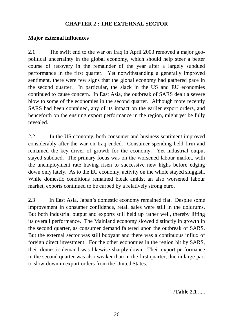## **CHAPTER 2 : THE EXTERNAL SECTOR**

## **Major external influences**

2.1 The swift end to the war on Iraq in April 2003 removed a major geopolitical uncertainty in the global economy, which should help steer a better course of recovery in the remainder of the year after a largely subdued performance in the first quarter. Yet notwithstanding a generally improved sentiment, there were few signs that the global economy had gathered pace in the second quarter. In particular, the slack in the US and EU economies continued to cause concern. In East Asia, the outbreak of SARS dealt a severe blow to some of the economies in the second quarter. Although more recently SARS had been contained, any of its impact on the earlier export orders, and henceforth on the ensuing export performance in the region, might yet be fully revealed.

2.2 In the US economy, both consumer and business sentiment improved considerably after the war on Iraq ended. Consumer spending held firm and remained the key driver of growth for the economy. Yet industrial output stayed subdued. The primary focus was on the worsened labour market, with the unemployment rate having risen to successive new highs before edging down only lately. As to the EU economy, activity on the whole stayed sluggish. While domestic conditions remained bleak amidst an also worsened labour market, exports continued to be curbed by a relatively strong euro.

2.3 In East Asia, Japan's domestic economy remained flat. Despite some improvement in consumer confidence, retail sales were still in the doldrums. But both industrial output and exports still held up rather well, thereby lifting its overall performance. The Mainland economy slowed distinctly in growth in the second quarter, as consumer demand faltered upon the outbreak of SARS. But the external sector was still buoyant and there was a continuous influx of foreign direct investment. For the other economies in the region hit by SARS, their domestic demand was likewise sharply down. Their export performance in the second quarter was also weaker than in the first quarter, due in large part to slow-down in export orders from the United States.

/**Table 2.1** .....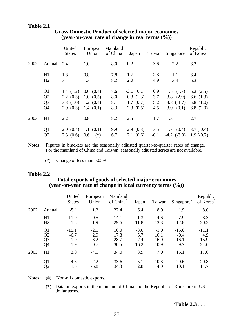### **Table 2.1**

|      |                | United<br><b>States</b> | European<br>Union | Mainland<br>of China | <b>Japan</b> |        | Taiwan Singapore  | Republic<br>of Korea |
|------|----------------|-------------------------|-------------------|----------------------|--------------|--------|-------------------|----------------------|
| 2002 | Annual         | 2.4                     | 1.0               | 8.0                  | 0.2          | 3.6    | 2.2               | 6.3                  |
|      | H1             | 1.8                     | 0.8               | 7.8                  | $-1.7$       | 2.3    | 1.1               | 6.4                  |
|      | H2             | 3.1                     | 1.3               | 8.2                  | 2.0          | 4.9    | 3.4               | 6.3                  |
|      | Q <sub>1</sub> |                         | 1.4(1.2)0.6(0.4)  | 7.6                  | $-3.1(0.1)$  | 0.9    | $-1.5$ $(1.7)$    | 6.2 $(2.5)$          |
|      | Q <sub>2</sub> | $2.2 \ (0.3)$           | 1.0(0.5)          | 8.0                  | $-0.3(1.3)$  | 3.7    | $3.8$ $(2.9)$     | 6.6 $(1.3)$          |
|      | Q <sub>3</sub> | 3.3(1.0)                | 1.2(0.4)          | 8.1                  | 1.7(0.7)     | 5.2    | $3.8$ $(-1.7)$    | 5.8 $(1.0)$          |
|      | Q <sub>4</sub> | 2.9(0.3)                | 1.4(0.1)          | 8.3                  | 2.3(0.5)     | 4.5    | 3.0(0.1)          | 6.8 $(2.0)$          |
| 2003 | H1             | 2.2                     | 0.8               | 8.2                  | 2.5          | 1.7    | $-1.3$            | 2.7                  |
|      | Q <sub>1</sub> | 2.0(0.4)                | 1.1(0.1)          | 9.9                  | 2.9(0.3)     | 3.5    | $1.7 \quad (0.4)$ | $3.7(-0.4)$          |
|      | Q2             | 2.3(0.6)                | 0.6<br>$(*)$      | 6.7                  | 2.1(0.6)     | $-0.1$ | $-4.2$ $(-3.0)$   | $1.9(-0.7)$          |

## **Gross Domestic Product of selected major economies (year-on-year rate of change in real terms (%))**

Notes : Figures in brackets are the seasonally adjusted quarter-to-quarter rates of change. For the mainland of China and Taiwan, seasonally adjusted series are not available.

(\*) Change of less than 0.05%.

#### **Table 2.2**

### **Total exports of goods of selected major economies (year-on-year rate of change in local currency terms (%))**

|      |                                                | United<br><b>States</b>         | European<br>Union           | Mainland<br>of China         | <b>Japan</b>                 | Taiwan                         | $Singa pore$ #                   | Republic<br>of Korea           |
|------|------------------------------------------------|---------------------------------|-----------------------------|------------------------------|------------------------------|--------------------------------|----------------------------------|--------------------------------|
| 2002 | Annual                                         | $-5.1$                          | 1.2                         | 22.4                         | 6.4                          | 8.9                            | 1.9                              | 8.0                            |
|      | H1<br>H2                                       | $-11.0$<br>1.5                  | 0.5<br>1.9                  | 14.1<br>29.6                 | 1.3<br>11.8                  | 4.6<br>13.3                    | $-7.9$<br>12.8                   | $-3.3$<br>20.3                 |
|      | Q1<br>$\overline{Q}$<br>$\overline{Q}$ 3<br>Q4 | $-15.1$<br>$-6.7$<br>1.0<br>1.9 | $-2.1$<br>2.9<br>3.2<br>0.7 | 10.0<br>17.8<br>28.7<br>30.5 | $-3.0$<br>5.7<br>7.4<br>16.2 | $-1.0$<br>10.1<br>16.0<br>10.9 | $-15.0$<br>$-0.4$<br>16.1<br>9.7 | $-11.1$<br>4.9<br>15.9<br>24.6 |
| 2003 | H1                                             | 3.0                             | $-4.1$                      | 34.0                         | 3.9                          | 7.0                            | 15.1                             | 17.6                           |
|      | Q1<br>$\overline{Q}2$                          | 4.5<br>1.5                      | $-2.2$<br>$-5.8$            | 33.6<br>34.3                 | 5.1<br>2.8                   | 10.3<br>4.0                    | 20.6<br>10.1                     | 20.8<br>14.7                   |

Notes : (#) Non-oil domestic exports.

(\*) Data on exports in the mainland of China and the Republic of Korea are in US dollar terms.

/**Table 2.3** .....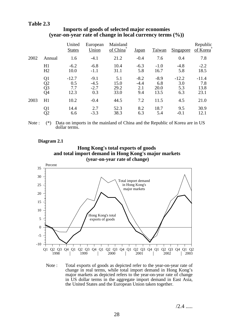### **Table 2.3**

|      |                | United<br><b>States</b> | European<br>Union | Mainland<br>of China* | <u>Japan</u> | Taiwan | <b>Singapore</b> | Republic<br>of Korea <sup>®</sup> |
|------|----------------|-------------------------|-------------------|-----------------------|--------------|--------|------------------|-----------------------------------|
| 2002 | Annual         | 1.6                     | $-4.1$            | 21.2                  | $-0.4$       | 7.6    | 0.4              | 7.8                               |
|      | H1             | $-6.2$                  | $-6.8$            | 10.4                  | $-6.3$       | $-1.0$ | $-4.8$           | $-2.2$                            |
|      | H <sub>2</sub> | 10.0                    | $-1.1$            | 31.1                  | 5.8          | 16.7   | 5.8              | 18.5                              |
|      | Q1             | $-12.7$                 | $-9.1$            | 5.1                   | $-8.2$       | $-8.9$ | $-12.2$          | $-11.4$                           |
|      | Q <sub>2</sub> | 0.5                     | $-4.5$            | 15.0                  | $-4.4$       | 6.8    | 3.0              | 7.8                               |
|      | Q3             | 7.7                     | $-2.7$            | 29.2                  | 2.1          | 20.0   | 5.3              | 13.8                              |
|      | Q4             | 12.3                    | 0.3               | 33.0                  | 9.4          | 13.5   | 6.3              | 23.1                              |
| 2003 | H1             | 10.2                    | $-0.4$            | 44.5                  | 7.2          | 11.5   | 4.5              | 21.0                              |
|      | Q1             | 14.4                    | 2.7               | 52.3                  | 8.2          | 18.7   | 9.5              | 30.9                              |
|      | Q2             | 6.6                     | $-3.3$            | 38.3                  | 6.3          | 5.4    | $-0.1$           | 12.1                              |

#### **Imports of goods of selected major economies (year-on-year rate of change in local currency terms (%))**

Note : (\*) Data on imports in the mainland of China and the Republic of Korea are in US dollar terms.

#### **Diagram 2.1**





Note : Total exports of goods as depicted refer to the year-on-year rate of change in real terms, while total import demand in Hong Kong's major markets as depicted refers to the year-on-year rate of change in US dollar terms in the aggregate import demand in East Asia, the United States and the European Union taken together.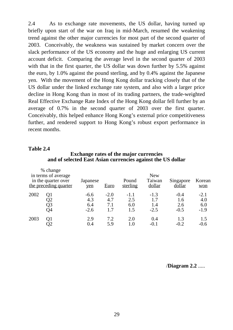2.4 As to exchange rate movements, the US dollar, having turned up briefly upon start of the war on Iraq in mid-March, resumed the weakening trend against the other major currencies for most part of the second quarter of 2003. Conceivably, the weakness was sustained by market concern over the slack performance of the US economy and the huge and enlarging US current account deficit. Comparing the average level in the second quarter of 2003 with that in the first quarter, the US dollar was down further by 5.5% against the euro, by 1.0% against the pound sterling, and by 0.4% against the Japanese yen. With the movement of the Hong Kong dollar tracking closely that of the US dollar under the linked exchange rate system, and also with a larger price decline in Hong Kong than in most of its trading partners, the trade-weighted Real Effective Exchange Rate Index of the Hong Kong dollar fell further by an average of 0.7% in the second quarter of 2003 over the first quarter. Conceivably, this helped enhance Hong Kong's external price competitiveness further, and rendered support to Hong Kong's robust export performance in recent months.

#### **Table 2.4**

#### **Exchange rates of the major currencies and of selected East Asian currencies against the US dollar**

|      | % change<br>in terms of average<br>in the quarter over<br>the preceding quarter | Japanese<br>yen                | <b>Euro</b>                 | Pound<br>sterling           | <b>New</b><br>Taiwan<br>dollar | Singapore<br>dollar            | Korean<br>won                  |
|------|---------------------------------------------------------------------------------|--------------------------------|-----------------------------|-----------------------------|--------------------------------|--------------------------------|--------------------------------|
| 2002 | Q1<br>Q2<br>Q3<br>Q4                                                            | $-6.6$<br>4.3<br>6.4<br>$-2.6$ | $-2.0$<br>4.7<br>7.1<br>1.7 | $-1.1$<br>2.5<br>6.0<br>1.5 | $-1.3$<br>1.7<br>1.4<br>$-2.5$ | $-0.4$<br>1.6<br>2.6<br>$-0.5$ | $-2.1$<br>4.0<br>6.0<br>$-1.9$ |
| 2003 | Q1                                                                              | 2.9<br>0.4                     | 7.2<br>5.9                  | 2.0<br>1.0                  | 0.4<br>$-()$ . 1               | 1.3<br>$-0.2$                  | 1.5<br>$-0.6$                  |

/**Diagram 2.2** .....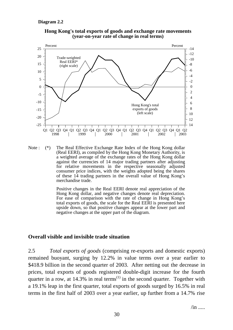



Note : (\*) The Real Effective Exchange Rate Index of the Hong Kong dollar (Real EERI), as compiled by the Hong Kong Monetary Authority, is a weighted average of the exchange rates of the Hong Kong dollar against the currencies of 14 major trading partners after adjusting for relative movements in the respective seasonally adjusted consumer price indices, with the weights adopted being the shares of these 14 trading partners in the overall value of Hong Kong's merchandise trade.

> Positive changes in the Real EERI denote real appreciation of the Hong Kong dollar, and negative changes denote real depreciation. For ease of comparison with the rate of change in Hong Kong's total exports of goods, the scale for the Real EERI is presented here upside down, so that positive changes appear at the lower part and negative changes at the upper part of the diagram.

#### **Overall visible and invisible trade situation**

2.5 *Total exports of goods* (comprising re-exports and domestic exports) remained buoyant, surging by 12.2% in value terms over a year earlier to \$418.9 billion in the second quarter of 2003. After netting out the decrease in prices, total exports of goods registered double-digit increase for the fourth quarter in a row, at  $14.3\%$  in real terms<sup>(1)</sup> in the second quarter. Together with a 19.1% leap in the first quarter, total exports of goods surged by 16.5% in real terms in the first half of 2003 over a year earlier, up further from a 14.7% rise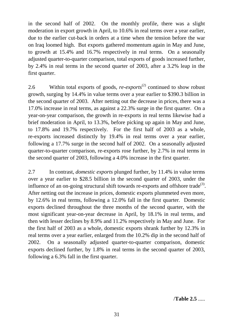in the second half of 2002. On the monthly profile, there was a slight moderation in export growth in April, to 10.6% in real terms over a year earlier, due to the earlier cut-back in orders at a time when the tension before the war on Iraq loomed high. But exports gathered momentum again in May and June, to growth at 15.4% and 16.7% respectively in real terms. On a seasonally adjusted quarter-to-quarter comparison, total exports of goods increased further, by 2.4% in real terms in the second quarter of 2003, after a 3.2% leap in the first quarter.

2.6 Within total exports of goods, *re-exports*<sup>(2)</sup> continued to show robust growth, surging by 14.4% in value terms over a year earlier to \$390.3 billion in the second quarter of 2003. After netting out the decrease in prices, there was a 17.0% increase in real terms, as against a 22.3% surge in the first quarter. On a year-on-year comparison, the growth in re-exports in real terms likewise had a brief moderation in April, to 13.3%, before picking up again in May and June, to 17.8% and 19.7% respectively. For the first half of 2003 as a whole, re-exports increased distinctly by 19.4% in real terms over a year earlier, following a 17.7% surge in the second half of 2002. On a seasonally adjusted quarter-to-quarter comparison, re-exports rose further, by 2.7% in real terms in the second quarter of 2003, following a 4.0% increase in the first quarter.

2.7 In contrast, *domestic exports* plunged further, by 11.4% in value terms over a year earlier to \$28.5 billion in the second quarter of 2003, under the influence of an on-going structural shift towards re-exports and offshore trade<sup>(3)</sup>. After netting out the increase in prices, domestic exports plummeted even more, by 12.6% in real terms, following a 12.0% fall in the first quarter. Domestic exports declined throughout the three months of the second quarter, with the most significant year-on-year decrease in April, by 18.1% in real terms, and then with lesser declines by 8.9% and 11.2% respectively in May and June. For the first half of 2003 as a whole, domestic exports shrank further by 12.3% in real terms over a year earlier, enlarged from the 10.2% dip in the second half of 2002. On a seasonally adjusted quarter-to-quarter comparison, domestic exports declined further, by 1.8% in real terms in the second quarter of 2003, following a 6.3% fall in the first quarter.

/**Table 2.5** .....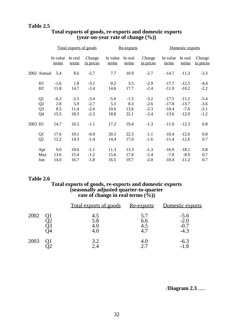#### **Table 2.5**

|         |                |                   |                  | Total exports of goods |                   | Re-exports       |                     |                   |                  | Domestic exports    |  |
|---------|----------------|-------------------|------------------|------------------------|-------------------|------------------|---------------------|-------------------|------------------|---------------------|--|
|         |                | In value<br>terms | In real<br>terms | Change<br>in prices    | In value<br>terms | In real<br>terms | Change<br>in prices | In value<br>terms | In real<br>terms | Change<br>in prices |  |
|         | 2002 Annual    | 5.4               | 8.6              | $-2.7$                 | 7.7               | 10.9             | $-2.7$              | $-14.7$           | $-11.3$          | $-3.3$              |  |
|         | H1             | $-1.6$            | 1.8              | $-3.1$                 | 0.2               | 3.5              | $-2.9$              | $-17.7$           | $-12.5$          | $-4.4$              |  |
|         | H2             | 11.8              | 14.7             | $-2.4$                 | 14.6              | 17.7             | $-2.4$              | $-11.9$           | $-10.2$          | $-2.2$              |  |
|         | Q1             | $-6.2$            | $-2.5$           | $-3.4$                 | $-5.0$            | $-1.5$           | $-3.2$              | $-17.5$           | $-11.2$          | $-5.4$              |  |
|         | Q2             | 2.8               | 5.9              | $-2.7$                 | 5.3               | 8.3              | $-2.6$              | $-17.8$           | $-13.7$          | $-3.6$              |  |
|         | Q <sub>3</sub> | 8.5               | 11.4             | $-2.4$                 | 10.6              | 13.6             | $-2.3$              | $-10.4$           | $-7.6$           | $-3.1$              |  |
|         | Q <sub>4</sub> | 15.5              | 18.3             | $-2.3$                 | 18.8              | 22.1             | $-2.4$              | $-13.6$           | $-12.9$          | $-1.2$              |  |
| 2003 H1 |                | 14.7              | 16.5             | $-1.1$                 | 17.2              | 19.4             | $-1.3$              | $-11.0$           | $-12.3$          | 0.8                 |  |
|         | Q1             | 17.6              | 19.1             | $-0.9$                 | 20.3              | 22.3             | $-1.1$              | $-10.4$           | $-12.0$          | 0.8                 |  |
|         | Q2             | 12.2              | 14.3             | $-1.4$                 | 14.4              | 17.0             | $-1.6$              | $-11.4$           | $-12.6$          | 0.7                 |  |
|         | Apr            | 9.0               | 10.6             | $-1.1$                 | 11.3              | 13.3             | $-1.3$              | $-16.9$           | $-18.1$          | 0.8                 |  |
|         | May            | 13.6              | 15.4             | $-1.2$                 | 15.6              | 17.8             | $-1.4$              | $-7.8$            | $-8.9$           | 0.7                 |  |
|         | Jun            | 14.0              | 16.7             | $-1.8$                 | 16.5              | 19.7             | $-2.0$              | $-10.4$           | $-11.2$          | 0.7                 |  |

## **Total exports of goods, re-exports and domestic exports (year-on-year rate of change (%))**

## **Table 2.6**

#### **Total exports of goods, re-exports and domestic exports (seasonally adjusted quarter-to-quarter rate of change in real terms (%))**

|      | <u>Total exports of goods</u> | <u>Re-exports</u>        | Domestic exports                     |
|------|-------------------------------|--------------------------|--------------------------------------|
| 2002 | 4.5<br>5.8                    | 5.7<br>6.6<br>4.5<br>4.7 | $-5.6$<br>$-2.0$<br>$-0.7$<br>$-4.3$ |
| 2003 | 3.2                           | 4.0                      | $-6.3$<br>-1.8                       |

/**Diagram 2.3** .....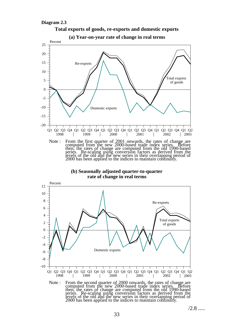





Note : From the second quarter of 2000 onwards, the rates of change are computed from the new 2000-based trade index series. Before then, the rates of change are computed from the old 1990-based series. Re-scaling using conversion factors as derived from the levels of the old and the new series in their overlapping period of 2000 has been applied to the indices to maintain continuity.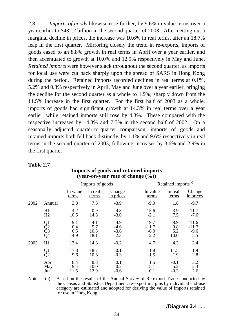2.8 *Imports of goods* likewise rose further, by 9.6% in value terms over a year earlier to \$432.2 billion in the second quarter of 2003. After netting out a marginal decline in prices, the increase was 10.6% in real terms, after an 18.7% leap in the first quarter. Mirroring closely the trend in re-exports, imports of goods eased to an 8.8% growth in real terms in April over a year earlier, and then accentuated to growth at 10.0% and 12.9% respectively in May and June. *Retained imports* were however slack throughout the second quarter, as imports for local use were cut back sharply upon the spread of SARS in Hong Kong during the period. Retained imports recorded declines in real terms at 0.1%, 5.2% and 0.3% respectively in April, May and June over a year earlier, bringing the decline for the second quarter as a whole to 1.9%, sharply down from the 11.5% increase in the first quarter. For the first half of 2003 as a whole, imports of goods had significant growth at 14.3% in real terms over a year earlier, while retained imports still rose by 4.3%. These compared with the respective increases by 14.3% and 7.5% in the second half of 2002. On a seasonally adjusted quarter-to-quarter comparison, imports of goods and retained imports both fell back distinctly, by 1.1% and 9.6% respectively in real terms in the second quarter of 2003, following increases by 3.6% and 2.9% in the first quarter.

|      |                      |                              | Imports of goods              |                                      |                                     | Retained imports <sup>(a)</sup> |                                        |  |  |
|------|----------------------|------------------------------|-------------------------------|--------------------------------------|-------------------------------------|---------------------------------|----------------------------------------|--|--|
|      |                      | In value<br>terms            | In real<br>terms              | Change<br>in prices                  | In value<br>terms                   | In real<br>terms                | Change<br>in prices                    |  |  |
| 2002 | Annual               | 3.3                          | 7.8                           | $-3.9$                               | $-9.0$                              | 1.8                             | $-9.7$                                 |  |  |
|      | H1<br>H2             | $-4.2$<br>10.5               | 0.9<br>14.3                   | $-4.8$<br>$-3.0$                     | $-15.6$<br>$-2.1$                   | $-3.9$<br>7.5                   | $-11.7$<br>$-7.6$                      |  |  |
|      | Q1<br>Q2<br>Q3<br>Q4 | $-9.1$<br>0.4<br>6.5<br>14.9 | $-4.1$<br>5.7<br>10.8<br>18.1 | $-4.9$<br>$-4.6$<br>$-3.6$<br>$-2.3$ | $-19.7$<br>$-11.7$<br>$-6.0$<br>2.2 | $-8.9$<br>0.8<br>5.2<br>10.0    | $-11.6$<br>$-11.7$<br>$-9.6$<br>$-5.5$ |  |  |
| 2003 | H1                   | 13.4                         | 14.3                          | $-0.2$                               | 4.7                                 | 4.3                             | 2.4                                    |  |  |
|      | $\frac{Q1}{Q2}$      | 17.8<br>9.6                  | 18.7<br>10.6                  | $-0.1$<br>$-0.3$                     | 11.8<br>$-1.5$                      | 11.5<br>$-1.9$                  | 1.9<br>2.8                             |  |  |
|      | Apr<br>May<br>Jun    | 8.4<br>9.4<br>11.5           | 8.8<br>10.0<br>12.9           | 0.1<br>$-0.2$<br>$-0.6$              | 1.5<br>$-5.1$<br>0.1                | $-0.1$<br>$-5.2$<br>$-0.3$      | 3.2<br>2.3<br>2.6                      |  |  |

# **Table 2.7**

# **Imports of goods and retained imports (year-on-year rate of change (%))**

Note : (a) Based on the results of the Annual Survey of Re-export Trade conducted by the Census and Statistics Department, re-export margins by individual end-use category are estimated and adopted for deriving the value of imports retained for use in Hong Kong.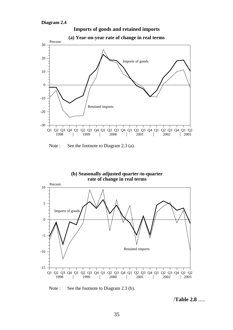

Note : See the footnote to Diagram 2.3 (a).



Note : See the footnote to Diagram 2.3 (b).

/**Table 2.8** .....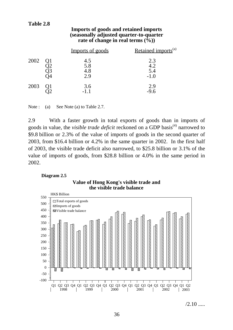# **Table 2.8**

#### **Imports of goods and retained imports (seasonally adjusted quarter-to-quarter rate of change in real terms (%))**

|      | Imports of goods         | Retained imports <sup>(a)</sup> |
|------|--------------------------|---------------------------------|
| 2002 | 4.5<br>5.8<br>4.8<br>2.9 | 2.3<br>4.2<br>5.4<br>$-1.0$     |
| 2003 | 3.6<br>$-1.1$            | 2.9<br>$-9.6$                   |

Note : (a) See Note (a) to Table 2.7.

2.9 With a faster growth in total exports of goods than in imports of goods in value, the *visible trade deficit* reckoned on a GDP basis<sup>(4)</sup> narrowed to \$9.8 billion or 2.3% of the value of imports of goods in the second quarter of 2003, from \$16.4 billion or 4.2% in the same quarter in 2002. In the first half of 2003, the visible trade deficit also narrowed, to \$25.8 billion or 3.1% of the value of imports of goods, from \$28.8 billion or 4.0% in the same period in 2002.

#### **Diagram 2.5**





 $/2.10$  .....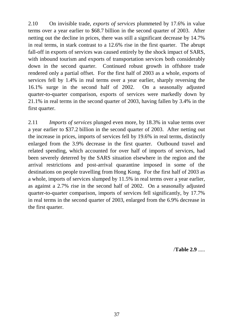2.10 On invisible trade, *exports of services* plummeted by 17.6% in value terms over a year earlier to \$68.7 billion in the second quarter of 2003. After netting out the decline in prices, there was still a significant decrease by 14.7% in real terms, in stark contrast to a 12.6% rise in the first quarter. The abrupt fall-off in exports of services was caused entirely by the shock impact of SARS, with inbound tourism and exports of transportation services both considerably down in the second quarter. Continued robust growth in offshore trade rendered only a partial offset. For the first half of 2003 as a whole, exports of services fell by 1.4% in real terms over a year earlier, sharply reversing the 16.1% surge in the second half of 2002. On a seasonally adjusted quarter-to-quarter comparison, exports of services were markedly down by 21.1% in real terms in the second quarter of 2003, having fallen by 3.4% in the first quarter.

2.11 *Imports of services* plunged even more, by 18.3% in value terms over a year earlier to \$37.2 billion in the second quarter of 2003. After netting out the increase in prices, imports of services fell by 19.6% in real terms, distinctly enlarged from the 3.9% decrease in the first quarter. Outbound travel and related spending, which accounted for over half of imports of services, had been severely deterred by the SARS situation elsewhere in the region and the arrival restrictions and post-arrival quarantine imposed in some of the destinations on people travelling from Hong Kong. For the first half of 2003 as a whole, imports of services slumped by 11.5% in real terms over a year earlier, as against a 2.7% rise in the second half of 2002. On a seasonally adjusted quarter-to-quarter comparison, imports of services fell significantly, by 17.7% in real terms in the second quarter of 2003, enlarged from the 6.9% decrease in the first quarter.

/**Table 2.9** .....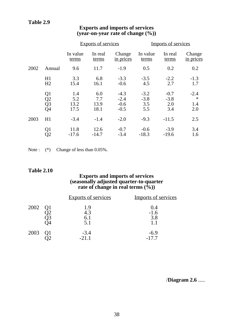|      |                                                |                            | <b>Exports of services</b> |                                      |                                | Imports of services            |                                |  |  |
|------|------------------------------------------------|----------------------------|----------------------------|--------------------------------------|--------------------------------|--------------------------------|--------------------------------|--|--|
|      |                                                | In value<br>terms          | In real<br>terms           | Change<br>in prices                  | In value<br>terms              | In real<br>terms               | Change<br>in prices            |  |  |
| 2002 | Annual                                         | 9.6                        | 11.7                       | $-1.9$                               | 0.5                            | 0.2                            | 0.2                            |  |  |
|      | H1<br>H2                                       | 3.3<br>15.4                | 6.8<br>16.1                | $-3.3$<br>$-0.6$                     | $-3.5$<br>4.5                  | $-2.2$<br>2.7                  | $-1.3$<br>1.7                  |  |  |
|      | Q1<br>$\overline{Q}2$<br>$\overline{Q}3$<br>Q4 | 1.4<br>5.2<br>13.2<br>17.5 | 6.0<br>7.7<br>13.9<br>18.1 | $-4.3$<br>$-2.4$<br>$-0.6$<br>$-0.5$ | $-3.2$<br>$-3.8$<br>3.5<br>5.5 | $-0.7$<br>$-3.8$<br>2.0<br>3.4 | $-2.4$<br>$\ast$<br>1.4<br>2.0 |  |  |
| 2003 | H1                                             | $-3.4$                     | $-1.4$                     | $-2.0$                               | $-9.3$                         | $-11.5$                        | 2.5                            |  |  |
|      | Q1<br>Q2                                       | 11.8<br>$-17.6$            | 12.6<br>$-14.7$            | $-0.7$<br>$-3.4$                     | $-0.6$<br>$-18.3$              | $-3.9$<br>$-19.6$              | 3.4<br>1.6                     |  |  |

# **Exports and imports of services (year-on-year rate of change (%))**

Note :  $(*)$  Change of less than 0.05%.

#### **Table 2.10**

#### **Exports and imports of services (seasonally adjusted quarter-to-quarter rate of change in real terms (%))**

|      | <b>Exports of services</b> | Imports of services  |
|------|----------------------------|----------------------|
| 2002 | 1.9<br>4.3<br>6.1<br>5.1   | 0.4<br>$-1.6$<br>3.8 |
| 2003 | $-3.4$<br>$-21.1$          | $-6.9$<br>$-17.7$    |

/**Diagram 2.6** .....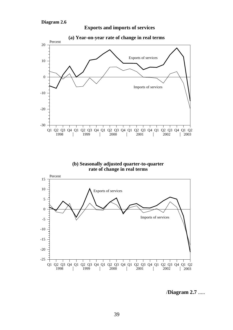

**Exports and imports of services**

**(b) Seasonally adjusted quarter-to-quarter**

**rate of change in real terms**



/**Diagram 2.7** .....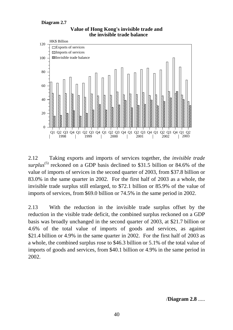#### **Diagram 2.7**



**Value of Hong Kong's invisible trade and the invisible trade balance**

2.12 Taking exports and imports of services together, the *invisible trade surplus*<sup>(5)</sup> reckoned on a GDP basis declined to \$31.5 billion or 84.6% of the value of imports of services in the second quarter of 2003, from \$37.8 billion or 83.0% in the same quarter in 2002. For the first half of 2003 as a whole, the invisible trade surplus still enlarged, to \$72.1 billion or 85.9% of the value of imports of services, from \$69.0 billion or 74.5% in the same period in 2002.

2.13 With the reduction in the invisible trade surplus offset by the reduction in the visible trade deficit, the combined surplus reckoned on a GDP basis was broadly unchanged in the second quarter of 2003, at \$21.7 billion or 4.6% of the total value of imports of goods and services, as against \$21.4 billion or 4.9% in the same quarter in 2002. For the first half of 2003 as a whole, the combined surplus rose to \$46.3 billion or 5.1% of the total value of imports of goods and services, from \$40.1 billion or 4.9% in the same period in 2002.

/**Diagram 2.8** .....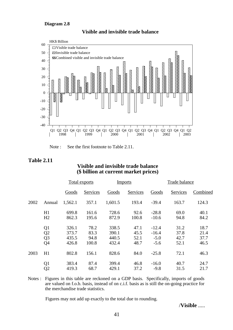#### **Diagram 2.8**



#### **Visible and invisible trade balance**

Note : See the first footnote to Table 2.11.

#### **Table 2.11**

#### **Visible and invisible trade balance (\$ billion at current market prices)**

|      |                | <b>Total exports</b> |          | <b>Imports</b> |          |         | Trade balance |          |  |
|------|----------------|----------------------|----------|----------------|----------|---------|---------------|----------|--|
|      |                | Goods                | Services | Goods          | Services | Goods   | Services      | Combined |  |
| 2002 | Annual         | 1,562.1              | 357.1    | 1,601.5        | 193.4    | $-39.4$ | 163.7         | 124.3    |  |
|      | H1             | 699.8                | 161.6    | 728.6          | 92.6     | $-28.8$ | 69.0          | 40.1     |  |
|      | H2             | 862.3                | 195.6    | 872.9          | 100.8    | $-10.6$ | 94.8          | 84.2     |  |
|      | Q1             | 326.1                | 78.2     | 338.5          | 47.1     | $-12.4$ | 31.2          | 18.7     |  |
|      | Q2             | 373.7                | 83.3     | 390.1          | 45.5     | $-16.4$ | 37.8          | 21.4     |  |
|      | Q <sub>3</sub> | 435.5                | 94.8     | 440.5          | 52.1     | $-5.0$  | 42.7          | 37.7     |  |
|      | Q <sub>4</sub> | 426.8                | 100.8    | 432.4          | 48.7     | $-5.6$  | 52.1          | 46.5     |  |
| 2003 | H1             | 802.8                | 156.1    | 828.6          | 84.0     | $-25.8$ | 72.1          | 46.3     |  |
|      | Q1             | 383.4                | 87.4     | 399.4          | 46.8     | $-16.0$ | 40.7          | 24.7     |  |
|      | Q <sub>2</sub> | 419.3                | 68.7     | 429.1          | 37.2     | $-9.8$  | 31.5          | 21.7     |  |

Notes : Figures in this table are reckoned on a GDP basis. Specifically, imports of goods are valued on f.o.b. basis, instead of on c.i.f. basis as is still the on-going practice for the merchandise trade statistics.

Figures may not add up exactly to the total due to rounding.

/**Visible** .....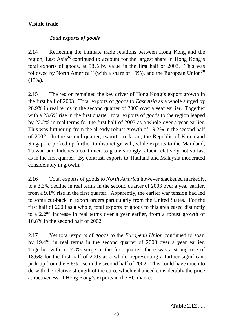# **Visible trade**

# *Total exports of goods*

2.14 Reflecting the intimate trade relations between Hong Kong and the region, East Asia<sup>(6)</sup> continued to account for the largest share in Hong Kong's total exports of goods, at 58% by value in the first half of 2003. This was followed by North America<sup>(7)</sup> (with a share of 19%), and the European Union<sup>(8)</sup> (13%).

2.15 The region remained the key driver of Hong Kong's export growth in the first half of 2003. Total exports of goods to *East Asia* as a whole surged by 20.9% in real terms in the second quarter of 2003 over a year earlier. Together with a 23.6% rise in the first quarter, total exports of goods to the region leaped by 22.2% in real terms for the first half of 2003 as a whole over a year earlier. This was further up from the already robust growth of 19.2% in the second half of 2002. In the second quarter, exports to Japan, the Republic of Korea and Singapore picked up further to distinct growth, while exports to the Mainland, Taiwan and Indonesia continued to grow strongly, albeit relatively not so fast as in the first quarter. By contrast, exports to Thailand and Malaysia moderated considerably in growth.

2.16 Total exports of goods to *North America* however slackened markedly, to a 3.3% decline in real terms in the second quarter of 2003 over a year earlier, from a 9.1% rise in the first quarter. Apparently, the earlier war tension had led to some cut-back in export orders particularly from the United States. For the first half of 2003 as a whole, total exports of goods to this area eased distinctly to a 2.2% increase in real terms over a year earlier, from a robust growth of 10.8% in the second half of 2002.

2.17 Yet total exports of goods to the *European Union* continued to soar, by 19.4% in real terms in the second quarter of 2003 over a year earlier. Together with a 17.8% surge in the first quarter, there was a strong rise of 18.6% for the first half of 2003 as a whole, representing a further significant pick-up from the 6.6% rise in the second half of 2002. This could have much to do with the relative strength of the euro, which enhanced considerably the price attractiveness of Hong Kong's exports in the EU market.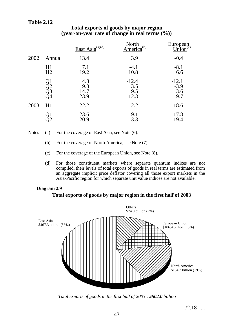# **Table 2.12**

|      |                                                                                 | East Asia $^{(a)(d)}$      | North<br>merica <sup>(b)</sup> | European<br>$\lim_{\text{Equation}}(c)$<br>Union |
|------|---------------------------------------------------------------------------------|----------------------------|--------------------------------|--------------------------------------------------|
| 2002 | Annual                                                                          | 13.4                       | 3.9                            | $-0.4$                                           |
|      | H1<br>H2                                                                        | 7.1<br>19.2                | $-4.1$<br>10.8                 | $-8.1$<br>6.6                                    |
|      | $\begin{array}{c} \text{Q1} \\ \text{Q2} \\ \text{Q3} \\ \text{Q4} \end{array}$ | 4.8<br>9.3<br>14.7<br>23.9 | $-12.4$<br>3.5<br>9.5<br>12.3  | $-12.1$<br>$-3.9$<br>3.6<br>9.7                  |
| 2003 | H1                                                                              | 22.2                       | 2.2                            | 18.6                                             |
|      |                                                                                 | 23.6<br>20.9               | 9.1<br>$-3.3$                  | 17.8<br>19.4                                     |

# **Total exports of goods by major region (year-on-year rate of change in real terms (%))**

Notes : (a) For the coverage of East Asia, see Note (6).

- (b) For the coverage of North America, see Note (7).
- (c) For the coverage of the European Union, see Note (8).
- (d) For those constituent markets where separate quantum indices are not compiled, their levels of total exports of goods in real terms are estimated from an aggregate implicit price deflator covering all those export markets in the Asia-Pacific region for which separate unit value indices are not available.

#### **Diagram 2.9**

#### **Total exports of goods by major region in the first half of 2003**



*Total exports of goods in the first half of 2003 : \$802.0 billion*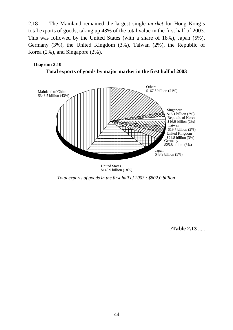2.18 The Mainland remained the largest single *market* for Hong Kong's total exports of goods, taking up 43% of the total value in the first half of 2003. This was followed by the United States (with a share of 18%), Japan (5%), Germany (3%), the United Kingdom (3%), Taiwan (2%), the Republic of Korea (2%), and Singapore (2%).

# **Diagram 2.10**

**Total exports of goods by major market in the first half of 2003**



United States \$143.9 billion (18%)

*Total exports of goods in the first half of 2003 : \$802.0 billion*

/**Table 2.13** .....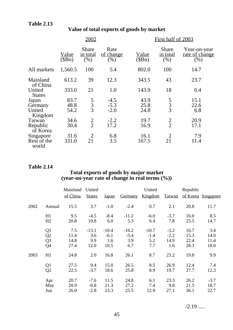|                                       |                       | 2002                             |                            |                        | First half of 2003               |                                        |  |  |
|---------------------------------------|-----------------------|----------------------------------|----------------------------|------------------------|----------------------------------|----------------------------------------|--|--|
|                                       | <u>Value</u><br>(SBn) | <b>Share</b><br>in total<br>(% ) | Rate<br>of change<br>(% )  | <u>Value</u><br>(\$Bn) | <b>Share</b><br>in total<br>(% ) | Year-on-year<br>rate of change<br>(% ) |  |  |
| All markets                           | 1,560.5               | 100                              | 5.4                        | 802.0                  | 100                              | 14.7                                   |  |  |
| Mainland<br>of China                  | 613.2                 | 39                               | 12.3                       | 343.5                  | 43                               | 23.7                                   |  |  |
| United<br><b>States</b>               | 333.0                 | 21                               | 1.0                        | 143.9                  | 18                               | 0.4                                    |  |  |
| Japan<br>Germany<br>United<br>Kingdom | 83.7<br>48.8<br>54.2  | $\frac{5}{3}$                    | $-4.5$<br>$-5.3$<br>$-2.0$ | 43.9<br>25.8<br>24.8   | $\frac{5}{3}$                    | 15.1<br>22.6<br>6.8                    |  |  |
| Taiwan<br>Republic<br>of Korea        | 34.6<br>30.4          | $\frac{2}{2}$                    | $-2.2$<br>17.2             | 19.7<br>16.9           | $\frac{2}{2}$                    | 20.9<br>17.1                           |  |  |
| Singapore<br>Rest of the<br>world     | 31.6<br>331.0         | $\overline{2}$<br>21             | 6.8<br>3.5                 | 16.1<br>167.5          | $\overline{2}$<br>21             | 7.9<br>11.4                            |  |  |

# **Value of total exports of goods by market**

# **Table 2.14**

#### **Total exports of goods by major market (year-on-year rate of change in real terms (%))**

|      |                | Mainland | United        |              |                | United  |               | Republic |                    |
|------|----------------|----------|---------------|--------------|----------------|---------|---------------|----------|--------------------|
|      |                | of China | <b>States</b> | <u>Japan</u> | <b>Germany</b> | Kingdom | <b>Taiwan</b> |          | of Korea Singapore |
| 2002 | Annual         | 15.5     | 3.7           | $-1.0$       | $-2.4$         | 0.7     | 2.1           | 20.8     | 11.7               |
|      | H1             | 9.5      | $-4.5$        | $-8.4$       | $-11.2$        | $-6.0$  | $-3.7$        | 16.0     | 8.5                |
|      | H2             | 20.8     | 10.8          | 6.0          | 5.3            | 6.4     | 7.8           | 25.5     | 14.7               |
|      | Q <sub>1</sub> | 7.5      | $-13.1$       | $-10.4$      | $-16.2$        | $-10.7$ | $-5.2$        | 16.7     | 3.4                |
|      | Q2             | 11.4     | 3.6           | $-6.1$       | $-5.4$         | $-1.4$  | $-2.2$        | 15.3     | 14.0               |
|      | Q <sub>3</sub> | 14.8     | 9.9           | 1.6          | 3.9            | 5.2     | 14.9          | 22.4     | 11.4               |
|      | Q4             | 27.4     | 12.0          | 10.5         | 6.7            | 7.7     | 1.6           | 28.3     | 18.0               |
| 2003 | H1             | 24.8     | 2.0           | 16.8         | 26.1           | 8.7     | 23.2          | 19.8     | 9.9                |
|      | Q <sub>1</sub> | 27.5     | 9.4           | 15.0         | 26.5           | 8.5     | 26.9          | 12.4     | 7.4                |
|      | Q2             | 22.5     | $-3.7$        | 18.6         | 25.8           | 8.9     | 19.7          | 27.7     | 12.3               |
|      | Apr            | 20.7     | $-7.6$        | 11.5         | 24.8           | 6.1     | 23.3          | 26.2     | $-3.7$             |
|      | May            | 20.9     | $-0.8$        | 21.3         | 27.2           | 7.4     | 9.8           | 21.5     | 18.7               |
|      | Jun            | 26.0     | $-2.8$        | 23.3         | 25.5           | 12.9    | 27.1          | 36.1     | 22.7               |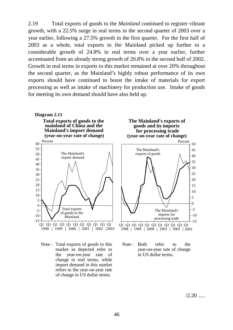2.19 Total exports of goods to the *Mainland* continued to register vibrant growth, with a 22.5% surge in real terms in the second quarter of 2003 over a year earlier, following a 27.5% growth in the first quarter. For the first half of 2003 as a whole, total exports to the Mainland picked up further to a considerable growth of 24.8% in real terms over a year earlier, further accentuated from an already strong growth of 20.8% in the second half of 2002. Growth in real terms in exports to this market remained at over 20% throughout the second quarter, as the Mainland's highly robust performance of its own exports should have continued to boost the intake of materials for export processing as well as intake of machinery for production use. Intake of goods for meeting its own demand should have also held up.



Note : Total exports of goods to this market as depicted refer to the year-on-year rate of change in real terms, while import demand in this market refers to the year-on-year rate of change in US dollar terms.



 $/2.20$  .....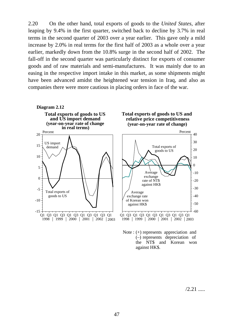2.20 On the other hand, total exports of goods to the *United States*, after leaping by 9.4% in the first quarter, switched back to decline by 3.7% in real terms in the second quarter of 2003 over a year earlier. This gave only a mild increase by 2.0% in real terms for the first half of 2003 as a whole over a year earlier, markedly down from the 10.8% surge in the second half of 2002. The fall-off in the second quarter was particularly distinct for exports of consumer goods and of raw materials and semi-manufactures. It was mainly due to an easing in the respective import intake in this market, as some shipments might have been advanced amidst the heightened war tension in Iraq, and also as companies there were more cautious in placing orders in face of the war.





 $/2.21$  .....

> -10 -20 -30 -40 -50 -60

40

Percent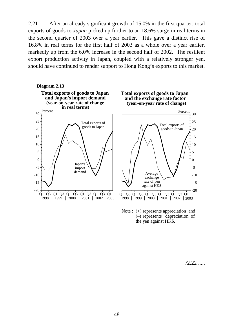2.21 After an already significant growth of 15.0% in the first quarter, total exports of goods to *Japan* picked up further to an 18.6% surge in real terms in the second quarter of 2003 over a year earlier. This gave a distinct rise of 16.8% in real terms for the first half of 2003 as a whole over a year earlier, markedly up from the 6.0% increase in the second half of 2002. The resilient export production activity in Japan, coupled with a relatively stronger yen, should have continued to render support to Hong Kong's exports to this market.



Note : (+) represents appreciation and (–) represents depreciation of the yen against HK\$.

 $/2.22$  .....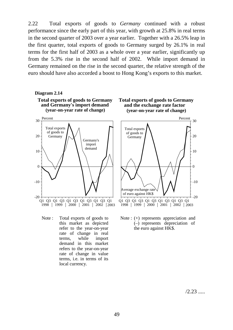2.22 Total exports of goods to *Germany* continued with a robust performance since the early part of this year, with growth at 25.8% in real terms in the second quarter of 2003 over a year earlier. Together with a 26.5% leap in the first quarter, total exports of goods to Germany surged by 26.1% in real terms for the first half of 2003 as a whole over a year earlier, significantly up from the 5.3% rise in the second half of 2002. While import demand in Germany remained on the rise in the second quarter, the relative strength of the euro should have also accorded a boost to Hong Kong's exports to this market.



Note : Total exports of goods to this market as depicted refer to the year-on-year rate of change in real terms, while import demand in this market refers to the year-on-year rate of change in value terms, i.e. in terms of its local currency.



 $/2.23$  .....

 $\overline{0}$ 

-10

-20

10

20

30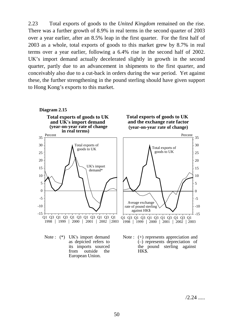2.23 Total exports of goods to the *United Kingdom* remained on the rise. There was a further growth of 8.9% in real terms in the second quarter of 2003 over a year earlier, after an 8.5% leap in the first quarter. For the first half of 2003 as a whole, total exports of goods to this market grew by 8.7% in real terms over a year earlier, following a 6.4% rise in the second half of 2002. UK's import demand actually decelerated slightly in growth in the second quarter, partly due to an advancement in shipments to the first quarter, and conceivably also due to a cut-back in orders during the war period. Yet against these, the further strengthening in the pound sterling should have given support to Hong Kong's exports to this market.



 $/2.24$  .....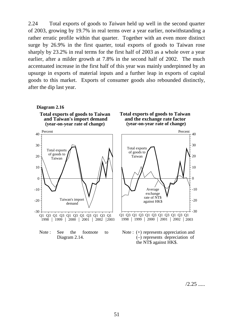2.24 Total exports of goods to *Taiwan* held up well in the second quarter of 2003, growing by 19.7% in real terms over a year earlier, notwithstanding a rather erratic profile within that quarter. Together with an even more distinct surge by 26.9% in the first quarter, total exports of goods to Taiwan rose sharply by 23.2% in real terms for the first half of 2003 as a whole over a year earlier, after a milder growth at 7.8% in the second half of 2002. The much accentuated increase in the first half of this year was mainly underpinned by an upsurge in exports of material inputs and a further leap in exports of capital goods to this market. Exports of consumer goods also rebounded distinctly, after the dip last year.



 $/2.25$  .....

 $\overline{0}$ 

-10

-20

-30

10

20

30

40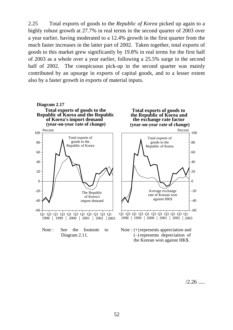2.25 Total exports of goods to the *Republic of Korea* picked up again to a highly robust growth at 27.7% in real terms in the second quarter of 2003 over a year earlier, having moderated to a 12.4% growth in the first quarter from the much faster increases in the latter part of 2002. Taken together, total exports of goods to this market grew significantly by 19.8% in real terms for the first half of 2003 as a whole over a year earlier, following a 25.5% surge in the second half of 2002. The conspicuous pick-up in the second quarter was mainly contributed by an upsurge in exports of capital goods, and to a lesser extent also by a faster growth in exports of material inputs.



 $/2.26$  .....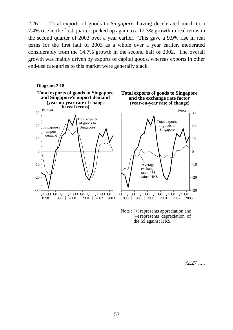2.26 Total exports of goods to *Singapore*, having decelerated much to a 7.4% rise in the first quarter, picked up again to a 12.3% growth in real terms in the second quarter of 2003 over a year earlier. This gave a 9.9% rise in real terms for the first half of 2003 as a whole over a year earlier, moderated considerably from the 14.7% growth in the second half of 2002. The overall growth was mainly driven by exports of capital goods, whereas exports in other end-use categories to this market were generally slack.



Note :  $(+)$  represents appreciation and (–) represents depreciation of the S\$ against HK\$.

 $/2.27$  .....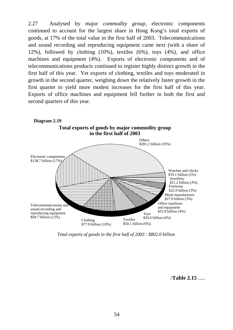2.27 Analysed by major *commodity group*, electronic components continued to account for the largest share in Hong Kong's total exports of goods, at 17% of the total value in the first half of 2003. Telecommunications and sound recording and reproducing equipment came next (with a share of 12%), followed by clothing (10%), textiles (6%), toys (4%), and office machines and equipment (4%). Exports of electronic components and of telecommunications products continued to register highly distinct growth in the first half of this year. Yet exports of clothing, textiles and toys moderated in growth in the second quarter, weighing down the relatively faster growth in the first quarter to yield more modest increases for the first half of this year. Exports of office machines and equipment fell further in both the first and second quarters of this year.



*Total exports of goods in the first half of 2003 : \$802.0 billion*

/**Table 2.15** .....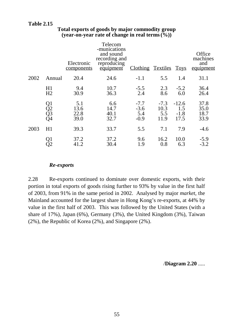# **Table 2.15**

|      |                      | Electronic<br>components    | Telecom<br>-munications<br>and sound<br>recording and<br>reproducing<br>equipment | Clothing Textiles                 |                               | <b>Toys</b>                      | Office<br>machines<br>and<br>equipment |
|------|----------------------|-----------------------------|-----------------------------------------------------------------------------------|-----------------------------------|-------------------------------|----------------------------------|----------------------------------------|
| 2002 | Annual               | 20.4                        | 24.6                                                                              | $-1.1$                            | 5.5                           | 1.4                              | 31.1                                   |
|      | H1<br>H <sub>2</sub> | 9.4<br>30.9                 | 10.7<br>36.3                                                                      | $-5.5$<br>2.4                     | 2.3<br>8.6                    | $-5.2$<br>6.0                    | 36.4<br>26.4                           |
|      | Q1<br>Q2<br>Q3<br>Q4 | 5.1<br>13.6<br>22.8<br>39.0 | 6.6<br>14.7<br>40.1<br>32.7                                                       | $-7.7$<br>$-3.6$<br>5.4<br>$-0.9$ | $-7.3$<br>10.3<br>5.5<br>11.9 | $-12.6$<br>1.5<br>$-1.8$<br>17.5 | 37.8<br>35.0<br>18.7<br>33.9           |
| 2003 | H1                   | 39.3                        | 33.7                                                                              | 5.5                               | 7.1                           | 7.9                              | $-4.6$                                 |
|      |                      | 37.2<br>41.2                | 37.2<br>30.4                                                                      | 9.6<br>1.9                        | 16.2<br>0.8                   | 10.0<br>6.3                      | $-5.9$<br>$-3.2$                       |

# **Total exports of goods by major commodity group (year-on-year rate of change in real terms(%))**

#### *Re-exports*

2.28 Re-exports continued to dominate over domestic exports, with their portion in total exports of goods rising further to 93% by value in the first half of 2003, from 91% in the same period in 2002. Analysed by major *market*, the Mainland accounted for the largest share in Hong Kong's re-exports, at 44% by value in the first half of 2003. This was followed by the United States (with a share of 17%), Japan (6%), Germany (3%), the United Kingdom (3%), Taiwan (2%), the Republic of Korea (2%), and Singapore (2%).

/**Diagram 2.20** .....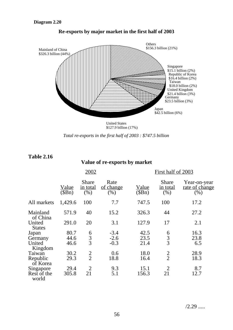



*Total re-exports in the first half of 2003 : \$747.5 billion*

**Table 2.16**

# **Value of re-exports by market**

|                                       |                        | 2002                                    |                             |                       | First half of 2003                      |                                        |  |  |
|---------------------------------------|------------------------|-----------------------------------------|-----------------------------|-----------------------|-----------------------------------------|----------------------------------------|--|--|
|                                       | <u>Value</u><br>\$Bn\$ | <b>Share</b><br><u>in total</u><br>(% ) | Rate<br>of change<br>$(\%)$ | <u>Value</u><br>(SBn) | <b>Share</b><br><u>in total</u><br>(% ) | Year-on-year<br>rate of change<br>(% ) |  |  |
| All markets                           | 1,429.6                | 100                                     | 7.7                         | 747.5                 | 100                                     | 17.2                                   |  |  |
| Mainland<br>of China                  | 571.9                  | 40                                      | 15.2                        | 326.3                 | 44                                      | 27.2                                   |  |  |
| United<br><b>States</b>               | 291.0                  | 20                                      | 3.1                         | 127.9                 | 17                                      | 2.1                                    |  |  |
| Japan<br>Germany<br>United<br>Kingdom | 80.7<br>44.6<br>46.6   | $\frac{6}{3}$                           | $-3.4$<br>$-2.6$<br>$-0.3$  | 42.5<br>23.5<br>21.4  | $\frac{6}{3}$                           | 16.3<br>23.8<br>6.5                    |  |  |
| Taiwan<br>Republic<br>of Korea        | 30.2<br>29.3           | $\frac{2}{2}$                           | 0.6<br>18.8                 | 18.0<br>16.4          | $\frac{2}{2}$                           | 28.9<br>18.3                           |  |  |
| Singapore<br>Rest of the<br>world     | 29.4<br>305.8          | $\overline{2}$<br>21                    | 9.3<br>5.1                  | 15.1<br>156.3         | $\overline{2}$<br>21                    | 8.7<br>12.7                            |  |  |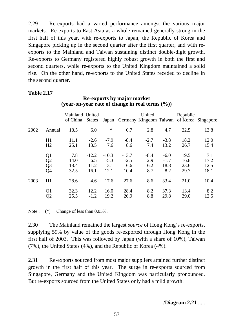2.29 Re-exports had a varied performance amongst the various major markets. Re-exports to East Asia as a whole remained generally strong in the first half of this year, with re-exports to Japan, the Republic of Korea and Singapore picking up in the second quarter after the first quarter, and with reexports to the Mainland and Taiwan sustaining distinct double-digit growth. Re-exports to Germany registered highly robust growth in both the first and second quarters, while re-exports to the United Kingdom maintained a solid rise. On the other hand, re-exports to the United States receded to decline in the second quarter.

#### **Table 2.17**

# **Re-exports by major market (year-on-year rate of change in real terms (%))**

|      |                                                | Mainland United<br>of China | <b>States</b>                  |                                  | Japan Germany Kingdom Taiwan     | United                      |                                 | Republic                     | of Korea Singapore          |
|------|------------------------------------------------|-----------------------------|--------------------------------|----------------------------------|----------------------------------|-----------------------------|---------------------------------|------------------------------|-----------------------------|
| 2002 | Annual                                         | 18.5                        | 6.0                            | $\ast$                           | 0.7                              | 2.8                         | 4.7                             | 22.5                         | 13.8                        |
|      | H1<br>H2                                       | 11.1<br>25.1                | $-2.6$<br>13.5                 | $-7.9$<br>7.6                    | $-8.4$<br>8.6                    | $-2.7$<br>7.4               | $-3.8$<br>13.2                  | 18.2<br>26.7                 | 12.0<br>15.4                |
|      | Q1<br>$\overline{Q}2$<br>$\overline{Q}3$<br>Q4 | 7.8<br>14.0<br>18.4<br>32.5 | $-12.2$<br>6.5<br>11.2<br>16.1 | $-10.3$<br>$-5.3$<br>3.1<br>12.1 | $-13.7$<br>$-2.5$<br>6.6<br>10.4 | $-8.4$<br>2.9<br>6.2<br>8.7 | $-6.0$<br>$-1.7$<br>18.8<br>8.2 | 19.5<br>16.8<br>23.6<br>29.7 | 7.1<br>17.2<br>12.5<br>18.1 |
| 2003 | H1                                             | 28.6                        | 4.6                            | 17.6                             | 27.6                             | 8.6                         | 33.4                            | 21.0                         | 10.4                        |
|      | Q1<br>$\overline{O2}$                          | 32.3<br>25.5                | 12.2<br>$-1.2$                 | 16.0<br>19.2                     | 28.4<br>26.9                     | 8.2<br>8.8                  | 37.3<br>29.8                    | 13.4<br>29.0                 | 8.2<br>12.5                 |

Note :  $(*)$  Change of less than 0.05%.

2.30 The Mainland remained the largest *source* of Hong Kong's re-exports, supplying 59% by value of the goods re-exported through Hong Kong in the first half of 2003. This was followed by Japan (with a share of 10%), Taiwan (7%), the United States (4%), and the Republic of Korea (4%).

2.31 Re-exports sourced from most major suppliers attained further distinct growth in the first half of this year. The surge in re-exports sourced from Singapore, Germany and the United Kingdom was particularly pronounced. But re-exports sourced from the United States only had a mild growth.

# /**Diagram 2.21** .....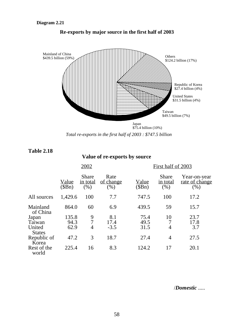



*Total re-exports in the first half of 2003 : \$747.5 billion*

**Table 2.18**

**Value of re-exports by source**

|                         |                | 2002                             |                             |                       | First half of 2003                 |                                        |  |  |
|-------------------------|----------------|----------------------------------|-----------------------------|-----------------------|------------------------------------|----------------------------------------|--|--|
|                         | Value<br>(SBn) | <b>Share</b><br>in total<br>(% ) | Rate<br>of change<br>$(\%)$ | <u>Value</u><br>(SBn) | <b>Share</b><br>in total<br>$(\%)$ | Year-on-year<br>rate of change<br>(% ) |  |  |
| All sources             | 1,429.6        | 100                              | 7.7                         | 747.5                 | 100                                | 17.2                                   |  |  |
| Mainland<br>of China    | 864.0          | 60                               | 6.9                         | 439.5                 | 59                                 | 15.7                                   |  |  |
| Japan                   | 135.8          | 9                                | 8.1                         | 75.4                  | 10                                 | 23.7                                   |  |  |
| Taiwan                  | 94.3           | $\overline{7}$                   | 17.4                        | 49.5                  |                                    | 17.8                                   |  |  |
| United<br><b>States</b> | 62.9           | 4                                | $-3.5$                      | 31.5                  | 4                                  | 3.7                                    |  |  |
| Republic of<br>Korea    | 47.2           | 3                                | 18.7                        | 27.4                  | $\overline{4}$                     | 27.5                                   |  |  |
| Rest of the<br>world    | 225.4          | 16                               | 8.3                         | 124.2                 | 17                                 | 20.1                                   |  |  |

/*Domestic* .....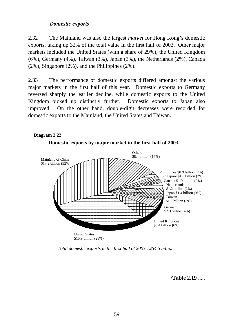# *Domestic exports*

2.32 The Mainland was also the largest *market* for Hong Kong's domestic exports, taking up 32% of the total value in the first half of 2003. Other major markets included the United States (with a share of 29%), the United Kingdom (6%), Germany (4%), Taiwan (3%), Japan (3%), the Netherlands (2%), Canada (2%), Singapore (2%), and the Philippines (2%).

2.33 The performance of domestic exports differed amongst the various major markets in the first half of this year. Domestic exports to Germany reversed sharply the earlier decline, while domestic exports to the United Kingdom picked up distinctly further. Domestic exports to Japan also improved. On the other hand, double-digit decreases were recorded for domestic exports to the Mainland, the United States and Taiwan.



*Total domestic exports in the first half of 2003 : \$54.5 billion*

/**Table 2.19** .....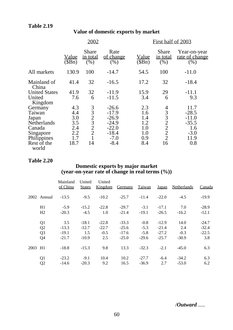# **Value of domestic exports by market**

|                                                       | 2002                         |                                                                                    |                                                      |                                                                                                        |                                                                       |
|-------------------------------------------------------|------------------------------|------------------------------------------------------------------------------------|------------------------------------------------------|--------------------------------------------------------------------------------------------------------|-----------------------------------------------------------------------|
| <u>Value</u><br>(SBn)                                 | Share<br>in total<br>(% )    | Rate<br>of change<br>(% )                                                          | <u>Value</u><br>(\$Bn)                               | Share<br>in total<br>(% )                                                                              | Year-on-year<br>rate of change<br>(% )                                |
| 130.9                                                 | 100                          | $-14.7$                                                                            | 54.5                                                 | 100                                                                                                    | $-11.0$                                                               |
| 41.4                                                  | 32                           | $-16.5$                                                                            | 17.2                                                 | 32                                                                                                     | $-18.4$                                                               |
| 41.9<br>7.6                                           | 32<br>6                      | $-11.9$<br>$-11.5$                                                                 | 15.9<br>3.4                                          | 29<br>6                                                                                                | $-11.1$<br>9.3                                                        |
| 4.3<br>4.4<br>3.0<br>3.5<br>2.4<br>2.2<br>1.7<br>18.7 | 332322<br>$\mathbf{1}$<br>14 | $-26.6$<br>$-17.9$<br>$-26.9$<br>$-24.9$<br>$-22.0$<br>$-18.4$<br>$-7.0$<br>$-8.4$ | 2.3<br>1.6<br>1.4<br>1.2<br>1.0<br>1.0<br>0.9<br>8.4 | 4<br>3<br>$\overline{3}$<br>$\overline{2}$<br>$\overline{2}$<br>$\overline{2}$<br>$\overline{2}$<br>16 | 11.7<br>$-28.5$<br>$-11.0$<br>$-35.5$<br>1.6<br>$-3.0$<br>11.9<br>0.8 |
|                                                       |                              |                                                                                    |                                                      |                                                                                                        | First half of 2003                                                    |

#### **Table 2.20**

#### **Domestic exports by major market (year-on-year rate of change in real terms (%))**

|      |                | Mainland<br>of China | United<br><b>States</b> | United<br>Kingdom | <b>Germany</b> | <b>Taiwan</b> | <b>Japan</b> | <b>Netherlands</b> | <b>Canada</b> |
|------|----------------|----------------------|-------------------------|-------------------|----------------|---------------|--------------|--------------------|---------------|
|      | 2002 Annual    | $-13.5$              | $-9.5$                  | $-10.2$           | $-25.7$        | $-11.4$       | $-22.0$      | $-4.5$             | $-19.9$       |
|      | H1             | $-5.9$               | $-15.2$                 | $-22.8$           | $-29.7$        | $-3.1$        | $-17.1$      | 7.0                | $-28.9$       |
|      | H2             | $-20.3$              | $-4.5$                  | 1.0               | $-21.4$        | $-19.1$       | $-26.5$      | $-16.2$            | $-12.1$       |
|      | Q <sub>1</sub> | 3.5                  | $-18.1$                 | $-22.8$           | $-33.3$        | $-0.8$        | $-12.9$      | 14.0               | $-24.7$       |
|      | Q2             | $-13.3$              | $-12.7$                 | $-22.7$           | $-25.6$        | $-5.3$        | $-21.4$      | 2.4                | $-32.4$       |
|      | Q <sub>3</sub> | $-19.1$              | 1.5                     | $-0.5$            | $-17.6$        | $-5.8$        | $-27.2$      | $-0.3$             | $-22.5$       |
|      | Q4             | $-21.7$              | $-10.9$                 | 2.5               | $-25.0$        | $-29.6$       | $-25.7$      | $-30.9$            | 3.8           |
| 2003 | H1             | $-18.8$              | $-15.3$                 | 9.8               | 13.3           | $-32.3$       | $-2.1$       | $-45.0$            | 6.3           |
|      | Q <sub>1</sub> | $-23.2$              | $-9.1$                  | 10.4              | 10.2           | $-27.7$       | $-6.4$       | $-34.2$            | 6.3           |
|      | Q2             | $-14.6$              | $-20.3$                 | 9.2               | 16.5           | $-36.9$       | 2.7          | $-53.0$            | 6.2           |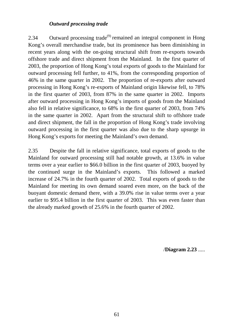# *Outward processing trade*

2.34 Outward processing trade<sup> $(9)$ </sup> remained an integral component in Hong Kong's overall merchandise trade, but its prominence has been diminishing in recent years along with the on-going structural shift from re-exports towards offshore trade and direct shipment from the Mainland. In the first quarter of 2003, the proportion of Hong Kong's total exports of goods to the Mainland for outward processing fell further, to 41%, from the corresponding proportion of 46% in the same quarter in 2002. The proportion of re-exports after outward processing in Hong Kong's re-exports of Mainland origin likewise fell, to 78% in the first quarter of 2003, from 87% in the same quarter in 2002. Imports after outward processing in Hong Kong's imports of goods from the Mainland also fell in relative significance, to 68% in the first quarter of 2003, from 74% in the same quarter in 2002. Apart from the structural shift to offshore trade and direct shipment, the fall in the proportion of Hong Kong's trade involving outward processing in the first quarter was also due to the sharp upsurge in Hong Kong's exports for meeting the Mainland's own demand.

2.35 Despite the fall in relative significance, total exports of goods to the Mainland for outward processing still had notable growth, at 13.6% in value terms over a year earlier to \$66.0 billion in the first quarter of 2003, buoyed by the continued surge in the Mainland's exports. This followed a marked increase of 24.7% in the fourth quarter of 2002. Total exports of goods to the Mainland for meeting its own demand soared even more, on the back of the buoyant domestic demand there, with a 39.0% rise in value terms over a year earlier to \$95.4 billion in the first quarter of 2003. This was even faster than the already marked growth of 25.6% in the fourth quarter of 2002.

/**Diagram 2.23** .....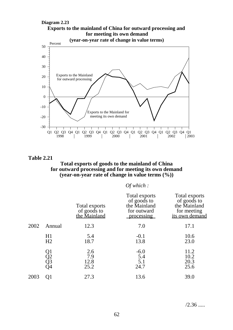

**Table 2.21**

#### **Total exports of goods to the mainland of China for outward processing and for meeting its own demand (year-on-year rate of change in value terms (%))**

#### *Of which :*

|      |                      | Total exports<br>of goods to<br>the Mainland | Total exports<br>of goods to<br>the Mainland<br>for outward<br>processing | Total exports<br>of goods to<br>the Mainland<br>for meeting<br>its own demand |
|------|----------------------|----------------------------------------------|---------------------------------------------------------------------------|-------------------------------------------------------------------------------|
| 2002 | Annual               | 12.3                                         | 7.0                                                                       | 17.1                                                                          |
|      | H1<br>H2             | 5.4<br>18.7                                  | $-0.1$<br>13.8                                                            | 10.6<br>23.0                                                                  |
|      | Q1<br>Q2<br>Q3<br>Q4 | 2.6<br>7.9<br>12.8<br>25.2                   | $-6.0$<br>5.4<br>5.1<br>24.7                                              | 11.2<br>10.2<br>20.3<br>25.6                                                  |
| 2003 | Q1                   | 27.3                                         | 13.6                                                                      | 39.0                                                                          |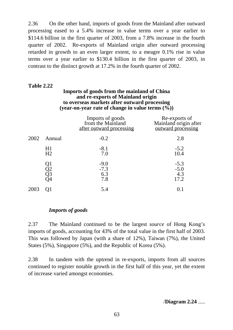2.36 On the other hand, imports of goods from the Mainland after outward processing eased to a 5.4% increase in value terms over a year earlier to \$114.6 billion in the first quarter of 2003, from a 7.8% increase in the fourth quarter of 2002. Re-exports of Mainland origin after outward processing retarded in growth to an even larger extent, to a meagre 0.1% rise in value terms over a year earlier to \$130.4 billion in the first quarter of 2003, in contrast to the distinct growth at 17.2% in the fourth quarter of 2002.

# **Table 2.22**

#### **Imports of goods from the mainland of China and re-exports of Mainland origin to overseas markets after outward processing (year-on-year rate of change in value terms (%))**

|      |                      | Imports of goods<br>from the Mainland<br>after outward processing | Re-exports of<br>Mainland origin after<br>outward processing |
|------|----------------------|-------------------------------------------------------------------|--------------------------------------------------------------|
| 2002 | Annual               | $-0.2$                                                            | 2.8                                                          |
|      | H1<br>H <sub>2</sub> | $-8.1$<br>7.0                                                     | $-5.2$<br>10.4                                               |
|      | Q1<br>Q2<br>Q3<br>Q4 | $-9.0$<br>$-7.3$<br>6.3<br>7.8                                    | $-5.3$<br>$-5.0$<br>4.3<br>17.2                              |
| 2003 |                      | 5.4                                                               |                                                              |

# *Imports of goods*

2.37 The Mainland continued to be the largest *source* of Hong Kong's imports of goods, accounting for 43% of the total value in the first half of 2003. This was followed by Japan (with a share of 12%), Taiwan (7%), the United States (5%), Singapore (5%), and the Republic of Korea (5%).

2.38 In tandem with the uptrend in re-exports, imports from all sources continued to register notable growth in the first half of this year, yet the extent of increase varied amongst economies.

# /**Diagram 2.24** .....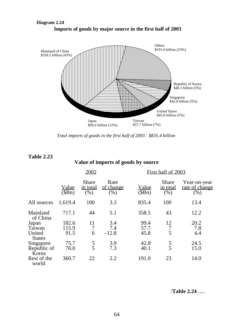

**Diagram 2.24 Imports of goods by major source in the first half of 2003**

*Total imports of goods in the first half of 2003 : \$835.4 billion*

#### **Table 2.23**

# **Value of imports of goods by source**

|                         | 2002                  |                                  |                          | First half of 2003    |                                  |                                       |  |
|-------------------------|-----------------------|----------------------------------|--------------------------|-----------------------|----------------------------------|---------------------------------------|--|
|                         | <u>Value</u><br>(SBn) | <b>Share</b><br>in total<br>(% ) | Rate<br>of change<br>(%) | <u>Value</u><br>(SBn) | <b>Share</b><br>in total<br>(% ) | Year-on-year<br>rate of change<br>(%) |  |
| All sources             | 1,619.4               | 100                              | 3.3                      | 835.4                 | 100                              | 13.4                                  |  |
| Mainland<br>of China    | 717.1                 | 44                               | 5.1                      | 358.5                 | 43                               | 12.2                                  |  |
| Japan                   | 182.6                 | 11                               | 3.4                      | 99.4                  | 12                               | 20.2                                  |  |
| Taiwan                  | 115.9                 | 7                                | 7.4                      | 57.7                  |                                  | 7.8                                   |  |
| United<br><b>States</b> | 91.5                  | 6                                | $-12.8$                  | 45.8                  | 5                                | 4.4                                   |  |
| Singapore               | 75.7                  |                                  | 3.9                      | 42.8                  | 5                                | 24.5                                  |  |
| Republic of<br>Korea    | 76.0                  | $\frac{5}{5}$                    | 7.3                      | 40.1                  | 5                                | 15.0                                  |  |
| Rest of the<br>world    | 360.7                 | 22                               | 2.2                      | 191.0                 | 23                               | 14.0                                  |  |

/**Table 2.24** .....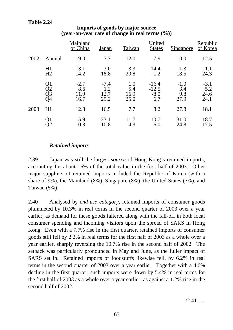|      |                      | Mainland<br>of China          | <u>Japan</u>                  | Taiwan                     | United<br><b>States</b>             | <b>Singapore</b>             | Republic<br>of Korea          |
|------|----------------------|-------------------------------|-------------------------------|----------------------------|-------------------------------------|------------------------------|-------------------------------|
| 2002 | Annual               | 9.0                           | 7.7                           | 12.0                       | $-7.9$                              | 10.0                         | 12.5                          |
|      | H1<br>H2             | 3.1<br>14.2                   | $-3.0$<br>18.8                | 3.3<br>20.8                | $-14.4$<br>$-1.2$                   | 1.3<br>18.5                  | 1.1<br>24.3                   |
|      | Q1<br>Q2<br>Q3<br>Q4 | $-2.7$<br>8.6<br>11.9<br>16.7 | $-7.4$<br>1.2<br>12.7<br>25.2 | 1.0<br>5.4<br>16.9<br>25.0 | $-16.4$<br>$-12.5$<br>$-8.0$<br>6.7 | $-1.0$<br>3.4<br>9.8<br>27.9 | $-3.1$<br>5.2<br>24.6<br>24.1 |
| 2003 | H1                   | 12.8                          | 16.5                          | 7.7                        | 8.2                                 | 27.8                         | 18.1                          |
|      | Q1<br>O2             | 15.9<br>10.3                  | 23.1<br>10.8                  | 11.7<br>4.3                | 10.7<br>6.0                         | 31.0<br>24.8                 | 18.7<br>17.5                  |

# **Imports of goods by major source (year-on-year rate of change in real terms (%))**

# *Retained imports*

2.39 Japan was still the largest *source* of Hong Kong's retained imports, accounting for about 16% of the total value in the first half of 2003. Other major suppliers of retained imports included the Republic of Korea (with a share of 9%), the Mainland (8%), Singapore (8%), the United States (7%), and Taiwan (5%).

2.40 Analysed by *end-use category*, retained imports of consumer goods plummeted by 10.3% in real terms in the second quarter of 2003 over a year earlier, as demand for these goods faltered along with the fall-off in both local consumer spending and incoming visitors upon the spread of SARS in Hong Kong. Even with a 7.7% rise in the first quarter, retained imports of consumer goods still fell by 2.2% in real terms for the first half of 2003 as a whole over a year earlier, sharply reversing the 10.7% rise in the second half of 2002. The setback was particularly pronounced in May and June, as the fuller impact of SARS set in. Retained imports of foodstuffs likewise fell, by 6.2% in real terms in the second quarter of 2003 over a year earlier. Together with a 4.6% decline in the first quarter, such imports were down by 5.4% in real terms for the first half of 2003 as a whole over a year earlier, as against a 1.2% rise in the second half of 2002.

 $/2.41$  .....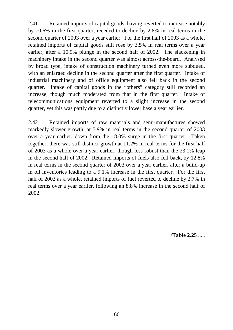2.41 Retained imports of capital goods, having reverted to increase notably by 10.6% in the first quarter, receded to decline by 2.8% in real terms in the second quarter of 2003 over a year earlier. For the first half of 2003 as a whole, retained imports of capital goods still rose by 3.5% in real terms over a year earlier, after a 10.9% plunge in the second half of 2002. The slackening in machinery intake in the second quarter was almost across-the-board. Analysed by broad type, intake of construction machinery turned even more subdued, with an enlarged decline in the second quarter after the first quarter. Intake of industrial machinery and of office equipment also fell back in the second quarter. Intake of capital goods in the "others" category still recorded an increase, though much moderated from that in the first quarter. Intake of telecommunications equipment reverted to a slight increase in the second quarter, yet this was partly due to a distinctly lower base a year earlier.

2.42 Retained imports of raw materials and semi-manufactures showed markedly slower growth, at 5.9% in real terms in the second quarter of 2003 over a year earlier, down from the 18.0% surge in the first quarter. Taken together, there was still distinct growth at 11.2% in real terms for the first half of 2003 as a whole over a year earlier, though less robust than the 23.1% leap in the second half of 2002. Retained imports of fuels also fell back, by 12.8% in real terms in the second quarter of 2003 over a year earlier, after a build-up in oil inventories leading to a 9.1% increase in the first quarter. For the first half of 2003 as a whole, retained imports of fuel reverted to decline by 2.7% in real terms over a year earlier, following an 8.8% increase in the second half of 2002.

/**Table 2.25** .....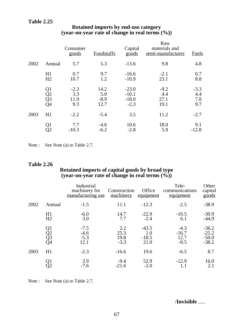|      |                      | Consumer<br>goods            | <b>Foodstuffs</b>             | Capital<br>goods                        | Raw<br>materials and<br>semi-manufactures | <b>Fuels</b>                |
|------|----------------------|------------------------------|-------------------------------|-----------------------------------------|-------------------------------------------|-----------------------------|
| 2002 | Annual               | 5.7                          | 5.3                           | $-13.6$                                 | 9.8                                       | 4.8                         |
|      | H1<br>H <sub>2</sub> | 0.7<br>10.7                  | 9.7<br>1.2                    | $-16.6$<br>$-10.9$                      | $-2.1$<br>23.1                            | 0.7<br>8.8                  |
|      | Q1<br>Q2<br>Q3<br>Q4 | $-2.3$<br>3.3<br>11.9<br>9.3 | 14.2<br>5.0<br>$-8.9$<br>12.7 | $-23.0$<br>$-10.1$<br>$-18.0$<br>$-2.3$ | $-9.2$<br>4.4<br>27.1<br>19.1             | $-3.3$<br>4.4<br>7.8<br>9.7 |
| 2003 | H1                   | $-2.2$                       | $-5.4$                        | 3.5                                     | 11.2                                      | $-2.7$                      |
|      | Q <sub>1</sub><br>Q2 | 7.7<br>$-10.3$               | $-4.6$<br>$-6.2$              | 10.6<br>$-2.8$                          | 18.0<br>5.9                               | 9.1<br>$-12.8$              |

#### **Retained imports by end-use category (year-on-year rate of change in real terms (%))**

Note : See Note (a) to Table 2.7.

#### **Table 2.26**

#### **Retained imports of capital goods by broad type (year-on-year rate of change in real terms (%))**

|      |                      | Industrial<br>machinery for<br>manufacturing use | Construction<br>machinery     | Office<br>equipment               | Tele-<br>communications<br>equipment | Other<br>capital<br>goods                |
|------|----------------------|--------------------------------------------------|-------------------------------|-----------------------------------|--------------------------------------|------------------------------------------|
| 2002 | Annual               | $-1.5$                                           | 11.1                          | $-12.3$                           | $-2.5$                               | $-38.9$                                  |
|      | H1<br>H2             | $-6.0$<br>3.0                                    | 14.7<br>7.7                   | $-22.9$<br>$-2.4$                 | $-10.5$<br>6.1                       | $-30.9$<br>$-44.9$                       |
|      | Q1<br>Q2<br>Q3<br>Q4 | $-7.5$<br>$-4.6$<br>$-5.3$<br>12.1               | 2.2<br>25.3<br>19.8<br>$-3.3$ | $-43.5$<br>1.0<br>$-18.5$<br>21.0 | $-4.3$<br>$-16.7$<br>12.7<br>$-0.5$  | $-36.2$<br>$-25.2$<br>$-50.0$<br>$-38.2$ |
| 2003 | H1                   | $-2.3$                                           | $-16.6$                       | 19.6                              | $-6.5$                               | 8.7                                      |
|      |                      | 3.9<br>$-7.6$                                    | $-9.4$<br>$-21.6$             | 52.9<br>$-2.0$                    | $-12.9$                              | 16.0<br>2.1                              |

Note : See Note (a) to Table 2.7.

/**Invisible** .....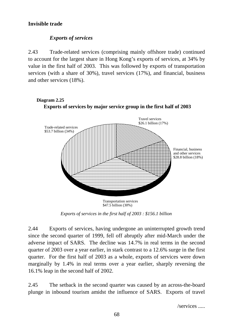# **Invisible trade**

# *Exports of services*

2.43 Trade-related services (comprising mainly offshore trade) continued to account for the largest share in Hong Kong's exports of services, at 34% by value in the first half of 2003. This was followed by exports of transportation services (with a share of 30%), travel services (17%), and financial, business and other services (18%).



**Diagram 2.25**

*Exports of services in the first half of 2003 : \$156.1 billion*

2.44 Exports of services, having undergone an uninterrupted growth trend since the second quarter of 1999, fell off abruptly after mid-March under the adverse impact of SARS. The decline was 14.7% in real terms in the second quarter of 2003 over a year earlier, in stark contrast to a 12.6% surge in the first quarter. For the first half of 2003 as a whole, exports of services were down marginally by 1.4% in real terms over a year earlier, sharply reversing the 16.1% leap in the second half of 2002.

2.45 The setback in the second quarter was caused by an across-the-board plunge in inbound tourism amidst the influence of SARS. Exports of travel

/services .....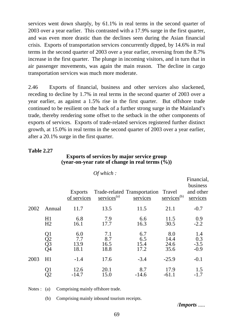services went down sharply, by 61.1% in real terms in the second quarter of 2003 over a year earlier. This contrasted with a 17.9% surge in the first quarter, and was even more drastic than the declines seen during the Asian financial crisis. Exports of transportation services concurrently dipped, by 14.6% in real terms in the second quarter of 2003 over a year earlier, reversing from the 8.7% increase in the first quarter. The plunge in incoming visitors, and in turn that in air passenger movements, was again the main reason. The decline in cargo transportation services was much more moderate.

2.46 Exports of financial, business and other services also slackened, receding to decline by 1.7% in real terms in the second quarter of 2003 over a year earlier, as against a 1.5% rise in the first quarter. But offshore trade continued to be resilient on the back of a further strong surge in the Mainland's trade, thereby rendering some offset to the setback in the other components of exports of services. Exports of trade-related services registered further distinct growth, at 15.0% in real terms in the second quarter of 2003 over a year earlier, after a 20.1% surge in the first quarter.

# **Table 2.27**

# **Exports of services by major service group (year-on-year rate of change in real terms (%))**

|      |                      |                               | $UI$ which :               |                                                 |                             |                                                 |
|------|----------------------|-------------------------------|----------------------------|-------------------------------------------------|-----------------------------|-------------------------------------------------|
|      |                      | <b>Exports</b><br>of services | $s$ ervices <sup>(a)</sup> | Trade-related Transportation Travel<br>services | services <sup>(b)</sup>     | Financial,<br>business<br>and other<br>services |
| 2002 | Annual               | 11.7                          | 13.5                       | 11.5                                            | 21.1                        | $-0.7$                                          |
|      | H1<br>H2             | 6.8<br>16.1                   | 7.9<br>17.7                | 6.6<br>16.3                                     | 11.5<br>30.5                | $0.9 - 2.2$                                     |
|      | Q1<br>Q2<br>Q3<br>Q4 | 6.0<br>7.7<br>13.9<br>18.1    | 7.1<br>8.7<br>16.5<br>18.8 | 6.7<br>6.5<br>15.4<br>17.2                      | 8.0<br>14.4<br>24.6<br>35.6 | 1.4<br>0.3<br>$-3.5$<br>$-0.9$                  |
| 2003 | H1                   | $-1.4$                        | 17.6                       | $-3.4$                                          | $-25.9$                     | $-0.1$                                          |
|      |                      | 12.6<br>$-14.7$               | 20.1<br>15.0               | 8.7<br>$-14.6$                                  | 17.9<br>$-61.1$             | 1.5<br>$-1.7$                                   |

*Of which :*

Notes : (a) Comprising mainly offshore trade.

(b) Comprising mainly inbound tourism receipts.

/*Imports* .....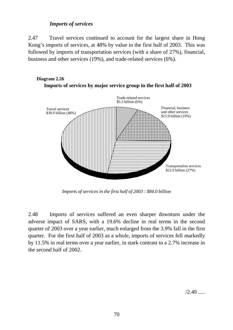# *Imports of services*

2.47 Travel services continued to account for the largest share in Hong Kong's imports of services, at 48% by value in the first half of 2003. This was followed by imports of transportation services (with a share of 27%), financial, business and other services (19%), and trade-related services (6%).



*Imports of services in the first half of 2003 : \$84.0 billion*

2.48 Imports of services suffered an even sharper downturn under the adverse impact of SARS, with a 19.6% decline in real terms in the second quarter of 2003 over a year earlier, much enlarged from the 3.9% fall in the first quarter. For the first half of 2003 as a whole, imports of services fell markedly by 11.5% in real terms over a year earlier, in stark contrast to a 2.7% increase in the second half of 2002.

 $/2.49$  .....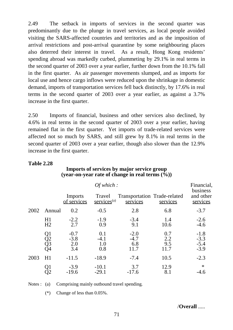2.49 The setback in imports of services in the second quarter was predominantly due to the plunge in travel services, as local people avoided visiting the SARS-affected countries and territories and as the imposition of arrival restrictions and post-arrival quarantine by some neighbouring places also deterred their interest in travel. As a result, Hong Kong residents' spending abroad was markedly curbed, plummeting by 29.1% in real terms in the second quarter of 2003 over a year earlier, further down from the 10.1% fall in the first quarter. As air passenger movements slumped, and as imports for local use and hence cargo inflows were reduced upon the shrinkage in domestic demand, imports of transportation services fell back distinctly, by 17.6% in real terms in the second quarter of 2003 over a year earlier, as against a 3.7% increase in the first quarter.

2.50 Imports of financial, business and other services also declined, by 4.6% in real terms in the second quarter of 2003 over a year earlier, having remained flat in the first quarter. Yet imports of trade-related services were affected not so much by SARS, and still grew by 8.1% in real terms in the second quarter of 2003 over a year earlier, though also slower than the 12.9% increase in the first quarter.

# **Table 2.28**

|      |                      |                                | Of which:                            |                                          |                           | Financial,<br>business               |
|------|----------------------|--------------------------------|--------------------------------------|------------------------------------------|---------------------------|--------------------------------------|
|      |                      | <b>Imports</b><br>of services  | Travel<br>$s$ ervices <sup>(a)</sup> | Transportation Trade-related<br>services | services                  | and other<br>services                |
| 2002 | Annual               | 0.2                            | $-0.5$                               | 2.8                                      | 6.8                       | $-3.7$                               |
|      | H1<br>H2             | $-2.2$<br>2.7                  | $-1.9$<br>0.9                        | $-3.4$<br>9.1                            | 1.4<br>10.6               | $-2.6$<br>$-4.6$                     |
|      | Q1<br>Q2<br>Q3<br>Q4 | $-0.7$<br>$-3.8$<br>2.0<br>3.4 | 0.1<br>$-4.1$<br>1.0<br>0.8          | $-2.0$<br>$-4.7$<br>6.8<br>11.7          | 0.7<br>2.2<br>9.5<br>11.7 | $-1.8$<br>$-3.3$<br>$-5.4$<br>$-3.9$ |
| 2003 | H1                   | $-11.5$                        | $-18.9$                              | $-7.4$                                   | 10.5                      | $-2.3$                               |
|      |                      | $-3.9$<br>$-19.6$              | $-10.1$<br>$-29.1$                   | 3.7<br>$-17.6$                           | 12.9<br>8.1               | $\ast$<br>$-4.6$                     |

# **Imports of services by major service group (year-on-year rate of change in real terms (%))**

Notes : (a) Comprising mainly outbound travel spending.

(\*) Change of less than 0.05%.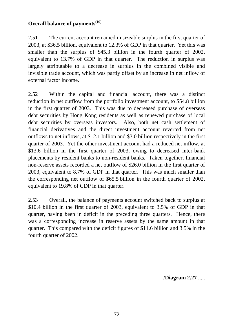# **Overall balance of payments**<sup>(10)</sup>

2.51 The current account remained in sizeable surplus in the first quarter of 2003, at \$36.5 billion, equivalent to 12.3% of GDP in that quarter. Yet this was smaller than the surplus of \$45.3 billion in the fourth quarter of 2002, equivalent to 13.7% of GDP in that quarter. The reduction in surplus was largely attributable to a decrease in surplus in the combined visible and invisible trade account, which was partly offset by an increase in net inflow of external factor income.

2.52 Within the capital and financial account, there was a distinct reduction in net outflow from the portfolio investment account, to \$54.8 billion in the first quarter of 2003. This was due to decreased purchase of overseas debt securities by Hong Kong residents as well as renewed purchase of local debt securities by overseas investors. Also, both net cash settlement of financial derivatives and the direct investment account reverted from net outflows to net inflows, at \$12.1 billion and \$3.0 billion respectively in the first quarter of 2003. Yet the other investment account had a reduced net inflow, at \$13.6 billion in the first quarter of 2003, owing to decreased inter-bank placements by resident banks to non-resident banks. Taken together, financial non-reserve assets recorded a net outflow of \$26.0 billion in the first quarter of 2003, equivalent to 8.7% of GDP in that quarter. This was much smaller than the corresponding net outflow of \$65.5 billion in the fourth quarter of 2002, equivalent to 19.8% of GDP in that quarter.

2.53 Overall, the balance of payments account switched back to surplus at \$10.4 billion in the first quarter of 2003, equivalent to 3.5% of GDP in that quarter, having been in deficit in the preceding three quarters. Hence, there was a corresponding increase in reserve assets by the same amount in that quarter. This compared with the deficit figures of \$11.6 billion and 3.5% in the fourth quarter of 2002.

/**Diagram 2.27** .....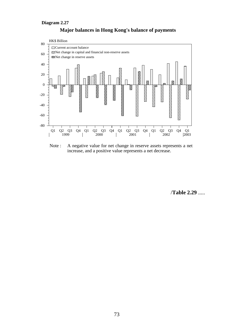#### **Diagram 2.27**





Note : A negative value for net change in reserve assets represents a net increase, and a positive value represents a net decrease.

/**Table 2.29** .....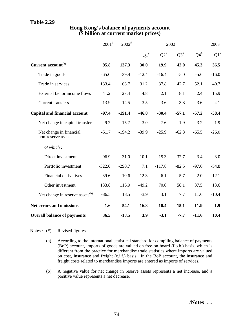# **Table 2.29**

|                                               | $2001^*$ | $2002^{\text{*}}$ | 2002       |          |           |           | 2003    |
|-----------------------------------------------|----------|-------------------|------------|----------|-----------|-----------|---------|
|                                               |          |                   | $\Omega^*$ | $Q2^*$   | $Q3^{\#}$ | $Q4^{\#}$ | $Q1^*$  |
| Current account <sup>(a)</sup>                | 95.8     | 137.3             | 30.0       | 19.9     | 42.0      | 45.3      | 36.5    |
| Trade in goods                                | $-65.0$  | $-39.4$           | $-12.4$    | $-16.4$  | $-5.0$    | $-5.6$    | $-16.0$ |
| Trade in services                             | 133.4    | 163.7             | 31.2       | 37.8     | 42.7      | 52.1      | 40.7    |
| External factor income flows                  | 41.2     | 27.4              | 14.8       | 2.1      | 8.1       | 2.4       | 15.9    |
| <b>Current transfers</b>                      | $-13.9$  | $-14.5$           | $-3.5$     | $-3.6$   | $-3.8$    | $-3.6$    | $-4.1$  |
| <b>Capital and financial account</b>          | $-97.4$  | $-191.4$          | $-46.8$    | $-30.4$  | $-57.1$   | $-57.2$   | $-38.4$ |
| Net change in capital transfers               | $-9.2$   | $-15.7$           | $-3.0$     | $-7.6$   | $-1.9$    | $-3.2$    | $-1.9$  |
| Net change in financial<br>non-reserve assets | $-51.7$  | $-194.2$          | $-39.9$    | $-25.9$  | $-62.8$   | $-65.5$   | $-26.0$ |
| of which:                                     |          |                   |            |          |           |           |         |
| Direct investment                             | 96.9     | $-31.0$           | $-10.1$    | 15.3     | $-32.7$   | $-3.4$    | 3.0     |
| Portfolio investment                          | $-322.0$ | $-290.7$          | 7.1        | $-117.8$ | $-82.5$   | $-97.6$   | $-54.8$ |
| Financial derivatives                         | 39.6     | 10.6              | 12.3       | 6.1      | $-5.7$    | $-2.0$    | 12.1    |
| Other investment                              | 133.8    | 116.9             | $-49.2$    | 70.6     | 58.1      | 37.5      | 13.6    |
| Net change in reserve assets <sup>(b)</sup>   | $-36.5$  | 18.5              | $-3.9$     | 3.1      | 7.7       | 11.6      | $-10.4$ |
| Net errors and omissions                      | 1.6      | 54.1              | 16.8       | 10.4     | 15.1      | 11.9      | 1.9     |
| <b>Overall balance of payments</b>            | 36.5     | $-18.5$           | 3.9        | $-3.1$   | $-7.7$    | $-11.6$   | 10.4    |

# **Hong Kong's balance of payments account (\$ billion at current market prices)**

Notes : (#) Revised figures.

- (a) According to the international statistical standard for compiling balance of payments (BoP) account, imports of goods are valued on free-on-board (f.o.b.) basis, which is different from the practice for merchandise trade statistics where imports are valued on cost, insurance and freight (c.i.f.) basis. In the BoP account, the insurance and freight costs related to merchandise imports are entered as imports of services.
- (b) A negative value for net change in reserve assets represents a net increase, and a positive value represents a net decrease.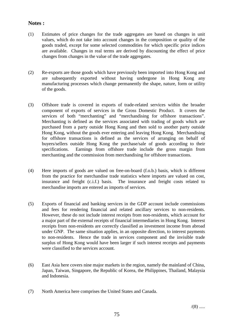# **Notes :**

- (1) Estimates of price changes for the trade aggregates are based on changes in unit values, which do not take into account changes in the composition or quality of the goods traded, except for some selected commodities for which specific price indices are available. Changes in real terms are derived by discounting the effect of price changes from changes in the value of the trade aggregates.
- (2) Re-exports are those goods which have previously been imported into Hong Kong and are subsequently exported without having undergone in Hong Kong any manufacturing processes which change permanently the shape, nature, form or utility of the goods.
- (3) Offshore trade is covered in exports of trade-related services within the broader component of exports of services in the Gross Domestic Product. It covers the services of both "merchanting" and "merchandising for offshore transactions". Merchanting is defined as the services associated with trading of goods which are purchased from a party outside Hong Kong and then sold to another party outside Hong Kong, without the goods ever entering and leaving Hong Kong. Merchandising for offshore transactions is defined as the services of arranging on behalf of buyers/sellers outside Hong Kong the purchase/sale of goods according to their specifications. Earnings from offshore trade include the gross margin from merchanting and the commission from merchandising for offshore transactions.
- (4) Here imports of goods are valued on free-on-board (f.o.b.) basis, which is different from the practice for merchandise trade statistics where imports are valued on cost, insurance and freight (c.i.f.) basis. The insurance and freight costs related to merchandise imports are entered as imports of services.
- (5) Exports of financial and banking services in the GDP account include commissions and fees for rendering financial and related ancillary services to non-residents. However, these do not include interest receipts from non-residents, which account for a major part of the external receipts of financial intermediaries in Hong Kong. Interest receipts from non-residents are correctly classified as investment income from abroad under GNP. The same situation applies, in an opposite direction, to interest payments to non-residents. Hence the trade in services component and the invisible trade surplus of Hong Kong would have been larger if such interest receipts and payments were classified to the services account.
- (6) East Asia here covers nine major markets in the region, namely the mainland of China, Japan, Taiwan, Singapore, the Republic of Korea, the Philippines, Thailand, Malaysia and Indonesia.
- (7) North America here comprises the United States and Canada.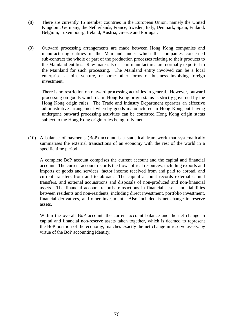- (8) There are currently 15 member countries in the European Union, namely the United Kingdom, Germany, the Netherlands, France, Sweden, Italy, Denmark, Spain, Finland, Belgium, Luxembourg, Ireland, Austria, Greece and Portugal.
- (9) Outward processing arrangements are made between Hong Kong companies and manufacturing entities in the Mainland under which the companies concerned sub-contract the whole or part of the production processes relating to their products to the Mainland entities. Raw materials or semi-manufactures are normally exported to the Mainland for such processing. The Mainland entity involved can be a local enterprise, a joint venture, or some other forms of business involving foreign investment.

There is no restriction on outward processing activities in general. However, outward processing on goods which claim Hong Kong origin status is strictly governed by the Hong Kong origin rules. The Trade and Industry Department operates an effective administrative arrangement whereby goods manufactured in Hong Kong but having undergone outward processing activities can be conferred Hong Kong origin status subject to the Hong Kong origin rules being fully met.

(10) A balance of payments (BoP) account is a statistical framework that systematically summarises the external transactions of an economy with the rest of the world in a specific time period.

A complete BoP account comprises the current account and the capital and financial account. The current account records the flows of real resources, including exports and imports of goods and services, factor income received from and paid to abroad, and current transfers from and to abroad. The capital account records external capital transfers, and external acquisitions and disposals of non-produced and non-financial assets. The financial account records transactions in financial assets and liabilities between residents and non-residents, including direct investment, portfolio investment, financial derivatives, and other investment. Also included is net change in reserve assets.

Within the overall BoP account, the current account balance and the net change in capital and financial non-reserve assets taken together, which is deemed to represent the BoP position of the economy, matches exactly the net change in reserve assets, by virtue of the BoP accounting identity.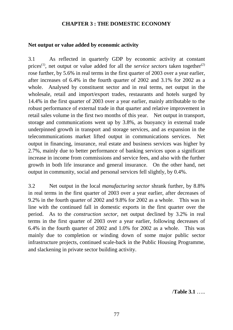# **CHAPTER 3 : THE DOMESTIC ECONOMY**

# **Net output or value added by economic activity**

3.1 As reflected in quarterly GDP by economic activity at constant prices<sup>(1)</sup>, net output or value added for all the *service sectors* taken together<sup>(2)</sup> rose further, by 5.6% in real terms in the first quarter of 2003 over a year earlier, after increases of 6.4% in the fourth quarter of 2002 and 3.1% for 2002 as a whole. Analysed by constituent sector and in real terms, net output in the wholesale, retail and import/export trades, restaurants and hotels surged by 14.4% in the first quarter of 2003 over a year earlier, mainly attributable to the robust performance of external trade in that quarter and relative improvement in retail sales volume in the first two months of this year. Net output in transport, storage and communications went up by 3.8%, as buoyancy in external trade underpinned growth in transport and storage services, and as expansion in the telecommunications market lifted output in communications services. Net output in financing, insurance, real estate and business services was higher by 2.7%, mainly due to better performance of banking services upon a significant increase in income from commissions and service fees, and also with the further growth in both life insurance and general insurance. On the other hand, net output in community, social and personal services fell slightly, by 0.4%.

3.2 Net output in the local *manufacturing sector* shrank further, by 8.8% in real terms in the first quarter of 2003 over a year earlier, after decreases of 9.2% in the fourth quarter of 2002 and 9.8% for 2002 as a whole. This was in line with the continued fall in domestic exports in the first quarter over the period. As to the *construction sector*, net output declined by 3.2% in real terms in the first quarter of 2003 over a year earlier, following decreases of 6.4% in the fourth quarter of 2002 and 1.0% for 2002 as a whole. This was mainly due to completion or winding down of some major public sector infrastructure projects, continued scale-back in the Public Housing Programme, and slackening in private sector building activity.

/**Table 3.1** …..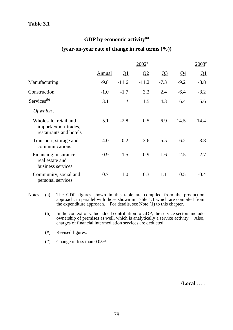# GDP by economic activity<sup>(a)</sup>

# **(year-on-year rate of change in real terms (%))**

|                                                                          |               |               | $2002$ <sup>#</sup> |                         |                 | $2003$ <sup>#</sup>      |
|--------------------------------------------------------------------------|---------------|---------------|---------------------|-------------------------|-----------------|--------------------------|
|                                                                          | <b>Annual</b> | $\mathbf{Q}1$ | Q <sub>2</sub>      | $\overline{\mathbf{Q}}$ | $\overline{Q4}$ | $\overline{\mathrm{Q1}}$ |
| Manufacturing                                                            | $-9.8$        | $-11.6$       | $-11.2$             | $-7.3$                  | $-9.2$          | $-8.8$                   |
| Construction                                                             | $-1.0$        | $-1.7$        | 3.2                 | 2.4                     | $-6.4$          | $-3.2$                   |
| Services <sup>(b)</sup>                                                  | 3.1           | $\ast$        | 1.5                 | 4.3                     | 6.4             | 5.6                      |
| Of which:                                                                |               |               |                     |                         |                 |                          |
| Wholesale, retail and<br>import/export trades,<br>restaurants and hotels | 5.1           | $-2.8$        | 0.5                 | 6.9                     | 14.5            | 14.4                     |
| Transport, storage and<br>communications                                 | 4.0           | 0.2           | 3.6                 | 5.5                     | 6.2             | 3.8                      |
| Financing, insurance,<br>real estate and<br>business services            | 0.9           | $-1.5$        | 0.9                 | 1.6                     | 2.5             | 2.7                      |
| Community, social and<br>personal services                               | 0.7           | 1.0           | 0.3                 | 1.1                     | 0.5             | $-0.4$                   |

- Notes : (a) The GDP figures shown in this table are compiled from the production approach, in parallel with those shown in Table 1.1 which are compiled from the expenditure approach. For details, see Note (1) to this chapter.
	- (b) In the context of value added contribution to GDP, the service sectors include ownership of premises as well, which is analytically a service activity. Also, charges of financial intermediation services are deducted.
	- (#) Revised figures.
	- (\*) Change of less than 0.05%.

/**Local** …..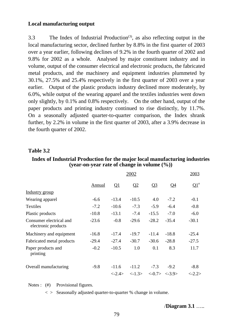# **Local manufacturing output**

3.3 The Index of Industrial Production<sup>(3)</sup>, as also reflecting output in the local manufacturing sector, declined further by 8.8% in the first quarter of 2003 over a year earlier, following declines of 9.2% in the fourth quarter of 2002 and 9.8% for 2002 as a whole. Analysed by major constituent industry and in volume, output of the consumer electrical and electronic products, the fabricated metal products, and the machinery and equipment industries plummeted by 30.1%, 27.5% and 25.4% respectively in the first quarter of 2003 over a year earlier. Output of the plastic products industry declined more moderately, by 6.0%, while output of the wearing apparel and the textiles industries went down only slightly, by 0.1% and 0.8% respectively. On the other hand, output of the paper products and printing industry continued to rise distinctly, by 11.7%. On a seasonally adjusted quarter-to-quarter comparison, the Index shrank further, by 2.2% in volume in the first quarter of 2003, after a 3.9% decrease in the fourth quarter of 2002.

#### **Table 3.2**

#### **Index of Industrial Production for the major local manufacturing industries (year-on-year rate of change in volume (%))**

|                                                | 2003<br>2002  |                        |                        |                |                                             |                        |  |
|------------------------------------------------|---------------|------------------------|------------------------|----------------|---------------------------------------------|------------------------|--|
|                                                | <b>Annual</b> | $\mathbf{Q}$           | Q <sub>2</sub>         | Q <sub>3</sub> | Q <sub>4</sub>                              | $\mathbf{Q1}^*$        |  |
| Industry group                                 |               |                        |                        |                |                                             |                        |  |
| Wearing apparel                                | $-6.6$        | $-13.4$                | $-10.5$                | 4.0            | $-7.2$                                      | $-0.1$                 |  |
| Textiles                                       | $-7.2$        | $-10.6$                | $-7.3$                 | $-5.9$         | $-6.4$                                      | $-0.8$                 |  |
| Plastic products                               | $-10.8$       | $-13.1$                | $-7.4$                 | $-15.5$        | $-7.0$                                      | $-6.0$                 |  |
| Consumer electrical and<br>electronic products | $-23.6$       | $-0.8$                 | $-29.6$                | $-28.2$        | $-35.4$                                     | $-30.1$                |  |
| Machinery and equipment                        | $-16.8$       | $-17.4$                | $-19.7$                | $-11.4$        | $-18.8$                                     | $-25.4$                |  |
| Fabricated metal products                      | $-29.4$       | $-27.4$                | $-30.7$                | $-30.6$        | $-28.8$                                     | $-27.5$                |  |
| Paper products and<br>printing                 | $-0.2$        | $-10.5$                | 1.0                    | 0.1            | 8.3                                         | 11.7                   |  |
| Overall manufacturing                          | $-9.8$        | $-11.6$                | $-11.2$                | $-7.3$         | $-9.2$                                      | $-8.8$                 |  |
|                                                |               | $\langle -2.4 \rangle$ | $\langle -1.3 \rangle$ |                | $\langle -0.7 \rangle \langle -3.9 \rangle$ | $\langle -2.2 \rangle$ |  |

Notes : (#) Provisional figures.

 $\langle \rangle$  Seasonally adjusted quarter-to-quarter % change in volume.

/**Diagram 3.1** …..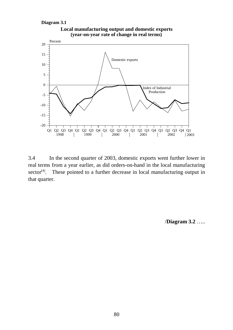**Diagram 3.1**



**Local manufacturing output and domestic exports (year-on-year rate of change in real terms)**

3.4 In the second quarter of 2003, domestic exports went further lower in real terms from a year earlier, as did orders-on-hand in the local manufacturing  $sector<sup>(4)</sup>$ . These pointed to a further decrease in local manufacturing output in that quarter.

/**Diagram 3.2** …..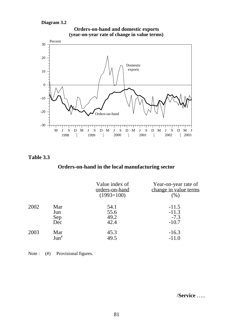#### **Diagram 3.2**



**Orders-on-hand and domestic exports**

# **(year-on-year rate of change in value terms)**

# **Table 3.3**

# **Orders-on-hand in the local manufacturing sector**

|      |                          | Value index of<br>orders-on-hand<br>$(1993=100)$ | Year-on-year rate of<br>change in value terms<br>$(\%)$ |
|------|--------------------------|--------------------------------------------------|---------------------------------------------------------|
| 2002 | Mar<br>Jun<br>Sep<br>Dec | 54.1<br>55.6<br>49.2<br>42.4                     | $-11.5$<br>$-11.3$<br>$-7.3$<br>$-10.7$                 |
| 2003 | Mar<br>Jun <sup>#</sup>  | 45.3<br>49.5                                     | $-16.3$<br>$-11.0$                                      |

| Note: | $^{(#)}$ | Provisional figures. |
|-------|----------|----------------------|
|-------|----------|----------------------|

/**Service** …..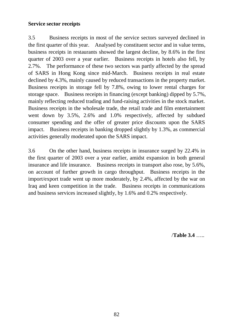# **Service sector receipts**

3.5 Business receipts in most of the service sectors surveyed declined in the first quarter of this year. Analysed by constituent sector and in value terms, business receipts in restaurants showed the largest decline, by 8.6% in the first quarter of 2003 over a year earlier. Business receipts in hotels also fell, by 2.7%. The performance of these two sectors was partly affected by the spread of SARS in Hong Kong since mid-March. Business receipts in real estate declined by 4.3%, mainly caused by reduced transactions in the property market. Business receipts in storage fell by 7.8%, owing to lower rental charges for storage space. Business receipts in financing (except banking) dipped by 5.7%, mainly reflecting reduced trading and fund-raising activities in the stock market. Business receipts in the wholesale trade, the retail trade and film entertainment went down by 3.5%, 2.6% and 1.0% respectively, affected by subdued consumer spending and the offer of greater price discounts upon the SARS impact. Business receipts in banking dropped slightly by 1.3%, as commercial activities generally moderated upon the SARS impact.

3.6 On the other hand, business receipts in insurance surged by 22.4% in the first quarter of 2003 over a year earlier, amidst expansion in both general insurance and life insurance. Business receipts in transport also rose, by 5.6%, on account of further growth in cargo throughput. Business receipts in the import/export trade went up more moderately, by 2.4%, affected by the war on Iraq and keen competition in the trade. Business receipts in communications and business services increased slightly, by 1.6% and 0.2% respectively.

/**Table 3.4** …..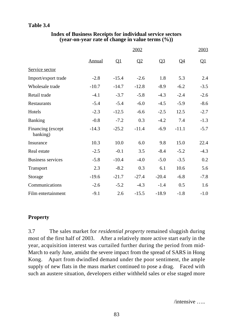# **Table 3.4**

# **Index of Business Receipts for individual service sectors (year-on-year rate of change in value terms (%))**

|                               |               |                          | 2002    |         |                 | 2003                     |
|-------------------------------|---------------|--------------------------|---------|---------|-----------------|--------------------------|
|                               | <b>Annual</b> | $\overline{\mathsf{Q1}}$ | Q2      | $Q_3$   | $\overline{Q4}$ | $\overline{\mathsf{Q1}}$ |
| Service sector                |               |                          |         |         |                 |                          |
| Import/export trade           | $-2.8$        | $-15.4$                  | $-2.6$  | 1.8     | 5.3             | 2.4                      |
| Wholesale trade               | $-10.7$       | $-14.7$                  | $-12.8$ | $-8.9$  | $-6.2$          | $-3.5$                   |
| Retail trade                  | $-4.1$        | $-3.7$                   | $-5.8$  | $-4.3$  | $-2.4$          | $-2.6$                   |
| Restaurants                   | $-5.4$        | $-5.4$                   | $-6.0$  | $-4.5$  | $-5.9$          | $-8.6$                   |
| Hotels                        | $-2.3$        | $-12.5$                  | $-6.6$  | $-2.5$  | 12.5            | $-2.7$                   |
| Banking                       | $-0.8$        | $-7.2$                   | 0.3     | $-4.2$  | 7.4             | $-1.3$                   |
| Financing (except<br>banking) | $-14.3$       | $-25.2$                  | $-11.4$ | $-6.9$  | $-11.1$         | $-5.7$                   |
| Insurance                     | 10.3          | 10.0                     | 6.0     | 9.8     | 15.0            | 22.4                     |
| Real estate                   | $-2.5$        | $-0.1$                   | 3.5     | $-8.4$  | $-5.2$          | $-4.3$                   |
| <b>Business services</b>      | $-5.8$        | $-10.4$                  | $-4.0$  | $-5.0$  | $-3.5$          | 0.2                      |
| Transport                     | 2.3           | $-8.2$                   | 0.3     | 6.1     | 10.6            | 5.6                      |
| Storage                       | $-19.6$       | $-21.7$                  | $-27.4$ | $-20.4$ | $-6.8$          | $-7.8$                   |
| Communications                | $-2.6$        | $-5.2$                   | $-4.3$  | $-1.4$  | 0.5             | 1.6                      |
| Film entertainment            | $-9.1$        | 2.6                      | $-15.5$ | $-18.9$ | $-1.8$          | $-1.0$                   |

# **Property**

3.7 The sales market for *residential property* remained sluggish during most of the first half of 2003. After a relatively more active start early in the year, acquisition interest was curtailed further during the period from mid-March to early June, amidst the severe impact from the spread of SARS in Hong Kong. Apart from dwindled demand under the poor sentiment, the ample supply of new flats in the mass market continued to pose a drag. Faced with such an austere situation, developers either withheld sales or else staged more

/intensive …..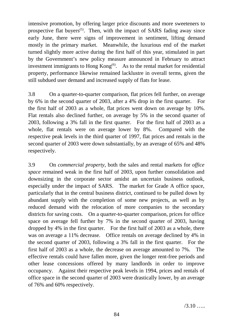intensive promotion, by offering larger price discounts and more sweeteners to prospective flat buyers<sup>(5)</sup>. Then, with the impact of SARS fading away since early June, there were signs of improvement in sentiment, lifting demand mostly in the primary market. Meanwhile, the luxurious end of the market turned slightly more active during the first half of this year, stimulated in part by the Government's new policy measure announced in February to attract investment immigrants to Hong Kong<sup> $(6)$ </sup>. As to the rental market for residential property, performance likewise remained lacklustre in overall terms, given the still subdued user demand and increased supply of flats for lease.

3.8 On a quarter-to-quarter comparison, flat prices fell further, on average by 6% in the second quarter of 2003, after a 4% drop in the first quarter. For the first half of 2003 as a whole, flat prices went down on average by 10%. Flat rentals also declined further, on average by 5% in the second quarter of 2003, following a 3% fall in the first quarter. For the first half of 2003 as a whole, flat rentals were on average lower by 8%. Compared with the respective peak levels in the third quarter of 1997, flat prices and rentals in the second quarter of 2003 were down substantially, by an average of 65% and 48% respectively.

3.9 On *commercial property*, both the sales and rental markets for *office space* remained weak in the first half of 2003, upon further consolidation and downsizing in the corporate sector amidst an uncertain business outlook, especially under the impact of SARS. The market for Grade A office space, particularly that in the central business district, continued to be pulled down by abundant supply with the completion of some new projects, as well as by reduced demand with the relocation of more companies to the secondary districts for saving costs. On a quarter-to-quarter comparison, prices for office space on average fell further by 7% in the second quarter of 2003, having dropped by 4% in the first quarter. For the first half of 2003 as a whole, there was on average a 11% decrease. Office rentals on average declined by 4% in the second quarter of 2003, following a 3% fall in the first quarter. For the first half of 2003 as a whole, the decrease on average amounted to 7%. The effective rentals could have fallen more, given the longer rent-free periods and other lease concessions offered by many landlords in order to improve occupancy. Against their respective peak levels in 1994, prices and rentals of office space in the second quarter of 2003 were drastically lower, by an average of 76% and 60% respectively.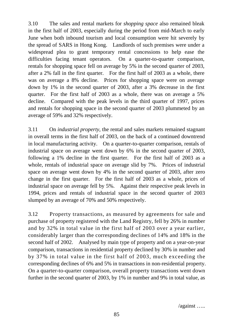3.10 The sales and rental markets for *shopping space* also remained bleak in the first half of 2003, especially during the period from mid-March to early June when both inbound tourism and local consumption were hit severely by the spread of SARS in Hong Kong. Landlords of such premises were under a widespread plea to grant temporary rental concessions to help ease the difficulties facing tenant operators. On a quarter-to-quarter comparison, rentals for shopping space fell on average by 5% in the second quarter of 2003, after a 2% fall in the first quarter. For the first half of 2003 as a whole, there was on average a 8% decline. Prices for shopping space were on average down by 1% in the second quarter of 2003, after a 3% decrease in the first quarter. For the first half of 2003 as a whole, there was on average a 5% decline. Compared with the peak levels in the third quarter of 1997, prices and rentals for shopping space in the second quarter of 2003 plummeted by an average of 59% and 32% respectively.

3.11 On *industrial property*, the rental and sales markets remained stagnant in overall terms in the first half of 2003, on the back of a continued downtrend in local manufacturing activity. On a quarter-to-quarter comparison, rentals of industrial space on average went down by 6% in the second quarter of 2003, following a 1% decline in the first quarter. For the first half of 2003 as a whole, rentals of industrial space on average slid by 7%. Prices of industrial space on average went down by 4% in the second quarter of 2003, after zero change in the first quarter. For the first half of 2003 as a whole, prices of industrial space on average fell by 5%. Against their respective peak levels in 1994, prices and rentals of industrial space in the second quarter of 2003 slumped by an average of 70% and 50% respectively.

3.12 Property transactions, as measured by agreements for sale and purchase of property registered with the Land Registry, fell by 26% in number and by 32% in total value in the first half of 2003 over a year earlier, considerably larger than the corresponding declines of 14% and 18% in the second half of 2002. Analysed by main type of property and on a year-on-year comparison, transactions in residential property declined by 30% in number and by 37% in total value in the first half of 2003, much exceeding the corresponding declines of 6% and 5% in transactions in non-residential property. On a quarter-to-quarter comparison, overall property transactions went down further in the second quarter of 2003, by 1% in number and 9% in total value, as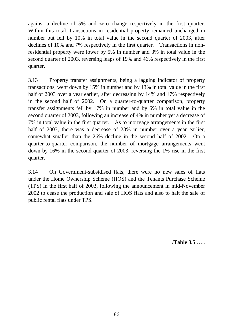against a decline of 5% and zero change respectively in the first quarter. Within this total, transactions in residential property remained unchanged in number but fell by 10% in total value in the second quarter of 2003, after declines of 10% and 7% respectively in the first quarter. Transactions in nonresidential property were lower by 5% in number and 3% in total value in the second quarter of 2003, reversing leaps of 19% and 46% respectively in the first quarter.

3.13 Property transfer assignments, being a lagging indicator of property transactions, went down by 15% in number and by 13% in total value in the first half of 2003 over a year earlier, after decreasing by 14% and 17% respectively in the second half of 2002. On a quarter-to-quarter comparison, property transfer assignments fell by 17% in number and by 6% in total value in the second quarter of 2003, following an increase of 4% in number yet a decrease of 7% in total value in the first quarter. As to mortgage arrangements in the first half of 2003, there was a decrease of 23% in number over a year earlier, somewhat smaller than the 26% decline in the second half of 2002. On a quarter-to-quarter comparison, the number of mortgage arrangements went down by 16% in the second quarter of 2003, reversing the 1% rise in the first quarter.

3.14 On Government-subsidised flats, there were no new sales of flats under the Home Ownership Scheme (HOS) and the Tenants Purchase Scheme (TPS) in the first half of 2003, following the announcement in mid-November 2002 to cease the production and sale of HOS flats and also to halt the sale of public rental flats under TPS.

/**Table 3.5** …..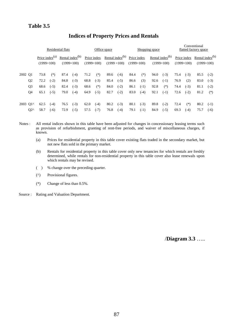# **Table 3.5**

|          |                | Residential flats |                   |      |                                       | Office space |                             |      | Shopping space                          |                             |        | Conventional<br>flatted factory space |                                       |      |                             |                                             |        |
|----------|----------------|-------------------|-------------------|------|---------------------------------------|--------------|-----------------------------|------|-----------------------------------------|-----------------------------|--------|---------------------------------------|---------------------------------------|------|-----------------------------|---------------------------------------------|--------|
|          |                | $(1999=100)$      | Price index $(a)$ |      | Rental index $^{(b)}$<br>$(1999=100)$ |              | Price index<br>$(1999=100)$ |      | Rental index $^{(b)}$<br>$(1999 = 100)$ | Price index<br>$(1999=100)$ |        |                                       | Rental index $^{(b)}$<br>$(1999=100)$ |      | Price index<br>$(1999=100)$ | Rental index <sup>(b)</sup><br>$(1999=100)$ |        |
| 2002 O1  |                | 73.8              | $(*)$             | 87.4 | $(-4)$                                | 71.2         | $(*)$                       | 89.6 | $(-6)$                                  | 84.4                        | $(*)$  | 94.0                                  | $(-3)$                                | 75.4 | $(-3)$                      | 85.5                                        | $(-2)$ |
|          | Q <sub>2</sub> | 72.2              | $(-2)$            | 84.8 | $(-3)$                                | 68.8         | $(-3)$                      | 85.4 | $(-5)$                                  | 86.6                        | (3)    | 92.6                                  | $(-1)$                                | 76.9 | (2)                         | 83.0                                        | $(-3)$ |
|          | Q <sub>3</sub> | 68.6              | $(-5)$            | 82.4 | $(-3)$                                | 68.6         | $(*)$                       | 84.0 | $(-2)$                                  | 86.1                        | $(-1)$ | 92.8                                  | $(*)$                                 | 74.4 | $(-3)$                      | 81.1                                        | $(-2)$ |
|          | Q4             | 65.1              | $(-5)$            | 79.0 | $(-4)$                                | 64.9         | $(-5)$                      | 82.7 | $(-2)$                                  | 83.0                        | $(-4)$ | 92.1                                  | $(-1)$                                | 72.6 | $(-2)$                      | 81.2                                        | $(*)$  |
| 2003 O1^ |                | 62.5              | $(-4)$            | 76.5 | $(-3)$                                | 62.0         | $(-4)$                      | 80.2 | $(-3)$                                  | 80.1                        | $(-3)$ | 89.8                                  | $(-2)$                                | 72.4 | $(*)$                       | 80.2                                        | $(-1)$ |
|          | $Q2^{\wedge}$  | 58.7              | $(-6)$            | 72.9 | $(-5)$                                | 57.5         | $(-7)$                      | 76.8 | $(-4)$                                  | 79.1                        | $(-1)$ | 84.9                                  | $(-5)$                                | 69.3 | $(-4)$                      | 75.7                                        | $(-6)$ |

# **Indices of Property Prices and Rentals**

Notes : All rental indices shown in this table have been adjusted for changes in concessionary leasing terms such as provision of refurbishment, granting of rent-free periods, and waiver of miscellaneous charges, if known.

- (a) Prices for residential property in this table cover existing flats traded in the secondary market, but not new flats sold in the primary market.
- (b) Rentals for residential property in this table cover only new tenancies for which rentals are freshly determined, while rentals for non-residential property in this table cover also lease renewals upon which rentals may be revised.
- ( ) % change over the preceding quarter.
- (^) Provisional figures.
- (\*) Change of less than 0.5%.
- Source : Rating and Valuation Department.

/**Diagram 3.3** …..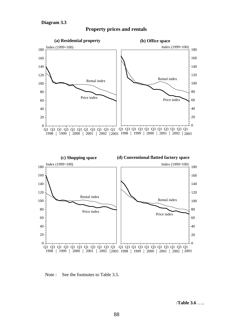

#### **Property prices and rentals**



Note : See the footnotes to Table 3.5.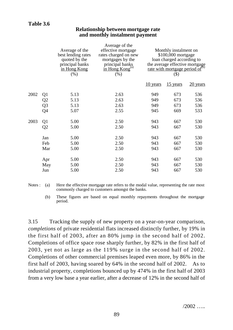#### **Relationship between mortgage rate and monthly instalment payment**

|      |                | Average of the<br>best lending rates<br>quoted by the<br>principal banks<br>in Hong Kong<br>(% ) | Average of the<br>effective mortgage<br>rates charged on new<br>mortgages by the<br>principal banks<br>in Hong Kong <sup>(a)</sup><br>(% ) | Monthly instalment on<br>\$100,000 mortgage<br>loan charged according to<br>the average effective mortgage<br>rate with mortgage period of <sup>(b)</sup><br>$(\$)$ |          |          |  |  |
|------|----------------|--------------------------------------------------------------------------------------------------|--------------------------------------------------------------------------------------------------------------------------------------------|---------------------------------------------------------------------------------------------------------------------------------------------------------------------|----------|----------|--|--|
|      |                |                                                                                                  |                                                                                                                                            | 10 years                                                                                                                                                            | 15 years | 20 years |  |  |
| 2002 | Q1             | 5.13                                                                                             | 2.63                                                                                                                                       | 949                                                                                                                                                                 | 673      | 536      |  |  |
|      | Q <sub>2</sub> | 5.13                                                                                             | 2.63                                                                                                                                       | 949                                                                                                                                                                 | 673      | 536      |  |  |
|      | Q <sub>3</sub> | 5.13                                                                                             | 2.63                                                                                                                                       | 949                                                                                                                                                                 | 673      | 536      |  |  |
|      | Q4             | 5.07                                                                                             | 2.55                                                                                                                                       | 945                                                                                                                                                                 | 669      | 533      |  |  |
| 2003 | Q <sub>1</sub> | 5.00                                                                                             | 2.50                                                                                                                                       | 943                                                                                                                                                                 | 667      | 530      |  |  |
|      | Q2             | 5.00                                                                                             | 2.50                                                                                                                                       | 943                                                                                                                                                                 | 667      | 530      |  |  |
|      | Jan            | 5.00                                                                                             | 2.50                                                                                                                                       | 943                                                                                                                                                                 | 667      | 530      |  |  |
|      | Feb            | 5.00                                                                                             | 2.50                                                                                                                                       | 943                                                                                                                                                                 | 667      | 530      |  |  |
|      | Mar            | 5.00                                                                                             | 2.50                                                                                                                                       | 943                                                                                                                                                                 | 667      | 530      |  |  |
|      | Apr            | 5.00                                                                                             | 2.50                                                                                                                                       | 943                                                                                                                                                                 | 667      | 530      |  |  |
|      | May            | 5.00                                                                                             | 2.50                                                                                                                                       | 943                                                                                                                                                                 | 667      | 530      |  |  |
|      | Jun            | 5.00                                                                                             | 2.50                                                                                                                                       | 943                                                                                                                                                                 | 667      | 530      |  |  |

Notes : (a) Here the effective mortgage rate refers to the modal value, representing the rate most commonly charged to customers amongst the banks.

(b) These figures are based on equal monthly repayments throughout the mortgage period.

3.15 Tracking the supply of new property on a year-on-year comparison, *completions* of private residential flats increased distinctly further, by 19% in the first half of 2003, after an 80% jump in the second half of 2002. Completions of office space rose sharply further, by 82% in the first half of 2003, yet not as large as the 119% surge in the second half of 2002. Completions of other commercial premises leaped even more, by 86% in the first half of 2003, having soared by 64% in the second half of 2002. As to industrial property, completions bounced up by 474% in the first half of 2003 from a very low base a year earlier, after a decrease of 12% in the second half of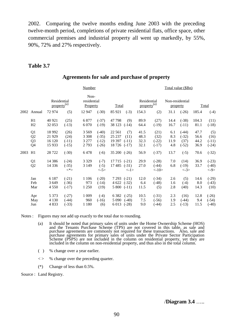2002. Comparing the twelve months ending June 2003 with the preceding twelve-month period, completions of private residential flats, office space, other commercial premises and industrial property all went up markedly, by 55%, 90%, 72% and 27% respectively.

#### **Table 3.7**

|      |                                  |                                                 |                                    | Number                                    | Total value (\$Bn)                       |                                                                       |                              |                                               |                                     |                                         |                              |                                   |
|------|----------------------------------|-------------------------------------------------|------------------------------------|-------------------------------------------|------------------------------------------|-----------------------------------------------------------------------|------------------------------|-----------------------------------------------|-------------------------------------|-----------------------------------------|------------------------------|-----------------------------------|
| 2002 | Annual                           | Residential<br>property <sup>(a)</sup><br>72974 | (5)                                | Non-<br>residential<br>Property<br>12 947 | $(-30)$                                  | Total<br>$(-3)$<br>85 921                                             | 154.3                        | Residential<br>property <sup>(a)</sup><br>(2) | Non-residential<br>property<br>31.1 | $(-26)$                                 | 185.4                        | <b>Total</b><br>$(-4)$            |
|      | H1<br>H2                         | 40 9 21<br>32 053                               | (25)<br>$(-13)$                    | 6877<br>6 0 7 0                           | $(-37)$<br>$(-19)$                       | 47 798<br>(9)<br>38 123<br>$(-14)$                                    | 89.9<br>64.4                 | (27)<br>$(-19)$                               | 14.4<br>16.7                        | $(-38)$<br>$(-11)$                      | 104.3<br>81.1                | (11)<br>$(-18)$                   |
|      | Q <sub>1</sub><br>Q2<br>Q3<br>Q4 | 18 9 92<br>21 9 29<br>16 120<br>15 9 33         | (26)<br>(24)<br>$(-11)$<br>$(-15)$ | 3 5 6 9<br>3 3 0 8<br>3 2 7 7<br>2793     | $(-40)$<br>$(-35)$<br>$(-12)$<br>$(-26)$ | 22 5 61<br>(7)<br>25 237<br>(11)<br>19 397<br>$(-11)$<br>18 726 (-17) | 41.5<br>48.3<br>32.3<br>32.1 | (21)<br>(32)<br>$(-22)$<br>$(-17)$            | 6.1<br>8.3<br>11.9<br>4.8           | $(-44)$<br>$(-32)$<br>(37)<br>$(-52)$   | 47.7<br>56.6<br>44.2<br>36.9 | (5)<br>(16)<br>$(-11)$<br>$(-24)$ |
| 2003 | H1                               | 28 7 22                                         | $(-30)$                            | 6478                                      | $(-6)$                                   | $35\,200$ $(-26)$                                                     | 56.9                         | $(-37)$                                       | 13.7                                | $(-5)$                                  | 70.6                         | $(-32)$                           |
|      | Q1<br>Q <sub>2</sub>             | 14 3 8 6<br>14 3 36                             | $(-24)$<br>$(-35)$<br>$\lt^*$      | 3 3 2 9<br>3 1 4 9                        | $(-7)$<br>$(-5)$<br>$\langle -5 \rangle$ | $17715$ (-21)<br>$17485$ $(-31)$<br>$\langle -1 \rangle$              | 29.9<br>27.0                 | $(-28)$<br>$(-44)$<br>$\langle -10 \rangle$   | 7.0<br>6.8                          | (14)<br>$(-19)$<br>$\langle -3 \rangle$ | 36.9<br>33.7                 | $(-23)$<br>$(-40)$<br><-9>        |
|      | Jan<br>Feb<br>Mar                | 6 1 8 7<br>3 6 4 9<br>4 5 5 0                   | $(-21)$<br>$(-36)$<br>$(-17)$      | 1 1 0 6<br>973<br>1 250                   | $(-20)$<br>$(-14)$<br>(19)               | 7 2 9 3<br>$(-21)$<br>4 6 22<br>$(-32)$<br>5 800<br>$(-11)$           | 12.0<br>6.4<br>11.5          | $(-34)$<br>$(-48)$<br>(5)                     | 2.6<br>1.6<br>2.8                   | (5)<br>$(-4)$<br>(40)                   | 14.6<br>8.0<br>14.3          | $(-29)$<br>$(-43)$<br>(10)        |
|      | Apr<br>May<br>Jun                | 5 3 7 3<br>4 1 3 0<br>4833                      | $(-27)$<br>$(-44)$<br>$(-33)$      | 1 0 0 9<br>960<br>1 1 8 0                 | $(-4)$<br>$(-16)$<br>(6)                 | 6 3 8 2<br>$(-25)$<br>5 0 9 0<br>$(-40)$<br>6 0 13<br>$(-28)$         | 10.5<br>7.5<br>9.0           | $(-31)$<br>$(-56)$<br>$(-44)$                 | 2.3<br>1.9<br>2.5                   | (16)<br>$(-44)$<br>$(-13)$              | 12.8<br>9.4<br>11.5          | $(-26)$<br>$(-54)$<br>$(-40)$     |

#### **Agreements for sale and purchase of property**

Notes : Figures may not add up exactly to the total due to rounding.

- (a) It should be noted that primary sales of units under the Home Ownership Scheme (HOS) and the Tenants Purchase Scheme (TPS) are not covered in this table, as sale and purchase agreements are commonly not required for these transactions. Also, sale and purchase agreements for primary sales of units under the Private Sector Participation Scheme (PSPS) are not included in the column on residential property, yet they are included in the column on non-residential property, and thus also in the total column.
- ( ) % change over a year earlier.
- < > % change over the preceding quarter.
- (\*) Change of less than 0.5%.

Source : Land Registry.

#### /**Diagram 3.4** …..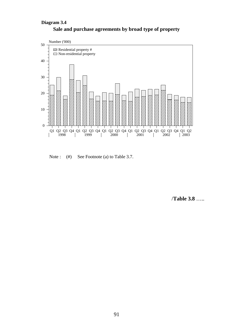# **Sale and purchase agreements by broad type of property Diagram 3.4**



Note : (#) See Footnote (a) to Table 3.7.

/**Table 3.8** …..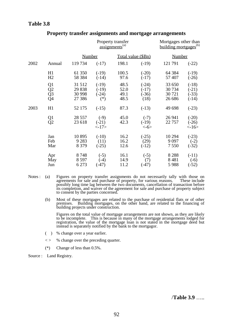# **Table 3.8**

|      |                                                                                 |                                       |                                        | Property transfer<br>$\overline{assignments}^{(a)}$ | Mortgages other than<br>building mortgages <sup>(b)</sup> |                                       |                                          |  |
|------|---------------------------------------------------------------------------------|---------------------------------------|----------------------------------------|-----------------------------------------------------|-----------------------------------------------------------|---------------------------------------|------------------------------------------|--|
|      |                                                                                 | <b>Number</b>                         |                                        | Total value (\$Bn)                                  |                                                           | <b>Number</b>                         |                                          |  |
| 2002 | Annual                                                                          | 119 734                               | $(-17)$                                | 198.1                                               | $(-19)$                                                   | 121 791                               | $(-22)$                                  |  |
|      | H1<br>H2                                                                        | 61 350<br>58 3 8 4                    | $(-19)$<br>$(-14)$                     | 100.5<br>97.6                                       | $(-20)$<br>$(-17)$                                        | 64 3 84<br>57 407                     | $(-19)$<br>$(-26)$                       |  |
|      | $\begin{array}{c} \text{Q1} \\ \text{Q2} \\ \text{Q3} \\ \text{Q4} \end{array}$ | 31 512<br>29 838<br>30 998<br>27 38 6 | $(-19)$<br>$(-19)$<br>$(-24)$<br>$(*)$ | 48.5<br>52.0<br>49.1<br>48.5                        | $(-24)$<br>$(-17)$<br>$(-36)$<br>(18)                     | 33 650<br>30 734<br>30 721<br>26 68 6 | $(-18)$<br>$(-21)$<br>$(-33)$<br>$(-14)$ |  |
| 2003 | H1                                                                              | 52 175                                | $(-15)$                                | 87.3                                                | $(-13)$                                                   | 49 698                                | $(-23)$                                  |  |
|      | $\frac{Q1}{Q2}$                                                                 | 28 5 5 7<br>23 618                    | $(-9)$<br>$(-21)$<br><17>              | 45.0<br>42.3                                        | $(-7)$<br>$(-19)$<br>$< -6$                               | 26 941<br>22 757                      | $(-20)$<br>$(-26)$<br><16>               |  |
|      | Jan<br>Feb<br>Mar                                                               | 10895<br>9 2 8 3<br>8 3 7 9           | $(-10)$<br>(11)<br>$(-25)$             | 16.2<br>16.2<br>12.6                                | $(-25)$<br>(29)<br>$(-12)$                                | 10 294<br>9 0 9 7<br>7 5 5 0          | $(-23)$<br>$(-2)$<br>$(-32)$             |  |
|      | Apr<br>May<br>Jun                                                               | 8748<br>8 5 9 7<br>6 2 7 3            | $(-5)$<br>$(-4)$<br>$(-47)$            | 16.1<br>14.9<br>11.2                                | $(-5)$<br>(7)<br>$(-47)$                                  | 8 2 8 8<br>8481<br>5988               | $(-11)$<br>$(-6)$<br>$(-52)$             |  |

#### **Property transfer assignments and mortgage arrangements**

- Notes : (a) Figures on property transfer assignments do not necessarily tally with those on agreements for sale and purchase of property, for various reasons. These include possibly long time lag between the two documents, cancellation of transaction before its completion, and waiver of the agreement for sale and purchase of property subject to consent by the parties concerned.
	- (b) Most of these mortgages are related to the purchase of residential flats or of other premises. Building mortgages, on the other hand, are related to the financing of building projects under construction.

Figures on the total value of mortgage arrangements are not shown, as they are likely to be incomplete. This is because in many of the mortgage arrangements lodged for registration, the value of the mortgage loan is not stated in the mortgage deed but instead is separately notified by the bank to the mortgagor.

- ( ) % change over a year earlier.
- $\langle \rangle$  % change over the preceding quarter.
- (\*) Change of less than 0.5%.
- Source : Land Registry.

/**Table 3.9** …..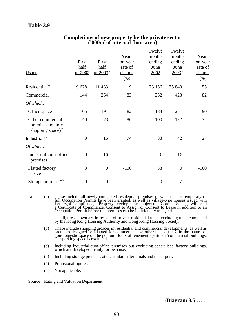# **Table 3.9**

| <b>Usage</b>                                                     | First<br>half<br>of 2002 | First<br>half<br>of 2003 <sup>^</sup> | Year-<br>on-year<br>rate of<br>change<br>$(\%)$ | Twelve<br>months<br>ending<br>June<br>2002 | Twelve<br>months<br>ending<br>June<br>$2003^{\circ}$ | Year-<br>on-year<br>rate of<br>change<br>$(\%)$ |
|------------------------------------------------------------------|--------------------------|---------------------------------------|-------------------------------------------------|--------------------------------------------|------------------------------------------------------|-------------------------------------------------|
| Residential <sup>(a)</sup>                                       | 9628                     | 11 433                                | 19                                              | 23 15 6                                    | 35 840                                               | 55                                              |
| Commercial                                                       | 144                      | 264                                   | 83                                              | 232                                        | 423                                                  | 82                                              |
| Of which:                                                        |                          |                                       |                                                 |                                            |                                                      |                                                 |
| Office space                                                     | 105                      | 191                                   | 82                                              | 133                                        | 251                                                  | 90                                              |
| Other commercial<br>premises (mainly<br>shopping space) $^{(b)}$ | 40                       | 73                                    | 86                                              | 100                                        | 172                                                  | 72                                              |
| Industrial <sup>(c)</sup>                                        | 3                        | 16                                    | 474                                             | 33                                         | 42                                                   | 27                                              |
| Of which:                                                        |                          |                                       |                                                 |                                            |                                                      |                                                 |
| Industrial-cum-office<br>premises                                | $\overline{0}$           | 16                                    |                                                 | $\overline{0}$                             | 16                                                   |                                                 |
| <b>Flatted factory</b><br>space                                  | 3                        | $\overline{0}$                        | $-100$                                          | 33                                         | $\overline{0}$                                       | $-100$                                          |
| Storage premises <sup>(d)</sup>                                  | $\boldsymbol{0}$         | $\boldsymbol{0}$                      |                                                 | $\boldsymbol{0}$                           | 27                                                   |                                                 |

#### **Completions of new property by the private sector ('000m2 of internal floor area)**

Notes : (a) These include all newly completed residential premises to which either temporary or full Occupation Permits have been granted, as well as village-type houses issued with Letters of Compliance. Property developments subject to a Consent Scheme will need a Certificate of Compliance, Consent to Assign or Consent to Lease in addition to an Occupation Permit before the premises can be individually assigned.

> The figures shown are in respect of private residential units, excluding units completed by the Hong Kong Housing Authority and Hong Kong Housing Society.

- (b) These include shopping arcades in residential and commercial developments, as well as premises designed or adapted for commercial use other than offices, in the nature of non-domestic space on the podium floors of tenement apartment/commercial buildings. Car-parking space is excluded.
- (c) Including industrial-cum-office premises but excluding specialised factory buildings, which are developed mainly for own use.
- (d) Including storage premises at the container terminals and the airport.
- (^) Provisional figures.
- (--) Not applicable.

Source : Rating and Valuation Department.

/**Diagram 3.5** …..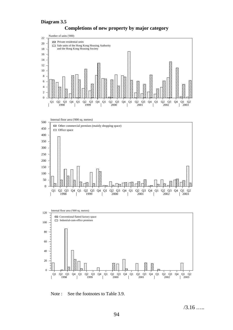#### **Diagram 3.5**



#### **Completions of new property by major category**





Note : See the footnotes to Table 3.9.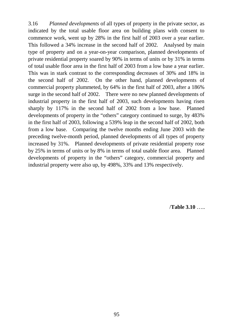3.16 *Planned developments* of all types of property in the private sector, as indicated by the total usable floor area on building plans with consent to commence work, went up by 28% in the first half of 2003 over a year earlier. This followed a 34% increase in the second half of 2002. Analysed by main type of property and on a year-on-year comparison, planned developments of private residential property soared by 90% in terms of units or by 31% in terms of total usable floor area in the first half of 2003 from a low base a year earlier. This was in stark contrast to the corresponding decreases of 30% and 18% in the second half of 2002. On the other hand, planned developments of commercial property plummeted, by 64% in the first half of 2003, after a 186% surge in the second half of 2002. There were no new planned developments of industrial property in the first half of 2003, such developments having risen sharply by 117% in the second half of 2002 from a low base. Planned developments of property in the "others" category continued to surge, by 483% in the first half of 2003, following a 539% leap in the second half of 2002, both from a low base. Comparing the twelve months ending June 2003 with the preceding twelve-month period, planned developments of all types of property increased by 31%. Planned developments of private residential property rose by 25% in terms of units or by 8% in terms of total usable floor area. Planned developments of property in the "others" category, commercial property and industrial property were also up, by 498%, 33% and 13% respectively.

/**Table 3.10** …..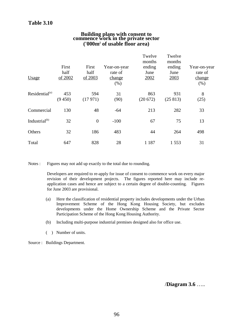# **Building plans with consent to commence work in the private sector ('000m2 of usable floor area)**

| Usage                      | First<br>half<br>of 2002 | First<br>half<br>of 2003 | Year-on-year<br>rate of<br>change<br>(% ) | Twelve<br>months<br>ending<br>June<br>2002 | Twelve<br>months<br>ending<br>June<br>2003 | Year-on-year<br>rate of<br>change<br>(% ) |
|----------------------------|--------------------------|--------------------------|-------------------------------------------|--------------------------------------------|--------------------------------------------|-------------------------------------------|
| Residential <sup>(a)</sup> | 453<br>(9450)            | 594<br>(17971)           | 31<br>(90)                                | 863<br>(20672)                             | 931<br>(25813)                             | 8<br>(25)                                 |
| Commercial                 | 130                      | 48                       | $-64$                                     | 213                                        | 282                                        | 33                                        |
| Industrial <sup>(b)</sup>  | 32                       | $\overline{0}$           | $-100$                                    | 67                                         | 75                                         | 13                                        |
| Others                     | 32                       | 186                      | 483                                       | 44                                         | 264                                        | 498                                       |
| Total                      | 647                      | 828                      | 28                                        | 1 1 8 7                                    | 1 5 5 3                                    | 31                                        |

Notes : Figures may not add up exactly to the total due to rounding.

Developers are required to re-apply for issue of consent to commence work on every major revision of their development projects. The figures reported here may include reapplication cases and hence are subject to a certain degree of double-counting. Figures for June 2003 are provisional.

- (a) Here the classification of residential property includes developments under the Urban Improvement Scheme of the Hong Kong Housing Society, but excludes developments under the Home Ownership Scheme and the Private Sector Participation Scheme of the Hong Kong Housing Authority.
- (b) Including multi-purpose industrial premises designed also for office use.
- ( ) Number of units.

Source : Buildings Department.

/**Diagram 3.6** …..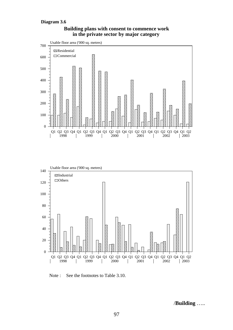#### **Diagram 3.6**





Note : See the footnotes to Table 3.10.

/**Building** …..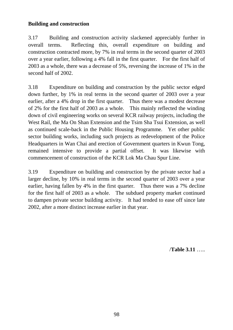# **Building and construction**

3.17 Building and construction activity slackened appreciably further in overall terms. Reflecting this, overall expenditure on building and construction contracted more, by 7% in real terms in the second quarter of 2003 over a year earlier, following a 4% fall in the first quarter. For the first half of 2003 as a whole, there was a decrease of 5%, reversing the increase of 1% in the second half of 2002.

3.18 Expenditure on building and construction by the public sector edged down further, by 1% in real terms in the second quarter of 2003 over a year earlier, after a 4% drop in the first quarter. Thus there was a modest decrease of 2% for the first half of 2003 as a whole. This mainly reflected the winding down of civil engineering works on several KCR railway projects, including the West Rail, the Ma On Shan Extension and the Tsim Sha Tsui Extension, as well as continued scale-back in the Public Housing Programme. Yet other public sector building works, including such projects as redevelopment of the Police Headquarters in Wan Chai and erection of Government quarters in Kwun Tong, remained intensive to provide a partial offset. It was likewise with commencement of construction of the KCR Lok Ma Chau Spur Line.

3.19 Expenditure on building and construction by the private sector had a larger decline, by 10% in real terms in the second quarter of 2003 over a year earlier, having fallen by 4% in the first quarter. Thus there was a 7% decline for the first half of 2003 as a whole. The subdued property market continued to dampen private sector building activity. It had tended to ease off since late 2002, after a more distinct increase earlier in that year.

/**Table 3.11** …..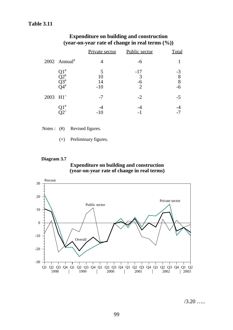# **Table 3.11**

|                        |                                                                | Private sector         | Public sector                        | Total            |
|------------------------|----------------------------------------------------------------|------------------------|--------------------------------------|------------------|
|                        | $2002$ Annual <sup>#</sup>                                     |                        | -6                                   |                  |
|                        | $21^{\#}$<br>$\widetilde{\text{Q}}2^\ast \atop \text{Q}3^\ast$ | 5<br>10<br>14<br>$-10$ | $-17$<br>3<br>$-6$<br>$\overline{2}$ | $-3$<br>$88 - 6$ |
| $2003$ H1 <sup>+</sup> |                                                                | $-7$                   | $-2$                                 | $-5$             |
|                        | .1 <sup>#</sup>                                                |                        |                                      |                  |

# **Expenditure on building and construction (year-on-year rate of change in real terms (%))**

- Notes : (#) Revised figures.
	- (+) Preliminary figures.

#### **Diagram 3.7**

#### **Expenditure on building and construction (year-on-year rate of change in real terms)**



 $/3.20$  …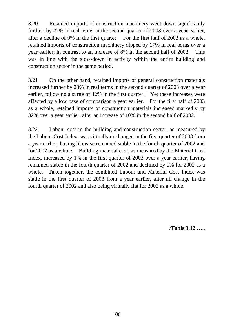3.20 Retained imports of construction machinery went down significantly further, by 22% in real terms in the second quarter of 2003 over a year earlier, after a decline of 9% in the first quarter. For the first half of 2003 as a whole, retained imports of construction machinery dipped by 17% in real terms over a year earlier, in contrast to an increase of 8% in the second half of 2002. This was in line with the slow-down in activity within the entire building and construction sector in the same period.

3.21 On the other hand, retained imports of general construction materials increased further by 23% in real terms in the second quarter of 2003 over a year earlier, following a surge of 42% in the first quarter. Yet these increases were affected by a low base of comparison a year earlier. For the first half of 2003 as a whole, retained imports of construction materials increased markedly by 32% over a year earlier, after an increase of 10% in the second half of 2002.

3.22 Labour cost in the building and construction sector, as measured by the Labour Cost Index, was virtually unchanged in the first quarter of 2003 from a year earlier, having likewise remained stable in the fourth quarter of 2002 and for 2002 as a whole. Building material cost, as measured by the Material Cost Index, increased by 1% in the first quarter of 2003 over a year earlier, having remained stable in the fourth quarter of 2002 and declined by 1% for 2002 as a whole. Taken together, the combined Labour and Material Cost Index was static in the first quarter of 2003 from a year earlier, after nil change in the fourth quarter of 2002 and also being virtually flat for 2002 as a whole.

/**Table 3.12** …..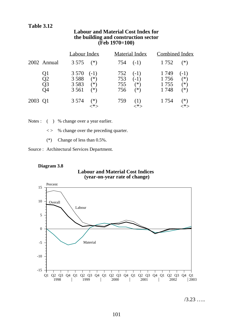#### **Labour and Material Cost Index for the building and construction sector (Feb 1970=100)**

|         |                                  | Labour Index                                                                  | <b>Material Index</b>    |                                    | Combined Index                |                                   |
|---------|----------------------------------|-------------------------------------------------------------------------------|--------------------------|------------------------------------|-------------------------------|-----------------------------------|
|         | 2002 Annual                      | $3575$ (*)                                                                    | $754$ (-1)               |                                    | 1 7 5 2                       | $(*)$                             |
|         | Q1<br>Q2<br>Q <sub>3</sub><br>O4 | 3 5 7 0<br>$(-1)$<br>3 5 8 8<br>$(*)$<br>3 5 8 3<br>$(*)$<br>3 5 6 1<br>$(*)$ | 752<br>753<br>755<br>756 | $(-1)$<br>$(-1)$<br>$(*)$<br>$(*)$ | 1 749<br>1756<br>1755<br>1748 | $(-1)$<br>$(*)$<br>$(*)$<br>$(*)$ |
| 2003 Q1 |                                  | 3 5 7 4<br>$(*)$                                                              | 759                      |                                    | 1 7 5 4                       | $(*)$                             |

Notes : ( ) % change over a year earlier.

- $\langle \rangle$  % change over the preceding quarter.
- (\*) Change of less than 0.5%.
- Source : Architectural Services Department.

#### **Diagram 3.8**

# **Labour and Material Cost Indices (year-on-year rate of change)**



/3.23 …..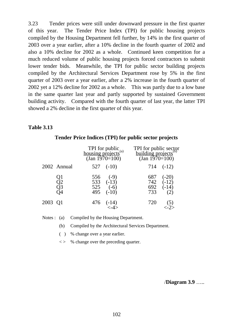3.23 Tender prices were still under downward pressure in the first quarter of this year. The Tender Price Index (TPI) for public housing projects compiled by the Housing Department fell further, by 14% in the first quarter of 2003 over a year earlier, after a 10% decline in the fourth quarter of 2002 and also a 10% decline for 2002 as a whole. Continued keen competition for a much reduced volume of public housing projects forced contractors to submit lower tender bids. Meanwhile, the TPI for public sector building projects compiled by the Architectural Services Department rose by 5% in the first quarter of 2003 over a year earlier, after a 2% increase in the fourth quarter of 2002 yet a 12% decline for 2002 as a whole. This was partly due to a low base in the same quarter last year and partly supported by sustained Government building activity. Compared with the fourth quarter of last year, the latter TPI showed a 2% decline in the first quarter of this year.

# **Table 3.13**

|         |                      |                   | TPI for public<br>housing projects <sup>(a)</sup><br>(Jan 1970=100) | TPI for public sector<br>building projects <sup>(b)</sup><br>(Jan 1970=100) |                               |
|---------|----------------------|-------------------|---------------------------------------------------------------------|-----------------------------------------------------------------------------|-------------------------------|
|         | 2002 Annual          |                   | $527$ $(-10)$                                                       |                                                                             | $714$ $(-12)$                 |
|         | Q1<br>Q2<br>Q3<br>Q4 | 556<br>525<br>495 | $(-9)$<br>533 $(-13)$<br>$(-6)$<br>$(-10)$                          | 687<br>742<br>692<br>733                                                    | $(-20)$<br>$(-12)$<br>$(-14)$ |
| 2003 Q1 |                      | 476               | $\frac{(-14)}{(-14)}$                                               | 720                                                                         |                               |

# **Tender Price Indices (TPI) for public sector projects**

Notes : (a) Compiled by the Housing Department.

(b) Compiled by the Architectural Services Department.

( ) % change over a year earlier.

 $\langle \rangle$  % change over the preceding quarter.

/**Diagram 3.9** …..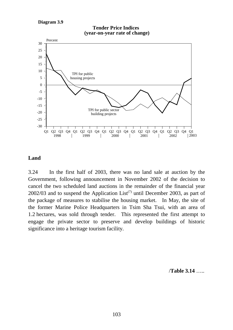**Diagram 3.9**



#### **Land**

3.24 In the first half of 2003, there was no land sale at auction by the Government, following announcement in November 2002 of the decision to cancel the two scheduled land auctions in the remainder of the financial year 2002/03 and to suspend the Application List<sup>(7)</sup> until December 2003, as part of the package of measures to stabilise the housing market. In May, the site of the former Marine Police Headquarters in Tsim Sha Tsui, with an area of 1.2 hectares, was sold through tender. This represented the first attempt to engage the private sector to preserve and develop buildings of historic significance into a heritage tourism facility.

/**Table 3.14** …..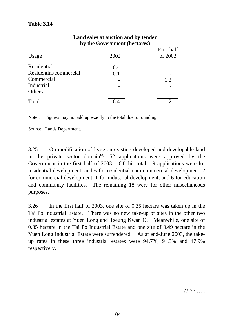|                        | by the Government (nectares) | First half     |
|------------------------|------------------------------|----------------|
| Usage                  | 2002                         | of 2003        |
| Residential            | 6.4                          |                |
| Residential/commercial | 0.1                          |                |
| Commercial             |                              | 1.2            |
| Industrial             |                              |                |
| Others                 |                              |                |
| Total                  |                              | 1 <sub>2</sub> |

# **Land sales at auction and by tender by the Government (hectares)**

Note : Figures may not add up exactly to the total due to rounding.

Source : Lands Department.

3.25 On modification of lease on existing developed and developable land in the private sector domain<sup>(8)</sup>, 52 applications were approved by the Government in the first half of 2003. Of this total, 19 applications were for residential development, and 6 for residential-cum-commercial development, 2 for commercial development, 1 for industrial development, and 6 for education and community facilities. The remaining 18 were for other miscellaneous purposes.

3.26 In the first half of 2003, one site of 0.35 hectare was taken up in the Tai Po Industrial Estate. There was no new take-up of sites in the other two industrial estates at Yuen Long and Tseung Kwan O. Meanwhile, one site of 0.35 hectare in the Tai Po Industrial Estate and one site of 0.49 hectare in the Yuen Long Industrial Estate were surrendered. As at end-June 2003, the takeup rates in these three industrial estates were 94.7%, 91.3% and 47.9% respectively.

/3.27 …..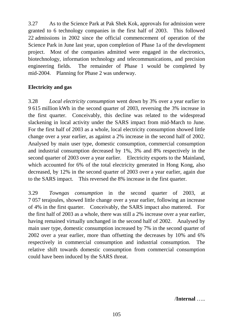3.27 As to the Science Park at Pak Shek Kok, approvals for admission were granted to 6 technology companies in the first half of 2003. This followed 22 admissions in 2002 since the official commencement of operation of the Science Park in June last year, upon completion of Phase 1a of the development project. Most of the companies admitted were engaged in the electronics, biotechnology, information technology and telecommunications, and precision engineering fields. The remainder of Phase 1 would be completed by mid-2004. Planning for Phase 2 was underway.

# **Electricity and gas**

3.28 *Local electricity consumption* went down by 3% over a year earlier to 9 615 million kWh in the second quarter of 2003, reversing the 3% increase in the first quarter. Conceivably, this decline was related to the widespread slackening in local activity under the SARS impact from mid-March to June. For the first half of 2003 as a whole, local electricity consumption showed little change over a year earlier, as against a 2% increase in the second half of 2002. Analysed by main user type, domestic consumption, commercial consumption and industrial consumption decreased by 1%, 3% and 8% respectively in the second quarter of 2003 over a year earlier. Electricity exports to the Mainland, which accounted for 6% of the total electricity generated in Hong Kong, also decreased, by 12% in the second quarter of 2003 over a year earlier, again due to the SARS impact. This reversed the 8% increase in the first quarter.

3.29 *Towngas consumption* in the second quarter of 2003, at 7 057 terajoules, showed little change over a year earlier, following an increase of 4% in the first quarter. Conceivably, the SARS impact also mattered. For the first half of 2003 as a whole, there was still a 2% increase over a year earlier, having remained virtually unchanged in the second half of 2002. Analysed by main user type, domestic consumption increased by 7% in the second quarter of 2002 over a year earlier, more than offsetting the decreases by 10% and 6% respectively in commercial consumption and industrial consumption. The relative shift towards domestic consumption from commercial consumption could have been induced by the SARS threat.

/**Internal** …..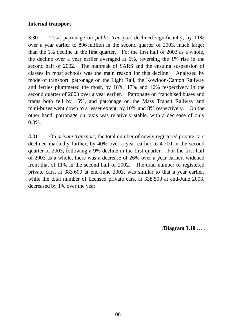# **Internal transport**

3.30 Total patronage on *public transport* declined significantly, by 11% over a year earlier to 896 million in the second quarter of 2003, much larger than the 1% decline in the first quarter. For the first half of 2003 as a whole, the decline over a year earlier averaged at 6%, reversing the 1% rise in the second half of 2002. The outbreak of SARS and the ensuing suspension of classes in most schools was the main reason for this decline. Analysed by mode of transport, patronage on the Light Rail, the Kowloon-Canton Railway and ferries plummeted the most, by 18%, 17% and 16% respectively in the second quarter of 2003 over a year earlier. Patronage on franchised buses and trams both fell by 15%, and patronage on the Mass Transit Railway and mini-buses went down to a lesser extent, by 10% and 8% respectively. On the other hand, patronage on taxis was relatively stable, with a decrease of only 0.3%.

3.31 On *private transport*, the total number of newly registered private cars declined markedly further, by 40% over a year earlier to 4 700 in the second quarter of 2003, following a 9% decline in the first quarter. For the first half of 2003 as a whole, there was a decrease of 26% over a year earlier, widened from that of 11% in the second half of 2002. The total number of registered private cars, at 383 600 at end-June 2003, was similar to that a year earlier, while the total number of licensed private cars, at 338 500 at end-June 2003, decreased by 1% over the year.

/**Diagram 3.10** …..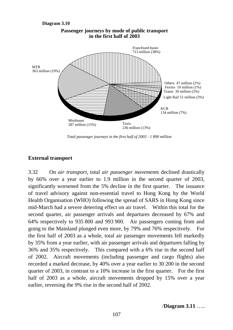

**Passenger journeys by mode of public transport** 

*Total passenger journeys in the first half of 2003 : 1 890 million*

## **External transport**

**Diagram 3.10**

3.32 On *air transport*, total *air passenger movements* declined drastically by 66% over a year earlier to 1.9 million in the second quarter of 2003, significantly worsened from the 5% decline in the first quarter. The issuance of travel advisory against non-essential travel to Hong Kong by the World Health Organisation (WHO) following the spread of SARS in Hong Kong since mid-March had a severe deterring effect on air travel. Within this total for the second quarter, air passenger arrivals and departures decreased by 67% and 64% respectively to 935 800 and 993 900. Air passengers coming from and going to the Mainland plunged even more, by 79% and 76% respectively. For the first half of 2003 as a whole, total air passenger movements fell markedly by 35% from a year earlier, with air passenger arrivals and departures falling by 36% and 35% respectively. This compared with a 6% rise in the second half of 2002. Aircraft movements (including passenger and cargo flights) also recorded a marked decrease, by 40% over a year earlier to 30 200 in the second quarter of 2003, in contrast to a 10% increase in the first quarter. For the first half of 2003 as a whole, aircraft movements dropped by 15% over a year earlier, reversing the 9% rise in the second half of 2002.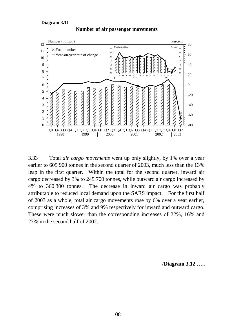

**Number of air passenger movements**

3.33 Total *air cargo movements* went up only slightly, by 1% over a year earlier to 605 900 tonnes in the second quarter of 2003, much less than the 13% leap in the first quarter. Within the total for the second quarter, inward air cargo decreased by 3% to 245 700 tonnes, while outward air cargo increased by 4% to 360 300 tonnes. The decrease in inward air cargo was probably attributable to reduced local demand upon the SARS impact. For the first half of 2003 as a whole, total air cargo movements rose by 6% over a year earlier, comprising increases of 3% and 9% respectively for inward and outward cargo. These were much slower than the corresponding increases of 22%, 16% and 27% in the second half of 2002.

/**Diagram 3.12** …..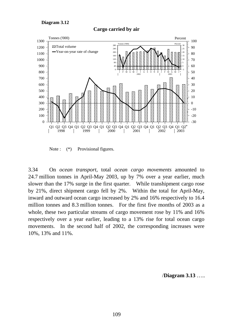**Cargo carried by air**



Note :  $(*)$  Provisional figures.

3.34 On *ocean transport*, total *ocean cargo movements* amounted to 24.7 million tonnes in April-May 2003, up by 7% over a year earlier, much slower than the 17% surge in the first quarter. While transhipment cargo rose by 21%, direct shipment cargo fell by 2%. Within the total for April-May, inward and outward ocean cargo increased by 2% and 16% respectively to 16.4 million tonnes and 8.3 million tonnes. For the first five months of 2003 as a whole, these two particular streams of cargo movement rose by 11% and 16% respectively over a year earlier, leading to a 13% rise for total ocean cargo movements. In the second half of 2002, the corresponding increases were 10%, 13% and 11%.

/**Diagram 3.13** …..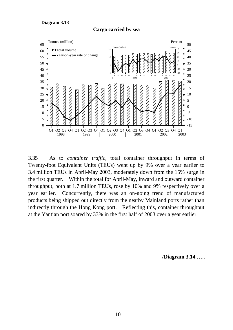

**Cargo carried by sea**

3.35 As to *container traffic*, total container throughput in terms of Twenty-foot Equivalent Units (TEUs) went up by 9% over a year earlier to 3.4 million TEUs in April-May 2003, moderately down from the 15% surge in the first quarter. Within the total for April-May, inward and outward container throughput, both at 1.7 million TEUs, rose by 10% and 9% respectively over a year earlier. Concurrently, there was an on-going trend of manufactured products being shipped out directly from the nearby Mainland ports rather than indirectly through the Hong Kong port. Reflecting this, container throughput at the Yantian port soared by 33% in the first half of 2003 over a year earlier.

/**Diagram 3.14** …..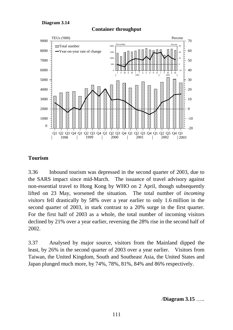**Container throughput**



## **Tourism**

3.36 Inbound tourism was depressed in the second quarter of 2003, due to the SARS impact since mid-March. The issuance of travel advisory against non-essential travel to Hong Kong by WHO on 2 April, though subsequently lifted on 23 May, worsened the situation. The total number of *incoming visitors* fell drastically by 58% over a year earlier to only 1.6 million in the second quarter of 2003, in stark contrast to a 20% surge in the first quarter. For the first half of 2003 as a whole, the total number of incoming visitors declined by 21% over a year earlier, reversing the 28% rise in the second half of 2002.

3.37 Analysed by major source, visitors from the Mainland dipped the least, by 26% in the second quarter of 2003 over a year earlier. Visitors from Taiwan, the United Kingdom, South and Southeast Asia, the United States and Japan plunged much more, by 74%, 78%, 81%, 84% and 86% respectively.

/**Diagram 3.15** …..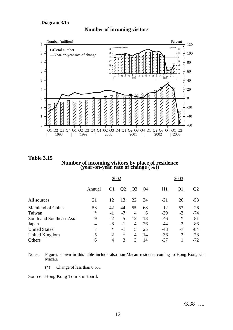



**Table 3.15 Number of incoming visitors by place of residence (year-on-year rate of change (%))**

| 2002   |                |              |                |           |       | 2003      |                |  |
|--------|----------------|--------------|----------------|-----------|-------|-----------|----------------|--|
| Annual | $\mathbf{Q}$ 1 | $\mathbf{Q}$ | $Q_3$          | <u>Q4</u> | H1    | <u>Q1</u> | $\mathcal{Q}2$ |  |
| 21     | 12             | 13           | 22             | 34        | $-21$ | 20        | $-58$          |  |
| 53     | 42             | 44           | 55             | 68        | 12    | 53        | $-26$          |  |
| *      | $-1$           | $-7$         | 4              | 6         | $-39$ | $-3$      | $-74$          |  |
| 9      | $-2$           | 5            | 12             | 18        | $-46$ | ∗         | $-81$          |  |
| 4      | $-8$           | $-1$         | $\overline{4}$ | 26        | $-44$ | $-2$      | $-86$          |  |
| 7      | $\ast$         | $-1$         | 5              | 25        | $-48$ | $-7$      | $-84$          |  |
| 5      | 2              | $\ast$       | 4              | 14        | $-36$ | 2         | $-78$          |  |
| 6      | 4              | 3            | 3              | 14        | $-37$ |           | $-72$          |  |
|        |                |              |                |           |       |           |                |  |

Notes : Figures shown in this table include also non-Macau residents coming to Hong Kong via Macau.

(\*) Change of less than 0.5%.

Source : Hong Kong Tourism Board.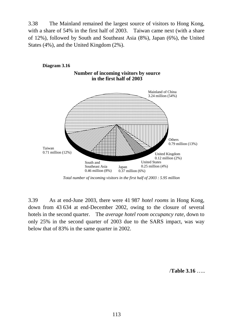3.38 The Mainland remained the largest source of visitors to Hong Kong, with a share of 54% in the first half of 2003. Taiwan came next (with a share of 12%), followed by South and Southeast Asia (8%), Japan (6%), the United States (4%), and the United Kingdom (2%).



*Total number of incoming visitors in the first half of 2003 : 5.95 million*

3.39 As at end-June 2003, there were 41 987 *hotel rooms* in Hong Kong, down from 43 634 at end-December 2002, owing to the closure of several hotels in the second quarter. The *average hotel room occupancy rate*, down to only 25% in the second quarter of 2003 due to the SARS impact, was way below that of 83% in the same quarter in 2002.

/**Table 3.16** …..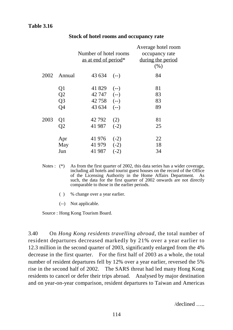# **Table 3.16**

|      |                 | Number of hotel rooms<br>as at end of period <sup>*</sup> |        | Average hotel room<br>occupancy rate<br>during the period<br>(% ) |
|------|-----------------|-----------------------------------------------------------|--------|-------------------------------------------------------------------|
| 2002 | Annual          | 43 634                                                    | $(--)$ | 84                                                                |
|      | Q1              | 41 829                                                    | $(-)$  | 81                                                                |
|      | Q2              | 42 747                                                    | $(--)$ | 83                                                                |
|      | Q <sub>3</sub>  | 42 758                                                    | $(-)$  | 83                                                                |
|      | Q4              | 43 634                                                    | $(--)$ | 89                                                                |
| 2003 | Q1              | 42 792                                                    | (2)    | 81                                                                |
|      | $\overline{Q2}$ | 41 987                                                    | $(-2)$ | 25                                                                |
|      | Apr             | 41 976                                                    | $(-2)$ | 22                                                                |
|      | May             | 41 979                                                    | $(-2)$ | 18                                                                |
|      | Jun             | 41 987                                                    | $(-2)$ | 34                                                                |

#### **Stock of hotel rooms and occupancy rate**

- Notes : (\*) As from the first quarter of 2002, this data series has a wider coverage, including all hotels and tourist guest houses on the record of the Office of the Licensing Authority in the Home Affairs Department. As such, the data for the first quarter of 2002 onwards are not directly comparable to those in the earlier periods.
	- ( ) % change over a year earlier.
	- (--) Not applicable.

Source : Hong Kong Tourism Board.

3.40 On *Hong Kong residents travelling abroad*, the total number of resident departures decreased markedly by 21% over a year earlier to 12.3 million in the second quarter of 2003, significantly enlarged from the 4% decrease in the first quarter. For the first half of 2003 as a whole, the total number of resident departures fell by 12% over a year earlier, reversed the 5% rise in the second half of 2002. The SARS threat had led many Hong Kong residents to cancel or defer their trips abroad. Analysed by major destination and on year-on-year comparison, resident departures to Taiwan and Americas

/declined …..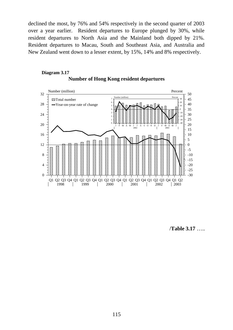declined the most, by 76% and 54% respectively in the second quarter of 2003 over a year earlier. Resident departures to Europe plunged by 30%, while resident departures to North Asia and the Mainland both dipped by 21%. Resident departures to Macau, South and Southeast Asia, and Australia and New Zealand went down to a lesser extent, by 15%, 14% and 8% respectively.

#### **Number of Hong Kong resident departures Diagram 3.17**



/**Table 3.17** …..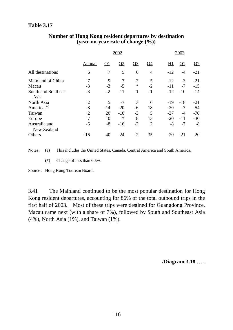## **Table 3.17**

|                              |                | 2002                      |                 |                |                | 2003      |           |               |
|------------------------------|----------------|---------------------------|-----------------|----------------|----------------|-----------|-----------|---------------|
|                              | <b>Annual</b>  | $\overline{\mathrm{Q}}$ 1 | $\overline{Q2}$ | Q <sub>3</sub> | <u>Q4</u>      | <u>H1</u> | <u>Q1</u> | $\mathbf{Q}2$ |
| All destinations             | 6              | 7                         | 5               | 6              | $\overline{4}$ | $-12$     | $-4$      | $-21$         |
| Mainland of China            | 7              | 9                         | 7               | 7              | 5              | $-12$     | $-3$      | $-21$         |
| Macau                        | $-3$           | $-3$                      | $-5$            | ∗              | $-2$           | $-11$     | $-7$      | $-15$         |
| South and Southeast<br>Asia  | $-3$           | $-2$                      | $-11$           | 1              | $-1$           | $-12$     | $-10$     | $-14$         |
| North Asia                   | $\overline{2}$ | 5                         | $-7$            | 3              | 6              | $-19$     | $-18$     | $-21$         |
| Americas <sup>(a)</sup>      | $-8$           | $-14$                     | $-20$           | -6             | 18             | $-30$     | $-7$      | $-54$         |
| Taiwan                       | $\overline{2}$ | 20                        | $-10$           | $-3$           | 5              | $-37$     | $-4$      | $-76$         |
| Europe                       | 7              | 10                        | ∗               | 8              | 13             | $-20$     | $-11$     | $-30$         |
| Australia and<br>New Zealand | -6             | $-8$                      | $-16$           | $-2$           | $\overline{2}$ | $-8$      | $-7$      | $-8$          |
| Others                       | $-16$          | $-40$                     | $-24$           | $-2$           | 35             | $-20$     | $-21$     | $-20$         |
|                              |                |                           |                 |                |                |           |           |               |

## **Number of Hong Kong resident departures by destination (year-on-year rate of change (%))**

Notes : (a) This includes the United States, Canada, Central America and South America.

(\*) Change of less than 0.5%.

Source : Hong Kong Tourism Board.

3.41 The Mainland continued to be the most popular destination for Hong Kong resident departures, accounting for 86% of the total outbound trips in the first half of 2003. Most of these trips were destined for Guangdong Province. Macau came next (with a share of 7%), followed by South and Southeast Asia (4%), North Asia (1%), and Taiwan (1%).

/**Diagram 3.18** …..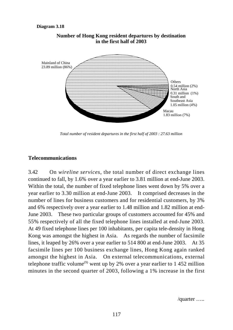

#### **Number of Hong Kong resident departures by destination in the first half of 2003**

*Total number of resident departures in the first half of 2003 : 27.63 million*

### **Telecommunications**

3.42 On *wireline services*, the total number of direct exchange lines continued to fall, by 1.6% over a year earlier to 3.81 million at end-June 2003. Within the total, the number of fixed telephone lines went down by 5% over a year earlier to 3.30 million at end-June 2003. It comprised decreases in the number of lines for business customers and for residential customers, by 3% and 6% respectively over a year earlier to 1.48 million and 1.82 million at end-June 2003. These two particular groups of customers accounted for 45% and 55% respectively of all the fixed telephone lines installed at end-June 2003. At 49 fixed telephone lines per 100 inhabitants, per capita tele-density in Hong Kong was amongst the highest in Asia. As regards the number of facsimile lines, it leaped by 26% over a year earlier to 514 800 at end-June 2003. At 35 facsimile lines per 100 business exchange lines, Hong Kong again ranked amongst the highest in Asia. On external telecommunications, external telephone traffic volume<sup>(9)</sup> went up by 2% over a year earlier to 1 452 million minutes in the second quarter of 2003, following a 1% increase in the first

/quarter …..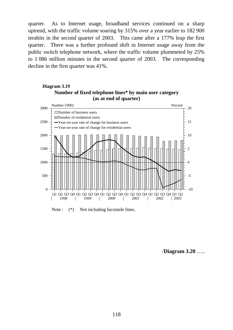quarter. As to Internet usage, broadband services continued on a sharp uptrend, with the traffic volume soaring by 315% over a year earlier to 182 900 terabits in the second quarter of 2003. This came after a 177% leap the first quarter. There was a further profound shift in Internet usage away from the public switch telephone network, where the traffic volume plummeted by 25% to 1 086 million minutes in the second quarter of 2003. The corresponding decline in the first quarter was 41%.

### **Number of fixed telephone lines\* by main user category (as at end of quarter) Diagram 3.19**



Note :  $(*)$  Not including facsimile lines.

/**Diagram 3.20** …..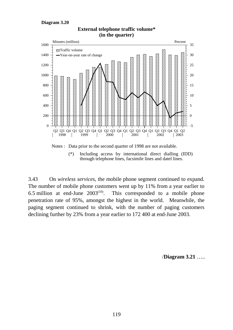

3.43 On *wireless services*, the mobile phone segment continued to expand. The number of mobile phone customers went up by 11% from a year earlier to 6.5 million at end-June  $2003^{(10)}$ . This corresponded to a mobile phone penetration rate of 95%, amongst the highest in the world. Meanwhile, the paging segment continued to shrink, with the number of paging customers declining further by 23% from a year earlier to 172 400 at end-June 2003.

# **External telephone traffic volume\* (in the quarter)**

/**Diagram 3.21** …..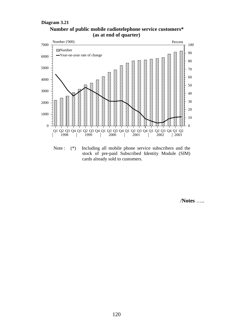



Note : (\*) Including all mobile phone service subscribers and the stock of pre-paid Subscribed Identity Module (SIM) cards already sold to customers.

/**Notes** …..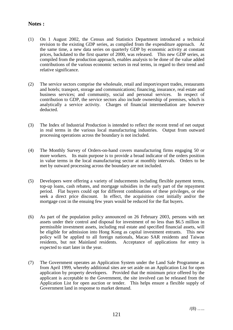## **Notes :**

- (1) On 1 August 2002, the Census and Statistics Department introduced a technical revision to the existing GDP series, as compiled from the expenditure approach. At the same time, a new data series on quarterly GDP by economic activity at constant prices, backdated to the first quarter of 2000, was released. This new GDP series, as compiled from the production approach, enables analysis to be done of the value added contributions of the various economic sectors in real terms, in regard to their trend and relative significance.
- (2) The service sectors comprise the wholesale, retail and import/export trades, restaurants and hotels; transport, storage and communications; financing, insurance, real estate and business services; and community, social and personal services. In respect of contribution to GDP, the service sectors also include ownership of premises, which is analytically a service activity. Charges of financial intermediation are however deducted.
- (3) The Index of Industrial Production is intended to reflect the recent trend of net output in real terms in the various local manufacturing industries. Output from outward processing operations across the boundary is not included.
- (4) The Monthly Survey of Orders-on-hand covers manufacturing firms engaging 50 or more workers. Its main purpose is to provide a broad indicator of the orders position in value terms in the local manufacturing sector at monthly intervals. Orders to be met by outward processing across the boundary are not included.
- (5) Developers were offering a variety of inducements including flexible payment terms, top-up loans, cash rebates, and mortgage subsidies in the early part of the repayment period. Flat buyers could opt for different combinations of these privileges, or else seek a direct price discount. In effect, the acquisition cost initially and/or the mortgage cost in the ensuing few years would be reduced for the flat buyers.
- (6) As part of the population policy announced on 26 February 2003, persons with net assets under their control and disposal for investment of no less than \$6.5 million in permissible investment assets, including real estate and specified financial assets, will be eligible for admission into Hong Kong as capital investment entrants. This new policy will be applied to all foreign nationals, Macao SAR residents and Taiwan residents, but not Mainland residents. Acceptance of applications for entry is expected to start later in the year.
- (7) The Government operates an Application System under the Land Sale Programme as from April 1999, whereby additional sites are set aside on an Application List for open application by property developers. Provided that the minimum price offered by the applicant is acceptable to the Government, the site involved can be released from the Application List for open auction or tender. This helps ensure a flexible supply of Government land in response to market demand.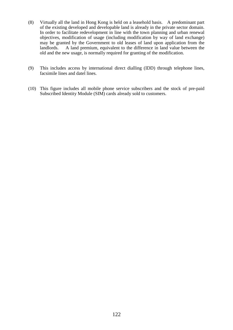- (8) Virtually all the land in Hong Kong is held on a leasehold basis. A predominant part of the existing developed and developable land is already in the private sector domain. In order to facilitate redevelopment in line with the town planning and urban renewal objectives, modification of usage (including modification by way of land exchange) may be granted by the Government to old leases of land upon application from the landlords. A land premium, equivalent to the difference in land value between the old and the new usage, is normally required for granting of the modification.
- (9) This includes access by international direct dialling (IDD) through telephone lines, facsimile lines and datel lines.
- (10) This figure includes all mobile phone service subscribers and the stock of pre-paid Subscribed Identity Module (SIM) cards already sold to customers.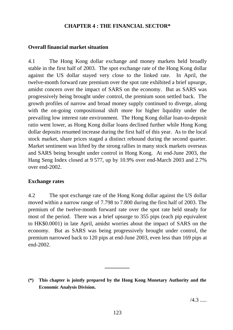## **CHAPTER 4 : THE FINANCIAL SECTOR\***

## **Overall financial market situation**

4.1 The Hong Kong dollar exchange and money markets held broadly stable in the first half of 2003. The spot exchange rate of the Hong Kong dollar against the US dollar stayed very close to the linked rate. In April, the twelve-month forward rate premium over the spot rate exhibited a brief upsurge, amidst concern over the impact of SARS on the economy. But as SARS was progressively being brought under control, the premium soon settled back. The growth profiles of narrow and broad money supply continued to diverge, along with the on-going compositional shift more for higher liquidity under the prevailing low interest rate environment. The Hong Kong dollar loan-to-deposit ratio went lower, as Hong Kong dollar loans declined further while Hong Kong dollar deposits resumed increase during the first half of this year. As to the local stock market, share prices staged a distinct rebound during the second quarter. Market sentiment was lifted by the strong rallies in many stock markets overseas and SARS being brought under control in Hong Kong. At end-June 2003, the Hang Seng Index closed at 9 577, up by 10.9% over end-March 2003 and 2.7% over end-2002.

## **Exchange rates**

4.2 The spot exchange rate of the Hong Kong dollar against the US dollar moved within a narrow range of 7.798 to 7.800 during the first half of 2003. The premium of the twelve-month forward rate over the spot rate held steady for most of the period. There was a brief upsurge to 355 pips (each pip equivalent to HK\$0.0001) in late April, amidst worries about the impact of SARS on the economy. But as SARS was being progressively brought under control, the premium narrowed back to 120 pips at end-June 2003, even less than 169 pips at end-2002.

**\_\_\_\_\_\_\_\_\_**

**<sup>(\*)</sup> This chapter is jointly prepared by the Hong Kong Monetary Authority and the Economic Analysis Division.**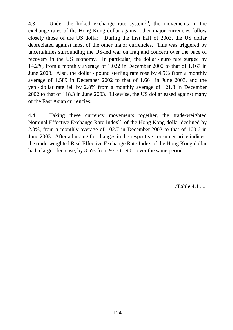4.3 Under the linked exchange rate system $(1)$ , the movements in the exchange rates of the Hong Kong dollar against other major currencies follow closely those of the US dollar. During the first half of 2003, the US dollar depreciated against most of the other major currencies. This was triggered by uncertainties surrounding the US-led war on Iraq and concern over the pace of recovery in the US economy. In particular, the dollar - euro rate surged by 14.2%, from a monthly average of 1.022 in December 2002 to that of 1.167 in June 2003. Also, the dollar - pound sterling rate rose by 4.5% from a monthly average of 1.589 in December 2002 to that of 1.661 in June 2003, and the yen - dollar rate fell by 2.8% from a monthly average of 121.8 in December 2002 to that of 118.3 in June 2003. Likewise, the US dollar eased against many of the East Asian currencies.

4.4 Taking these currency movements together, the trade-weighted Nominal Effective Exchange Rate Index<sup>(2)</sup> of the Hong Kong dollar declined by 2.0%, from a monthly average of 102.7 in December 2002 to that of 100.6 in June 2003. After adjusting for changes in the respective consumer price indices, the trade-weighted Real Effective Exchange Rate Index of the Hong Kong dollar had a larger decrease, by 3.5% from 93.3 to 90.0 over the same period.

/**Table 4.1** .....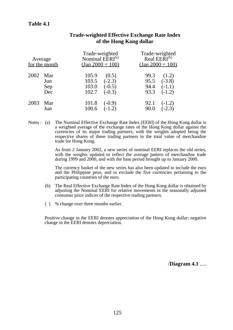## **Table 4.1**

| Average | for the month |       | Trade-weighted<br>Nominal EERI <sup>(a)</sup><br>$\frac{(\text{Jan } 2000 = 100)}{(\text{Jan } 2000 = 100)}$ | Trade-weighted<br>Real EERI <sup>(b)</sup> | $\frac{(\text{Jan }2000 = 100)}{(\text{Jan }2000 = 100)}$ |
|---------|---------------|-------|--------------------------------------------------------------------------------------------------------------|--------------------------------------------|-----------------------------------------------------------|
| 2002    | Mar           | 105.9 | (0.5)                                                                                                        | 99.3                                       | (1.2)                                                     |
|         | Jun           | 103.5 | $(-2.3)$                                                                                                     | 95.5                                       | $(-3.8)$                                                  |
|         | Sep           | 103.0 | $(-0.5)$                                                                                                     | 94.4                                       | $(-1.1)$                                                  |
|         | Dec           | 102.7 | $(-0.3)$                                                                                                     | 93.3                                       | $(-1.2)$                                                  |
| 2003    | Mar           | 101.8 | $(-0.9)$                                                                                                     | 92.1                                       | $(-1.2)$                                                  |
|         | Jun           | 100.6 | $(-1.2)$                                                                                                     | 90.0                                       | $(-2.3)$                                                  |

## **Trade-weighted Effective Exchange Rate Index of the Hong Kong dollar**

Notes : (a) The Nominal Effective Exchange Rate Index (EERI) of the Hong Kong dollar is a weighted average of the exchange rates of the Hong Kong dollar against the currencies of its major trading partners, with the weights adopted being the respective shares of these trading partners in the total value of merchandise trade for Hong Kong.

> As from 2 January 2002, a new series of nominal EERI replaces the old series, with the weights updated to reflect the average pattern of merchandise trade during 1999 and 2000, and with the base period brought up to January 2000.

> The currency basket of the new series has also been updated to include the euro and the Philippine peso, and to exclude the five currencies pertaining to the participating countries of the euro.

- (b) The Real Effective Exchange Rate Index of the Hong Kong dollar is obtained by adjusting the Nominal EERI for relative movements in the seasonally adjusted consumer price indices of the respective trading partners.
- ( ) % change over three months earlier.

Positive change in the EERI denotes appreciation of the Hong Kong dollar; negative change in the EERI denotes depreciation.

/**Diagram 4.1** .....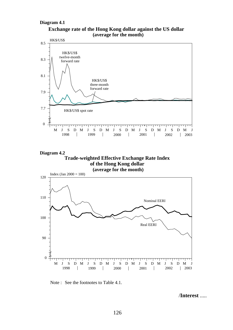#### **Diagram 4.1**





**Diagram 4.2 Trade-weighted Effective Exchange Rate Index of the Hong Kong dollar (average for the month)**



Note : See the footnotes to Table 4.1.

/**Interest** .....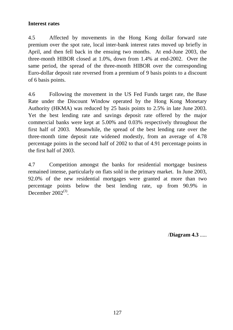# **Interest rates**

4.5 Affected by movements in the Hong Kong dollar forward rate premium over the spot rate, local inter-bank interest rates moved up briefly in April, and then fell back in the ensuing two months. At end-June 2003, the three-month HIBOR closed at 1.0%, down from 1.4% at end-2002. Over the same period, the spread of the three-month HIBOR over the corresponding Euro-dollar deposit rate reversed from a premium of 9 basis points to a discount of 6 basis points.

4.6 Following the movement in the US Fed Funds target rate, the Base Rate under the Discount Window operated by the Hong Kong Monetary Authority (HKMA) was reduced by 25 basis points to 2.5% in late June 2003. Yet the best lending rate and savings deposit rate offered by the major commercial banks were kept at 5.00% and 0.03% respectively throughout the first half of 2003. Meanwhile, the spread of the best lending rate over the three-month time deposit rate widened modestly, from an average of 4.78 percentage points in the second half of 2002 to that of 4.91 percentage points in the first half of 2003.

4.7 Competition amongst the banks for residential mortgage business remained intense, particularly on flats sold in the primary market. In June 2003, 92.0% of the new residential mortgages were granted at more than two percentage points below the best lending rate, up from 90.9% in December  $2002^{(3)}$ .

/**Diagram 4.3** .....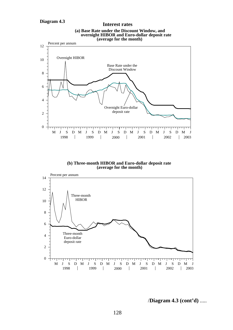



**(b) Three-month HIBOR and Euro-dollar deposit rate (average for the month)**



/**Diagram 4.3 (cont'd)** .....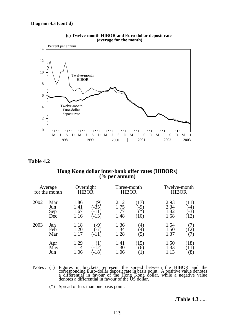



#### **Table 4.2**

#### **Hong Kong dollar inter-bank offer rates (HIBORs) (% per annum)**

|      | Average<br>for the month | Overnight<br>HIBOR           |                                      | Three-month<br><b>HIBOR</b>  |                                     | Twelve-month<br><b>HIBOR</b> |                             |
|------|--------------------------|------------------------------|--------------------------------------|------------------------------|-------------------------------------|------------------------------|-----------------------------|
| 2002 | Mar<br>Jun<br>Sep<br>Dec | 1.86<br>1.41<br>1.67<br>1.16 | (9)<br>$-35$<br>$-11)$<br>$(-13)$    | 2.12<br>1.75<br>1.77<br>1.48 | (17)<br>$-9^\circ$<br>′*<br>(10)    | 2.93<br>2.34<br>1.82<br>1.68 | (11)<br>-4<br>$-3)$<br>(12) |
| 2003 | Jan<br>Feb<br>Mar        | 1.18<br>1.20<br>1.17         | $-9)$<br>$-7^\circ$<br>$(-11)$       | 1.36<br>1.34<br>1.28         | $\left( 4\right)$<br>$\binom{4}{5}$ | 1.54<br>1.50<br>1.37         | 12)<br>7)                   |
|      | Apr<br>May<br>Jun        | 1.29<br>1.14<br>1.06         | $\left(1\right)$<br>$-12)$<br>$-18)$ | 1.41<br>1.30<br>1.06         | (15)<br>$\epsilon$ <sup>o</sup>     | 1.50<br>1.33<br>1.13         | (18)<br>(11)<br>(8)         |

- Notes: () Figures in brackets represent the spread between the HIBOR and the corresponding Euro-dollar deposit rate in basis point. A positive value denotes a differential in favour of the Hong Kong dollar, while a negativ
	- (\*) Spread of less than one basis point.

## /**Table 4.3** .....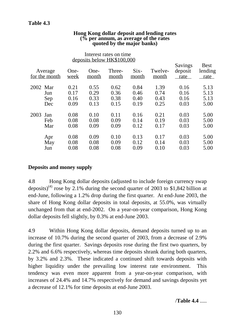| Average<br>for the month      | One-<br>week                 | One-<br>month                | Three-<br>month              | $Six-$<br>month              | Twelve-<br>month             | Savings<br>deposit<br>rate   | <b>Best</b><br>lending<br>rate |
|-------------------------------|------------------------------|------------------------------|------------------------------|------------------------------|------------------------------|------------------------------|--------------------------------|
| 2002 Mar<br>Jun<br>Sep<br>Dec | 0.21<br>0.17<br>0.16<br>0.09 | 0.55<br>0.29<br>0.33<br>0.13 | 0.62<br>0.36<br>0.38<br>0.15 | 0.84<br>0.46<br>0.40<br>0.19 | 1.39<br>0.74<br>0.43<br>0.25 | 0.16<br>0.16<br>0.16<br>0.03 | 5.13<br>5.13<br>5.13<br>5.00   |
| 2003<br>Jan<br>Feb<br>Mar     | 0.08<br>0.08<br>0.08         | 0.10<br>0.08<br>0.09         | 0.11<br>0.09<br>0.09         | 0.16<br>0.14<br>0.12         | 0.21<br>0.19<br>0.17         | 0.03<br>0.03<br>0.03         | 5.00<br>5.00<br>5.00           |
| Apr<br>May<br>Jun             | 0.08<br>0.08<br>0.08         | 0.09<br>0.08<br>0.08         | 0.10<br>0.09<br>0.08         | 0.13<br>0.12<br>0.09         | 0.17<br>0.14<br>0.10         | 0.03<br>0.03<br>0.03         | 5.00<br>5.00<br>5.00           |

#### **Hong Kong dollar deposit and lending rates (% per annum, as average of the rates quoted by the major banks)**

Interest rates on time

## **Deposits and money supply**

4.8 Hong Kong dollar deposits (adjusted to include foreign currency swap deposits)<sup>(4)</sup> rose by 2.1% during the second quarter of 2003 to \$1,842 billion at end-June, following a 1.2% drop during the first quarter. At end-June 2003, the share of Hong Kong dollar deposits in total deposits, at 55.0%, was virtually unchanged from that at end-2002. On a year-on-year comparison, Hong Kong dollar deposits fell slightly, by 0.3% at end-June 2003.

4.9 Within Hong Kong dollar deposits, demand deposits turned up to an increase of 10.7% during the second quarter of 2003, from a decrease of 2.9% during the first quarter. Savings deposits rose during the first two quarters, by 2.2% and 6.6% respectively, whereas time deposits shrank during both quarters, by 3.2% and 2.3%. These indicated a continued shift towards deposits with higher liquidity under the prevailing low interest rate environment. This tendency was even more apparent from a year-on-year comparison, with increases of 24.4% and 14.7% respectively for demand and savings deposits yet a decrease of 12.1% for time deposits at end-June 2003.

/**Table 4.4** .....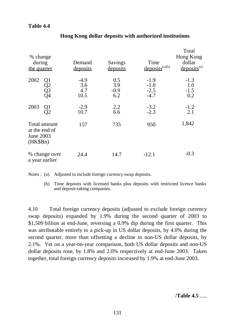## **Table 4.4**

| % change<br>during<br>the quarter                      | Demand<br>deposits           | Savings<br>deposits         | Time<br>$deposits^{(a)(b)}$          | Total<br>Hong Kong<br>dollar<br>$deposits^{(a)}$ |
|--------------------------------------------------------|------------------------------|-----------------------------|--------------------------------------|--------------------------------------------------|
| 2002<br>Q1<br>Q2<br>Q3<br>Q4                           | $-4.9$<br>3.6<br>4.7<br>10.5 | 0.5<br>3.9<br>$-0.9$<br>6.2 | $-1.9$<br>$-1.0$<br>$-2.5$<br>$-4.7$ | $-1.3$<br>1.0<br>$-1.5$<br>0.2                   |
| 2003<br>$\frac{Q1}{Q2}$                                | $-2.9$<br>10.7               | 2.2<br>6.6                  | $-3.2$<br>$-2.3$                     | $-1.2$<br>2.1                                    |
| Total amount<br>at the end of<br>June 2003<br>(HK\$Bn) | 157                          | 735                         | 950                                  | 1,842                                            |
| % change over<br>a year earlier                        | 24.4                         | 14.7                        | $-12.1$                              | $-0.3$                                           |

## **Hong Kong dollar deposits with authorized institutions**

Notes : (a) Adjusted to include foreign currency swap deposits.

(b) Time deposits with licensed banks plus deposits with restricted licence banks and deposit-taking companies.

4.10 Total foreign currency deposits (adjusted to exclude foreign currency swap deposits) expanded by 1.9% during the second quarter of 2003 to \$1,509 billion at end-June, reversing a 0.9% dip during the first quarter. This was attributable entirely to a pick-up in US dollar deposits, by 4.0% during the second quarter, more than offsetting a decline in non-US dollar deposits, by 2.1%. Yet on a year-on-year comparison, both US dollar deposits and non-US dollar deposits rose, by 1.8% and 2.0% respectively at end-June 2003. Taken together, total foreign currency deposits increased by 1.9% at end-June 2003.

/**Table 4.5** .....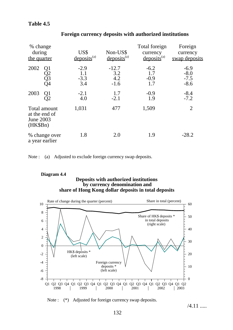## **Table 4.5**

| % change<br>during<br>the quarter                        | US\$<br>$deposits^{(a)}$       | Non-US\$<br>$deposits^{(a)}$    | Total foreign<br>currency<br>$deposits^{(a)}$ | Foreign<br>currency<br>swap deposits |
|----------------------------------------------------------|--------------------------------|---------------------------------|-----------------------------------------------|--------------------------------------|
| 2002<br>Q1<br>Q2<br>Q3<br>Q4                             | $-2.9$<br>1.1<br>$-3.3$<br>3.4 | $-12.7$<br>3.2<br>4.2<br>$-1.6$ | $-6.2$<br>1.7<br>$-0.9$<br>1.7                | $-6.9$<br>$-8.0$<br>$-7.5$<br>$-8.6$ |
| 2003<br>Q1<br>Ĵ2                                         | $-2.1$<br>4.0                  | 1.7<br>$-2.1$                   | $-0.9$<br>1.9                                 | $-8.4$<br>$-7.2$                     |
| Total amount<br>at the end of<br>June 2003<br>$(HK\$Bn)$ | 1,031                          | 477                             | 1,509                                         | $\overline{2}$                       |
| % change over<br>a year earlier                          | 1.8                            | 2.0                             | 1.9                                           | $-28.2$                              |

## **Foreign currency deposits with authorized institutions**

Note : (a) Adjusted to exclude foreign currency swap deposits.

#### **Deposits with authorized institutions by currency denomination and Diagram 4.4 share of Hong Kong dollar deposits in total deposits**



Note : (\*) Adjusted for foreign currency swap deposits.

/4.11 .....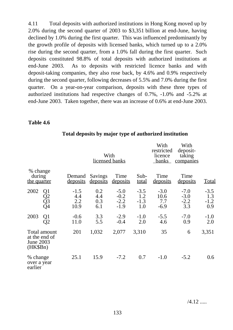4.11 Total deposits with authorized institutions in Hong Kong moved up by 2.0% during the second quarter of 2003 to \$3,351 billion at end-June, having declined by 1.0% during the first quarter. This was influenced predominantly by the growth profile of deposits with licensed banks, which turned up to a 2.0% rise during the second quarter, from a 1.0% fall during the first quarter. Such deposits constituted 98.8% of total deposits with authorized institutions at end-June 2003. As to deposits with restricted licence banks and with deposit-taking companies, they also rose back, by 4.6% and 0.9% respectively during the second quarter, following decreases of 5.5% and 7.0% during the first quarter. On a year-on-year comparison, deposits with these three types of authorized institutions had respective changes of 0.7%, -1.0% and -5.2% at end-June 2003. Taken together, there was an increase of 0.6% at end-June 2003.

### **Table 4.6**

|                                    |                               |                              | With<br>licensed banks   |                                      |                                | With<br>restricted<br>licence<br>banks | With<br>deposit-<br>taking<br>companies |                                |
|------------------------------------|-------------------------------|------------------------------|--------------------------|--------------------------------------|--------------------------------|----------------------------------------|-----------------------------------------|--------------------------------|
| % change<br>during<br>the quarter  |                               | Demand<br>deposits           | Savings<br>deposits      | Time<br>deposits                     | Sub-<br><u>total</u>           | Time<br><u>deposits</u>                | Time<br><u>deposits</u>                 | <u>Total</u>                   |
| 2002                               | Q1<br>Q2<br>Q3<br>Q4          | $-1.5$<br>4.4<br>2.2<br>10.9 | 0.2<br>4.4<br>0.3<br>6.1 | $-5.0$<br>$-0.2$<br>$-2.2$<br>$-1.9$ | $-3.5$<br>1.2<br>$-1.3$<br>1.0 | $-3.0$<br>10.6<br>7.7<br>$-6.9$        | $-7.0$<br>$-3.0$<br>$-2.2$<br>3.3       | $-3.5$<br>1.3<br>$-1.2$<br>0.9 |
| 2003                               | $\frac{Q1}{Q2}$               | $-0.6$<br>11.0               | 3.3<br>5.5               | $-2.9$<br>$-0.4$                     | $-1.0$<br>2.0                  | $-5.5$<br>4.6                          | $-7.0$<br>0.9                           | $-1.0$<br>2.0                  |
| June 2003<br>(HK\$Bn)              | Total amount<br>at the end of | 201                          | 1,032                    | 2,077                                | 3,310                          | 35                                     | 6                                       | 3,351                          |
| % change<br>over a year<br>earlier |                               | 25.1                         | 15.9                     | $-7.2$                               | 0.7                            | $-1.0$                                 | $-5.2$                                  | 0.6                            |

## **Total deposits by major type of authorized institution**

 $\overline{v}$  with  $\overline{v}$ 

 $\frac{1}{2}$ 

/4.12 .....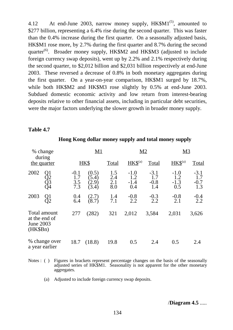4.12 At end-June 2003, narrow money supply,  $HK$M1^{(5)}$ , amounted to \$277 billion, representing a 6.4% rise during the second quarter. This was faster than the 0.4% increase during the first quarter. On a seasonally adjusted basis, HK\$M1 rose more, by 2.7% during the first quarter and 8.7% during the second quarter $^{(6)}$ . Broader money supply, HK\$M2 and HK\$M3 (adjusted to include foreign currency swap deposits), went up by 2.2% and 2.1% respectively during the second quarter, to \$2,012 billion and \$2,031 billion respectively at end-June 2003. These reversed a decrease of 0.8% in both monetary aggregates during the first quarter. On a year-on-year comparison, HK\$M1 surged by 18.7%, while both HK\$M2 and HK\$M3 rose slightly by 0.5% at end-June 2003. Subdued domestic economic activity and low return from interest-bearing deposits relative to other financial assets, including in particular debt securities, were the major factors underlying the slower growth in broader money supply.

### **Table 4.7**

| % change                                                        |                             | M1                                  |                          | <u>M2</u>                      |                                |                                | <b>M3</b>                      |  |
|-----------------------------------------------------------------|-----------------------------|-------------------------------------|--------------------------|--------------------------------|--------------------------------|--------------------------------|--------------------------------|--|
| during<br>the quarter                                           |                             | HK\$                                | Total                    | $HKS^{(a)}$                    | Total                          | $HKS^{(a)}$                    | <b>Total</b>                   |  |
| 2002<br>Οl<br>Q3<br>Q4                                          | $-0.1$<br>1.7<br>3.5<br>7.3 | (0.5)<br>$5.4^\circ$<br>2.9<br>3.4) | 1.5<br>2.4<br>2.1<br>8.0 | $-1.0$<br>1.2<br>$-1.4$<br>0.4 | $-3.1$<br>1.7<br>$-0.8$<br>1.4 | $-1.0$<br>1.2<br>$-1.3$<br>0.5 | $-3.1$<br>1.7<br>$-0.7$<br>1.3 |  |
| 2003<br>Q1                                                      | 0.4<br>6.4                  | (2.7)<br>(8.7)                      | 1.4<br>7.1               | $-0.8$<br>2.2                  | $-0.3$<br>2.2                  | $-0.8$<br>2.1                  | $-0.4$<br>2.2                  |  |
| Total amount<br>at the end of<br><b>June 2003</b><br>$(HK\$Bn)$ | 277                         | (282)                               | 321                      | 2,012                          | 3,584                          | 2,031                          | 3,626                          |  |
| % change over<br>a year earlier                                 | 18.7                        | (18.8)                              | 19.8                     | 0.5                            | 2.4                            | 0.5                            | 2.4                            |  |

### **Hong Kong dollar money supply and total money supply**

- Notes : ( ) Figures in brackets represent percentage changes on the basis of the seasonally adjusted series of HK\$M1. Seasonality is not apparent for the other monetary aggregates.
	- (a) Adjusted to include foreign currency swap deposits.

/**Diagram 4.5** .....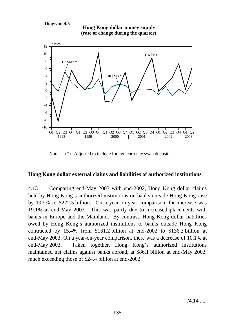#### **Diagram 4.5**





Note :  $(*)$  Adjusted to include foreign currency swap deposits.

## **Hong Kong dollar external claims and liabilities of authorized institutions**

4.13 Comparing end-May 2003 with end-2002, Hong Kong dollar claims held by Hong Kong's authorized institutions on banks outside Hong Kong rose by 19.9% to \$222.5 billion. On a year-on-year comparison, the increase was 19.1% at end-May 2003. This was partly due to increased placements with banks in Europe and the Mainland. By contrast, Hong Kong dollar liabilities owed by Hong Kong's authorized institutions to banks outside Hong Kong contracted by 15.4% from \$161.2 billion at end-2002 to \$136.3 billion at end-May 2003. On a year-on-year comparison, there was a decrease of 10.1% at end-May 2003. Taken together, Hong Kong's authorized institutions maintained net claims against banks abroad, at \$86.1 billion at end-May 2003, much exceeding those of \$24.4 billion at end-2002.

/4.14 .....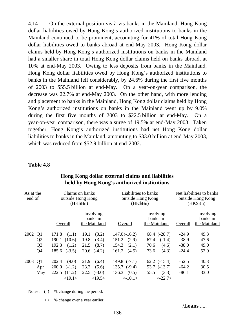4.14 On the external position vis-à-vis banks in the Mainland, Hong Kong dollar liabilities owed by Hong Kong's authorized institutions to banks in the Mainland continued to be prominent, accounting for 41% of total Hong Kong dollar liabilities owed to banks abroad at end-May 2003. Hong Kong dollar claims held by Hong Kong's authorized institutions on banks in the Mainland had a smaller share in total Hong Kong dollar claims held on banks abroad, at 10% at end-May 2003. Owing to less deposits from banks in the Mainland, Hong Kong dollar liabilities owed by Hong Kong's authorized institutions to banks in the Mainland fell considerably, by 24.6% during the first five months of 2003 to \$55.5 billion at end-May. On a year-on-year comparison, the decrease was 22.7% at end-May 2003. On the other hand, with more lending and placement to banks in the Mainland, Hong Kong dollar claims held by Hong Kong's authorized institutions on banks in the Mainland went up by 9.0% during the first five months of 2003 to \$22.5 billion at end-May. On a year-on-year comparison, there was a surge of 19.5% at end-May 2003. Taken together, Hong Kong's authorized institutions had net Hong Kong dollar liabilities to banks in the Mainland, amounting to \$33.0 billion at end-May 2003, which was reduced from \$52.9 billion at end-2002.

#### **Table 4.8**

| As at the<br>end of |                |                   | Claims on banks<br>outside Hong Kong<br>$(HK\$Bn)$ | Liabilities to banks<br>(HK\$Bn) | outside Hong Kong                     | Net liabilities to banks<br>outside Hong Kong<br>(HK\$Bn) |                                       |  |
|---------------------|----------------|-------------------|----------------------------------------------------|----------------------------------|---------------------------------------|-----------------------------------------------------------|---------------------------------------|--|
|                     |                | Overall           | Involving<br>banks in<br>the Mainland              | Overall                          | Involving<br>banks in<br>the Mainland | Overall                                                   | Involving<br>banks in<br>the Mainland |  |
| 2002                | Q <sub>1</sub> | 171.8<br>(1.1)    | 19.1<br>(3.2)                                      | $147.0(-16.2)$                   | $68.4$ $(-28.7)$                      | $-24.9$                                                   | 49.3                                  |  |
|                     | Q <sub>2</sub> | 190.1(10.6)       | (3.4)<br>19.8                                      | $151.2 \quad (2.9)$              | 67.4<br>$(-1.4)$                      | $-38.9$                                                   | 47.6                                  |  |
|                     | Q <sub>3</sub> | 192.3<br>(1.2)    | (8.7)<br>21.5                                      | 154.3<br>(2.1)                   | 70.6<br>(4.6)                         | $-38.0$                                                   | 49.0                                  |  |
|                     | Q <sub>4</sub> | $(-3.5)$<br>185.6 | $20.6$ $(-4.2)$                                    | 161.2<br>(4.5)                   | 73.6<br>(4.3)                         | $-24.4$                                                   | 52.9                                  |  |
| 2003                | Q <sub>1</sub> | 202.4<br>(9.0)    | 21.9<br>(6.4)                                      | 149.8 $(-7.1)$                   | $62.2$ $(-15.4)$                      | $-52.5$                                                   | 40.3                                  |  |
|                     | Apr            | 200.0<br>$(-1.2)$ | 23.2<br>(5.6)                                      | $135.7$ $(-9.4)$                 | $53.7$ $(-13.7)$                      | $-64.2$                                                   | 30.5                                  |  |
|                     | May            | (11.2)<br>222.5   | $22.5$ $(-3.0)$                                    | 136.3<br>(0.5)                   | (3.3)<br>55.5                         | $-86.1$                                                   | 33.0                                  |  |
|                     |                | <19.1>            | <19.5>                                             | $\langle -10.1 \rangle$          | $< -22.7>$                            |                                                           |                                       |  |

## **Hong Kong dollar external claims and liabilities held by Hong Kong's authorized institutions**

Notes : ( ) % change during the period.

 $\langle \rangle$  % change over a year earlier.

/**Loans** .....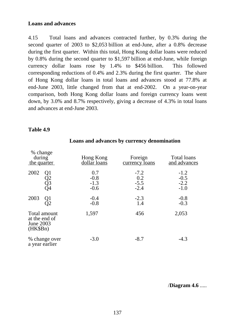## **Loans and advances**

4.15 Total loans and advances contracted further, by 0.3% during the second quarter of 2003 to \$2,053 billion at end-June, after a 0.8% decrease during the first quarter. Within this total, Hong Kong dollar loans were reduced by 0.8% during the second quarter to \$1,597 billion at end-June, while foreign currency dollar loans rose by 1.4% to \$456 billion. This followed corresponding reductions of 0.4% and 2.3% during the first quarter. The share of Hong Kong dollar loans in total loans and advances stood at 77.8% at end-June 2003, little changed from that at end-2002. On a year-on-year comparison, both Hong Kong dollar loans and foreign currency loans went down, by 3.0% and 8.7% respectively, giving a decrease of 4.3% in total loans and advances at end-June 2003.

## **Table 4.9**

| % change<br>during<br>the quarter                        | Hong Kong<br>dollar loans         | Foreign<br><u>currency</u> loans  | Total loans<br>and advances          |
|----------------------------------------------------------|-----------------------------------|-----------------------------------|--------------------------------------|
| 2002<br>Q1<br>Q2<br>Q3<br>Q4                             | 0.7<br>$-0.8$<br>$-1.3$<br>$-0.6$ | $-7.2$<br>0.2<br>$-5.5$<br>$-2.4$ | $-1.2$<br>$-0.5$<br>$-2.2$<br>$-1.0$ |
| 2003<br>Q1<br>J2                                         | $-0.4$<br>$-0.8$                  | $-2.3$<br>1.4                     | $-0.8$<br>$-0.3$                     |
| Total amount<br>at the end of<br>June 2003<br>$(HK\$Bn)$ | 1,597                             | 456                               | 2,053                                |
| % change over<br>a year earlier                          | $-3.0$                            | $-8.7$                            | $-4.3$                               |

### **Loans and advances by currency denomination**

/**Diagram 4.6** .....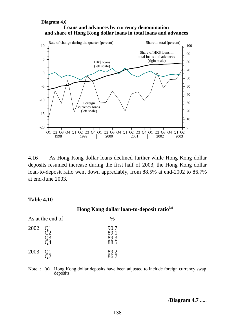#### **Loans and advances by currency denomination Diagram 4.6 and share of Hong Kong dollar loans in total loans and advances**



4.16 As Hong Kong dollar loans declined further while Hong Kong dollar deposits resumed increase during the first half of 2003, the Hong Kong dollar loan-to-deposit ratio went down appreciably, from 88.5% at end-2002 to 86.7% at end-June 2003.

### **Table 4.10**

**Hong Kong dollar loan-to-deposit ratio**(a)

| <u>As at the end of</u> |  |                              |
|-------------------------|--|------------------------------|
| 2002                    |  | 90.7<br>89.1<br>89.3<br>88.5 |
| 2003                    |  | 89.2<br>86.7                 |

Note : (a) Hong Kong dollar deposits have been adjusted to include foreign currency swap deposits.

/**Diagram 4.7** .....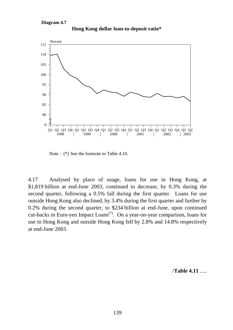#### **Diagram 4.7**



**Hong Kong dollar loan-to-deposit ratio\***

4.17 Analysed by place of usage, loans for use in Hong Kong, at \$1,819 billion at end-June 2003, continued to decrease, by 0.3% during the second quarter, following a 0.5% fall during the first quarter. Loans for use outside Hong Kong also declined, by 3.4% during the first quarter and further by 0.2% during the second quarter, to \$234 billion at end-June, upon continued cut-backs in Euro-yen Impact Loans<sup> $(7)$ </sup>. On a year-on-year comparison, loans for use in Hong Kong and outside Hong Kong fell by 2.8% and 14.8% respectively at end-June 2003.

/**Table 4.11** .....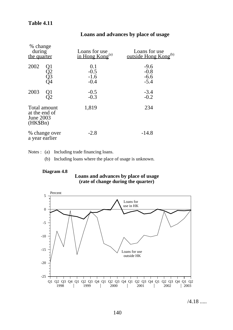# **Table 4.11**

| % change<br>during<br>the quarter                      | Loans for use<br>in Hong Kong <sup>(a)</sup> | Loans for use<br>outside Hong Kong <sup>(b)</sup> |
|--------------------------------------------------------|----------------------------------------------|---------------------------------------------------|
| 2002<br>Q1<br>Q2<br>Q3<br>Q4                           | 0.1<br>$-0.5$<br>$-1.6$<br>$-0.4$            | $-9.6$<br>$-0.8$<br>$-6.6$<br>$-5.4$              |
| 2003<br>Q <sub>1</sub><br>Э2                           | $-0.5$<br>$-0.3$                             | $-3.4$<br>$-0.2$                                  |
| Total amount<br>at the end of<br>June 2003<br>(HK\$Bn) | 1,819                                        | 234                                               |
| % change over<br>a year earlier                        | $-2.8$                                       | $-14.8$                                           |

# **Loans and advances by place of usage**

Notes : (a) Including trade financing loans.

(b) Including loans where the place of usage is unknown.

#### **Diagram 4.8**





/4.18 .....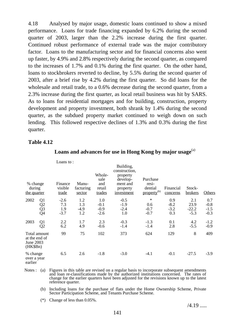4.18 Analysed by major usage, domestic loans continued to show a mixed performance. Loans for trade financing expanded by 6.2% during the second quarter of 2003, larger than the 2.2% increase during the first quarter. Continued robust performance of external trade was the major contributory factor. Loans to the manufacturing sector and for financial concerns also went up faster, by 4.9% and 2.8% respectively during the second quarter, as compared to the increases of 1.7% and 0.1% during the first quarter. On the other hand, loans to stockbrokers reverted to decline, by 5.5% during the second quarter of 2003, after a brief rise by 4.2% during the first quarter. So did loans for the wholesale and retail trade, to a 0.6% decrease during the second quarter, from a 2.3% increase during the first quarter, as local retail business was hit by SARS. As to loans for residential mortgages and for building, construction, property development and property investment, both shrank by 1.4% during the second quarter, as the subdued property market continued to weigh down on such lending. This followed respective declines of 1.3% and 0.3% during the first quarter.

## **Table 4.12**

| % change<br>during<br>the quarter                      |                                  | Loans to:<br>Finance<br>visible<br>trade | Manu-<br>facturing<br>sector | Whole-<br>sale<br>and<br>retail<br>trades | Building,<br>construction,<br>property<br>develop-<br>ment and<br>property<br>investment | Purchase<br>resi-<br>dential<br>property <sup>(b)</sup> | Financial<br>concerns          | Stock-<br>brokers                | <b>Others</b>                     |
|--------------------------------------------------------|----------------------------------|------------------------------------------|------------------------------|-------------------------------------------|------------------------------------------------------------------------------------------|---------------------------------------------------------|--------------------------------|----------------------------------|-----------------------------------|
| 2002                                                   | Q <sub>1</sub><br>Q2<br>Q3<br>Q4 | $-2.6$<br>7.3<br>1.9<br>$-3.7$           | 1.2<br>1.3<br>$-4.9$<br>1.2  | 1.0<br>$-0.1$<br>$-0.9$<br>$-2.6$         | $-0.5$<br>$-1.9$<br>$-2.4$<br>1.0                                                        | $\ast$<br>0.6<br>$-0.7$<br>$-0.7$                       | 0.9<br>$-8.2$<br>$-3.2$<br>0.3 | 2.1<br>23.9<br>$-22.2$<br>$-5.3$ | 0.7<br>$-0.8$<br>$-1.5$<br>$-0.3$ |
| 2003                                                   | Q <sub>1</sub><br>Q2             | 2.2<br>6.2                               | 1.7<br>4.9                   | 2.3<br>$-0.6$                             | $-0.3$<br>$-1.4$                                                                         | $-1.3$<br>$-1.4$                                        | 0.1<br>2.8                     | 4.2<br>$-5.5$                    | $-1.2$<br>$-0.9$                  |
| Total amount<br>at the end of<br>June 2003<br>(HK\$Bn) |                                  | 99                                       | 75                           | 102                                       | 373                                                                                      | 624                                                     | 129                            | 8                                | 409                               |
| % change<br>over a year<br>earlier                     |                                  | 6.5                                      | 2.6                          | $-1.8$                                    | $-3.0$                                                                                   | $-4.1$                                                  | $-0.1$                         | $-27.5$                          | $-3.9$                            |

# Loans and advances for use in Hong Kong by major usage<sup>(a)</sup>

Notes : (a) Figures in this table are revised on a regular basis to incorporate subsequent amendments and loan re-classifications made by the authorized institutions concerned. The rates of change for the earlier quarters have been adjusted for the revisions known up to the latest reference quarter.

(b) Including loans for the purchase of flats under the Home Ownership Scheme, Private Sector Participation Scheme, and Tenants Purchase Scheme.

(\*) Change of less than 0.05%.

 $/4.19$  .....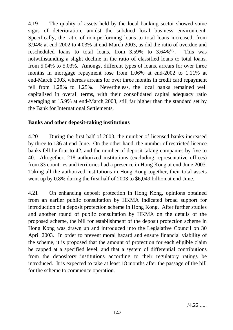4.19 The quality of assets held by the local banking sector showed some signs of deterioration, amidst the subdued local business environment. Specifically, the ratio of non-performing loans to total loans increased, from 3.94% at end-2002 to 4.03% at end-March 2003, as did the ratio of overdue and rescheduled loans to total loans, from  $3.59\%$  to  $3.64\%$ <sup>(8)</sup>. This was notwithstanding a slight decline in the ratio of classified loans to total loans, from 5.04% to 5.03%. Amongst different types of loans, arrears for over three months in mortgage repayment rose from 1.06% at end-2002 to 1.11% at end-March 2003, whereas arrears for over three months in credit card repayment fell from 1.28% to 1.25%. Nevertheless, the local banks remained well capitalised in overall terms, with their consolidated capital adequacy ratio averaging at 15.9% at end-March 2003, still far higher than the standard set by the Bank for International Settlements.

# **Banks and other deposit-taking institutions**

4.20 During the first half of 2003, the number of licensed banks increased by three to 136 at end-June. On the other hand, the number of restricted licence banks fell by four to 42, and the number of deposit-taking companies by five to 40. Altogether, 218 authorized institutions (excluding representative offices) from 33 countries and territories had a presence in Hong Kong at end-June 2003. Taking all the authorized institutions in Hong Kong together, their total assets went up by 0.8% during the first half of 2003 to \$6,049 billion at end-June.

4.21 On enhancing deposit protection in Hong Kong, opinions obtained from an earlier public consultation by HKMA indicated broad support for introduction of a deposit protection scheme in Hong Kong. After further studies and another round of public consultation by HKMA on the details of the proposed scheme, the bill for establishment of the deposit protection scheme in Hong Kong was drawn up and introduced into the Legislative Council on 30 April 2003. In order to prevent moral hazard and ensure financial viability of the scheme, it is proposed that the amount of protection for each eligible claim be capped at a specified level, and that a system of differential contributions from the depository institutions according to their regulatory ratings be introduced. It is expected to take at least 18 months after the passage of the bill for the scheme to commence operation.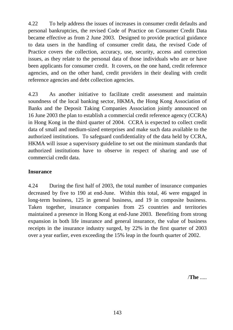4.22 To help address the issues of increases in consumer credit defaults and personal bankruptcies, the revised Code of Practice on Consumer Credit Data became effective as from 2 June 2003. Designed to provide practical guidance to data users in the handling of consumer credit data, the revised Code of Practice covers the collection, accuracy, use, security, access and correction issues, as they relate to the personal data of those individuals who are or have been applicants for consumer credit. It covers, on the one hand, credit reference agencies, and on the other hand, credit providers in their dealing with credit reference agencies and debt collection agencies.

4.23 As another initiative to facilitate credit assessment and maintain soundness of the local banking sector, HKMA, the Hong Kong Association of Banks and the Deposit Taking Companies Association jointly announced on 16 June 2003 the plan to establish a commercial credit reference agency (CCRA) in Hong Kong in the third quarter of 2004. CCRA is expected to collect credit data of small and medium-sized enterprises and make such data available to the authorized institutions. To safeguard confidentiality of the data held by CCRA, HKMA will issue a supervisory guideline to set out the minimum standards that authorized institutions have to observe in respect of sharing and use of commercial credit data.

# **Insurance**

4.24 During the first half of 2003, the total number of insurance companies decreased by five to 190 at end-June. Within this total, 46 were engaged in long-term business, 125 in general business, and 19 in composite business. Taken together, insurance companies from 25 countries and territories maintained a presence in Hong Kong at end-June 2003. Benefiting from strong expansion in both life insurance and general insurance, the value of business receipts in the insurance industry surged, by 22% in the first quarter of 2003 over a year earlier, even exceeding the 15% leap in the fourth quarter of 2002.

/**The** .....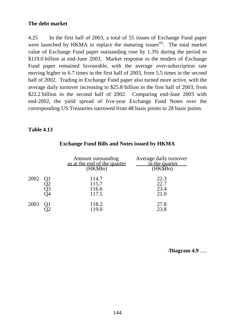# **The debt market**

4.25 In the first half of 2003, a total of 55 issues of Exchange Fund paper were launched by HKMA to replace the maturing issues<sup> $(9)$ </sup>. The total market value of Exchange Fund paper outstanding rose by 1.3% during the period to \$119.0 billion at end-June 2003. Market response to the tenders of Exchange Fund paper remained favourable, with the average over-subscription rate moving higher to 6.7 times in the first half of 2003, from 5.5 times in the second half of 2002. Trading in Exchange Fund paper also turned more active, with the average daily turnover increasing to \$25.8 billion in the first half of 2003, from \$22.2 billion in the second half of 2002. Comparing end-June 2003 with end-2002, the yield spread of five-year Exchange Fund Notes over the corresponding US Treasuries narrowed from 48 basis points to 28 basis points.

# **Table 4.13**

|      | Amount outstanding<br>as at the end of the quarter<br>(HK\$Bn) | Average daily turnover<br>in the quarter<br>(HK\$Bn) |
|------|----------------------------------------------------------------|------------------------------------------------------|
| 2002 | 114.7<br>115.7<br>116.6<br>117.5                               | 22.3<br>22.7<br>23.4<br>21.0                         |
| 2003 | 118.2<br>119.0                                                 | 27.8<br>23.8                                         |

## **Exchange Fund Bills and Notes issued by HKMA**

/**Diagram 4.9** .....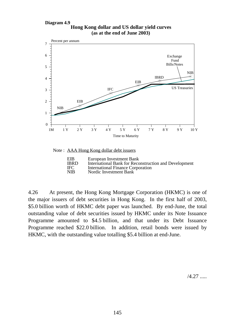#### **Hong Kong dollar and US dollar yield curves Diagram 4.9 (as at the end of June 2003)**



Note : AAA Hong Kong dollar debt issuers

| EIB         | European Investment Bank                              |
|-------------|-------------------------------------------------------|
| <b>IBRD</b> | International Bank for Reconstruction and Development |
| <b>IFC</b>  | <b>International Finance Corporation</b>              |
| <b>NIB</b>  | Nordic Investment Bank                                |

4.26 At present, the Hong Kong Mortgage Corporation (HKMC) is one of the major issuers of debt securities in Hong Kong. In the first half of 2003, \$5.0 billion worth of HKMC debt paper was launched. By end-June, the total outstanding value of debt securities issued by HKMC under its Note Issuance Programme amounted to \$4.5 billion, and that under its Debt Issuance Programme reached \$22.0 billion. In addition, retail bonds were issued by HKMC, with the outstanding value totalling \$5.4 billion at end-June.

/4.27 .....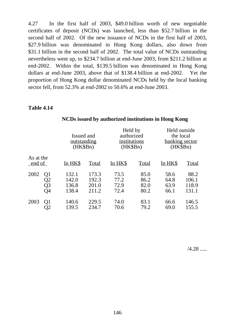4.27 In the first half of 2003, \$49.0 billion worth of new negotiable certificates of deposit (NCDs) was launched, less than \$52.7 billion in the second half of 2002. Of the new issuance of NCDs in the first half of 2003, \$27.9 billion was denominated in Hong Kong dollars, also down from \$31.1 billion in the second half of 2002. The total value of NCDs outstanding nevertheless went up, to \$234.7 billion at end-June 2003, from \$211.2 billion at end-2002. Within the total, \$139.5 billion was denominated in Hong Kong dollars at end-June 2003, above that of \$138.4 billion at end-2002. Yet the proportion of Hong Kong dollar denominated NCDs held by the local banking sector fell, from 52.3% at end-2002 to 50.6% at end-June 2003.

### **Table 4.14**

|                              | Issued and<br><u>outstanding</u><br>(HK\$Bn) |                                  | Held by<br>authorized<br>institutions<br>(HK\$Bn) |                              | Held outside<br>the local<br>banking sector<br>(HK\$Bn) |                                 |
|------------------------------|----------------------------------------------|----------------------------------|---------------------------------------------------|------------------------------|---------------------------------------------------------|---------------------------------|
| As at the<br>end of          | In HK\$                                      | <b>Total</b>                     | In HK\$                                           | <b>Total</b>                 | In HK\$                                                 | <b>Total</b>                    |
| 2002<br>Q1<br>Q2<br>Q3<br>O4 | 132.1<br>142.0<br>136.8<br>138.4             | 173.3<br>192.3<br>201.0<br>211.2 | 73.5<br>77.2<br>72.9<br>72.4                      | 85.0<br>86.2<br>82.0<br>80.2 | 58.6<br>64.8<br>63.9<br>66.1                            | 88.2<br>106.1<br>118.9<br>131.1 |
| 2003<br>Q1<br>$\mathcal{Q}2$ | 140.6<br>139.5                               | 229.5<br>234.7                   | 74.0<br>70.6                                      | 83.1<br>79.2                 | 66.6<br>69.0                                            | 146.5<br>155.5                  |

## **NCDs issued by authorized institutions in Hong Kong**

/4.28 .....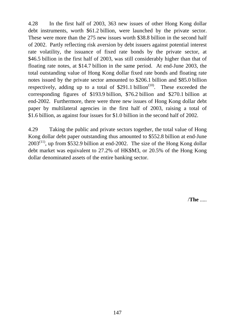4.28 In the first half of 2003, 363 new issues of other Hong Kong dollar debt instruments, worth \$61.2 billion, were launched by the private sector. These were more than the 275 new issues worth \$38.8 billion in the second half of 2002. Partly reflecting risk aversion by debt issuers against potential interest rate volatility, the issuance of fixed rate bonds by the private sector, at \$46.5 billion in the first half of 2003, was still considerably higher than that of floating rate notes, at \$14.7 billion in the same period. At end-June 2003, the total outstanding value of Hong Kong dollar fixed rate bonds and floating rate notes issued by the private sector amounted to \$206.1 billion and \$85.0 billion respectively, adding up to a total of  $$291.1$  billion<sup> $(10)$ </sup>. These exceeded the corresponding figures of \$193.9 billion, \$76.2 billion and \$270.1 billion at end-2002. Furthermore, there were three new issues of Hong Kong dollar debt paper by multilateral agencies in the first half of 2003, raising a total of \$1.6 billion, as against four issues for \$1.0 billion in the second half of 2002.

4.29 Taking the public and private sectors together, the total value of Hong Kong dollar debt paper outstanding thus amounted to \$552.8 billion at end-June  $2003^{(11)}$ , up from \$532.9 billion at end-2002. The size of the Hong Kong dollar debt market was equivalent to 27.2% of HK\$M3, or 20.5% of the Hong Kong dollar denominated assets of the entire banking sector.

/**The** .....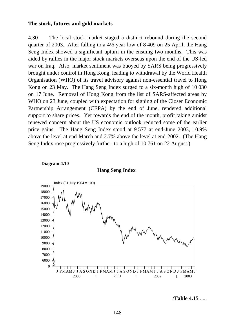#### **The stock, futures and gold markets**

4.30 The local stock market staged a distinct rebound during the second quarter of 2003. After falling to a 4½-year low of 8 409 on 25 April, the Hang Seng Index showed a significant upturn in the ensuing two months. This was aided by rallies in the major stock markets overseas upon the end of the US-led war on Iraq. Also, market sentiment was buoyed by SARS being progressively brought under control in Hong Kong, leading to withdrawal by the World Health Organisation (WHO) of its travel advisory against non-essential travel to Hong Kong on 23 May. The Hang Seng Index surged to a six-month high of 10 030 on 17 June. Removal of Hong Kong from the list of SARS-affected areas by WHO on 23 June, coupled with expectation for signing of the Closer Economic Partnership Arrangement (CEPA) by the end of June, rendered additional support to share prices. Yet towards the end of the month, profit taking amidst renewed concern about the US economic outlook reduced some of the earlier price gains. The Hang Seng Index stood at 9 577 at end-June 2003, 10.9% above the level at end-March and 2.7% above the level at end-2002. (The Hang Seng Index rose progressively further, to a high of 10 761 on 22 August.)



**Hang Seng Index**



/**Table 4.15** .....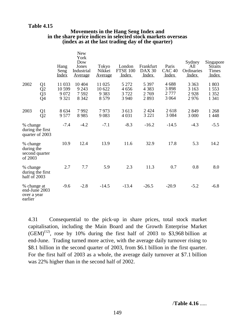## **Table 4.15**

#### **Movements in the Hang Seng Index and in the share price indices in selected stock markets overseas (index as at the last trading day of the quarter)**

|                                                        |                                                 | Hang<br>Seng<br><b>Index</b>          | <b>New</b><br>York<br>Dow<br>Jones<br>Industrial<br><u>Average</u> | Tokyo<br>Nikkei<br><u>Average</u>      | London<br><b>FTSE 100</b><br><u>Index</u> | Frankfurt<br><b>DAX 30</b><br><u>Index</u> | Paris<br>CAC <sub>40</sub><br><u>Index</u> | Sydney<br>All<br>Ordinaries<br>Index | Singapore<br><b>Straits</b><br><b>Times</b><br><u>Index</u> |
|--------------------------------------------------------|-------------------------------------------------|---------------------------------------|--------------------------------------------------------------------|----------------------------------------|-------------------------------------------|--------------------------------------------|--------------------------------------------|--------------------------------------|-------------------------------------------------------------|
| 2002                                                   | Q <sub>1</sub><br>Q2<br>$\frac{\tilde{Q}3}{Q4}$ | 11 033<br>10 599<br>9 0 7 2<br>9 3 21 | 10 404<br>9 2 4 3<br>7592<br>8 3 4 2                               | 11 025<br>10 622<br>9 3 8 3<br>8 5 7 9 | 5 2 7 2<br>4656<br>3722<br>3 9 4 0        | 5 3 9 7<br>4 3 8 3<br>2769<br>2893         | 4688<br>3898<br>2 7 7 7<br>3 0 6 4         | 3 3 6 3<br>3 1 6 3<br>2928<br>2976   | 1 803<br>1553<br>1 3 5 2<br>1 3 4 1                         |
| 2003                                                   | Q <sub>1</sub><br>Q2                            | 8 6 3 4<br>9 5 7 7                    | 7992<br>8985                                                       | 7973<br>9083                           | 3 6 1 3<br>4 0 3 1                        | 2 4 2 4<br>3 2 2 1                         | 2618<br>3 0 8 4                            | 2849<br>3 000                        | 1 2 6 8<br>1 4 4 8                                          |
| % change                                               | during the first<br>quarter of 2003             | $-7.4$                                | $-4.2$                                                             | $-7.1$                                 | $-8.3$                                    | $-16.2$                                    | $-14.5$                                    | $-4.3$                               | $-5.5$                                                      |
| % change<br>during the<br>second quarter<br>of 2003    |                                                 | 10.9                                  | 12.4                                                               | 13.9                                   | 11.6                                      | 32.9                                       | 17.8                                       | 5.3                                  | 14.2                                                        |
| % change<br>half of 2003                               | during the first                                | 2.7                                   | 7.7                                                                | 5.9                                    | 2.3                                       | 11.3                                       | 0.7                                        | 0.8                                  | 8.0                                                         |
| % change at<br>end-June 2003<br>over a year<br>earlier |                                                 | $-9.6$                                | $-2.8$                                                             | $-14.5$                                | $-13.4$                                   | $-26.5$                                    | $-20.9$                                    | $-5.2$                               | $-6.8$                                                      |

4.31 Consequential to the pick-up in share prices, total stock market capitalisation, including the Main Board and the Growth Enterprise Market  $(GEM)^{(12)}$ , rose by 10% during the first half of 2003 to \$3,968 billion at end-June. Trading turned more active, with the average daily turnover rising to \$8.1 billion in the second quarter of 2003, from \$6.1 billion in the first quarter. For the first half of 2003 as a whole, the average daily turnover at \$7.1 billion was 22% higher than in the second half of 2002.

/**Table 4.16** .....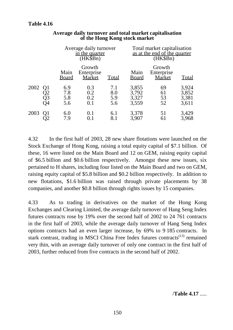|      |                            |                          | Average daily turnover<br>in the quarter<br>$(HK\$ Bn $)$ |                          |                                  | Total market capitalisation<br>as at the end of the quarter<br>(HK\$Bn) |                                  |  |
|------|----------------------------|--------------------------|-----------------------------------------------------------|--------------------------|----------------------------------|-------------------------------------------------------------------------|----------------------------------|--|
|      |                            | Main<br><b>Board</b>     | Growth<br>Enterprise<br>Market                            | Total                    | Main<br><b>Board</b>             | Growth<br>Enterprise<br><b>Market</b>                                   | <b>Total</b>                     |  |
| 2002 | Q1<br>Q <sub>3</sub><br>Э4 | 6.9<br>7.8<br>5.8<br>5.6 | 0.3<br>0.2<br>0.2<br>0.1                                  | 7.1<br>8.0<br>5.9<br>5.6 | 3,855<br>3,792<br>3,327<br>3,559 | 69<br>61<br>53<br>52                                                    | 3,924<br>3,852<br>3,381<br>3,611 |  |
| 2003 | Q1                         | 6.0<br>7.9               | 0.1                                                       | 6.1<br>8.1               | 3,378<br>3,907                   | 51<br>61                                                                | 3,429<br>3,968                   |  |

## **Average daily turnover and total market capitalisation of the Hong Kong stock market**

4.32 In the first half of 2003, 28 new share flotations were launched on the Stock Exchange of Hong Kong, raising a total equity capital of \$7.1 billion. Of these, 16 were listed on the Main Board and 12 on GEM, raising equity capital of \$6.5 billion and \$0.6 billion respectively. Amongst these new issues, six pertained to H shares, including four listed on the Main Board and two on GEM, raising equity capital of \$5.8 billion and \$0.2 billion respectively. In addition to new flotations, \$1.6 billion was raised through private placements by 38 companies, and another \$0.8 billion through rights issues by 15 companies.

4.33 As to trading in derivatives on the market of the Hong Kong Exchanges and Clearing Limited, the average daily turnover of Hang Seng Index futures contracts rose by 19% over the second half of 2002 to 24 761 contracts in the first half of 2003, while the average daily turnover of Hang Seng Index options contracts had an even larger increase, by 69% to 9 185 contracts. In stark contrast, trading in MSCI China Free Index futures contracts<sup>(13)</sup> remained very thin, with an average daily turnover of only one contract in the first half of 2003, further reduced from five contracts in the second half of 2002.

/**Table 4.17** .....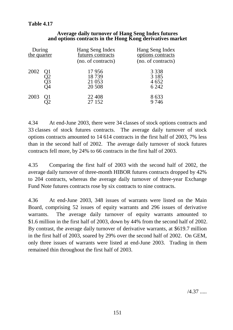# **Table 4.17**

| During<br>the quarter |                | Hang Seng Index<br>futures contracts<br>(no. of contracts) | Hang Seng Index<br>options contracts<br>(no. of contracts) |
|-----------------------|----------------|------------------------------------------------------------|------------------------------------------------------------|
| 2002                  | Q1<br>Q3<br>)4 | 17956<br>18739<br>21 053<br>20 508                         | 3 3 3 8<br>3 1 8 5<br>4652<br>6 2 4 2                      |
| 2003                  | Q1             | 22 4 08<br>27 152                                          | 8633<br>9746                                               |

### **Average daily turnover of Hang Seng Index futures and options contracts in the Hong Kong derivatives market**

4.34 At end-June 2003, there were 34 classes of stock options contracts and 33 classes of stock futures contracts. The average daily turnover of stock options contracts amounted to 14 614 contracts in the first half of 2003, 7% less than in the second half of 2002. The average daily turnover of stock futures contracts fell more, by 24% to 66 contracts in the first half of 2003.

4.35 Comparing the first half of 2003 with the second half of 2002, the average daily turnover of three-month HIBOR futures contracts dropped by 42% to 204 contracts, whereas the average daily turnover of three-year Exchange Fund Note futures contracts rose by six contracts to nine contracts.

4.36 At end-June 2003, 348 issues of warrants were listed on the Main Board, comprising 52 issues of equity warrants and 296 issues of derivative warrants. The average daily turnover of equity warrants amounted to \$1.6 million in the first half of 2003, down by 44% from the second half of 2002. By contrast, the average daily turnover of derivative warrants, at \$619.7 million in the first half of 2003, soared by 29% over the second half of 2002. On GEM, only three issues of warrants were listed at end-June 2003. Trading in them remained thin throughout the first half of 2003.

/4.37 .....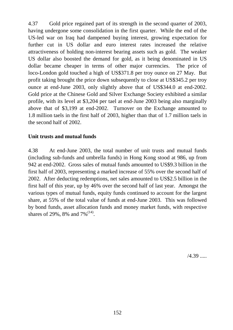4.37 Gold price regained part of its strength in the second quarter of 2003, having undergone some consolidation in the first quarter. While the end of the US-led war on Iraq had dampened buying interest, growing expectation for further cut in US dollar and euro interest rates increased the relative attractiveness of holding non-interest bearing assets such as gold. The weaker US dollar also boosted the demand for gold, as it being denominated in US dollar became cheaper in terms of other major currencies. The price of loco-London gold touched a high of US\$371.8 per troy ounce on 27 May. But profit taking brought the price down subsequently to close at US\$345.2 per troy ounce at end-June 2003, only slightly above that of US\$344.0 at end-2002. Gold price at the Chinese Gold and Silver Exchange Society exhibited a similar profile, with its level at \$3,204 per tael at end-June 2003 being also marginally above that of \$3,199 at end-2002. Turnover on the Exchange amounted to 1.8 million taels in the first half of 2003, higher than that of 1.7 million taels in the second half of 2002.

# **Unit trusts and mutual funds**

4.38 At end-June 2003, the total number of unit trusts and mutual funds (including sub-funds and umbrella funds) in Hong Kong stood at 986, up from 942 at end-2002. Gross sales of mutual funds amounted to US\$9.3 billion in the first half of 2003, representing a marked increase of 55% over the second half of 2002. After deducting redemptions, net sales amounted to US\$2.5 billion in the first half of this year, up by 46% over the second half of last year. Amongst the various types of mutual funds, equity funds continued to account for the largest share, at 55% of the total value of funds at end-June 2003. This was followed by bond funds, asset allocation funds and money market funds, with respective shares of 29%, 8% and 7%<sup>(14)</sup>.

/4.39 .....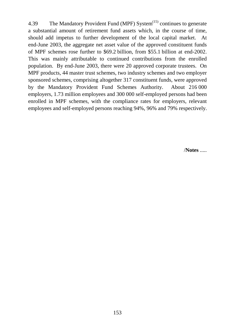4.39 The Mandatory Provident Fund (MPF) System<sup>(15)</sup> continues to generate a substantial amount of retirement fund assets which, in the course of time, should add impetus to further development of the local capital market. At end-June 2003, the aggregate net asset value of the approved constituent funds of MPF schemes rose further to \$69.2 billion, from \$55.1 billion at end-2002. This was mainly attributable to continued contributions from the enrolled population. By end-June 2003, there were 20 approved corporate trustees. On MPF products, 44 master trust schemes, two industry schemes and two employer sponsored schemes, comprising altogether 317 constituent funds, were approved by the Mandatory Provident Fund Schemes Authority. About 216 000 employers, 1.73 million employees and 300 000 self-employed persons had been enrolled in MPF schemes, with the compliance rates for employers, relevant employees and self-employed persons reaching 94%, 96% and 79% respectively.

/**Notes** .....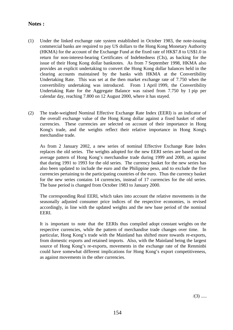## **Notes :**

- (1) Under the linked exchange rate system established in October 1983, the note-issuing commercial banks are required to pay US dollars to the Hong Kong Monetary Authority (HKMA) for the account of the Exchange Fund at the fixed rate of HK\$7.8 to US\$1.0 in return for non-interest-bearing Certificates of Indebtedness (CIs), as backing for the issue of their Hong Kong dollar banknotes. As from 7 September 1998, HKMA also provides an explicit undertaking to convert the Hong Kong dollar balances held in the clearing accounts maintained by the banks with HKMA at the Convertibility Undertaking Rate. This was set at the then market exchange rate of 7.750 when the convertibility undertaking was introduced. From 1 April 1999, the Convertibility Undertaking Rate for the Aggregate Balance was raised from 7.750 by 1 pip per calendar day, reaching 7.800 on 12 August 2000, where it has stayed.
- (2) The trade-weighted Nominal Effective Exchange Rate Index (EERI) is an indicator of the overall exchange value of the Hong Kong dollar against a fixed basket of other currencies. These currencies are selected on account of their importance in Hong Kong's trade, and the weights reflect their relative importance in Hong Kong's merchandise trade.

As from 2 January 2002, a new series of nominal Effective Exchange Rate Index replaces the old series. The weights adopted for the new EERI series are based on the average pattern of Hong Kong's merchandise trade during 1999 and 2000, as against that during 1991 to 1993 for the old series. The currency basket for the new series has also been updated to include the euro and the Philippine peso, and to exclude the five currencies pertaining to the participating countries of the euro. Thus the currency basket for the new series contains 14 currencies, instead of 17 currencies for the old series. The base period is changed from October 1983 to January 2000.

The corresponding Real EERI, which takes into account the relative movements in the seasonally adjusted consumer price indices of the respective economies, is revised accordingly, in line with the updated weights and the new base period of the nominal EERI.

It is important to note that the EERIs thus compiled adopt constant weights on the respective currencies, while the pattern of merchandise trade changes over time. In particular, Hong Kong's trade with the Mainland has shifted more towards re-exports, from domestic exports and retained imports. Also, with the Mainland being the largest source of Hong Kong's re-exports, movements in the exchange rate of the Renminbi could have somewhat different implications for Hong Kong's export competitiveness, as against movements in the other currencies.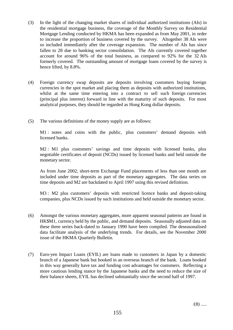- (3) In the light of the changing market shares of individual authorized institutions (AIs) in the residential mortgage business, the coverage of the Monthly Survey on Residential Mortgage Lending conducted by HKMA has been expanded as from May 2001, in order to increase the proportion of business covered by the survey. Altogether 38 AIs were so included immediately after the coverage expansion. The number of AIs has since fallen to 28 due to banking sector consolidation. The AIs currently covered together account for around 96% of the total business, as compared to 92% for the 32 AIs formerly covered. The outstanding amount of mortgage loans covered by the survey is hence lifted, by 8.8%.
- (4) Foreign currency swap deposits are deposits involving customers buying foreign currencies in the spot market and placing them as deposits with authorized institutions, whilst at the same time entering into a contract to sell such foreign currencies (principal plus interest) forward in line with the maturity of such deposits. For most analytical purposes, they should be regarded as Hong Kong dollar deposits.
- (5) The various definitions of the money supply are as follows:

M1 : notes and coins with the public, plus customers' demand deposits with licensed banks.

M2 : M1 plus customers' savings and time deposits with licensed banks, plus negotiable certificates of deposit (NCDs) issued by licensed banks and held outside the monetary sector.

As from June 2002, short-term Exchange Fund placements of less than one month are included under time deposits as part of the monetary aggregates. The data series on time deposits and M2 are backdated to April 1997 using this revised definition.

M3 : M2 plus customers' deposits with restricted licence banks and deposit-taking companies, plus NCDs issued by such institutions and held outside the monetary sector.

- (6) Amongst the various monetary aggregates, more apparent seasonal patterns are found in HK\$M1, currency held by the public, and demand deposits. Seasonally adjusted data on these three series back-dated to January 1990 have been compiled. The deseasonalised data facilitate analysis of the underlying trends. For details, see the November 2000 issue of the HKMA Quarterly Bulletin.
- (7) Euro-yen Impact Loans (EYIL) are loans made to customers in Japan by a domestic branch of a Japanese bank but booked in an overseas branch of the bank. Loans booked in this way generally have tax and funding cost advantages for customers. Reflecting a more cautious lending stance by the Japanese banks and the need to reduce the size of their balance sheets, EYIL has declined substantially since the second half of 1997.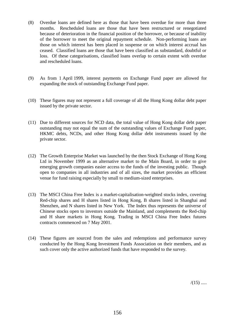- (8) Overdue loans are defined here as those that have been overdue for more than three months. Rescheduled loans are those that have been restructured or renegotiated because of deterioration in the financial position of the borrower, or because of inability of the borrower to meet the original repayment schedule. Non-performing loans are those on which interest has been placed in suspense or on which interest accrual has ceased. Classified loans are those that have been classified as substandard, doubtful or loss. Of these categorisations, classified loans overlap to certain extent with overdue and rescheduled loans.
- (9) As from 1 April 1999, interest payments on Exchange Fund paper are allowed for expanding the stock of outstanding Exchange Fund paper.
- (10) These figures may not represent a full coverage of all the Hong Kong dollar debt paper issued by the private sector.
- (11) Due to different sources for NCD data, the total value of Hong Kong dollar debt paper outstanding may not equal the sum of the outstanding values of Exchange Fund paper, HKMC debts, NCDs, and other Hong Kong dollar debt instruments issued by the private sector.
- (12) The Growth Enterprise Market was launched by the then Stock Exchange of Hong Kong Ltd in November 1999 as an alternative market to the Main Board, in order to give emerging growth companies easier access to the funds of the investing public. Though open to companies in all industries and of all sizes, the market provides an efficient venue for fund raising especially by small to medium-sized enterprises.
- (13) The MSCI China Free Index is a market-capitalisation-weighted stocks index, covering Red-chip shares and H shares listed in Hong Kong, B shares listed in Shanghai and Shenzhen, and N shares listed in New York. The Index thus represents the universe of Chinese stocks open to investors outside the Mainland, and complements the Red-chip and H share markets in Hong Kong. Trading in MSCI China Free Index futures contracts commenced on 7 May 2001.
- (14) These figures are sourced from the sales and redemptions and performance survey conducted by the Hong Kong Investment Funds Association on their members, and as such cover only the active authorized funds that have responded to the survey.

 $/(15)$  .....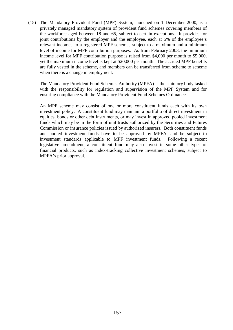(15) The Mandatory Provident Fund (MPF) System, launched on 1 December 2000, is a privately managed mandatory system of provident fund schemes covering members of the workforce aged between 18 and 65, subject to certain exceptions. It provides for joint contributions by the employer and the employee, each at 5% of the employee's relevant income, to a registered MPF scheme, subject to a maximum and a minimum level of income for MPF contribution purposes. As from February 2003, the minimum income level for MPF contribution purpose is raised from \$4,000 per month to \$5,000, yet the maximum income level is kept at \$20,000 per month. The accrued MPF benefits are fully vested in the scheme, and members can be transferred from scheme to scheme when there is a change in employment.

The Mandatory Provident Fund Schemes Authority (MPFA) is the statutory body tasked with the responsibility for regulation and supervision of the MPF System and for ensuring compliance with the Mandatory Provident Fund Schemes Ordinance.

An MPF scheme may consist of one or more constituent funds each with its own investment policy. A constituent fund may maintain a portfolio of direct investment in equities, bonds or other debt instruments, or may invest in approved pooled investment funds which may be in the form of unit trusts authorized by the Securities and Futures Commission or insurance policies issued by authorized insurers. Both constituent funds and pooled investment funds have to be approved by MPFA, and be subject to investment standards applicable to MPF investment funds. Following a recent legislative amendment, a constituent fund may also invest in some other types of financial products, such as index-tracking collective investment schemes, subject to MPFA's prior approval.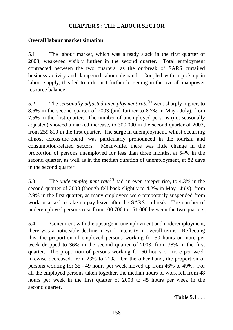# **CHAPTER 5 : THE LABOUR SECTOR**

# **Overall labour market situation**

5.1 The labour market, which was already slack in the first quarter of 2003, weakened visibly further in the second quarter. Total employment contracted between the two quarters, as the outbreak of SARS curtailed business activity and dampened labour demand. Coupled with a pick-up in labour supply, this led to a distinct further loosening in the overall manpower resource balance.

5.2 The *seasonally adjusted unemployment rate*(1) went sharply higher, to 8.6% in the second quarter of 2003 (and further to 8.7% in May - July), from 7.5% in the first quarter. The number of unemployed persons (not seasonally adjusted) showed a marked increase, to 300 000 in the second quarter of 2003, from 259 800 in the first quarter. The surge in unemployment, whilst occurring almost across-the-board, was particularly pronounced in the tourism and consumption-related sectors. Meanwhile, there was little change in the proportion of persons unemployed for less than three months, at 54% in the second quarter, as well as in the median duration of unemployment, at 82 days in the second quarter.

5.3 The *underemployment rate*<sup>(2)</sup> had an even steeper rise, to 4.3% in the second quarter of 2003 (though fell back slightly to 4.2% in May - July), from 2.9% in the first quarter, as many employees were temporarily suspended from work or asked to take no-pay leave after the SARS outbreak. The number of underemployed persons rose from 100 700 to 151 000 between the two quarters.

5.4 Concurrent with the upsurge in unemployment and underemployment, there was a noticeable decline in work intensity in overall terms. Reflecting this, the proportion of employed persons working for 50 hours or more per week dropped to 36% in the second quarter of 2003, from 38% in the first quarter. The proportion of persons working for 60 hours or more per week likewise decreased, from 23% to 22%. On the other hand, the proportion of persons working for 35 - 49 hours per week moved up from 46% to 49%. For all the employed persons taken together, the median hours of work fell from 48 hours per week in the first quarter of 2003 to 45 hours per week in the second quarter.

/**Table 5.1** .....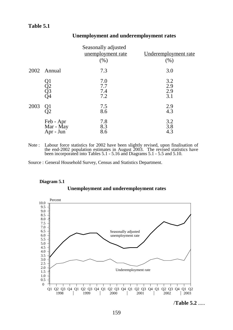|      |                                     | Seasonally adjusted<br>unemployment rate<br>(% ) | Underemployment rate<br>(% ) |
|------|-------------------------------------|--------------------------------------------------|------------------------------|
|      | 2002 Annual                         | 7.3                                              | 3.0                          |
|      | Q1<br>Q2<br>Q3<br>Q4                | 7.0<br>7.7<br>7.4<br>7.2                         | 3.2<br>2.9<br>2.9<br>3.1     |
| 2003 | Q1<br>Q2                            | 7.5<br>8.6                                       | 2.9<br>4.3                   |
|      | Feb - Apr<br>Mar - May<br>Apr - Jun | 7.8<br>8.3<br>8.6                                | 3.2<br>3.8<br>4.3            |

## **Unemployment and underemployment rates**

Note : Labour force statistics for 2002 have been slightly revised, upon finalisation of the end-2002 population estimates in August 2003. The revised statistics have been incorporated into Tables 5.1 - 5.16 and Diagrams 5.1 - 5.5 and 5.10.

Source : General Household Survey, Census and Statistics Department.

#### **Diagram 5.1**





/**Table 5.2** .....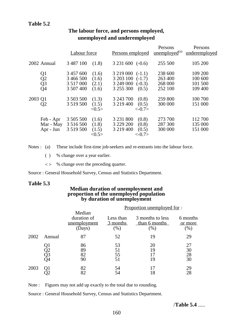# **Table 5.2**

|                                                                       | Labour force                                         |                                            | Persons employed                                                                        | Persons<br>unemployed <sup>(a)</sup>     | Persons<br>underemployed                 |
|-----------------------------------------------------------------------|------------------------------------------------------|--------------------------------------------|-----------------------------------------------------------------------------------------|------------------------------------------|------------------------------------------|
| 2002 Annual                                                           | 3 487 100                                            | (1.8)                                      | $3231600(-0.6)$                                                                         | 255 500                                  | 105 200                                  |
| Q <sub>1</sub><br>$\overline{Q2}$<br>Q <sub>3</sub><br>Q <sub>4</sub> | 3 457 600<br>3 466 500<br>3 5 1 7 0 0 0<br>3 507 400 | (1.6)<br>(1.6)<br>(2.1)<br>(1.6)           | $3219000(-1.1)$<br>3 203 100<br>$(-1.7)$<br>3 249 000<br>$(-0.3)$<br>3 255 300<br>(0.5) | 238 600<br>263 400<br>268 000<br>252 100 | 109 200<br>100 600<br>101 500<br>109 400 |
| 2003 Q1<br>$\overline{Q}2$                                            | 3 503 500<br>3 5 19 5 00                             | (1.3)<br>(1.5)<br>< 0.5>                   | 3 243 700<br>(0.8)<br>3 219 400<br>(0.5)<br>$\langle -0.7 \rangle$                      | 259 800<br>300 000                       | 100 700<br>151 000                       |
| Feb - Apr<br>Mar - May<br>Apr - Jun                                   | 3 505 500<br>3 5 1 6 5 0 0<br>3 5 19 5 00            | (1.6)<br>(1.8)<br>(1.5)<br>$<\!\!0.5\!\!>$ | 3 2 3 1 8 0 0<br>(0.8)<br>3 229 200<br>(0.8)<br>3 219 400<br>(0.5)<br>$<-0.7>$          | 273 700<br>287 300<br>300 000            | 112 700<br>135 000<br>151 000            |

# **The labour force, and persons employed, unemployed and underemployed**

Notes : (a) These include first-time job-seekers and re-entrants into the labour force.

- ( ) % change over a year earlier.
- < > % change over the preceding quarter.

Source : General Household Survey, Census and Statistics Department.

#### **Table 5.3**

#### **Median duration of unemployment and proportion of the unemployed population by duration of unemployment**

|      |                | <u>Proportion unemployed for:</u>               |                                 |                                           |                            |  |  |
|------|----------------|-------------------------------------------------|---------------------------------|-------------------------------------------|----------------------------|--|--|
|      |                | Median<br>duration of<br>unemployment<br>(Days) | Less than<br>3 months<br>$(\%)$ | 3 months to less<br>than 6 months<br>(% ) | 6 months<br>or more<br>(%) |  |  |
| 2002 | Annual         | 87                                              | 52                              | 19                                        | 29                         |  |  |
|      | Q2<br>Q3<br>Q4 | 86<br>89<br>82<br>90                            | 53<br>51<br>55<br>51            | 20<br>19<br>19                            | 27<br>30<br>28<br>30       |  |  |
| 2003 | Ol             | 82<br>82                                        | 54<br>54                        | 17<br>18                                  | 29<br>28                   |  |  |

Note : Figures may not add up exactly to the total due to rounding.

Source : General Household Survey, Census and Statistics Department.

/**Table 5.4** .....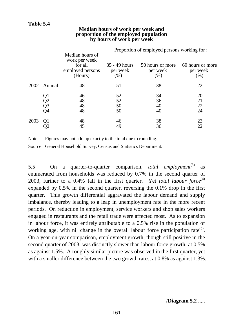#### **Median hours of work per week and proportion of the employed population by hours of work per week**

|      |                      | <u>Proportion of employed persons working for:</u>                         |                                   |                                     |                                     |  |  |  |
|------|----------------------|----------------------------------------------------------------------------|-----------------------------------|-------------------------------------|-------------------------------------|--|--|--|
|      |                      | Median hours of<br>work per week<br>for all<br>employed persons<br>(Hours) | 35 - 49 hours<br>per week<br>(% ) | 50 hours or more<br>per week<br>(%) | 60 hours or more<br>per week<br>(%) |  |  |  |
| 2002 | Annual               | 48                                                                         | 51                                | 38                                  | 22                                  |  |  |  |
|      | Q1<br>Q2<br>Q3<br>Q4 | 46<br>48<br>48<br>48                                                       | 52<br>52<br>50<br>50              | 34<br>36<br>40<br>40                | 20<br>21<br>22<br>24                |  |  |  |
| 2003 |                      | 48<br>45                                                                   | 46<br>49                          | 38<br>36                            | 23<br>22                            |  |  |  |

Note : Figures may not add up exactly to the total due to rounding.

Source : General Household Survey, Census and Statistics Department.

5.5 On a quarter-to-quarter comparison, *total employment*<sup>(3)</sup> as enumerated from households was reduced by 0.7% in the second quarter of 2003, further to a 0.4% fall in the first quarter. Yet *total labour force*<sup>(4)</sup> expanded by 0.5% in the second quarter, reversing the 0.1% drop in the first quarter. This growth differential aggravated the labour demand and supply imbalance, thereby leading to a leap in unemployment rate in the more recent periods. On reduction in employment, service workers and shop sales workers engaged in restaurants and the retail trade were affected most. As to expansion in labour force, it was entirely attributable to a 0.5% rise in the population of working age, with nil change in the overall labour force participation rate<sup>(5)</sup>. On a year-on-year comparison, employment growth, though still positive in the second quarter of 2003, was distinctly slower than labour force growth, at 0.5% as against 1.5%. A roughly similar picture was observed in the first quarter, yet with a smaller difference between the two growth rates, at 0.8% as against 1.3%.

/**Diagram 5.2** .....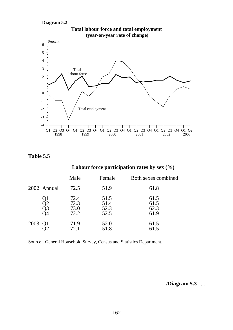**Diagram 5.2**



## **Total labour force and total employment (year-on-year rate of change)**

**Table 5.5**

# **Labour force participation rates by sex (%)**

|         |             | Male                         | Female                       | <b>Both sexes combined</b>   |
|---------|-------------|------------------------------|------------------------------|------------------------------|
|         | 2002 Annual | 72.5                         | 51.9                         | 61.8                         |
|         | Q2<br>Q3    | 72.4<br>72.3<br>73.0<br>72.2 | 51.5<br>51.4<br>52.3<br>52.5 | 61.5<br>61.5<br>62.3<br>61.9 |
| 2003 Q1 |             | 71.9<br>72.1                 | 52.0<br>51.8                 | 61.5<br>61.5                 |

Source : General Household Survey, Census and Statistics Department.

/**Diagram 5.3** .....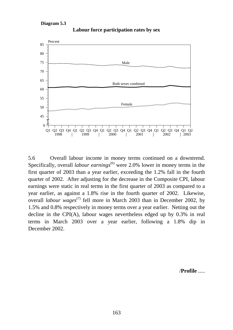#### **Diagram 5.3**



**Labour force participation rates by sex**

5.6 Overall labour income in money terms continued on a downtrend. Specifically, overall *labour earnings*<sup>(6)</sup> were 2.0% lower in money terms in the first quarter of 2003 than a year earlier, exceeding the 1.2% fall in the fourth quarter of 2002. After adjusting for the decrease in the Composite CPI, labour earnings were static in real terms in the first quarter of 2003 as compared to a year earlier, as against a 1.8% rise in the fourth quarter of 2002. Likewise, overall *labour wages*<sup>(7)</sup> fell more in March 2003 than in December 2002, by 1.5% and 0.8% respectively in money terms over a year earlier. Netting out the decline in the CPI(A), labour wages nevertheless edged up by 0.3% in real terms in March 2003 over a year earlier, following a 1.8% dip in December 2002.

/**Profile** .....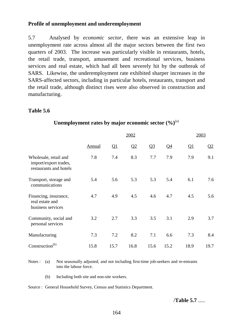## **Profile of unemployment and underemployment**

5.7 Analysed by *economic sector*, there was an extensive leap in unemployment rate across almost all the major sectors between the first two quarters of 2003. The increase was particularly visible in restaurants, hotels, the retail trade, transport, amusement and recreational services, business services and real estate, which had all been severely hit by the outbreak of SARS. Likewise, the underemployment rate exhibited sharper increases in the SARS-affected sectors, including in particular hotels, restaurants, transport and the retail trade, although distinct rises were also observed in construction and manufacturing.

## **Table 5.6**

|                                                                          |               | 2002                      |      |                |       |                          |                 |  |
|--------------------------------------------------------------------------|---------------|---------------------------|------|----------------|-------|--------------------------|-----------------|--|
|                                                                          | <b>Annual</b> | $\overline{\mathsf{Q}}$ 1 | Q2   | Q <sub>3</sub> | $Q_4$ | $\overline{\mathsf{Q1}}$ | $\overline{Q}2$ |  |
| Wholesale, retail and<br>import/export trades,<br>restaurants and hotels | 7.8           | 7.4                       | 8.3  | 7.7            | 7.9   | 7.9                      | 9.1             |  |
| Transport, storage and<br>communications                                 | 5.4           | 5.6                       | 5.3  | 5.3            | 5.4   | 6.1                      | 7.6             |  |
| Financing, insurance,<br>real estate and<br>business services            | 4.7           | 4.9                       | 4.5  | 4.6            | 4.7   | 4.5                      | 5.6             |  |
| Community, social and<br>personal services                               | 3.2           | 2.7                       | 3.3  | 3.5            | 3.1   | 2.9                      | 3.7             |  |
| Manufacturing                                                            | 7.3           | 7.2                       | 8.2  | 7.1            | 6.6   | 7.3                      | 8.4             |  |
| Construction <sup>(b)</sup>                                              | 15.8          | 15.7                      | 16.8 | 15.6           | 15.2  | 18.9                     | 19.7            |  |

### **Unemployment rates by major economic sector**  $(\%)^{(a)}$

Notes : (a) Not seasonally adjusted, and not including first-time job-seekers and re-entrants into the labour force.

(b) Including both site and non-site workers.

Source : General Household Survey, Census and Statistics Department.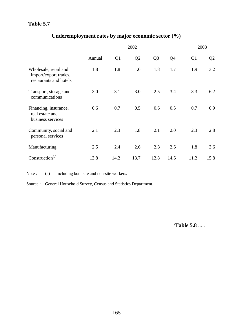# **Table 5.7**

# **Underemployment rates by major economic sector (%)**

|                                                                          |        | 2002                     |      |                |                 |                         |                         |  |
|--------------------------------------------------------------------------|--------|--------------------------|------|----------------|-----------------|-------------------------|-------------------------|--|
|                                                                          | Annual | $\overline{\mathsf{Q1}}$ | Q2   | Q <sub>3</sub> | $\overline{Q4}$ | $\overline{\mathbf{Q}}$ | $\overline{\mathbf{Q}}$ |  |
| Wholesale, retail and<br>import/export trades,<br>restaurants and hotels | 1.8    | 1.8                      | 1.6  | 1.8            | 1.7             | 1.9                     | 3.2                     |  |
| Transport, storage and<br>communications                                 | 3.0    | 3.1                      | 3.0  | 2.5            | 3.4             | 3.3                     | 6.2                     |  |
| Financing, insurance,<br>real estate and<br>business services            | 0.6    | 0.7                      | 0.5  | 0.6            | 0.5             | 0.7                     | 0.9                     |  |
| Community, social and<br>personal services                               | 2.1    | 2.3                      | 1.8  | 2.1            | 2.0             | 2.3                     | 2.8                     |  |
| Manufacturing                                                            | 2.5    | 2.4                      | 2.6  | 2.3            | 2.6             | 1.8                     | 3.6                     |  |
| Construction <sup>(a)</sup>                                              | 13.8   | 14.2                     | 13.7 | 12.8           | 14.6            | 11.2                    | 15.8                    |  |

Note : (a) Including both site and non-site workers.

Source : General Household Survey, Census and Statistics Department.

/**Table 5.8** .....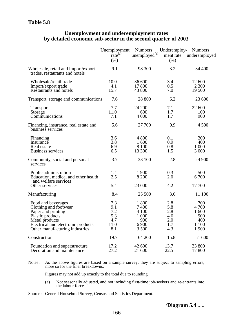#### **Unemployment and underemployment rates by detailed economic sub-sector in the second quarter of 2003**

|                                                                                                                                                                                 | Unemployment<br>$\text{rate}^{\text{(a)}}$     | <b>Numbers</b><br>$\mu$ nemployed <sup>(a)</sup>           | Underemploy-<br>ment rate                     | <b>Numbers</b><br>underemployed                       |
|---------------------------------------------------------------------------------------------------------------------------------------------------------------------------------|------------------------------------------------|------------------------------------------------------------|-----------------------------------------------|-------------------------------------------------------|
|                                                                                                                                                                                 | (% )                                           |                                                            | $(\%)$                                        |                                                       |
| Wholesale, retail and import/export<br>trades, restaurants and hotels                                                                                                           | 9.1                                            | 98 300                                                     | 3.2                                           | 34 400                                                |
| Wholesale/retail trade<br>Import/export trade<br>Restaurants and hotels                                                                                                         | 10.0<br>4.1<br>15.7                            | 36 600<br>17 800<br>43 800                                 | 3.4<br>0.5<br>7.0                             | 12 600<br>2 300<br>19 500                             |
| Transport, storage and communications                                                                                                                                           | 7.6                                            | 28 800                                                     | 6.2                                           | 23 600                                                |
| <b>Transport</b><br>Storage<br>Communications                                                                                                                                   | 7.7<br>11.0<br>7.1                             | 24 200<br>600<br>4 0 0 0                                   | 7.1<br>1.7<br>1.7                             | 22 600<br>100<br>900                                  |
| Financing, insurance, real estate and<br>business services                                                                                                                      | 5.6                                            | 27 700                                                     | 0.9                                           | 4 500                                                 |
| Financing<br>Insurance<br>Real estate<br><b>Business services</b>                                                                                                               | 3.6<br>3.8<br>6.9<br>6.5                       | 4 800<br>1 600<br>8 100<br>13 300                          | 0.1<br>0.9<br>0.8<br>1.5                      | 200<br>400<br>1 000<br>3 000                          |
| Community, social and personal<br>services                                                                                                                                      | 3.7                                            | 33 100                                                     | 2.8                                           | 24 900                                                |
| Public administration<br>Education, medical and other health<br>and welfare services<br>Other services                                                                          | 1.4<br>2.5<br>5.4                              | 1 900<br>8 200<br>23 000                                   | 0.3<br>2.0<br>4.2                             | 500<br>6 700<br>17 700                                |
| Manufacturing                                                                                                                                                                   | 8.4                                            | 25 500                                                     | 3.6                                           | 11 100                                                |
| Food and beverages<br>Clothing and footwear<br>Paper and printing<br>Plastic products<br>Metal products<br>Electrical and electronic products<br>Other manufacturing industries | 7.3<br>9.1<br>7.2<br>5.3<br>4.7<br>11.0<br>8.1 | 1 800<br>7400<br>4 100<br>1 000<br>900<br>6 9 0 0<br>3 500 | 2.8<br>5.8<br>2.8<br>4.6<br>2.0<br>1.7<br>4.3 | 700<br>4 700<br>1 600<br>900<br>400<br>1 100<br>1 900 |
| Construction                                                                                                                                                                    | 19.7                                           | 64 200                                                     | 15.8                                          | 51 600                                                |
| Foundation and superstructure<br>Decoration and maintenance                                                                                                                     | 17.2<br>27.2                                   | 42 600<br>21 600                                           | 13.7<br>22.5                                  | 33 800<br>17 800                                      |

Notes : As the above figures are based on a sample survey, they are subject to sampling errors, more so for the finer breakdowns.

Figures may not add up exactly to the total due to rounding.

(a) Not seasonally adjusted, and not including first-time job-seekers and re-entrants into the labour force.

Source : General Household Survey, Census and Statistics Department.

/**Diagram 5.4** .....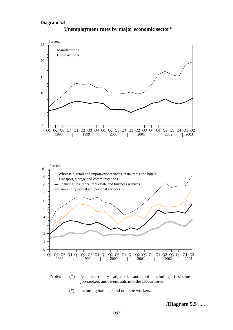#### **Diagram 5.4**



**Unemployment rates by major economic sector\***



(#) Including both site and non-site workers.

/**Diagram 5.5** .....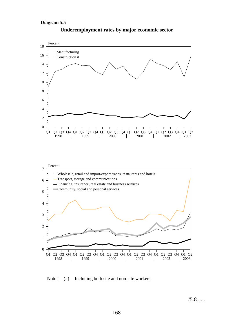#### **Diagram 5.5**



## **Underemployment rates by major economic sector**

Note : (#) Including both site and non-site workers.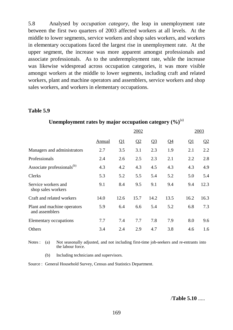5.8 Analysed by *occupation category*, the leap in unemployment rate between the first two quarters of 2003 affected workers at all levels. At the middle to lower segments, service workers and shop sales workers, and workers in elementary occupations faced the largest rise in unemployment rate. At the upper segment, the increase was more apparent amongst professionals and associate professionals. As to the underemployment rate, while the increase was likewise widespread across occupation categories, it was more visible amongst workers at the middle to lower segments, including craft and related workers, plant and machine operators and assemblers, service workers and shop sales workers, and workers in elementary occupations.

### **Table 5.9**

|                                               |               |      | 2003 |                |                 |                           |      |
|-----------------------------------------------|---------------|------|------|----------------|-----------------|---------------------------|------|
|                                               | <b>Annual</b> | Q1   | Q2   | Q <sub>3</sub> | $\overline{Q4}$ | $\overline{\mathsf{Q}}$ 1 | Q2   |
| Managers and administrators                   | 2.7           | 3.5  | 3.1  | 2.3            | 1.9             | 2.1                       | 2.2  |
| Professionals                                 | 2.4           | 2.6  | 2.5  | 2.3            | 2.1             | 2.2                       | 2.8  |
| Associate professionals <sup>(b)</sup>        | 4.3           | 4.2  | 4.3  | 4.5            | 4.3             | 4.3                       | 4.9  |
| <b>Clerks</b>                                 | 5.3           | 5.2  | 5.5  | 5.4            | 5.2             | 5.0                       | 5.4  |
| Service workers and<br>shop sales workers     | 9.1           | 8.4  | 9.5  | 9.1            | 9.4             | 9.4                       | 12.3 |
| Craft and related workers                     | 14.0          | 12.6 | 15.7 | 14.2           | 13.5            | 16.2                      | 16.3 |
| Plant and machine operators<br>and assemblers | 5.9           | 6.4  | 6.6  | 5.4            | 5.2             | 6.8                       | 7.3  |
| Elementary occupations                        | 7.7           | 7.4  | 7.7  | 7.8            | 7.9             | 8.0                       | 9.6  |
| Others                                        | 3.4           | 2.4  | 2.9  | 4.7            | 3.8             | 4.6                       | 1.6  |

### Unemployment rates by major occupation category  $(\%)^{(a)}$

Notes : (a) Not seasonally adjusted, and not including first-time job-seekers and re-entrants into the labour force.

(b) Including technicians and supervisors.

Source : General Household Survey, Census and Statistics Department.

/**Table 5.10** .....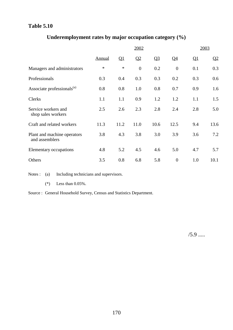# **Table 5.10**

# **Underemployment rates by major occupation category (%)**

|                                               |               |                          | 2003           |                |                 |                          |                 |
|-----------------------------------------------|---------------|--------------------------|----------------|----------------|-----------------|--------------------------|-----------------|
|                                               | <b>Annual</b> | $\overline{\mathsf{Q1}}$ | Q <sub>2</sub> | Q <sub>3</sub> | $\overline{Q4}$ | $\overline{\mathsf{Q1}}$ | $\overline{Q2}$ |
| Managers and administrators                   | $\ast$        | $\ast$                   | $\overline{0}$ | 0.2            | $\overline{0}$  | 0.1                      | 0.3             |
| Professionals                                 | 0.3           | 0.4                      | 0.3            | 0.3            | 0.2             | 0.3                      | 0.6             |
| Associate professionals <sup>(a)</sup>        | 0.8           | 0.8                      | 1.0            | 0.8            | 0.7             | 0.9                      | 1.6             |
| Clerks                                        | 1.1           | 1.1                      | 0.9            | 1.2            | 1.2             | 1.1                      | 1.5             |
| Service workers and<br>shop sales workers     | 2.5           | 2.6                      | 2.3            | 2.8            | 2.4             | 2.8                      | 5.0             |
| Craft and related workers                     | 11.3          | 11.2                     | 11.0           | 10.6           | 12.5            | 9.4                      | 13.6            |
| Plant and machine operators<br>and assemblers | 3.8           | 4.3                      | 3.8            | 3.0            | 3.9             | 3.6                      | 7.2             |
| Elementary occupations                        | 4.8           | 5.2                      | 4.5            | 4.6            | 5.0             | 4.7                      | 5.7             |
| Others                                        | 3.5           | 0.8                      | 6.8            | 5.8            | $\theta$        | 1.0                      | 10.1            |

Notes : (a) Including technicians and supervisors.

(\*) Less than 0.05%.

Source : General Household Survey, Census and Statistics Department.

 $/5.9$  .....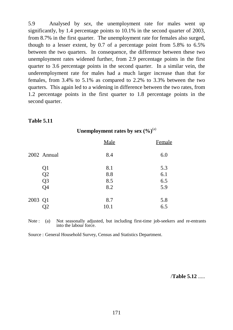5.9 Analysed by *sex*, the unemployment rate for males went up significantly, by 1.4 percentage points to 10.1% in the second quarter of 2003, from 8.7% in the first quarter. The unemployment rate for females also surged, though to a lesser extent, by 0.7 of a percentage point from 5.8% to 6.5% between the two quarters. In consequence, the difference between these two unemployment rates widened further, from 2.9 percentage points in the first quarter to 3.6 percentage points in the second quarter. In a similar vein, the underemployment rate for males had a much larger increase than that for females, from 3.4% to 5.1% as compared to 2.2% to 3.3% between the two quarters. This again led to a widening in difference between the two rates, from 1.2 percentage points in the first quarter to 1.8 percentage points in the second quarter.

### **Table 5.11**

|         |                | Male | Female |
|---------|----------------|------|--------|
|         | 2002 Annual    | 8.4  | 6.0    |
|         | Q1             | 8.1  | 5.3    |
|         | Q2             | 8.8  | 6.1    |
|         | Q <sub>3</sub> | 8.5  | 6.5    |
|         | Q4             | 8.2  | 5.9    |
| 2003 Q1 |                | 8.7  | 5.8    |
|         | O2             | 10.1 | 6.5    |

# Unemployment rates by sex  $(\frac{9}{6})^{(a)}$

Note : (a) Not seasonally adjusted, but including first-time job-seekers and re-entrants into the labour force.

Source : General Household Survey, Census and Statistics Department.

/**Table 5.12** .....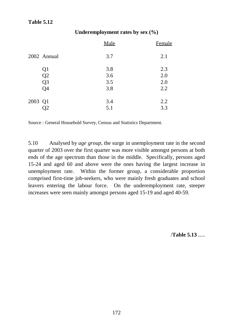# **Table 5.12**

## **Underemployment rates by sex (%)**

|                | Male | Female |
|----------------|------|--------|
| 2002 Annual    | 3.7  | 2.1    |
| Q1             | 3.8  | 2.3    |
| Q2             | 3.6  | 2.0    |
| Q <sub>3</sub> | 3.5  | 2.0    |
| Q <sub>4</sub> | 3.8  | 2.2    |
| 2003 Q1        | 3.4  | 2.2    |
|                | 5.1  | 3.3    |

Source : General Household Survey, Census and Statistics Department.

5.10 Analysed by *age group*, the surge in unemployment rate in the second quarter of 2003 over the first quarter was more visible amongst persons at both ends of the age spectrum than those in the middle. Specifically, persons aged 15-24 and aged 60 and above were the ones having the largest increase in unemployment rate. Within the former group, a considerable proportion comprised first-time job-seekers, who were mainly fresh graduates and school leavers entering the labour force. On the underemployment rate, steeper increases were seen mainly amongst persons aged 15-19 and aged 40-59.

/**Table 5.13** .....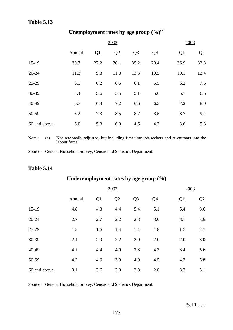# **Table 5.13**

# Unemployment rates by age group  $(\%)^{(a)}$

|              | 2002          |                          |      |                |                |      | 2003                    |  |
|--------------|---------------|--------------------------|------|----------------|----------------|------|-------------------------|--|
|              | <b>Annual</b> | $\overline{\mathsf{Q1}}$ | Q2   | Q <sub>3</sub> | Q <sub>4</sub> | Q1   | $\overline{\mathbf{Q}}$ |  |
| $15-19$      | 30.7          | 27.2                     | 30.1 | 35.2           | 29.4           | 26.9 | 32.8                    |  |
| $20 - 24$    | 11.3          | 9.8                      | 11.3 | 13.5           | 10.5           | 10.1 | 12.4                    |  |
| $25-29$      | 6.1           | 6.2                      | 6.5  | 6.1            | 5.5            | 6.2  | 7.6                     |  |
| 30-39        | 5.4           | 5.6                      | 5.5  | 5.1            | 5.6            | 5.7  | 6.5                     |  |
| 40-49        | 6.7           | 6.3                      | 7.2  | 6.6            | 6.5            | 7.2  | 8.0                     |  |
| 50-59        | 8.2           | 7.3                      | 8.5  | 8.7            | 8.5            | 8.7  | 9.4                     |  |
| 60 and above | 5.0           | 5.3                      | 6.0  | 4.6            | 4.2            | 3.6  | 5.3                     |  |

Note : (a) Not seasonally adjusted, but including first-time job-seekers and re-entrants into the labour force.

Source : General Household Survey, Census and Statistics Department.

# **Table 5.14**

# **Underemployment rates by age group (%)**

|              | 2002   |     |     |                |       | 2003                     |     |
|--------------|--------|-----|-----|----------------|-------|--------------------------|-----|
|              | Annual | Q1  | Q2  | Q <sub>3</sub> | $Q_4$ | $\overline{\mathsf{Q1}}$ | Q2  |
| $15-19$      | 4.8    | 4.3 | 4.4 | 5.4            | 5.1   | 5.4                      | 8.6 |
| 20-24        | 2.7    | 2.7 | 2.2 | 2.8            | 3.0   | 3.1                      | 3.6 |
| 25-29        | 1.5    | 1.6 | 1.4 | 1.4            | 1.8   | 1.5                      | 2.7 |
| 30-39        | 2.1    | 2.0 | 2.2 | 2.0            | 2.0   | 2.0                      | 3.0 |
| 40-49        | 4.1    | 4.4 | 4.0 | 3.8            | 4.2   | 3.4                      | 5.6 |
| 50-59        | 4.2    | 4.6 | 3.9 | 4.0            | 4.5   | 4.2                      | 5.8 |
| 60 and above | 3.1    | 3.6 | 3.0 | 2.8            | 2.8   | 3.3                      | 3.1 |

Source : General Household Survey, Census and Statistics Department.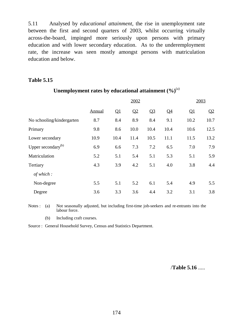5.11 Analysed by *educational attainment*, the rise in unemployment rate between the first and second quarters of 2003, whilst occurring virtually across-the-board, impinged more seriously upon persons with primary education and with lower secondary education. As to the underemployment rate, the increase was seen mostly amongst persons with matriculation education and below.

## **Table 5.15**

|                                |        | 2003 |      |                |       |      |      |
|--------------------------------|--------|------|------|----------------|-------|------|------|
|                                | Annual | Q1   | Q2   | Q <sub>3</sub> | $Q_4$ | Q1   | Q2   |
| No schooling/kindergarten      | 8.7    | 8.4  | 8.9  | 8.4            | 9.1   | 10.2 | 10.7 |
| Primary                        | 9.8    | 8.6  | 10.0 | 10.4           | 10.4  | 10.6 | 12.5 |
| Lower secondary                | 10.9   | 10.4 | 11.4 | 10.5           | 11.1  | 11.5 | 13.2 |
| Upper secondary <sup>(b)</sup> | 6.9    | 6.6  | 7.3  | 7.2            | 6.5   | 7.0  | 7.9  |
| Matriculation                  | 5.2    | 5.1  | 5.4  | 5.1            | 5.3   | 5.1  | 5.9  |
| Tertiary                       | 4.3    | 3.9  | 4.2  | 5.1            | 4.0   | 3.8  | 4.4  |
| of which:                      |        |      |      |                |       |      |      |
| Non-degree                     | 5.5    | 5.1  | 5.2  | 6.1            | 5.4   | 4.9  | 5.5  |
| Degree                         | 3.6    | 3.3  | 3.6  | 4.4            | 3.2   | 3.1  | 3.8  |

# Unemployment rates by educational attainment  $(\%)^{(a)}$

Notes : (a) Not seasonally adjusted, but including first-time job-seekers and re-entrants into the labour force.

(b) Including craft courses.

Source : General Household Survey, Census and Statistics Department.

/**Table 5.16** .....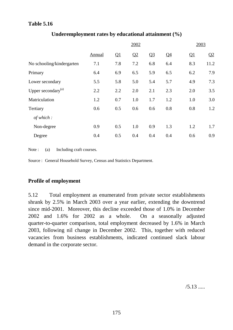# **Table 5.16**

|                                |        |     | 2003 |                |                |     |                |
|--------------------------------|--------|-----|------|----------------|----------------|-----|----------------|
|                                | Annual | Q1  | Q2   | Q <sub>3</sub> | Q <sub>4</sub> | Q1  | Q <sub>2</sub> |
| No schooling/kindergarten      | 7.1    | 7.8 | 7.2  | 6.8            | 6.4            | 8.3 | 11.2           |
| Primary                        | 6.4    | 6.9 | 6.5  | 5.9            | 6.5            | 6.2 | 7.9            |
| Lower secondary                | 5.5    | 5.8 | 5.0  | 5.4            | 5.7            | 4.9 | 7.3            |
| Upper secondary <sup>(a)</sup> | 2.2    | 2.2 | 2.0  | 2.1            | 2.3            | 2.0 | 3.5            |
| Matriculation                  | 1.2    | 0.7 | 1.0  | 1.7            | 1.2            | 1.0 | 3.0            |
| Tertiary                       | 0.6    | 0.5 | 0.6  | 0.6            | 0.8            | 0.8 | 1.2            |
| of which:                      |        |     |      |                |                |     |                |
| Non-degree                     | 0.9    | 0.5 | 1.0  | 0.9            | 1.3            | 1.2 | 1.7            |
| Degree                         | 0.4    | 0.5 | 0.4  | 0.4            | 0.4            | 0.6 | 0.9            |

# **Underemployment rates by educational attainment (%)**

Note : (a) Including craft courses.

Source : General Household Survey, Census and Statistics Department.

# **Profile of employment**

5.12 Total employment as enumerated from private sector establishments shrank by 2.5% in March 2003 over a year earlier, extending the downtrend since mid-2001. Moreover, this decline exceeded those of 1.0% in December 2002 and 1.6% for 2002 as a whole. On a seasonally adjusted quarter-to-quarter comparison, total employment decreased by 1.6% in March 2003, following nil change in December 2002. This, together with reduced vacancies from business establishments, indicated continued slack labour demand in the corporate sector.

/5.13 .....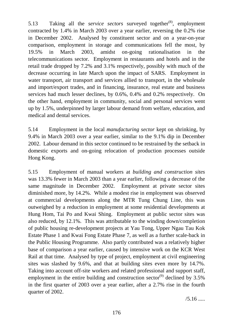5.13 Taking all the *service sectors* surveyed together(8), employment contracted by 1.4% in March 2003 over a year earlier, reversing the 0.2% rise in December 2002. Analysed by constituent sector and on a year-on-year comparison, employment in storage and communications fell the most, by 19.5% in March 2003, amidst on-going rationalisation in the telecommunications sector. Employment in restaurants and hotels and in the retail trade dropped by 7.2% and 3.1% respectively, possibly with much of the decrease occurring in late March upon the impact of SARS. Employment in water transport, air transport and services allied to transport, in the wholesale and import/export trades, and in financing, insurance, real estate and business services had much lesser declines, by 0.6%, 0.4% and 0.2% respectively. On the other hand, employment in community, social and personal services went up by 1.5%, underpinned by larger labour demand from welfare, education, and medical and dental services.

5.14 Employment in the local *manufacturing sector* kept on shrinking, by 9.4% in March 2003 over a year earlier, similar to the 9.1% dip in December 2002. Labour demand in this sector continued to be restrained by the setback in domestic exports and on-going relocation of production processes outside Hong Kong.

5.15 Employment of manual workers at *building and construction sites* was 13.3% fewer in March 2003 than a year earlier, following a decrease of the same magnitude in December 2002. Employment at private sector sites diminished more, by 14.2%. While a modest rise in employment was observed at commercial developments along the MTR Tung Chung Line, this was outweighed by a reduction in employment at some residential developments at Hung Hom, Tai Po and Kwai Shing. Employment at public sector sites was also reduced, by 12.1%. This was attributable to the winding down/completion of public housing re-development projects at Yau Tong, Upper Ngau Tau Kok Estate Phase 1 and Kwai Fong Estate Phase 7, as well as a further scale-back in the Public Housing Programme. Also partly contributed was a relatively higher base of comparison a year earlier, caused by intensive work on the KCR West Rail at that time. Analysed by type of project, employment at civil engineering sites was slashed by 9.6%, and that at building sites even more by 14.7%. Taking into account off-site workers and related professional and support staff, employment in the entire building and construction sector<sup>(9)</sup> declined by  $3.5\%$ in the first quarter of 2003 over a year earlier, after a 2.7% rise in the fourth quarter of 2002.

 $/5.16$  .....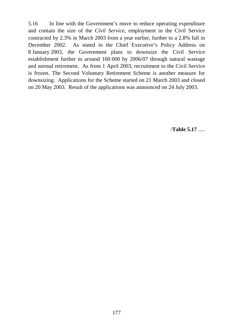5.16 In line with the Government's move to reduce operating expenditure and contain the size of the *Civil Service*, employment in the Civil Service contracted by 2.3% in March 2003 from a year earlier, further to a 2.8% fall in December 2002. As stated in the Chief Executive's Policy Address on 8 January 2003, the Government plans to downsize the Civil Service establishment further to around 160 000 by 2006/07 through natural wastage and normal retirement. As from 1 April 2003, recruitment to the Civil Service is frozen. The Second Voluntary Retirement Scheme is another measure for downsizing. Applications for the Scheme started on 21 March 2003 and closed on 20 May 2003. Result of the applications was announced on 24 July 2003.

/**Table 5.17** .....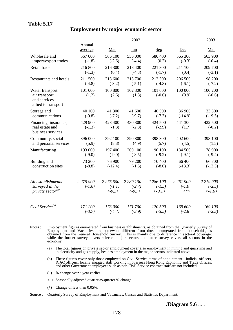# **Table 5.17**

# **Employment by major economic sector**

|                                                                          |                       |                                   | 2002                               |                                    |                                  | 2003                                            |
|--------------------------------------------------------------------------|-----------------------|-----------------------------------|------------------------------------|------------------------------------|----------------------------------|-------------------------------------------------|
|                                                                          | Annual<br>average     | Mar                               | <u>Jun</u>                         | <b>Sep</b>                         | Dec                              | Mar                                             |
| Wholesale and                                                            | 567 000               | 566 100                           | 556 000                            | 580 400                            | 565 300                          | 563 900                                         |
| import/export trades                                                     | $(-1.8)$              | $(-2.6)$                          | $(-4.4)$                           | (0.2)                              | $(-0.3)$                         | $(-0.4)$                                        |
| Retail trade                                                             | 216 800               | 216 300                           | 218 400                            | 221 300                            | 211 100                          | 209 700                                         |
|                                                                          | $(-1.3)$              | (0.4)                             | $(-4.3)$                           | $(-1.7)$                           | (0.4)                            | $(-3.1)$                                        |
| Restaurants and hotels                                                   | 211 500               | 213 600                           | 213 700                            | 212 300                            | 206 500                          | 198 200                                         |
|                                                                          | $(-4.8)$              | $(-3.2)$                          | $(-5.1)$                           | $(-4.8)$                           | $(-6.1)$                         | $(-7.2)$                                        |
| Water transport,<br>air transport<br>and services<br>allied to transport | 101 000<br>(1.2)      | 100 800<br>(2.6)                  | 102 300<br>(1.8)                   | 101 000<br>$(-0.6)$                | 100 000<br>(0.9)                 | 100 200<br>$(-0.6)$                             |
| Storage and                                                              | 40 100                | 41 300                            | 41 600                             | 40 500                             | 36 900                           | 33 300                                          |
| communications                                                           | $(-9.8)$              | $(-7.2)$                          | $(-9.7)$                           | $(-7.3)$                           | $(-14.9)$                        | $(-19.5)$                                       |
| Financing, insurance,<br>real estate and<br>business services            | 429 900<br>$(-1.3)$   | 423 400<br>$(-1.3)$               | 430 300<br>$(-2.8)$                | 424 500<br>$(-2.9)$                | 441 300<br>(1.7)                 | 422 500<br>$(-0.2)$                             |
| Community, social                                                        | 396 000               | 392 100                           | 390 800                            | 398 300                            | 402 600                          | 398 100                                         |
| and personal services                                                    | (5.9)                 | (8.8)                             | (4.9)                              | (5.7)                              | (4.5)                            | (1.5)                                           |
| Manufacturing                                                            | 193 000               | 197 400                           | 200 100                            | 190 100                            | 184 500                          | 178 900                                         |
|                                                                          | $(-9.0)$              | $(-9.0)$                          | $(-8.5)$                           | $(-9.2)$                           | $(-9.1)$                         | $(-9.4)$                                        |
| Building and                                                             | 73 200                | 76 900                            | 79 200                             | 70 400                             | 66 400                           | 66 700                                          |
| construction sites                                                       | $(-8.8)$              | $(-12.4)$                         | $(-1.3)$                           | $(-8.0)$                           | $(-13.3)$                        | $(-13.3)$                                       |
| All establishments<br>surveyed in the<br>private sector <sup>(a)</sup>   | 2 275 900<br>$(-1.6)$ | 2 275 500<br>$(-1.1)$<br>$<-0.3>$ | 2 280 100<br>$(-2.7)$<br>$< -0.7>$ | 2 286 100<br>$(-1.5)$<br>$< -0.1>$ | 2 261 900<br>$(-1.0)$<br>$\lt^*$ | 2 219 000<br>$(-2.5)$<br>$\langle -1.6 \rangle$ |
| Civil Service <sup>(b)</sup>                                             | 171 200               | 173 000                           | 171 700                            | 170 500                            | 169 600                          | 169 100                                         |
|                                                                          | $(-3.7)$              | $(-4.4)$                          | $(-3.9)$                           | $(-3.5)$                           | $(-2.8)$                         | $(-2.3)$                                        |

- Notes : Employment figures enumerated from business establishments, as obtained from the Quarterly Survey of Employment and Vacancies, are somewhat different from those enumerated from households, as obtained from the General Household Survey. This is mainly due to difference in sectoral coverage: while the former survey covers selected major sectors, the latter survey covers all sectors in the economy.
	- (a) The total figures on private sector employment cover also employment in mining and quarrying and in electricity and gas supply, besides employment in the major sectors indicated above.
	- (b) These figures cover only those employed on Civil Service terms of appointment. Judicial officers, ICAC officers, locally engaged staff working in overseas Hong Kong Economic and Trade Offices, and other Government employees such as non-Civil Service contract staff are not included.
	- ( ) % change over a year earlier.
	- < > Seasonally adjusted quarter-to-quarter % change.
	- (\*) Change of less than 0.05%.
- Source : Quarterly Survey of Employment and Vacancies, Census and Statistics Department.

/**Diagram 5.6** .....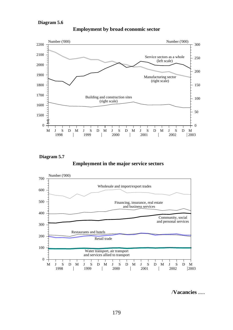

**Employment by broad economic sector**

**Diagram 5.7**

**Employment in the major service sectors**



/**Vacancies** .....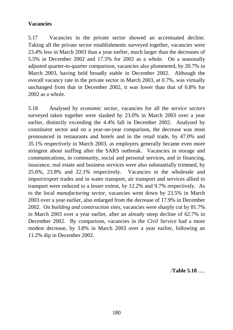# **Vacancies**

5.17 Vacancies in the private sector showed an accentuated decline. Taking all the private sector establishments surveyed together, vacancies were 23.4% less in March 2003 than a year earlier, much larger than the decreases of 5.5% in December 2002 and 17.5% for 2002 as a whole. On a seasonally adjusted quarter-to-quarter comparison, vacancies also plummeted, by 20.7% in March 2003, having held broadly stable in December 2002. Although the overall vacancy rate in the private sector in March 2003, at 0.7%, was virtually unchanged from that in December 2002, it was lower than that of 0.8% for 2002 as a whole.

5.18 Analysed by *economic sector*, vacancies for all the *service sectors* surveyed taken together were slashed by 23.0% in March 2003 over a year earlier, distinctly exceeding the 4.4% fall in December 2002. Analysed by constituent sector and on a year-on-year comparison, the decrease was most pronounced in restaurants and hotels and in the retail trade, by 47.0% and 35.1% respectively in March 2003, as employers generally became even more stringent about staffing after the SARS outbreak. Vacancies in storage and communications, in community, social and personal services, and in financing, insurance, real estate and business services were also substantially trimmed, by 25.6%, 23.8% and 22.1% respectively. Vacancies in the wholesale and import/export trades and in water transport, air transport and services allied to transport were reduced to a lesser extent, by 12.2% and 9.7% respectively. As to the local *manufacturing sector*, vacancies went down by 23.5% in March 2003 over a year earlier, also enlarged from the decrease of 17.9% in December 2002. On *building and construction sites*, vacancies were sharply cut by 81.7% in March 2003 over a year earlier, after an already steep decline of 62.7% in December 2002. By comparison, vacancies in the *Civil Service* had a more modest decrease, by 3.8% in March 2003 over a year earlier, following an 11.2% dip in December 2002.

/**Table 5.18** .....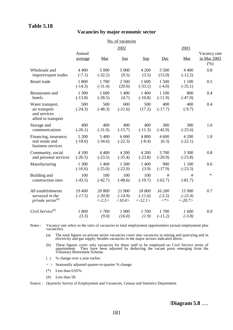# **Table 5.18**

#### **Vacancies by major economic sector**

|                                                                          |                     |                                               | No. of vacancies              |                                                |                               |                                   |                                     |
|--------------------------------------------------------------------------|---------------------|-----------------------------------------------|-------------------------------|------------------------------------------------|-------------------------------|-----------------------------------|-------------------------------------|
|                                                                          |                     |                                               | 2002                          |                                                |                               | 2003                              |                                     |
|                                                                          | Annual<br>average   | Mar                                           | <u>Jun</u>                    | Sep                                            | Dec                           | Mar                               | Vacancy rate<br>in Mar 2003<br>(% ) |
| Wholesale and<br>import/export trades                                    | 4 4 0 0<br>$(-7.1)$ | 5 000<br>$(-32.2)$                            | 5 000<br>(9.5)                | 4 200<br>(3.5)                                 | 3 500<br>(15.0)               | 4 4 0 0<br>$(-12.2)$              | 0.8                                 |
| Retail trade                                                             | 1800<br>$(-14.3)$   | 1700<br>$(-31.4)$                             | 2 500<br>(20.0)               | 1600<br>$(-33.1)$                              | 1500<br>$(-4.0)$              | 1 100<br>$(-35.1)$                | 0.5                                 |
| Restaurants and<br>hotels                                                | 1 300<br>$(-13.8)$  | 1 600<br>$(-28.5)$                            | 1 400<br>(4.7)                | 1 400<br>$(-10.8)$                             | 1 100<br>$(-11.9)$            | 800<br>$(-47.0)$                  | 0.4                                 |
| Water transport,<br>air transport<br>and services<br>allied to transport | 500<br>$(-24.3)$    | 500<br>$(-48.3)$                              | 600<br>$(-21.6)$              | 500<br>(17.2)                                  | 400<br>$(-17.7)$              | 400<br>$(-9.7)$                   | 0.4                                 |
| Storage and<br>communications                                            | 400<br>$(-26.1)$    | 400<br>$(-31.0)$                              | 400<br>$(-15.7)$              | 400<br>$(-11.3)$                               | 300<br>$(-42.9)$              | 300<br>$(-25.6)$                  | 1.0                                 |
| Financing, insurance,<br>real estate and<br>business services            | 5 200<br>$(-18.6)$  | 5 400<br>$(-34.6)$                            | 6 0 0 0<br>$(-22.3)$          | 4 800<br>$(-8.4)$                              | 4 600<br>(6.3)                | 4 200<br>$(-22.1)$                | 1.0                                 |
| Community, social<br>and personal services                               | 4 100<br>$(-26.5)$  | 4 4 0 0<br>$(-23.5)$                          | 4 200<br>$(-35.4)$            | 4 200<br>$(-23.8)$                             | 3700<br>$(-20.9)$             | 3 3 0 0<br>$(-23.8)$              | 0.8                                 |
| Manufacturing                                                            | 1 300<br>$(-16.6)$  | 1 400<br>$(-25.0)$                            | 1 500<br>$(-22.0)$            | 1 400<br>(3.9)                                 | 900<br>$(-17.9)$              | 1 100<br>$(-23.5)$                | 0.6                                 |
| Building and<br>construction sites                                       | 100<br>$(-43.5)$    | 100<br>$(-42.7)$                              | 100<br>$(-48.6)$              | 100<br>$(-19.7)$                               | #<br>$(-62.7)$                | #<br>$(-81.7)$                    | $\ast$                              |
| All establishments<br>surveyed in the<br>private sector <sup>(a)</sup>   | 19 400<br>$(-17.5)$ | 20 800<br>$(-30.8)$<br>$\langle -2.5 \rangle$ | 21 900<br>$(-14.9)$<br><10.4> | 18 800<br>$(-11.6)$<br>$\langle -12.1 \rangle$ | 16 200<br>$(-5.5)$<br>$\lt^*$ | 15 900<br>$(-23.4)$<br>$< -20.7>$ | 0.7                                 |
| Civil Service <sup>(b)</sup>                                             | 1800<br>(3.3)       | 1700<br>(9.0)                                 | 1900<br>(16.0)                | 1700<br>(1.9)                                  | 1700<br>$(-11.2)$             | 1600<br>$(-3.8)$                  | 0.9                                 |

Notes : Vacancy rate refers to the ratio of vacancies to total employment opportunities (actual employment plus vacancies).

(a) The total figures on private sector vacancies cover also vacancies in mining and quarrying and in electricity and gas supply, besides vacancies in the major sectors indicated above.

- (b) These figures cover only vacancies for those staff to be employed on Civil Service terms of appointment. They have been adjusted by deducting the vacant posts emerging from the Voluntary Retirement Scheme.
- ( ) % change over a year earlier.
- < > Seasonally adjusted quarter-to-quarter % change.
- $(*)$  Less than  $0.05\%$ .
- $(\#)$  Less than 50.

Source : Quarterly Survey of Employment and Vacancies, Census and Statistics Department.

/**Diagram 5.8** .....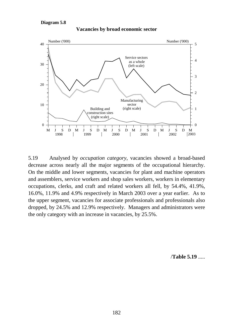#### **Diagram 5.8**



**Vacancies by broad economic sector**

5.19 Analysed by *occupation category*, vacancies showed a broad-based decrease across nearly all the major segments of the occupational hierarchy. On the middle and lower segments, vacancies for plant and machine operators and assemblers, service workers and shop sales workers, workers in elementary occupations, clerks, and craft and related workers all fell, by 54.4%, 41.9%, 16.0%, 11.9% and 4.9% respectively in March 2003 over a year earlier. As to the upper segment, vacancies for associate professionals and professionals also dropped, by 24.5% and 12.9% respectively. Managers and administrators were the only category with an increase in vacancies, by 25.5%.

/**Table 5.19** .....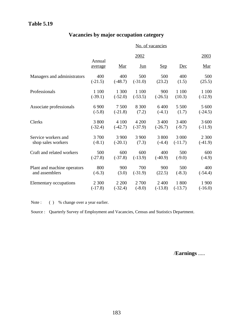# **Table 5.19**

# **Vacancies by major occupation category**

|                             | No. of vacancies  |            |            |            |           |            |  |  |
|-----------------------------|-------------------|------------|------------|------------|-----------|------------|--|--|
|                             |                   |            | 2002       |            |           | 2003       |  |  |
|                             | Annual<br>average | <u>Mar</u> | <u>Jun</u> | <u>Sep</u> | Dec       | <u>Mar</u> |  |  |
| Managers and administrators | 400               | 400        | 500        | 500        | 400       | 500        |  |  |
|                             | $(-21.5)$         | $(-48.7)$  | $(-31.0)$  | (23.2)     | (1.5)     | (25.5)     |  |  |
| Professionals               | 1 100             | 1 300      | 1 100      | 900        | 1 100     | 1 100      |  |  |
|                             | $(-39.1)$         | $(-52.0)$  | $(-53.5)$  | $(-26.5)$  | (10.3)    | $(-12.9)$  |  |  |
| Associate professionals     | 6 900             | 7 500      | 8 3 0 0    | 6 4 0 0    | 5 500     | 5 600      |  |  |
|                             | $(-5.8)$          | $(-21.8)$  | (7.2)      | $(-4.1)$   | (1.7)     | $(-24.5)$  |  |  |
| Clerks                      | 3 800             | 4 100      | 4 200      | 3 4 0 0    | 3 4 0 0   | 3 600      |  |  |
|                             | $(-32.4)$         | $(-42.7)$  | $(-37.9)$  | $(-26.7)$  | $(-9.7)$  | $(-11.9)$  |  |  |
| Service workers and         | 3 700             | 3 900      | 3 900      | 3 800      | 3 000     | 2 3 0 0    |  |  |
| shop sales workers          | $(-8.1)$          | $(-20.1)$  | (7.3)      | $(-4.4)$   | $(-11.7)$ | $(-41.9)$  |  |  |
| Craft and related workers   | 500               | 600        | 600        | 400        | 500       | 600        |  |  |
|                             | $(-27.8)$         | $(-37.8)$  | $(-13.9)$  | $(-40.9)$  | $(-9.0)$  | $(-4.9)$   |  |  |
| Plant and machine operators | 800               | 900        | 700        | 900        | 500       | 400        |  |  |
| and assemblers              | $(-6.3)$          | (3.0)      | $(-31.9)$  | (22.5)     | $(-8.3)$  | $(-54.4)$  |  |  |
| Elementary occupations      | 2 3 0 0           | 2 2 0 0    | 2 700      | 2 4 0 0    | 1800      | 1 900      |  |  |
|                             | $(-17.8)$         | $(-32.4)$  | $(-8.0)$   | $(-13.8)$  | $(-13.7)$ | $(-16.0)$  |  |  |

Note : ( ) % change over a year earlier.

Source : Quarterly Survey of Employment and Vacancies, Census and Statistics Department.

/**Earnings** .....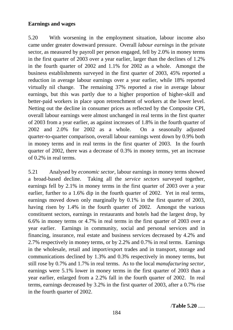# **Earnings and wages**

5.20 With worsening in the employment situation, labour income also came under greater downward pressure. Overall *labour earnings* in the private sector, as measured by payroll per person engaged, fell by 2.0% in money terms in the first quarter of 2003 over a year earlier, larger than the declines of 1.2% in the fourth quarter of 2002 and 1.1% for 2002 as a whole. Amongst the business establishments surveyed in the first quarter of 2003, 45% reported a reduction in average labour earnings over a year earlier, while 18% reported virtually nil change. The remaining 37% reported a rise in average labour earnings, but this was partly due to a higher proportion of higher-skill and better-paid workers in place upon retrenchment of workers at the lower level. Netting out the decline in consumer prices as reflected by the Composite CPI, overall labour earnings were almost unchanged in real terms in the first quarter of 2003 from a year earlier, as against increases of 1.8% in the fourth quarter of 2002 and 2.0% for 2002 as a whole. On a seasonally adjusted quarter-to-quarter comparison, overall labour earnings went down by 0.9% both in money terms and in real terms in the first quarter of 2003. In the fourth quarter of 2002, there was a decrease of 0.3% in money terms, yet an increase of 0.2% in real terms.

5.21 Analysed by *economic sector*, labour earnings in money terms showed a broad-based decline. Taking all the *service sectors* surveyed together, earnings fell by 2.1% in money terms in the first quarter of 2003 over a year earlier, further to a 1.6% dip in the fourth quarter of 2002. Yet in real terms, earnings moved down only marginally by 0.1% in the first quarter of 2003, having risen by 1.4% in the fourth quarter of 2002. Amongst the various constituent sectors, earnings in restaurants and hotels had the largest drop, by 6.6% in money terms or 4.7% in real terms in the first quarter of 2003 over a year earlier. Earnings in community, social and personal services and in financing, insurance, real estate and business services decreased by 4.2% and 2.7% respectively in money terms, or by 2.2% and 0.7% in real terms. Earnings in the wholesale, retail and import/export trades and in transport, storage and communications declined by 1.3% and 0.3% respectively in money terms, but still rose by 0.7% and 1.7% in real terms. As to the local *manufacturing sector*, earnings were 5.1% lower in money terms in the first quarter of 2003 than a year earlier, enlarged from a 2.2% fall in the fourth quarter of 2002. In real terms, earnings decreased by 3.2% in the first quarter of 2003, after a 0.7% rise in the fourth quarter of 2002.

/**Table 5.20** .....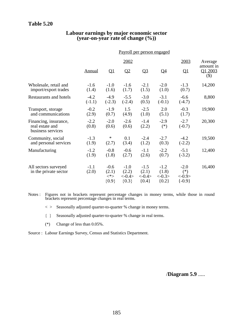# **Table 5.20**

#### **Labour earnings by major economic sector (year-on-year rate of change (%))**

|                                                               | Payroll per person engaged |                                      |                                        |                                        |                                        |                                            |                                |  |
|---------------------------------------------------------------|----------------------------|--------------------------------------|----------------------------------------|----------------------------------------|----------------------------------------|--------------------------------------------|--------------------------------|--|
|                                                               |                            |                                      | 2002                                   |                                        |                                        | 2003                                       | Average                        |  |
|                                                               | Annual                     | $\overline{\mathsf{Q}}$ 1            | Q2                                     | Q <sub>3</sub>                         | $\overline{Q4}$                        | $\overline{\mathrm{Q1}}$                   | amount in<br>Q1 2003<br>$(\$)$ |  |
| Wholesale, retail and<br>import/export trades                 | $-1.6$<br>(1.4)            | $-1.0$<br>(1.6)                      | $-1.6$<br>(1.7)                        | $-2.1$<br>(1.5)                        | $-2.0$<br>(1.0)                        | $-1.3$<br>(0.7)                            | 14,200                         |  |
| Restaurants and hotels                                        | $-4.2$<br>$(-1.1)$         | $-4.9$<br>$(-2.3)$                   | $-5.5$<br>$(-2.4)$                     | $-3.0$<br>(0.5)                        | $-3.1$<br>$(-0.1)$                     | $-6.6$<br>$(-4.7)$                         | 8,800                          |  |
| Transport, storage<br>and communications                      | $-0.2$<br>(2.9)            | $-1.9$<br>(0.7)                      | 1.5<br>(4.9)                           | $-2.5$<br>(1.0)                        | 2.0<br>(5.1)                           | $-0.3$<br>(1.7)                            | 19,900                         |  |
| Financing, insurance,<br>real estate and<br>business services | $-2.2$<br>(0.8)            | $-2.0$<br>(0.6)                      | $-2.6$<br>(0.6)                        | $-1.4$<br>(2.2)                        | $-2.9$<br>$(*)$                        | $-2.7$<br>$(-0.7)$                         | 20,300                         |  |
| Community, social<br>and personal services                    | $-1.3$<br>(1.9)            | $\ast$<br>(2.7)                      | 0.1<br>(3.4)                           | $-2.4$<br>(1.2)                        | $-2.7$<br>(0.3)                        | $-4.2$<br>$(-2.2)$                         | 19,500                         |  |
| Manufacturing                                                 | $-1.2$<br>(1.9)            | $-0.8$<br>(1.8)                      | $-0.6$<br>(2.7)                        | $-1.1$<br>(2.6)                        | $-2.2$<br>(0.7)                        | $-5.1$<br>$(-3.2)$                         | 12,400                         |  |
| All sectors surveyed<br>in the private sector                 | $-1.1$<br>(2.0)            | $-0.6$<br>(2.1)<br>$<^*>$<br>${0.9}$ | $-1.0$<br>(2.2)<br>$<-0.4>$<br>${0.3}$ | $-1.5$<br>(2.1)<br>$<-0.4>$<br>${0.4}$ | $-1.2$<br>(1.8)<br>$<-0.3>$<br>${0.2}$ | $-2.0$<br>$(*)$<br>$< -0.9>$<br>$\{-0.9\}$ | 16,400                         |  |

Notes : Figures not in brackets represent percentage changes in money terms, while those in round brackets represent percentage changes in real terms.

 $\langle \rangle$  Seasonally adjusted quarter-to-quarter % change in money terms.

{ } Seasonally adjusted quarter-to-quarter % change in real terms.

(\*) Change of less than 0.05%.

Source : Labour Earnings Survey, Census and Statistics Department.

/**Diagram 5.9** .....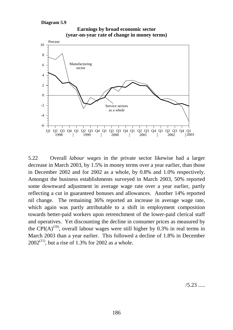

**Earnings by broad economic sector (year-on-year rate of change in money terms)**

5.22 Overall *labour wages* in the private sector likewise had a larger decrease in March 2003, by 1.5% in money terms over a year earlier, than those in December 2002 and for 2002 as a whole, by 0.8% and 1.0% respectively. Amongst the business establishments surveyed in March 2003, 50% reported some downward adjustment in average wage rate over a year earlier, partly reflecting a cut in guaranteed bonuses and allowances. Another 14% reported nil change. The remaining 36% reported an increase in average wage rate, which again was partly attributable to a shift in employment composition towards better-paid workers upon retrenchment of the lower-paid clerical staff and operatives. Yet discounting the decline in consumer prices as measured by the CPI(A)<sup>(10)</sup>, overall labour wages were still higher by 0.3% in real terms in March 2003 than a year earlier. This followed a decline of 1.8% in December  $2002^{(11)}$ , but a rise of 1.3% for 2002 as a whole.

/5.23 .....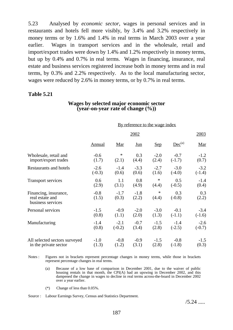5.23 Analysed by *economic sector*, wages in personal services and in restaurants and hotels fell more visibly, by 3.4% and 3.2% respectively in money terms or by 1.6% and 1.4% in real terms in March 2003 over a year earlier. Wages in transport services and in the wholesale, retail and import/export trades were down by 1.4% and 1.2% respectively in money terms, but up by 0.4% and 0.7% in real terms. Wages in financing, insurance, real estate and business services registered increase both in money terms and in real terms, by 0.3% and 2.2% respectively. As to the local manufacturing sector, wages were reduced by 2.6% in money terms, or by 0.7% in real terms.

# **Table 5.21**

## **Wages by selected major economic sector (year-on-year rate of change (%))**

|                                                               | By reference to the wage index |                 |                 |                 |                 |              |  |  |
|---------------------------------------------------------------|--------------------------------|-----------------|-----------------|-----------------|-----------------|--------------|--|--|
|                                                               |                                |                 | 2002            |                 |                 | 2003         |  |  |
|                                                               | <b>Annual</b>                  | <b>Mar</b>      | $_{\text{Jun}}$ | <u>Sep</u>      | $Dec^{(a)}$     | <u>Mar</u>   |  |  |
| Wholesale, retail and                                         | $-0.6$                         | $\ast$          | 0.3             | $-2.0$          | $-0.7$          | $-1.2$       |  |  |
| import/export trades                                          | (1.7)                          | (2.1)           | (4.4)           | (2.4)           | $(-1.7)$        | (0.7)        |  |  |
| Restaurants and hotels                                        | $-2.6$                         | $-1.4$          | $-3.3$          | $-2.7$          | $-3.0$          | $-3.2$       |  |  |
|                                                               | $(-0.3)$                       | (0.6)           | (0.6)           | (1.6)           | $(-4.0)$        | $(-1.4)$     |  |  |
| Transport services                                            | 0.6                            | 1.1             | 0.8             | $\ast$          | 0.5             | $-1.4$       |  |  |
|                                                               | (2.9)                          | (3.1)           | (4.9)           | (4.4)           | $(-0.5)$        | (0.4)        |  |  |
| Financing, insurance,<br>real estate and<br>business services | $-0.8$<br>(1.5)                | $-1.7$<br>(0.3) | $-1.8$<br>(2.2) | $\ast$<br>(4.4) | 0.3<br>$(-0.8)$ | 0.3<br>(2.2) |  |  |
| Personal services                                             | $-1.5$                         | $-0.9$          | $-2.0$          | $-3.0$          | $-0.1$          | $-3.4$       |  |  |
|                                                               | (0.8)                          | (1.1)           | (2.0)           | (1.3)           | $(-1.1)$        | $(-1.6)$     |  |  |
| Manufacturing                                                 | $-1.4$                         | $-2.1$          | $-0.7$          | $-1.5$          | $-1.4$          | $-2.6$       |  |  |
|                                                               | (0.8)                          | $(-0.2)$        | (3.4)           | (2.8)           | $(-2.5)$        | $(-0.7)$     |  |  |
| All selected sectors surveyed                                 | $-1.0$                         | $-0.8$          | $-0.9$          | $-1.5$          | $-0.8$          | $-1.5$       |  |  |
| in the private sector                                         | (1.3)                          | (1.2)           | (3.1)           | (2.8)           | $(-1.8)$        | (0.3)        |  |  |

Notes : Figures not in brackets represent percentage changes in money terms, while those in brackets represent percentage changes in real terms.

- (a) Because of a low base of comparison in December 2001, due to the waiver of public housing rentals in that month, the CPI(A) had an upswing in December 2002, and this dampened the change in wages to decline in real terms across-the-board in December 2002 over a year earlier.
- (\*) Change of less than 0.05%.

Source : Labour Earnings Survey, Census and Statistics Department.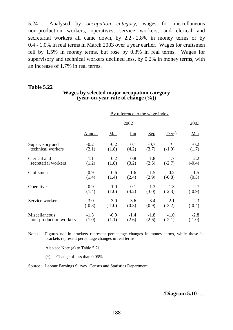5.24 Analysed by *occupation category*, wages for miscellaneous non-production workers, operatives, service workers, and clerical and secretarial workers all came down, by 2.2 - 2.8% in money terms or by 0.4 - 1.0% in real terms in March 2003 over a year earlier. Wages for craftsmen fell by 1.5% in money terms, but rose by 0.3% in real terms. Wages for supervisory and technical workers declined less, by 0.2% in money terms, with an increase of 1.7% in real terms.

## **Table 5.22**

# **Wages by selected major occupation category (year-on-year rate of change (%))**

|                        | By reference to the wage index |          |            |            |             |          |  |  |
|------------------------|--------------------------------|----------|------------|------------|-------------|----------|--|--|
|                        |                                |          | 2002       |            |             | 2003     |  |  |
|                        | Annual                         | Mar      | <u>Jun</u> | <u>Sep</u> | $Dec^{(a)}$ | Mar      |  |  |
| Supervisory and        | $-0.2$                         | $-0.2$   | 0.1        | $-0.7$     | $\ast$      | $-0.2$   |  |  |
| technical workers      | (2.1)                          | (1.8)    | (4.2)      | (3.7)      | $(-1.0)$    | (1.7)    |  |  |
| Clerical and           | $-1.1$                         | $-0.2$   | $-0.8$     | $-1.8$     | $-1.7$      | $-2.2$   |  |  |
| secretarial workers    | (1.2)                          | (1.8)    | (3.2)      | (2.5)      | $(-2.7)$    | $(-0.4)$ |  |  |
| Craftsmen              | $-0.9$                         | $-0.6$   | $-1.6$     | $-1.5$     | 0.2         | $-1.5$   |  |  |
|                        | (1.4)                          | (1.4)    | (2.4)      | (2.9)      | $(-0.8)$    | (0.3)    |  |  |
| Operatives             | $-0.9$                         | $-1.0$   | 0.1        | $-1.3$     | $-1.3$      | $-2.7$   |  |  |
|                        | (1.4)                          | (1.0)    | (4.2)      | (3.0)      | $(-2.3)$    | $(-0.9)$ |  |  |
| Service workers        | $-3.0$                         | $-3.0$   | $-3.6$     | $-3.4$     | $-2.1$      | $-2.3$   |  |  |
|                        | $(-0.8)$                       | $(-1.0)$ | (0.3)      | (0.9)      | $(-3.2)$    | $(-0.4)$ |  |  |
| Miscellaneous          | $-1.3$                         | $-0.9$   | $-1.4$     | $-1.8$     | $-1.0$      | $-2.8$   |  |  |
| non-production workers | (1.0)                          | (1.1)    | (2.6)      | (2.6)      | $(-2.1)$    | $(-1.0)$ |  |  |

Notes : Figures not in brackets represent percentage changes in money terms, while those in brackets represent percentage changes in real terms.

Also see Note (a) to Table 5.21.

(\*) Change of less than 0.05%.

Source : Labour Earnings Survey, Census and Statistics Department.

/**Diagram 5.10** .....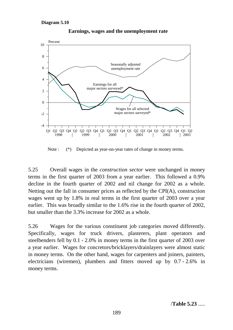

**Earnings, wages and the unemployment rate**

Note : (\*) Depicted as year-on-year rates of change in money terms.

5.25 Overall wages in the *construction sector* were unchanged in money terms in the first quarter of 2003 from a year earlier. This followed a 0.9% decline in the fourth quarter of 2002 and nil change for 2002 as a whole. Netting out the fall in consumer prices as reflected by the CPI(A), construction wages went up by 1.8% in real terms in the first quarter of 2003 over a year earlier. This was broadly similar to the 1.6% rise in the fourth quarter of 2002, but smaller than the 3.3% increase for 2002 as a whole.

5.26 Wages for the various constituent job categories moved differently. Specifically, wages for truck drivers, plasterers, plant operators and steelbenders fell by 0.1 - 2.0% in money terms in the first quarter of 2003 over a year earlier. Wages for concretors/bricklayers/drainlayers were almost static in money terms. On the other hand, wages for carpenters and joiners, painters, electricians (wiremen), plumbers and fitters moved up by 0.7 - 2.6% in money terms.

/**Table 5.23** .....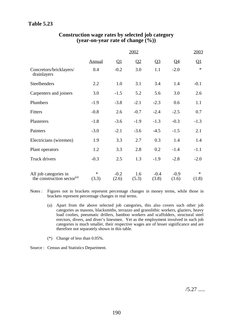|                                                                 | 2002            |                 |                         |                 |                          |                 |
|-----------------------------------------------------------------|-----------------|-----------------|-------------------------|-----------------|--------------------------|-----------------|
|                                                                 | Annual          | $\mathbf{Q}$    | $\overline{\mathbf{Q}}$ | $Q_3$           | $\overline{\mathsf{Q4}}$ | $\mathbf{Q}1$   |
| Concretors/bricklayers/<br>drainlayers                          | 0.4             | $-0.2$          | 3.0                     | 1.1             | $-2.0$                   | $\ast$          |
| Steelbenders                                                    | 2.2             | 1.0             | 3.1                     | 3.4             | 1.4                      | $-0.1$          |
| Carpenters and joiners                                          | 3.0             | $-1.5$          | 5.2                     | 5.6             | 3.0                      | 2.6             |
| Plumbers                                                        | $-1.9$          | $-3.8$          | $-2.1$                  | $-2.3$          | 0.6                      | 1.1             |
| Fitters                                                         | $-0.8$          | 2.6             | $-0.7$                  | $-2.4$          | $-2.5$                   | 0.7             |
| Plasterers                                                      | $-1.8$          | $-3.6$          | $-1.9$                  | $-1.3$          | $-0.3$                   | $-1.3$          |
| Painters                                                        | $-3.0$          | $-2.1$          | $-3.6$                  | $-4.5$          | $-1.5$                   | 2.1             |
| Electricians (wiremen)                                          | 1.9             | 3.3             | 2.7                     | 0.3             | 1.4                      | 1.4             |
| Plant operators                                                 | 1.2             | 3.3             | 2.8                     | 0.2             | $-1.4$                   | $-1.1$          |
| Truck drivers                                                   | $-0.3$          | 2.5             | 1.3                     | $-1.9$          | $-2.8$                   | $-2.0$          |
| All job categories in<br>the construction sector <sup>(a)</sup> | $\ast$<br>(3.3) | $-0.2$<br>(2.6) | 1.6<br>(5.3)            | $-0.4$<br>(3.8) | $-0.9$<br>(1.6)          | $\ast$<br>(1.8) |

# **Construction wage rates by selected job category (year-on-year rate of change (%))**

Notes : Figures not in brackets represent percentage changes in money terms, while those in brackets represent percentage changes in real terms.

- (a) Apart from the above selected job categories, this also covers such other job categories as masons, blacksmiths, terrazzo and granolithic workers, glaziers, heavy load coolies, pneumatic drillers, bamboo workers and scaffolders, structural steel erectors, divers, and diver's linesmen. Yet as the employment involved in such job categories is much smaller, their respective wages are of lesser significance and are therefore not separately shown in this table.
- (\*) Change of less than 0.05%.
- Source : Census and Statistics Department.

/5.27 .....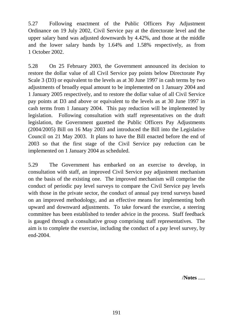5.27 Following enactment of the Public Officers Pay Adjustment Ordinance on 19 July 2002, Civil Service pay at the directorate level and the upper salary band was adjusted downwards by 4.42%, and those at the middle and the lower salary bands by 1.64% and 1.58% respectively, as from 1 October 2002.

5.28 On 25 February 2003, the Government announced its decision to restore the dollar value of all Civil Service pay points below Directorate Pay Scale 3 (D3) or equivalent to the levels as at 30 June 1997 in cash terms by two adjustments of broadly equal amount to be implemented on 1 January 2004 and 1 January 2005 respectively, and to restore the dollar value of all Civil Service pay points at D3 and above or equivalent to the levels as at 30 June 1997 in cash terms from 1 January 2004. This pay reduction will be implemented by legislation. Following consultation with staff representatives on the draft legislation, the Government gazetted the Public Officers Pay Adjustments (2004/2005) Bill on 16 May 2003 and introduced the Bill into the Legislative Council on 21 May 2003. It plans to have the Bill enacted before the end of 2003 so that the first stage of the Civil Service pay reduction can be implemented on 1 January 2004 as scheduled.

5.29 The Government has embarked on an exercise to develop, in consultation with staff, an improved Civil Service pay adjustment mechanism on the basis of the existing one. The improved mechanism will comprise the conduct of periodic pay level surveys to compare the Civil Service pay levels with those in the private sector, the conduct of annual pay trend surveys based on an improved methodology, and an effective means for implementing both upward and downward adjustments. To take forward the exercise, a steering committee has been established to tender advice in the process. Staff feedback is gauged through a consultative group comprising staff representatives. The aim is to complete the exercise, including the conduct of a pay level survey, by end-2004.

/**Notes** .....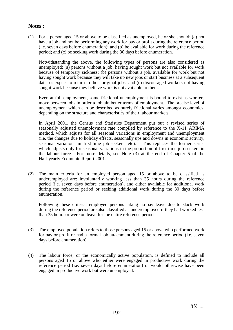## **Notes :**

(1) For a person aged 15 or above to be classified as unemployed, he or she should: (a) not have a job and not be performing any work for pay or profit during the reference period (i.e. seven days before enumeration); and (b) be available for work during the reference period; and (c) be seeking work during the 30 days before enumeration.

Notwithstanding the above, the following types of persons are also considered as unemployed: (a) persons without a job, having sought work but not available for work because of temporary sickness; (b) persons without a job, available for work but not having sought work because they will take up new jobs or start business at a subsequent date, or expect to return to their original jobs; and (c) discouraged workers not having sought work because they believe work is not available to them.

Even at full employment, some frictional unemployment is bound to exist as workers move between jobs in order to obtain better terms of employment. The precise level of unemployment which can be described as purely frictional varies amongst economies, depending on the structure and characteristics of their labour markets.

In April 2001, the Census and Statistics Department put out a revised series of seasonally adjusted unemployment rate compiled by reference to the X-11 ARIMA method, which adjusts for all seasonal variations in employment and unemployment (i.e. the changes due to holiday effects, seasonally ups and downs in economic activity, seasonal variations in first-time job-seekers, etc). This replaces the former series which adjusts only for seasonal variations in the proportion of first-time job-seekers in the labour force. For more details, see Note (3) at the end of Chapter 5 of the Half-yearly Economic Report 2001.

(2) The main criteria for an employed person aged 15 or above to be classified as underemployed are: involuntarily working less than 35 hours during the reference period (i.e. seven days before enumeration), and either available for additional work during the reference period or seeking additional work during the 30 days before enumeration.

Following these criteria, employed persons taking no-pay leave due to slack work during the reference period are also classified as underemployed if they had worked less than 35 hours or were on leave for the entire reference period.

- (3) The employed population refers to those persons aged 15 or above who performed work for pay or profit or had a formal job attachment during the reference period (i.e. seven days before enumeration).
- (4) The labour force, or the economically active population, is defined to include all persons aged 15 or above who either were engaged in productive work during the reference period (i.e. seven days before enumeration) or would otherwise have been engaged in productive work but were unemployed.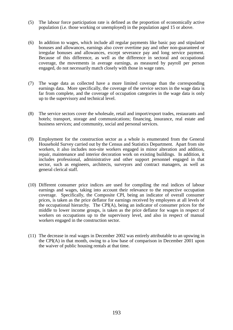- (5) The labour force participation rate is defined as the proportion of economically active population (i.e. those working or unemployed) in the population aged 15 or above.
- (6) In addition to wages, which include all regular payments like basic pay and stipulated bonuses and allowances, earnings also cover overtime pay and other non-guaranteed or irregular bonuses and allowances, except severance pay and long service payment. Because of this difference, as well as the difference in sectoral and occupational coverage, the movements in average earnings, as measured by payroll per person engaged, do not necessarily match closely with those in wage rates.
- (7) The wage data as collected have a more limited coverage than the corresponding earnings data. More specifically, the coverage of the service sectors in the wage data is far from complete, and the coverage of occupation categories in the wage data is only up to the supervisory and technical level.
- (8) The service sectors cover the wholesale, retail and import/export trades, restaurants and hotels; transport, storage and communications; financing, insurance, real estate and business services; and community, social and personal services.
- (9) Employment for the construction sector as a whole is enumerated from the General Household Survey carried out by the Census and Statistics Department. Apart from site workers, it also includes non-site workers engaged in minor alteration and addition, repair, maintenance and interior decoration work on existing buildings. In addition, it includes professional, administrative and other support personnel engaged in that sector, such as engineers, architects, surveyors and contract managers, as well as general clerical staff.
- (10) Different consumer price indices are used for compiling the real indices of labour earnings and wages, taking into account their relevance to the respective occupation coverage. Specifically, the Composite CPI, being an indicator of overall consumer prices, is taken as the price deflator for earnings received by employees at all levels of the occupational hierarchy. The CPI(A), being an indicator of consumer prices for the middle to lower income groups, is taken as the price deflator for wages in respect of workers on occupations up to the supervisory level, and also in respect of manual workers engaged in the construction sector.
- (11) The decrease in real wages in December 2002 was entirely attributable to an upswing in the CPI(A) in that month, owing to a low base of comparison in December 2001 upon the waiver of public housing rentals at that time.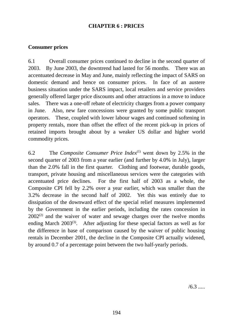# **CHAPTER 6 : PRICES**

# **Consumer prices**

6.1 Overall consumer prices continued to decline in the second quarter of 2003. By June 2003, the downtrend had lasted for 56 months. There was an accentuated decrease in May and June, mainly reflecting the impact of SARS on domestic demand and hence on consumer prices. In face of an austere business situation under the SARS impact, local retailers and service providers generally offered larger price discounts and other attractions in a move to induce sales. There was a one-off rebate of electricity charges from a power company in June. Also, new fare concessions were granted by some public transport operators. These, coupled with lower labour wages and continued softening in property rentals, more than offset the effect of the recent pick-up in prices of retained imports brought about by a weaker US dollar and higher world commodity prices.

6.2 The *Composite Consumer Price Index*(1) went down by 2.5% in the second quarter of 2003 from a year earlier (and further by 4.0% in July), larger than the 2.0% fall in the first quarter. Clothing and footwear, durable goods, transport, private housing and miscellaneous services were the categories with accentuated price declines. For the first half of 2003 as a whole, the Composite CPI fell by 2.2% over a year earlier, which was smaller than the 3.2% decrease in the second half of 2002. Yet this was entirely due to dissipation of the downward effect of the special relief measures implemented by the Government in the earlier periods, including the rates concession in  $2002<sup>(2)</sup>$  and the waiver of water and sewage charges over the twelve months ending March  $2003^{(3)}$ . After adjusting for these special factors as well as for the difference in base of comparison caused by the waiver of public housing rentals in December 2001, the decline in the Composite CPI actually widened, by around 0.7 of a percentage point between the two half-yearly periods.

 $/6.3$  .....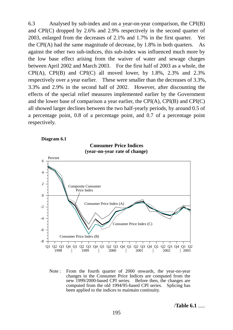6.3 Analysed by sub-index and on a year-on-year comparison, the CPI(B) and CPI(C) dropped by 2.6% and 2.9% respectively in the second quarter of 2003, enlarged from the decreases of 2.1% and 1.7% in the first quarter. Yet the CPI(A) had the same magnitude of decrease, by 1.8% in both quarters. As against the other two sub-indices, this sub-index was influenced much more by the low base effect arising from the waiver of water and sewage charges between April 2002 and March 2003. For the first half of 2003 as a whole, the CPI(A), CPI(B) and CPI(C) all moved lower, by  $1.8\%$ ,  $2.3\%$  and  $2.3\%$ respectively over a year earlier. These were smaller than the decreases of 3.3%, 3.3% and 2.9% in the second half of 2002. However, after discounting the effects of the special relief measures implemented earlier by the Government and the lower base of comparison a year earlier, the CPI(A), CPI(B) and CPI(C) all showed larger declines between the two half-yearly periods, by around 0.5 of a percentage point, 0.8 of a percentage point, and 0.7 of a percentage point respectively.





Note : From the fourth quarter of 2000 onwards, the year-on-year changes in the Consumer Price Indices are computed from the new 1999/2000-based CPI series. Before then, the changes are computed from the old 1994/95-based CPI series. Splicing has been applied to the indices to maintain continuity.

195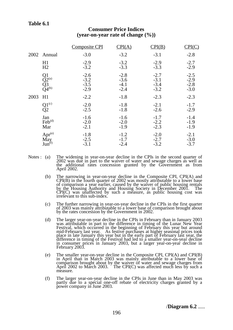# **Table 6.1**

|      |                                                 | <b>Composite CPI</b>                 | CPI(A)                               | CPI(B)                               |                                      |
|------|-------------------------------------------------|--------------------------------------|--------------------------------------|--------------------------------------|--------------------------------------|
| 2002 | Annual                                          | $-3.0$                               | $-3.2$                               | $-3.1$                               | $-2.8$                               |
|      | H1<br>H2                                        | $-2.9$<br>$-3.2$                     | $-3.2$<br>$-3.3$                     | $-2.9$<br>$-3.3$                     | $-2.7$<br>$-2.9$                     |
|      | Q1<br>$\widetilde{Q}^{2^{(a)}}_{2^{(b)}}$       | $-2.6$<br>$-3.2$<br>$-3.5$<br>$-2.9$ | $-2.8$<br>$-3.6$<br>$-4.1$<br>$-2.4$ | $-2.7$<br>$-3.1$<br>$-3.4$<br>$-3.2$ | $-2.5$<br>$-2.9$<br>$-2.8$<br>$-3.0$ |
| 2003 | H1                                              | $-2.2$                               | $-1.8$                               | $-2.3$                               | $-2.3$                               |
|      | $Q_2^{1^{(c)}}$                                 | $-2.0$<br>$-2.5$                     | $-1.8$<br>$-1.8$                     | $-2.1$<br>$-2.6$                     | $-1.7$<br>$-2.9$                     |
|      | Jan<br>$\text{Feb}^{\text{(d)}}$<br>Mar         | $-1.6$<br>$-2.0$<br>$-2.1$           | $-1.6$<br>$-2.0$<br>$-1.9$           | $-1.7$<br>$-2.2$<br>$-2.3$           | $-1.4$<br>$-1.9$<br>$-1.9$           |
|      | Apr <sup>(e)</sup><br>May<br>Jun <sup>(f)</sup> | $-1.8$<br>$-2.5$<br>$-3.1$           | $-1.2$<br>$-1.7$<br>$-2.4$           | $-2.0$<br>$-2.7$<br>$-3.2$           | $-2.1$<br>$-3.0$<br>$-3.7$           |

## **Consumer Price Indices (year-on-year rate of change (%))**

- Notes: (a) The widening in year-on-year decline in the CPIs in the second quarter of 2002 was due in part to the waiver of water and sewage charges as well as the additional rates concession granted by the Government as fr
	- (b) The narrowing in year-on-year decline in the Composite CPI, CPI(A) and CPI(B) in the fourth quarter of 2002 was mostly attributable to a lower base of comparison a year earlier, caused by the waiver of public housing rentals by the Housing Authority and Housing Society in December 2001. The CPI(C) was unaffected by such a measure, as public housing cost was irrelevant to this sub-index.
	- (c) The further narrowing in year-on-year decline in the CPIs in the first quarter of 2003 was mainly attributable to a lower base of comparison brought about by the rates concession by the Government in 2002.
	- (d) The larger year-on-year decline in the CPIs in February than in January 2003 was attributable in part to the difference in timing of the Lunar New Year Festival, which occurred in the beginning of February this year but around mid-February last year. As festive purchases at higher seasonal prices took place in late January this year but in the early part of February last year, the difference in timing of the Festival had led to a smaller year-on-year decline in consumer prices in January 2003, but a larger year-on-year decline in February 2003.
	- (e) The smaller year-on-year decline in the Composite CPI, CPI(A) and CPI(B) in April than in March 2003 was mainly attributable to a lower base of comparison brought about by the waiver of water and sewage charges from April 2002 to March 2003. The CPI(C) was affected much less by such a measure.
	- (f) The larger year-on-year decline in the CPIs in June than in May 2003 was partly due to a special one-off rebate of electricity charges granted by a power company in June 2003.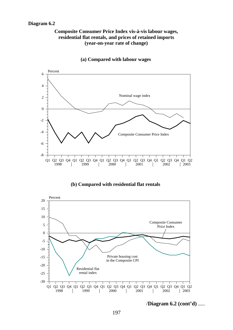# **Diagram 6.2**

## **Composite Consumer Price Index vis-à-vis labour wages, residential flat rentals, and prices of retained imports (year-on-year rate of change)**



#### **(a) Compared with labour wages**

# **(b) Compared with residential flat rentals**



/**Diagram 6.2 (cont'd)** .....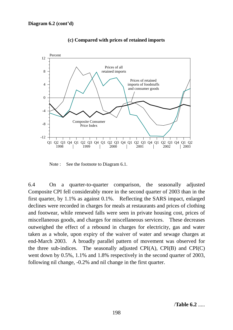

#### **(c) Compared with prices of retained imports**

Note : See the footnote to Diagram 6.1.

6.4 On a quarter-to-quarter comparison, the seasonally adjusted Composite CPI fell considerably more in the second quarter of 2003 than in the first quarter, by 1.1% as against 0.1%. Reflecting the SARS impact, enlarged declines were recorded in charges for meals at restaurants and prices of clothing and footwear, while renewed falls were seen in private housing cost, prices of miscellaneous goods, and charges for miscellaneous services. These decreases outweighed the effect of a rebound in charges for electricity, gas and water taken as a whole, upon expiry of the waiver of water and sewage charges at end-March 2003. A broadly parallel pattern of movement was observed for the three sub-indices. The seasonally adjusted CPI(A), CPI(B) and CPI(C) went down by 0.5%, 1.1% and 1.8% respectively in the second quarter of 2003, following nil change, -0.2% and nil change in the first quarter.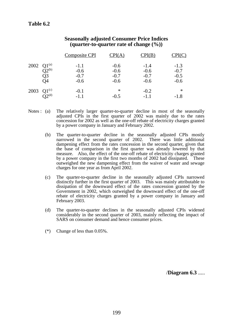|                 |                       | <b>Composite CPI</b> | CPI(A)           | CPI(B)           | CPI(C)           |
|-----------------|-----------------------|----------------------|------------------|------------------|------------------|
| 2002 $Q1^{(a)}$ | $\overline{O2}^{(b)}$ | $-1.1$<br>$-0.6$     | $-0.6$<br>$-0.6$ | $-1.4$<br>$-0.6$ | $-1.3$<br>$-0.7$ |
|                 | Q3                    | $-0.7$               | $-0.7$           | $-0.7$           | $-0.5$           |
|                 | Q4                    | $-0.6$               | $-0.6$           | $-0.6$           | $-0.6$           |
| 2003            | $Q1^{(c)}$            | $-0.1$               | $\ast$           | $-0.2$           | ∗                |
|                 | $\tilde{O}^{(d)}$     | $-1.1$               | $-0.5$           | $-1.1$           | $-1.8$           |

# **Seasonally adjusted Consumer Price Indices (quarter-to-quarter rate of change (%))**

- Notes : (a) The relatively larger quarter-to-quarter decline in most of the seasonally adjusted CPIs in the first quarter of 2002 was mainly due to the rates concession for 2002 as well as the one-off rebate of electricity charges granted by a power company in January and February 2002.
	- (b) The quarter-to-quarter decline in the seasonally adjusted CPIs mostly narrowed in the second quarter of 2002. There was little additional dampening effect from the rates concession in the second quarter, given that the base of comparison in the first quarter was already lowered by that measure. Also, the effect of the one-off rebate of electricity charges granted by a power company in the first two months of 2002 had dissipated. These outweighed the new dampening effect from the waiver of water and sewage charges for one year as from April 2002.
	- (c) The quarter-to-quarter decline in the seasonally adjusted CPIs narrowed distinctly further in the first quarter of 2003. This was mainly attributable to dissipation of the downward effect of the rates concession granted by the Government in 2002, which outweighed the downward effect of the one-off rebate of electricity charges granted by a power company in January and February 2003.
	- (d) The quarter-to-quarter declines in the seasonally adjusted CPIs widened considerably in the second quarter of 2003, mainly reflecting the impact of SARS on consumer demand and hence consumer prices.
	- (\*) Change of less than 0.05%.

/**Diagram 6.3** .....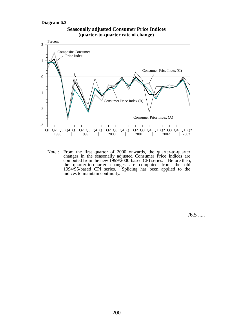#### **Diagram 6.3**





Note : From the first quarter of 2000 onwards, the quarter-to-quarter changes in the seasonally adjusted Consumer Price Indices are computed from the new  $1999/2000$ -based CPI series. Before then, the quarter-to-quarter changes are computed from the old 1994/95-based CPI series. Splicing has been applied to the indices to maintain continuity.

 $/6.5$  .....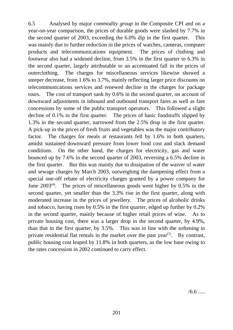6.5 Analysed by major *commodity group* in the Composite CPI and on a year-on-year comparison, the prices of durable goods were slashed by 7.7% in the second quarter of 2003, exceeding the 6.0% dip in the first quarter. This was mainly due to further reduction in the prices of watches, cameras, computer products and telecommunications equipment. The prices of clothing and footwear also had a widened decline, from 3.5% in the first quarter to 6.3% in the second quarter, largely attributable to an accentuated fall in the prices of outerclothing. The charges for miscellaneous services likewise showed a steeper decrease, from 1.6% to 3.7%, mainly reflecting larger price discounts on telecommunications services and renewed decline in the charges for package tours. The cost of transport sank by 0.6% in the second quarter, on account of downward adjustments in inbound and outbound transport fares as well as fare concessions by some of the public transport operators. This followed a slight decline of 0.1% in the first quarter. The prices of basic foodstuffs slipped by 1.3% in the second quarter, narrowed from the 2.5% drop in the first quarter. A pick-up in the prices of fresh fruits and vegetables was the major contributory factor. The charges for meals at restaurants fell by 1.6% in both quarters, amidst sustained downward pressure from lower food cost and slack demand conditions. On the other hand, the charges for electricity, gas and water bounced up by 7.6% in the second quarter of 2003, reversing a 6.5% decline in the first quarter. But this was mainly due to dissipation of the waiver of water and sewage charges by March 2003, outweighing the dampening effect from a special one-off rebate of electricity charges granted by a power company for June  $2003^{(4)}$ . The prices of miscellaneous goods went higher by 0.5% in the second quarter, yet smaller than the 3.3% rise in the first quarter, along with moderated increase in the prices of jewellery. The prices of alcoholic drinks and tobacco, having risen by 0.5% in the first quarter, edged up further by 0.2% in the second quarter, mainly because of higher retail prices of wine. As to private housing cost, there was a larger drop in the second quarter, by 4.9%, than that in the first quarter, by 3.5%. This was in line with the softening in private residential flat rentals in the market over the past year<sup> $(5)$ </sup>. By contrast, public housing cost leaped by 11.8% in both quarters, as the low base owing to the rates concession in 2002 continued to carry effect.

 $/6.6$  .....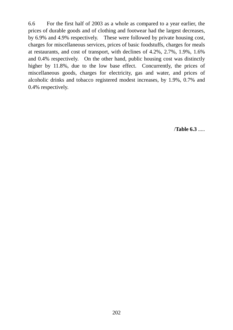6.6 For the first half of 2003 as a whole as compared to a year earlier, the prices of durable goods and of clothing and footwear had the largest decreases, by 6.9% and 4.9% respectively. These were followed by private housing cost, charges for miscellaneous services, prices of basic foodstuffs, charges for meals at restaurants, and cost of transport, with declines of 4.2%, 2.7%, 1.9%, 1.6% and 0.4% respectively. On the other hand, public housing cost was distinctly higher by 11.8%, due to the low base effect. Concurrently, the prices of miscellaneous goods, charges for electricity, gas and water, and prices of alcoholic drinks and tobacco registered modest increases, by 1.9%, 0.7% and 0.4% respectively.

/**Table 6.3** .....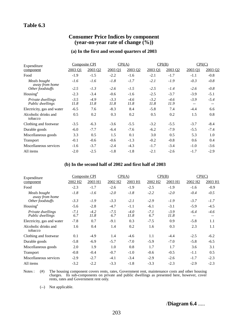# **Table 6.3**

## **Consumer Price Indices by component (year-on-year rate of change (%))**

#### **(a) In the first and second quarters of 2003**

| Expenditure                           | <b>Composite CPI</b> |                | CPI(A)         |                | CPI(B)         |                | CPI(C)          |                 |
|---------------------------------------|----------------------|----------------|----------------|----------------|----------------|----------------|-----------------|-----------------|
| component                             | 2003 O1              | 2003 O2        | 2003 O1        | 2003 02        | 2003 01        | 2003 O2        | 2003 O1         | 2003 02         |
| Food                                  | $-1.9$               | $-1.5$         | $-2.2$         | $-1.6$         | $-2.1$         | $-1.7$         | $-1.1$          | $-0.8$          |
| Meals bought<br>away from home        | $-1.6$               | $-1.6$         | $-1.8$         | $-1.7$         | $-2.1$         | $-1.9$         | $-0.3$          | $-0.8$          |
| Other foodstuffs                      | $-2.5$               | $-1.3$         | $-2.6$         | $-1.5$         | $-2.5$         | $-1.4$         | $-2.6$          | $-0.8$          |
| $Housing*$                            | $-2.3$               | $-3.4$         | $-0.6$         | $-1.6$         | $-2.5$         | $-3.7$         | $-3.9$          | $-5.1$          |
| Private dwellings<br>Public dwellings | $-3.5$<br>11.8       | $-4.9$<br>11.8 | $-3.3$<br>11.8 | $-4.6$<br>11.8 | $-3.2$<br>11.8 | $-4.6$<br>11.9 | $-3.9$<br>$- -$ | $-5.4$<br>$- -$ |
| Electricity, gas and water            | $-6.5$               | 7.6            | $-8.3$         | 8.4            | $-5.8$         | 7.4            | $-4.4$          | 6.6             |
| Alcoholic drinks and<br>tobacco       | 0.5                  | 0.2            | 0.3            | 0.2            | 0.5            | 0.2            | 1.5             | 0.8             |
| Clothing and footwear                 | $-3.5$               | $-6.3$         | $-3.6$         | $-5.5$         | $-3.2$         | $-5.5$         | $-3.7$          | $-8.4$          |
| Durable goods                         | $-6.0$               | $-7.7$         | $-6.4$         | $-7.6$         | $-6.2$         | $-7.9$         | $-5.5$          | $-7.4$          |
| Miscellaneous goods                   | 3.3                  | 0.5            | 1.5            | 0.1            | 3.0            | 0.5            | 5.3             | 1.0             |
| <b>Transport</b>                      | $-0.1$               | $-0.6$         | $-0.6$         | $-1.3$         | $-0.2$         | $-0.8$         | 0.6             | 0.4             |
| Miscellaneous services                | $-1.6$               | $-3.7$         | $-2.4$         | $-4.3$         | $-1.7$         | $-3.4$         | $-1.0$          | $-3.6$          |
| All items                             | $-2.0$               | $-2.5$         | $-1.8$         | $-1.8$         | $-2.1$         | $-2.6$         | $-1.7$          | $-2.9$          |

#### **(b) In the second half of 2002 and first half of 2003**

| Expenditure                           | Composite CPI       |                |                     | CPI(A)         |                     | CPI(B)         |                     | CPI(C)          |  |
|---------------------------------------|---------------------|----------------|---------------------|----------------|---------------------|----------------|---------------------|-----------------|--|
| component                             | 2002 H <sub>2</sub> | 2003 H1        | 2002 H <sub>2</sub> | 2003 H1        | 2002 H <sub>2</sub> | 2003 H1        | 2002 H <sub>2</sub> | 2003 H1         |  |
| Food                                  | $-2.3$              | $-1.7$         | $-2.6$              | $-1.9$         | $-2.5$              | $-1.9$         | $-1.6$              | $-0.9$          |  |
| Meals bought<br>away from home        | $-1.8$              | $-1.6$         | $-2.0$              | $-1.8$         | $-2.2$              | $-2.0$         | $-0.4$              | $-0.5$          |  |
| Other foodstuffs                      | $-3.3$              | $-1.9$         | $-3.3$              | $-2.1$         | $-2.9$              | $-1.9$         | $-3.7$              | $-1.7$          |  |
| Housing <sup>#</sup>                  | $-5.6$              | $-2.8$         | $-4.7$              | $-1.1$         | $-6.1$              | $-3.1$         | $-5.9$              | $-4.5$          |  |
| Private dwellings<br>Public dwellings | $-7.1$<br>6.7       | $-4.2$<br>11.8 | $-7.5$<br>6.7       | $-4.0$<br>11.8 | $-7.1$<br>6.7       | $-3.9$<br>11.8 | $-6.4$<br>$-$       | $-4.6$<br>$- -$ |  |
| Electricity, gas and water            | $-7.8$              | 0.7            | $-9.1$              | 0.3            | $-7.5$              | 0.9            | $-5.8$              | 1.1             |  |
| Alcoholic drinks and<br>tobacco       | 1.6                 | 0.4            | 1.4                 | 0.2            | 1.6                 | 0.3            | 2.3                 | 1.1             |  |
| Clothing and footwear                 | 0.1                 | $-4.9$         | 1.4                 | $-4.6$         | 1.1                 | $-4.4$         | $-2.5$              | $-6.2$          |  |
| Durable goods                         | $-5.8$              | $-6.9$         | $-5.7$              | $-7.0$         | $-5.9$              | $-7.0$         | $-5.8$              | $-6.5$          |  |
| Miscellaneous goods                   | 2.0                 | 1.9            | 1.0                 | 0.8            | 1.7                 | 1.7            | 3.6                 | 3.1             |  |
| <b>Transport</b>                      | $-0.8$              | $-0.4$         | $-0.7$              | $-1.0$         | $-0.6$              | $-0.5$         | $-1.1$              | 0.5             |  |
| Miscellaneous services                | $-2.9$              | $-2.7$         | $-4.1$              | $-3.4$         | $-2.9$              | $-2.6$         | $-1.7$              | $-2.3$          |  |
| All items                             | $-3.2$              | $-2.2$         | $-3.3$              | $-1.8$         | $-3.3$              | $-2.3$         | $-2.9$              | $-2.3$          |  |

Notes : (#) The housing component covers rents, rates, Government rent, maintenance costs and other housing charges. Its sub-components on private and public dwellings as presented here, however, cover rents, rates and Government rent only.

(--) Not applicable.

/**Diagram 6.4** .....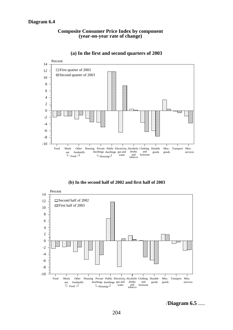#### **Composite Consumer Price Index by component (year-on-year rate of change)**



#### **(a) In the first and second quarters of 2003**

**(b) In the second half of 2002 and first half of 2003**



/**Diagram 6.5** .....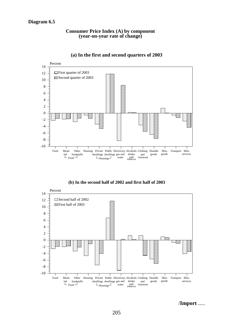#### **Consumer Price Index (A) by component (year-on-year rate of change)**



## **(a) In the first and second quarters of 2003**

**(b) In the second half of 2002 and first half of 2003**



/**Import** .....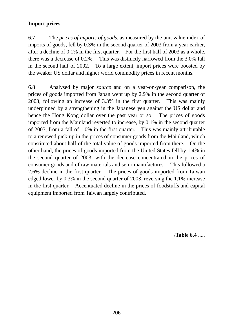# **Import prices**

6.7 The *prices of imports of goods*, as measured by the unit value index of imports of goods, fell by 0.3% in the second quarter of 2003 from a year earlier, after a decline of 0.1% in the first quarter. For the first half of 2003 as a whole, there was a decrease of 0.2%. This was distinctly narrowed from the 3.0% fall in the second half of 2002. To a large extent, import prices were boosted by the weaker US dollar and higher world commodity prices in recent months.

6.8 Analysed by major *source* and on a year-on-year comparison, the prices of goods imported from Japan went up by 2.9% in the second quarter of 2003, following an increase of 3.3% in the first quarter. This was mainly underpinned by a strengthening in the Japanese yen against the US dollar and hence the Hong Kong dollar over the past year or so. The prices of goods imported from the Mainland reverted to increase, by 0.1% in the second quarter of 2003, from a fall of 1.0% in the first quarter. This was mainly attributable to a renewed pick-up in the prices of consumer goods from the Mainland, which constituted about half of the total value of goods imported from there. On the other hand, the prices of goods imported from the United States fell by 1.4% in the second quarter of 2003, with the decrease concentrated in the prices of consumer goods and of raw materials and semi-manufactures. This followed a 2.6% decline in the first quarter. The prices of goods imported from Taiwan edged lower by 0.3% in the second quarter of 2003, reversing the 1.1% increase in the first quarter. Accentuated decline in the prices of foodstuffs and capital equipment imported from Taiwan largely contributed.

/**Table 6.4** .....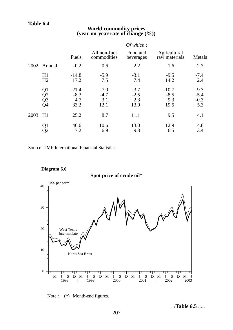# **Table 6.4**

# **World commodity prices (year-on-year rate of change (%))**

|      |                                                          |                                  |                                 | Of which:                       |                                  |                                   |
|------|----------------------------------------------------------|----------------------------------|---------------------------------|---------------------------------|----------------------------------|-----------------------------------|
|      |                                                          | <b>Fuels</b>                     | All non-fuel<br>commodities     | Food and<br><u>beverages</u>    | Agricultural<br>raw materials    | Metals                            |
| 2002 | Annual                                                   | $-0.2$                           | 0.6                             | 2.2                             | 1.6                              | $-2.7$                            |
|      | H1<br>H2                                                 | $-14.8$<br>17.2                  | $-5.9$<br>7.5                   | $-3.1$<br>7.4                   | $-9.5$<br>14.2                   | $-7.4$<br>2.4                     |
|      | Q <sub>1</sub><br>Q <sub>2</sub><br>Q <sub>3</sub><br>Q4 | $-21.4$<br>$-8.3$<br>4.7<br>33.2 | $-7.0$<br>$-4.7$<br>3.1<br>12.1 | $-3.7$<br>$-2.5$<br>2.3<br>13.0 | $-10.7$<br>$-8.5$<br>9.3<br>19.5 | $-9.3$<br>$-5.4$<br>$-0.3$<br>5.3 |
| 2003 | H1                                                       | 25.2                             | 8.7                             | 11.1                            | 9.5                              | 4.1                               |
|      | Q1<br>Q2                                                 | 46.6<br>7.2                      | 10.6<br>6.9                     | 13.0<br>9.3                     | 12.9<br>6.5                      | 4.8<br>3.4                        |

Source : IMF International Financial Statistics.







# Note : (\*) Month-end figures.

/**Table 6.5** .....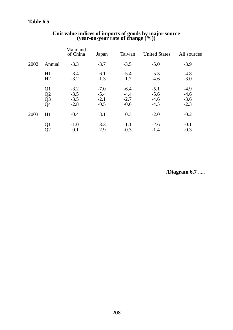|      |                                                                      | Mainland<br>of China                 | <u>Japan</u>                         | Taiwan                               | <b>United States</b>                 | All sources                          |
|------|----------------------------------------------------------------------|--------------------------------------|--------------------------------------|--------------------------------------|--------------------------------------|--------------------------------------|
| 2002 | Annual                                                               | $-3.3$                               | $-3.7$                               | $-3.5$                               | $-5.0$                               | $-3.9$                               |
|      | H1<br>H <sub>2</sub>                                                 | $-3.4$<br>$-3.2$                     | $-6.1$<br>$-1.3$                     | $-5.4$<br>$-1.7$                     | $-5.3$<br>$-4.6$                     | $-4.8$<br>$-3.0$                     |
|      | Q <sub>1</sub><br>Q <sub>2</sub><br>Q <sub>3</sub><br>Q <sub>4</sub> | $-3.2$<br>$-3.5$<br>$-3.5$<br>$-2.8$ | $-7.0$<br>$-5.4$<br>$-2.1$<br>$-0.5$ | $-6.4$<br>$-4.4$<br>$-2.7$<br>$-0.6$ | $-5.1$<br>$-5.6$<br>$-4.6$<br>$-4.5$ | $-4.9$<br>$-4.6$<br>$-3.6$<br>$-2.3$ |
| 2003 | H1                                                                   | $-0.4$                               | 3.1                                  | 0.3                                  | $-2.0$                               | $-0.2$                               |
|      | Q <sub>1</sub><br>Q2                                                 | $-1.0$<br>0.1                        | 3.3<br>2.9                           | 1.1<br>$-0.3$                        | $-2.6$<br>$-1.4$                     | $-0.1$<br>$-0.3$                     |

# **Unit value indices of imports of goods by major source (year-on-year rate of change (%))**

/**Diagram 6.7** .....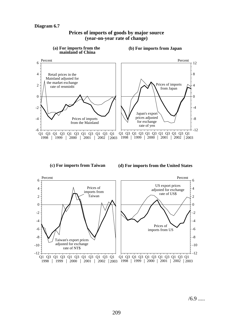

### **Prices of imports of goods by major source (year-on-year rate of change)**

**(c) For imports from Taiwan**

**(d) For imports from the United States**



 $/6.9$  .....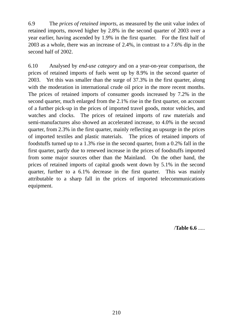6.9 The *prices of retained imports*, as measured by the unit value index of retained imports, moved higher by 2.8% in the second quarter of 2003 over a year earlier, having ascended by 1.9% in the first quarter. For the first half of 2003 as a whole, there was an increase of 2.4%, in contrast to a 7.6% dip in the second half of 2002.

6.10 Analysed by *end-use category* and on a year-on-year comparison, the prices of retained imports of fuels went up by 8.9% in the second quarter of 2003. Yet this was smaller than the surge of 37.3% in the first quarter, along with the moderation in international crude oil price in the more recent months. The prices of retained imports of consumer goods increased by 7.2% in the second quarter, much enlarged from the 2.1% rise in the first quarter, on account of a further pick-up in the prices of imported travel goods, motor vehicles, and watches and clocks. The prices of retained imports of raw materials and semi-manufactures also showed an accelerated increase, to 4.0% in the second quarter, from 2.3% in the first quarter, mainly reflecting an upsurge in the prices of imported textiles and plastic materials. The prices of retained imports of foodstuffs turned up to a 1.3% rise in the second quarter, from a 0.2% fall in the first quarter, partly due to renewed increase in the prices of foodstuffs imported from some major sources other than the Mainland. On the other hand, the prices of retained imports of capital goods went down by 5.1% in the second quarter, further to a 6.1% decrease in the first quarter. This was mainly attributable to a sharp fall in the prices of imported telecommunications equipment.

/**Table 6.6** .....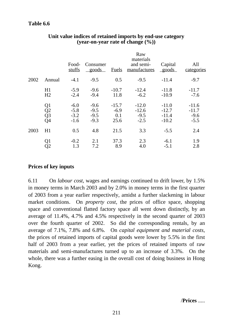|      |                                                                        | Food-<br>stuffs                      | Consumer<br>goods                    | <b>Fuels</b>                     | Raw<br>materials<br>and semi-<br>manufactures | Capital<br>goods                         | All<br>categories                      |
|------|------------------------------------------------------------------------|--------------------------------------|--------------------------------------|----------------------------------|-----------------------------------------------|------------------------------------------|----------------------------------------|
| 2002 | Annual                                                                 | $-4.1$                               | $-9.5$                               | 0.5                              | $-9.5$                                        | $-11.4$                                  | $-9.7$                                 |
|      | H1<br>H2                                                               | $-5.9$<br>$-2.4$                     | $-9.6$<br>$-9.4$                     | $-10.7$<br>11.8                  | $-12.4$<br>$-6.2$                             | $-11.8$<br>$-10.9$                       | $-11.7$<br>$-7.6$                      |
|      | Q <sub>1</sub><br>$\overline{Q}2$<br>$\overline{Q}3$<br>Q <sub>4</sub> | $-6.0$<br>$-5.8$<br>$-3.2$<br>$-1.6$ | $-9.6$<br>$-9.5$<br>$-9.5$<br>$-9.3$ | $-15.7$<br>$-6.9$<br>0.1<br>25.6 | $-12.0$<br>$-12.6$<br>$-9.5$<br>$-2.5$        | $-11.0$<br>$-12.7$<br>$-11.4$<br>$-10.2$ | $-11.6$<br>$-11.7$<br>$-9.6$<br>$-5.5$ |
| 2003 | H1                                                                     | 0.5                                  | 4.8                                  | 21.5                             | 3.3                                           | $-5.5$                                   | 2.4                                    |
|      | Q1<br>Q2                                                               | $-0.2$<br>1.3                        | 2.1<br>7.2                           | 37.3<br>8.9                      | 2.3<br>4.0                                    | $-6.1$<br>$-5.1$                         | 1.9<br>2.8                             |

# **Unit value indices of retained imports by end-use category (year-on-year rate of change (%))**

# **Prices of key inputs**

6.11 On *labour cost*, wages and earnings continued to drift lower, by 1.5% in money terms in March 2003 and by 2.0% in money terms in the first quarter of 2003 from a year earlier respectively, amidst a further slackening in labour market conditions. On *property cost*, the prices of office space, shopping space and conventional flatted factory space all went down distinctly, by an average of 11.4%, 4.7% and 4.5% respectively in the second quarter of 2003 over the fourth quarter of 2002. So did the corresponding rentals, by an average of 7.1%, 7.8% and 6.8%. On *capital equipment and material costs*, the prices of retained imports of capital goods were lower by 5.5% in the first half of 2003 from a year earlier, yet the prices of retained imports of raw materials and semi-manufactures turned up to an increase of 3.3%. On the whole, there was a further easing in the overall cost of doing business in Hong Kong.

/**Prices** .....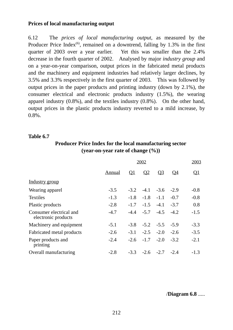# **Prices of local manufacturing output**

6.12 The *prices of local manufacturing output*, as measured by the Producer Price Index<sup>(6)</sup>, remained on a downtrend, falling by  $1.3\%$  in the first quarter of 2003 over a year earlier. Yet this was smaller than the 2.4% decrease in the fourth quarter of 2002. Analysed by major *industry group* and on a year-on-year comparison, output prices in the fabricated metal products and the machinery and equipment industries had relatively larger declines, by 3.5% and 3.3% respectively in the first quarter of 2003. This was followed by output prices in the paper products and printing industry (down by 2.1%), the consumer electrical and electronic products industry (1.5%), the wearing apparel industry (0.8%), and the textiles industry (0.8%). On the other hand, output prices in the plastic products industry reverted to a mild increase, by 0.8%.

## **Table 6.7**

# **Producer Price Index for the local manufacturing sector (year-on-year rate of change (%))**

|                                                |        | 2002      |                             |                |           | 2003      |
|------------------------------------------------|--------|-----------|-----------------------------|----------------|-----------|-----------|
|                                                | Annual | <u>Q1</u> | $\Omega$                    | Q <sub>3</sub> | <u>04</u> | <u>Q1</u> |
| Industry group                                 |        |           |                             |                |           |           |
| Wearing apparel                                | $-3.5$ |           | $-3.2$ $-4.1$ $-3.6$        |                | $-2.9$    | $-0.8$    |
| <b>Textiles</b>                                | $-1.3$ |           | $-1.8$ $-1.8$ $-1.1$        |                | $-0.7$    | $-0.8$    |
| Plastic products                               | $-2.8$ |           | $-1.7$ $-1.5$ $-4.1$        |                | $-3.7$    | 0.8       |
| Consumer electrical and<br>electronic products | $-4.7$ |           | $-4.4$ $-5.7$ $-4.5$ $-4.2$ |                |           | $-1.5$    |
| Machinery and equipment                        | $-5.1$ |           | $-3.8$ $-5.2$ $-5.5$ $-5.9$ |                |           | $-3.3$    |
| Fabricated metal products                      | $-2.6$ |           | $-3.1$ $-2.5$ $-2.0$ $-2.6$ |                |           | $-3.5$    |
| Paper products and<br>printing                 | $-2.4$ | $-2.6$    | $-1.7 -2.0 -3.2$            |                |           | $-2.1$    |
| Overall manufacturing                          | $-2.8$ |           | $-3.3$ $-2.6$ $-2.7$ $-2.4$ |                |           | $-1.3$    |

/**Diagram 6.8** .....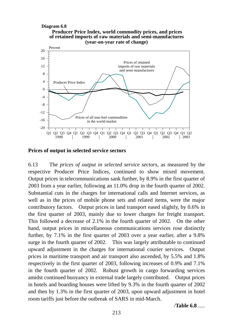#### **Diagram 6.8**





#### **Prices of output in selected service sectors**

6.13 The *prices of output in selected service sectors*, as measured by the respective Producer Price Indices, continued to show mixed movement. Output prices in telecommunications sank further, by 8.9% in the first quarter of 2003 from a year earlier, following an 11.0% drop in the fourth quarter of 2002. Substantial cuts in the charges for international calls and Internet services, as well as in the prices of mobile phone sets and related items, were the major contributory factors. Output prices in land transport eased slightly, by 0.6% in the first quarter of 2003, mainly due to lower charges for freight transport. This followed a decrease of 2.1% in the fourth quarter of 2002. On the other hand, output prices in miscellaneous communications services rose distinctly further, by 7.1% in the first quarter of 2003 over a year earlier, after a 9.8% surge in the fourth quarter of 2002. This was largely attributable to continued upward adjustment in the charges for international courier services. Output prices in maritime transport and air transport also ascended, by 5.5% and 1.8% respectively in the first quarter of 2003, following increases of 0.9% and 7.1% in the fourth quarter of 2002. Robust growth in cargo forwarding services amidst continued buoyancy in external trade largely contributed. Output prices in hotels and boarding houses were lifted by 9.3% in the fourth quarter of 2002 and then by 1.3% in the first quarter of 2003, upon upward adjustment in hotel room tariffs just before the outbreak of SARS in mid-March.

/**Table 6.8** .....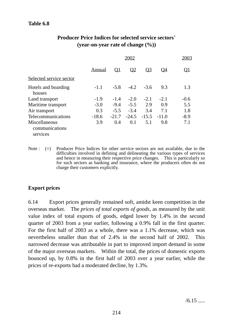## **Table 6.8**

|                                             |         | 2003      |          |               |           |           |
|---------------------------------------------|---------|-----------|----------|---------------|-----------|-----------|
|                                             | Annual  | <u>01</u> | $\Omega$ | <u>03</u>     | <u>04</u> | <u>O1</u> |
| Selected service sector                     |         |           |          |               |           |           |
| Hotels and boarding<br>houses               | $-1.1$  | $-5.8$    | $-4.2$   | $-3.6$        | 9.3       | 1.3       |
| Land transport                              | $-1.9$  | $-1.4$    | $-2.0$   | $-2.1$        | $-2.1$    | $-0.6$    |
| Maritime transport                          | $-3.0$  | $-9.4$    | $-5.5$   | 2.9           | 0.9       | 5.5       |
| Air transport                               | 0.3     | $-5.5$    | $-3.4$   | 3.4           | 7.1       | 1.8       |
| Telecommunications                          | $-18.6$ | $-21.7$   |          | $-24.5 -15.5$ | $-11.0$   | $-8.9$    |
| Miscellaneous<br>communications<br>services | 3.9     | 0.4       | 0.1      | 5.1           | 9.8       | 7.1       |
|                                             |         |           |          |               |           |           |

## **Producer Price Indices for selected service sectors+ (year-on-year rate of change (%))**

Note : (+) Producer Price Indices for other service sectors are not available, due to the difficulties involved in defining and delineating the various types of services and hence in measuring their respective price changes. This is particularly so for such sectors as banking and insurance, where the producers often do not charge their customers explicitly.

## **Export prices**

6.14 Export prices generally remained soft, amidst keen competition in the overseas market. The *prices of total exports of goods*, as measured by the unit value index of total exports of goods, edged lower by 1.4% in the second quarter of 2003 from a year earlier, following a 0.9% fall in the first quarter. For the first half of 2003 as a whole, there was a 1.1% decrease, which was nevertheless smaller than that of 2.4% in the second half of 2002. This narrowed decrease was attributable in part to improved import demand in some of the major overseas markets. Within the total, the prices of domestic exports bounced up, by 0.8% in the first half of 2003 over a year earlier, while the prices of re-exports had a moderated decline, by 1.3%.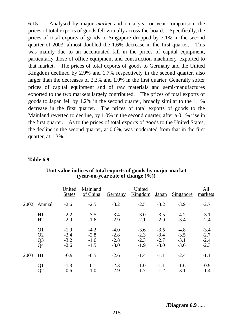6.15 Analysed by major *market* and on a year-on-year comparison, the prices of total exports of goods fell virtually across-the-board. Specifically, the prices of total exports of goods to Singapore dropped by 3.1% in the second quarter of 2003, almost doubled the 1.6% decrease in the first quarter. This was mainly due to an accentuated fall in the prices of capital equipment, particularly those of office equipment and construction machinery, exported to that market. The prices of total exports of goods to Germany and the United Kingdom declined by 2.9% and 1.7% respectively in the second quarter, also larger than the decreases of 2.3% and 1.0% in the first quarter. Generally softer prices of capital equipment and of raw materials and semi-manufactures exported to the two markets largely contributed. The prices of total exports of goods to Japan fell by 1.2% in the second quarter, broadly similar to the 1.1% decrease in the first quarter. The prices of total exports of goods to the Mainland reverted to decline, by 1.0% in the second quarter, after a 0.1% rise in the first quarter. As to the prices of total exports of goods to the United States, the decline in the second quarter, at 0.6%, was moderated from that in the first quarter, at 1.3%.

#### **Table 6.9**

|      |                 | United<br><b>States</b> | Mainland<br>of China | <b>Germany</b> | United<br>Kingdom | <u>Japan</u> | <u>Singapore</u> | All<br>markets |
|------|-----------------|-------------------------|----------------------|----------------|-------------------|--------------|------------------|----------------|
|      | 2002 Annual     | $-2.6$                  | $-2.5$               | $-3.2$         | $-2.5$            | $-3.2$       | $-3.9$           | $-2.7$         |
|      | H1              | $-2.2$                  | $-3.5$               | $-3.4$         | $-3.0$            | $-3.5$       | $-4.2$           | $-3.1$         |
|      | H2              | $-2.9$                  | $-1.6$               | $-2.9$         | $-2.1$            | $-2.9$       | $-3.4$           | $-2.4$         |
|      | Q <sub>1</sub>  | $-1.9$                  | $-4.2$               | $-4.0$         | $-3.6$            | $-3.5$       | $-4.8$           | $-3.4$         |
|      | Q2              | $-2.4$                  | $-2.8$               | $-2.8$         | $-2.3$            | $-3.4$       | $-3.5$           | $-2.7$         |
|      | Q <sub>3</sub>  | $-3.2$                  | $-1.6$               | $-2.8$         | $-2.3$            | $-2.7$       | $-3.1$           | $-2.4$         |
|      | $\overline{Q}4$ | $-2.6$                  | $-1.5$               | $-3.0$         | $-1.9$            | $-3.0$       | $-3.6$           | $-2.3$         |
| 2003 | H1              | $-0.9$                  | $-0.5$               | $-2.6$         | $-1.4$            | $-1.1$       | $-2.4$           | $-1.1$         |
|      | Q <sub>1</sub>  | $-1.3$                  | 0.1                  | $-2.3$         | $-1.0$            | $-1.1$       | $-1.6$           | $-0.9$         |
|      | Q2              | $-0.6$                  | $-1.0$               | $-2.9$         | $-1.7$            | $-1.2$       | $-3.1$           | $-1.4$         |

**Unit value indices of total exports of goods by major market (year-on-year rate of change (%))**

/**Diagram 6.9** .....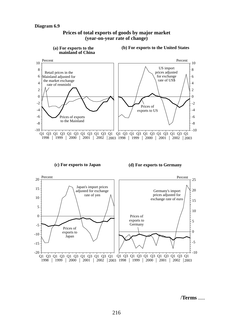-20



**Prices of total exports of goods by major market (year-on-year rate of change)**

/**Terms** .....

 $-10$ 

Q1 Q3 Q1 Q3 Q1 Q3 Q1 Q3 Q1 Q3 Q1 Q1 Q3 Q1 Q3 Q1 Q3 Q1 Q3 Q1 Q3 Q1 1998 | 1999 | 2000 | 2001 | 2002 | 2003 1998 | 1999 | 2000 | 2001 | 2002 | 2003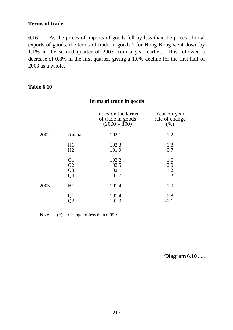### **Terms of trade**

6.16 As the prices of imports of goods fell by less than the prices of total exports of goods, the terms of trade in goods<sup> $(7)$ </sup> for Hong Kong went down by 1.1% in the second quarter of 2003 from a year earlier. This followed a decrease of 0.8% in the first quarter, giving a 1.0% decline for the first half of 2003 as a whole.

#### **Table 6.10**

#### **Terms of trade in goods**

|      |                      | Index on the terms<br>of trade in goods<br>$(2000 = 100)$ | Year-on-year<br>rate of change<br>(% ) |
|------|----------------------|-----------------------------------------------------------|----------------------------------------|
| 2002 | Annual               | 102.1                                                     | 1.2                                    |
|      | H1<br>H2             | 102.3<br>101.9                                            | 1.8<br>0.7                             |
|      | Q1<br>Q2<br>Q3<br>Q4 | 102.2<br>102.5<br>102.1<br>101.7                          | 1.6<br>2.0<br>1.2<br>$\ast$            |
| 2003 | H1                   | 101.4                                                     | $-1.0$                                 |
|      | Q1<br>Q2             | 101.4<br>101.3                                            | $-0.8$<br>$-1.1$                       |

Note :  $(*)$  Change of less than 0.05%.

/**Diagram 6.10** .....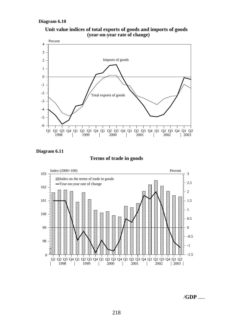



**Diagram 6.11**

#### **Terms of trade in goods**



/**GDP** .....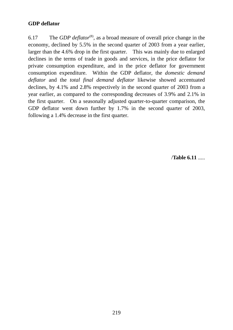## **GDP deflator**

6.17 The *GDP deflator*(8), as a broad measure of overall price change in the economy, declined by 5.5% in the second quarter of 2003 from a year earlier, larger than the 4.6% drop in the first quarter. This was mainly due to enlarged declines in the terms of trade in goods and services, in the price deflator for private consumption expenditure, and in the price deflator for government consumption expenditure. Within the GDP deflator, the *domestic demand deflator* and the *total final demand deflator* likewise showed accentuated declines, by 4.1% and 2.8% respectively in the second quarter of 2003 from a year earlier, as compared to the corresponding decreases of 3.9% and 2.1% in the first quarter. On a seasonally adjusted quarter-to-quarter comparison, the GDP deflator went down further by 1.7% in the second quarter of 2003, following a 1.4% decrease in the first quarter.

/**Table 6.11** .....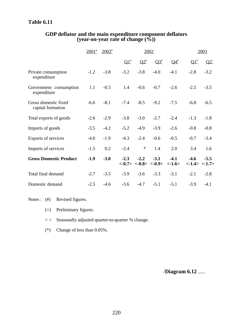## **Table 6.11**

|                                           | $2001$ <sup>#</sup> | $2002$ <sup>#</sup> |            |            | 2002                                                                           |                    | 2003                              |                       |  |
|-------------------------------------------|---------------------|---------------------|------------|------------|--------------------------------------------------------------------------------|--------------------|-----------------------------------|-----------------------|--|
|                                           |                     |                     | $\Omega^*$ | $\Omega^*$ | $\overline{\Omega^3}$                                                          | $\mathbf{Q4}^{\#}$ | $\Omega^{\scriptscriptstyle{\#}}$ | $Q2^+$                |  |
| Private consumption<br>expenditure        | $-1.2$              | $-3.8$              | $-3.2$     | $-3.8$     | $-4.0$                                                                         | $-4.1$             | $-2.8$                            | $-3.2$                |  |
| Government consumption<br>expenditure     | 1.1                 | $-0.5$              | 1.4        | $-0.6$     | $-0.7$                                                                         | $-2.6$             | $-2.5$                            | $-3.5$                |  |
| Gross domestic fixed<br>capital formation | $-6.6$              | $-8.1$              | $-7.4$     | $-8.5$     | $-9.2$                                                                         | $-7.5$             | $-6.8$                            | $-6.5$                |  |
| Total exports of goods                    | $-2.6$              | $-2.9$              | $-3.8$     | $-3.0$     | $-2.7$                                                                         | $-2.4$             | $-1.3$                            | $-1.8$                |  |
| Imports of goods                          | $-3.5$              | $-4.2$              | $-5.2$     | $-4.9$     | $-3.9$                                                                         | $-2.6$             | $-0.8$                            | $-0.8$                |  |
| Exports of services                       | $-4.0$              | $-1.9$              | $-4.3$     | $-2.4$     | $-0.6$                                                                         | $-0.5$             | $-0.7$                            | $-3.4$                |  |
| Imports of services                       | $-1.5$              | 0.2                 | $-2.4$     | $\ast$     | 1.4                                                                            | 2.0                | 3.4                               | 1.6                   |  |
| <b>Gross Domestic Product</b>             | $-1.9$              | $-3.0$              | $-2.3$     | $-2.2$     | $-3.1$<br>$\langle -0.7 \rangle$ $\langle -0.8 \rangle$ $\langle -0.9 \rangle$ | $-4.1$<br>$<-1.6>$ | $-4.6$                            | $-5.5$<br><1.4> <1.7> |  |
| Total final demand                        | $-2.7$              | $-3.5$              | $-3.9$     | $-3.6$     | $-3.3$                                                                         | $-3.1$             | $-2.1$                            | $-2.8$                |  |
| Domestic demand                           | $-2.5$              | $-4.6$              | $-3.6$     | $-4.7$     | $-5.1$                                                                         | $-5.1$             | $-3.9$                            | $-4.1$                |  |

#### **GDP deflator and the main expenditure component deflators (year-on-year rate of change (%))**

Notes : (#) Revised figures.

- (+) Preliminary figures.
- < > Seasonally adjusted quarter-to-quarter % change.
- (\*) Change of less than 0.05%.

/**Diagram 6.12** .....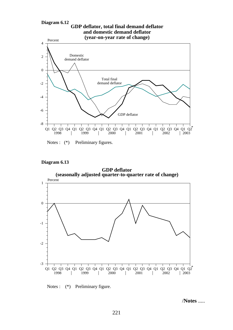

Notes :  $(*)$  Preliminary figures.





Notes : (\*) Preliminary figure.

/**Notes** .....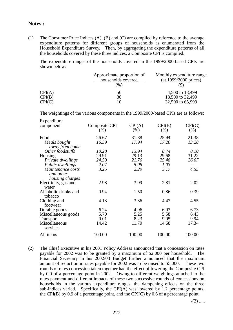#### **Notes :**

(1) The Consumer Price Indices (A), (B) and (C) are compiled by reference to the average expenditure patterns for different groups of households as enumerated from the Household Expenditure Survey. Then, by aggregating the expenditure patterns of all the households covered by these three indices, a Composite CPI is compiled.

The expenditure ranges of the households covered in the 1999/2000-based CPIs are shown below:

|        | Approximate proportion of<br>households covered | Monthly expenditure range<br>$(at 1999/2000 \text{ prices})$ |
|--------|-------------------------------------------------|--------------------------------------------------------------|
|        | $\frac{9}{6}$                                   |                                                              |
| CPI(A) | 50                                              | 4,500 to 18,499                                              |
| CPI(B) | 30                                              | 18,500 to 32,499                                             |
| CPI(C) |                                                 | 32,500 to 65,999                                             |

The weightings of the various components in the 1999/2000-based CPIs are as follows:

| Expenditure          |                      |        |        |        |
|----------------------|----------------------|--------|--------|--------|
| component            | <b>Composite CPI</b> | CPI(A) | CPI(B) | CPI(C) |
|                      | (%)                  | (% )   | (% )   | (% )   |
| Food                 | 26.67                | 31.88  | 25.94  | 21.38  |
| Meals bought         | 16.39                | 17.94  | 17.20  | 13.28  |
| away from home       |                      |        |        |        |
| Other foodstuffs     | 10.28                | 13.94  | 8.74   | 8.10   |
| Housing              | 29.91                | 29.13  | 29.68  | 31.22  |
| Private dwellings    | 24.59                | 21.76  | 25.48  | 26.67  |
| Public dwellings     | 2.07                 | 5.08   | 1.03   |        |
| Maintenance costs    | 3.25                 | 2.29   | 3.17   | 4.55   |
| and other            |                      |        |        |        |
| housing charges      |                      |        |        |        |
| Electricity, gas and | 2.98                 | 3.99   | 2.81   | 2.02   |
| water                |                      |        |        |        |
| Alcoholic drinks and | 0.94                 | 1.50   | 0.86   | 0.39   |
| tobacco              |                      |        |        |        |
| Clothing and         | 4.13                 | 3.36   | 4.47   | 4.55   |
| footwear             |                      |        |        |        |
| Durable goods        | 6.24                 | 4.96   | 6.93   | 6.73   |
| Miscellaneous goods  | 5.70                 | 5.25   | 5.58   | 6.43   |
| <b>Transport</b>     | 9.01                 | 8.23   | 9.05   | 9.94   |
| Miscellaneous        | 14.42                | 11.70  | 14.68  | 17.34  |
| services             |                      |        |        |        |
| All items            | 100.00               | 100.00 | 100.00 | 100.00 |
|                      |                      |        |        |        |

(2) The Chief Executive in his 2001 Policy Address announced that a concession on rates payable for 2002 was to be granted by a maximum of \$2,000 per household. The Financial Secretary in his 2002/03 Budget further announced that the maximum amount of reduction in rates payable for 2002 was to be raised to \$5,000. These two rounds of rates concession taken together had the effect of lowering the Composite CPI by 0.9 of a percentage point in 2002. Owing to different weightings attached to the rates payment and different impacts of these two successive rounds of concessions on households in the various expenditure ranges, the dampening effects on the three sub-indices varied. Specifically, the CPI( $\overline{A}$ ) was lowered by 1.2 percentage points, the CPI(B) by 0.9 of a percentage point, and the CPI(C) by 0.6 of a percentage point.

 $/(3)$  .....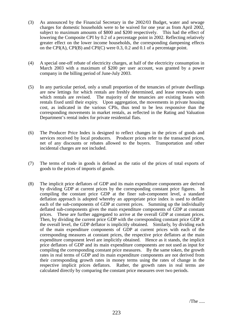- (3) As announced by the Financial Secretary in the 2002/03 Budget, water and sewage charges for domestic households were to be waived for one year as from April 2002, subject to maximum amounts of \$800 and \$200 respectively. This had the effect of lowering the Composite CPI by 0.2 of a percentage point in 2002. Reflecting relatively greater effect on the lower income households, the corresponding dampening effects on the CPI(A), CPI(B) and CPI(C) were 0.3, 0.2 and 0.1 of a percentage point.
- (4) A special one-off rebate of electricity charges, at half of the electricity consumption in March 2003 with a maximum of \$200 per user account, was granted by a power company in the billing period of June-July 2003.
- (5) In any particular period, only a small proportion of the tenancies of private dwellings are new lettings for which rentals are freshly determined, and lease renewals upon which rentals are revised. The majority of the tenancies are existing leases with rentals fixed until their expiry. Upon aggregation, the movements in private housing cost, as indicated in the various CPIs, thus tend to be less responsive than the corresponding movements in market rentals, as reflected in the Rating and Valuation Department's rental index for private residential flats.
- (6) The Producer Price Index is designed to reflect changes in the prices of goods and services received by local producers. Producer prices refer to the transacted prices, net of any discounts or rebates allowed to the buyers. Transportation and other incidental charges are not included.
- (7) The terms of trade in goods is defined as the ratio of the prices of total exports of goods to the prices of imports of goods.
- (8) The implicit price deflators of GDP and its main expenditure components are derived by dividing GDP at current prices by the corresponding constant price figures. In compiling the constant price GDP at the finer sub-component level, a standard deflation approach is adopted whereby an appropriate price index is used to deflate each of the sub-components of GDP at current prices. Summing up the individually deflated sub-components gives the main expenditure components of GDP at constant prices. These are further aggregated to arrive at the overall GDP at constant prices. Then, by dividing the current price GDP with the corresponding constant price GDP at the overall level, the GDP deflator is implicitly obtained. Similarly, by dividing each of the main expenditure components of GDP at current prices with each of the corresponding measures at constant prices, the respective price deflators at the main expenditure component level are implicitly obtained. Hence as it stands, the implicit price deflators of GDP and its main expenditure components are not used as input for compiling the corresponding constant price measures. By the same token, the growth rates in real terms of GDP and its main expenditure components are not derived from their corresponding growth rates in money terms using the rates of change in the respective implicit prices deflators. Rather, the growth rates in real terms are calculated directly by comparing the constant price measures over two periods.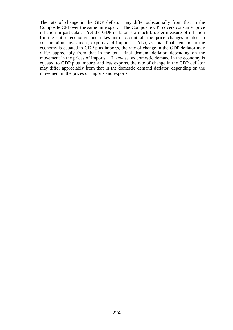The rate of change in the GDP deflator may differ substantially from that in the Composite CPI over the same time span. The Composite CPI covers consumer price inflation in particular. Yet the GDP deflator is a much broader measure of inflation for the entire economy, and takes into account all the price changes related to consumption, investment, exports and imports. Also, as total final demand in the economy is equated to GDP plus imports, the rate of change in the GDP deflator may differ appreciably from that in the total final demand deflator, depending on the movement in the prices of imports. Likewise, as domestic demand in the economy is equated to GDP plus imports and less exports, the rate of change in the GDP deflator may differ appreciably from that in the domestic demand deflator, depending on the movement in the prices of imports and exports.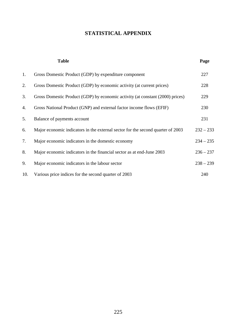## **STATISTICAL APPENDIX**

|     | <b>Table</b>                                                                    | Page        |
|-----|---------------------------------------------------------------------------------|-------------|
| 1.  | Gross Domestic Product (GDP) by expenditure component                           | 227         |
| 2.  | Gross Domestic Product (GDP) by economic activity (at current prices)           | 228         |
| 3.  | Gross Domestic Product (GDP) by economic activity (at constant (2000) prices)   | 229         |
| 4.  | Gross National Product (GNP) and external factor income flows (EFIF)            | 230         |
| 5.  | Balance of payments account                                                     | 231         |
| 6.  | Major economic indicators in the external sector for the second quarter of 2003 | $232 - 233$ |
| 7.  | Major economic indicators in the domestic economy                               | $234 - 235$ |
| 8.  | Major economic indicators in the financial sector as at end-June 2003           | $236 - 237$ |
| 9.  | Major economic indicators in the labour sector                                  | $238 - 239$ |
| 10. | Various price indices for the second quarter of 2003                            | 240         |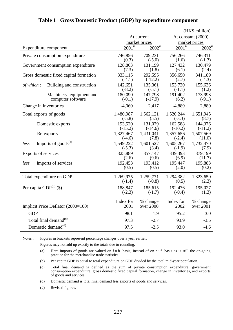|                                        |             |                   |            | (HK\$ million)      |
|----------------------------------------|-------------|-------------------|------------|---------------------|
|                                        |             | At current        |            | At constant (2000)  |
|                                        |             | market prices     |            | market prices       |
| Expenditure component                  | $2001^{\#}$ | $2002^{\text{*}}$ | $2001^{#}$ | $2002$ <sup>#</sup> |
| Private consumption expenditure        | 746,856     | 709,231           | 756,266    | 746,311             |
|                                        | (0.3)       | $(-5.0)$          | (1.6)      | $(-1.3)$            |
| Government consumption expenditure     | 128,863     | 131,199           | 127,432    | 130,479             |
|                                        | (7.3)       | (1.8)             | (6.1)      | (2.4)               |
| Gross domestic fixed capital formation | 333,115     | 292,595           | 356,650    | 341,189             |
|                                        | $(-4.1)$    | $(-12.2)$         | (2.7)      | $(-4.3)$            |
| Building and construction              | 142,651     | 135,361           | 153,720    | 155,636             |
| of which:                              | $(-8.2)$    | $(-5.1)$          | $(-1.1)$   | (1.2)               |
| Machinery, equipment and               | 180,090     | 147,798           | 191,402    | 173,993             |
| computer software                      | $(-0.1)$    | $(-17.9)$         | (6.2)      | $(-9.1)$            |
| Change in inventories                  | $-4,060$    | 2,417             | $-4,889$   | 2,880               |
| Total exports of goods                 | 1,480,987   | 1,562,121         | 1,520,244  | 1,651,945           |
|                                        | $(-5.8)$    | (5.5)             | $(-3.3)$   | (8.7)               |
| Domestic exports                       | 153,520     | 131,079           | 162,588    | 144,376             |
|                                        | $(-15.2)$   | $(-14.6)$         | $(-10.2)$  | $(-11.2)$           |
| Re-exports                             | 1,327,467   | 1,431,041         | 1,357,656  | 1,507,569           |
|                                        | $(-4.6)$    | (7.8)             | $(-2.4)$   | (11.0)              |
| Imports of $goods^{(a)}$               | 1,549,222   | 1,601,527         | 1,605,267  | 1,732,470           |
| less                                   | $(-5.3)$    | (3.4)             | $(-1.9)$   | (7.9)               |
| Exports of services                    | 325,889     | 357,147           | 339,393    | 379,199             |
|                                        | (2.6)       | (9.6)             | (6.9)      | (11.7)              |
| Imports of services                    | 192,453     | 193,412           | 195,447    | 195,883             |
| less                                   | (0.5)       | (0.5)             | (2.0)      | (0.2)               |
| Total expenditure on GDP               | 1,269,975   | 1,259,771         | 1,294,382  | 1,323,650           |
|                                        | $(-1.4)$    | $(-0.8)$          | (0.5)      | (2.3)               |
| Per capita $GDP^{(b)}(\$)$             | 188,847     | 185,615           | 192,476    | 195,027             |
|                                        | $(-2.3)$    | $(-1.7)$          | $(-0.4)$   | (1.3)               |
| Implicit Price Deflator (2000=100)     | Index for   | % change          | Index for  | % change            |
|                                        | 2001        | over 2000         | 2002       | over 2001           |
| <b>GDP</b>                             | 98.1        | $-1.9$            | 95.2       | $-3.0$              |
| Total final demand <sup>(c)</sup>      | 97.3        | $-2.7$            | 93.9       | $-3.5$              |
| Domestic demand <sup>(d)</sup>         | 97.5        | $-2.5$            | 93.0       | $-4.6$              |

#### **Table 1 Gross Domestic Product (GDP) by expenditure component**

Notes : Figures in brackets represent percentage changes over a year earlier.

Figures may not add up exactly to the totals due to rounding.

- (a) Here imports of goods are valued on f.o.b. basis, instead of on c.i.f. basis as is still the on-going practice for the merchandise trade statistics.
- (b) Per capita GDP is equal to total expenditure on GDP divided by the total mid-year population.
- (c) Total final demand is defined as the sum of private consumption expenditure, government consumption expenditure, gross domestic fixed capital formation, change in inventories, and exports of goods and services.
- (d) Domestic demand is total final demand less exports of goods and services.
- (#) Revised figures.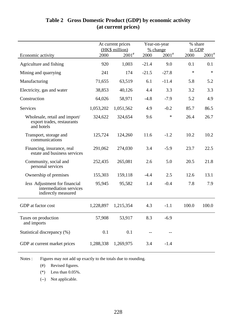|                                                                                 | At current prices<br>(HK\$ million) |             | % change | Year-on-year | % share<br>in GDP |                     |  |
|---------------------------------------------------------------------------------|-------------------------------------|-------------|----------|--------------|-------------------|---------------------|--|
| Economic activity                                                               | 2000                                | $2001^{\#}$ | 2000     | $2001^{\#}$  | 2000              | $2001$ <sup>#</sup> |  |
| Agriculture and fishing                                                         | 920                                 | 1,003       | $-21.4$  | 9.0          | 0.1               | 0.1                 |  |
| Mining and quarrying                                                            | 241                                 | 174         | $-21.5$  | $-27.8$      | $\ast$            | $\ast$              |  |
| Manufacturing                                                                   | 71,655                              | 63,519      | 6.1      | $-11.4$      | 5.8               | 5.2                 |  |
| Electricity, gas and water                                                      | 38,853                              | 40,126      | 4.4      | 3.3          | 3.2               | 3.3                 |  |
| Construction                                                                    | 64,026                              | 58,971      | $-4.8$   | $-7.9$       | 5.2               | 4.9                 |  |
| Services                                                                        | 1,053,202                           | 1,051,562   | 4.9      | $-0.2$       | 85.7              | 86.5                |  |
| Wholesale, retail and import/<br>export trades, restaurants<br>and hotels       | 324,622                             | 324,654     | 9.6      | $\ast$       | 26.4              | 26.7                |  |
| Transport, storage and<br>communications                                        | 125,724                             | 124,260     | 11.6     | $-1.2$       | 10.2              | 10.2                |  |
| Financing, insurance, real<br>estate and business services                      | 291,062                             | 274,030     | 3.4      | $-5.9$       | 23.7              | 22.5                |  |
| Community, social and<br>personal services                                      | 252,435                             | 265,081     | 2.6      | 5.0          | 20.5              | 21.8                |  |
| Ownership of premises                                                           | 155,303                             | 159,118     | $-4.4$   | 2.5          | 12.6              | 13.1                |  |
| less Adjustment for financial<br>intermediation services<br>indirectly measured | 95,945                              | 95,582      | 1.4      | $-0.4$       | 7.8               | 7.9                 |  |
| GDP at factor cost                                                              | 1,228,897                           | 1,215,354   | 4.3      | $-1.1$       | 100.0             | 100.0               |  |
| Taxes on production<br>and imports                                              | 57,908                              | 53,917      | 8.3      | $-6.9$       |                   |                     |  |
| Statistical discrepancy (%)                                                     | 0.1                                 | 0.1         | --       | --           |                   |                     |  |
| GDP at current market prices                                                    | 1,288,338                           | 1,269,975   | 3.4      | $-1.4$       |                   |                     |  |

## **Table 2 Gross Domestic Product (GDP) by economic activity (at current prices)**

Notes : Figures may not add up exactly to the totals due to rounding.

(#) Revised figures.

(\*) Less than 0.05%.

(--) Not applicable.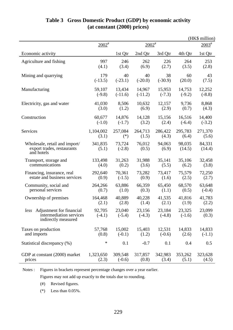|                                                                                 |                    |                    |                    |                    |                    | (HK\$ million)   |
|---------------------------------------------------------------------------------|--------------------|--------------------|--------------------|--------------------|--------------------|------------------|
|                                                                                 | $2002^{\text{#}}$  |                    | $2002^*$           |                    | $2003^{\text{#}}$  |                  |
| Economic activity                                                               |                    | 1st Qtr            | 2nd Qtr            | 3rd Qtr            | 4th Qtr            | 1st Qtr          |
| Agriculture and fishing                                                         | 997                | 246                | 262                | 226                | 264                | 253              |
|                                                                                 | (4.1)              | (3.4)              | (6.9)              | (2.7)              | (3.5)              | (2.8)            |
| Mining and quarrying                                                            | 179                | 40                 | 40                 | 38                 | 60                 | 43               |
|                                                                                 | $(-13.5)$          | $(-23.1)$          | $(-20.0)$          | $(-30.9)$          | (20.0)             | (7.5)            |
| Manufacturing                                                                   | 59,107             | 13,434             | 14,967             | 15,953             | 14,753             | 12,252           |
|                                                                                 | $(-9.8)$           | $(-11.6)$          | $(-11.2)$          | $(-7.3)$           | $(-9.2)$           | $(-8.8)$         |
| Electricity, gas and water                                                      | 41,030             | 8,506              | 10,632             | 12,157             | 9,736              | 8,868            |
|                                                                                 | (3.0)              | (1.2)              | (6.9)              | (2.9)              | (0.7)              | (4.3)            |
| Construction                                                                    | 60,677             | 14,876             | 14,128             | 15,156             | 16,516             | 14,400           |
|                                                                                 | $(-1.0)$           | $(-1.7)$           | (3.2)              | (2.4)              | $(-6.4)$           | $(-3.2)$         |
| Services                                                                        | 1,104,002          | 257,084            | 264,713            | 286,422            | 295,783            | 271,370          |
|                                                                                 | (3.1)              | $(*)$              | (1.5)              | (4.3)              | (6.4)              | (5.6)            |
| Wholesale, retail and import/<br>export trades, restaurants<br>and hotels       | 341,835<br>(5.1)   | 73,724<br>$(-2.8)$ | 76,012<br>(0.5)    | 94,063<br>(6.9)    | 98,035<br>(14.5)   | 84,331<br>(14.4) |
| Transport, storage and                                                          | 133,498            | 31,263             | 31,988             | 35,141             | 35,106             | 32,458           |
| communications                                                                  | (4.0)              | (0.2)              | (3.6)              | (5.5)              | (6.2)              | (3.8)            |
| Financing, insurance, real                                                      | 292,640            | 70,361             | 73,282             | 73,417             | 75,579             | 72,250           |
| estate and business services                                                    | (0.9)              | $(-1.5)$           | (0.9)              | (1.6)              | (2.5)              | (2.7)            |
| Community, social and                                                           | 264,266            | 63,886             | 66,359             | 65,450             | 68,570             | 63,648           |
| personal services                                                               | (0.7)              | (1.0)              | (0.3)              | (1.1)              | (0.5)              | $(-0.4)$         |
| Ownership of premises                                                           | 164,468            | 40,889             | 40,228             | 41,535             | 41,816             | 41,783           |
|                                                                                 | (2.1)              | (2.8)              | (1.4)              | (2.1)              | (1.9)              | (2.2)            |
| less Adjustment for financial<br>intermediation services<br>indirectly measured | 92,705<br>$(-4.1)$ | 23,040<br>$(-5.4)$ | 23,156<br>$(-4.3)$ | 23,184<br>$(-4.8)$ | 23,325<br>$(-1.6)$ | 23,099<br>(0.3)  |
| Taxes on production                                                             | 57,768             | 15,002             | 15,403             | 12,531             | 14,833             | 14,833           |
| and imports                                                                     | (0.8)              | $(-0.1)$           | (1.2)              | $(-0.6)$           | (2.6)              | $(-1.1)$         |
| Statistical discrepancy (%)                                                     | $\ast$             | 0.1                | $-0.7$             | 0.1                | 0.4                | 0.5              |
| GDP at constant (2000) market                                                   | 1,323,650          | 309,548            | 317,857            | 342,983            | 353,262            | 323,628          |
| prices                                                                          | (2.3)              | $(-0.6)$           | (0.8)              | (3.4)              | (5.1)              | (4.5)            |

## **Table 3 Gross Domestic Product (GDP) by economic activity (at constant (2000) prices)**

Notes : Figures in brackets represent percentage changes over a year earlier.

Figures may not add up exactly to the totals due to rounding.

(#) Revised figures.

(\*) Less than 0.05%.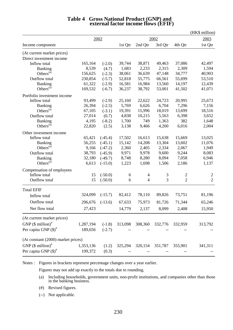|                                    |           |              |         |                |         |                | (HK\$ million) |
|------------------------------------|-----------|--------------|---------|----------------|---------|----------------|----------------|
|                                    |           | 2002<br>2002 |         |                |         | 2003           |                |
| Income component                   |           |              | 1st Qtr | 2nd Qtr        | 3rd Qtr | 4th Qtr        | 1st Qtr        |
| (At current market prices)         |           |              |         |                |         |                |                |
| Direct investment income           |           |              |         |                |         |                |                |
| Inflow total                       | 165,164   | $(-2.0)$     | 39,744  | 38,871         | 49,463  | 37,086         | 42,497         |
| <b>Banking</b>                     | 8,539     | (4.7)        | 1,683   | 2,233          | 2,315   | 2,309          | 1,594          |
| Others <sup>(a)</sup>              | 156,625   | $(-2.3)$     | 38,061  | 36,639         | 47,148  | 34,777         | 40,903         |
| Outflow total                      | 230,854   | $(-5.7)$     | 52,818  | 55,775         | 66,561  | 55,699         | 53,510         |
| <b>Banking</b>                     | 61,322    | $(-2.9)$     | 16,581  | 16,984         | 13,560  | 14,197         | 12,439         |
| Others $(a)$                       | 169,532   | $(-6.7)$     | 36,237  | 38,792         | 53,001  | 41,502         | 41,071         |
| Portfolio investment income        |           |              |         |                |         |                |                |
| Inflow total                       | 93,499    | $(-2.9)$     | 25,160  | 22,622         | 24,723  | 20,995         | 25,673         |
| <b>Banking</b>                     | 26,394    | $(-2.5)$     | 5,769   | 6,626          | 6,704   | 7,296          | 7,156          |
| Others <sup>(a)</sup>              | 67,105    | $(-3.1)$     | 19,391  | 15,996         | 18,019  | 13,699         | 18,516         |
| Outflow total                      | 27,014    | (0.7)        | 4,838   | 10,215         | 5,563   | 6,398          | 3,652          |
| <b>Banking</b>                     | 4,195     | $(-8.2)$     | 1,700   | 749            | 1,363   | 382            | 1,648          |
| Others $(a)$                       | 22,820    | (2.5)        | 3,138   | 9,466          | 4,200   | 6,016          | 2,004          |
| Other investment income            |           |              |         |                |         |                |                |
| Inflow total                       | 65,421    | $(-45.4)$    | 17,502  | 16,613         | 15,638  | 15,669         | 13,025         |
| <b>Banking</b>                     | 56,255    | $(-45.1)$    | 15,142  | 14,208         | 13,304  | 13,602         | 11,076         |
| Others <sup>(a)</sup>              | 9,166     | $(-47.2)$    | 2,360   | 2,405          | 2,334   | 2,067          | 1,949          |
| Outflow total                      | 38,793    | $(-45.9)$    | 9,971   | 9,978          | 9,600   | 9,244          | 8,083          |
| <b>Banking</b>                     | 32,180    | $(-49.7)$    | 8,748   | 8,280          | 8,094   | 7,058          | 6,946          |
| Others $(a)$                       | 6,613     | $(-15.0)$    | 1,223   | 1,698          | 1,506   | 2,186          | 1,137          |
| Compensation of employees          |           |              |         |                |         |                |                |
| Inflow total                       | 15        | $(-50.0)$    | 6       | 4              | 3       | 2              | $\overline{c}$ |
| Outflow total                      | 15        | $(-50.0)$    | 6       | $\overline{4}$ | 3       | $\overline{2}$ | $\overline{2}$ |
| <b>Total EFIF</b>                  |           |              |         |                |         |                |                |
| Inflow total                       | 324,099   | $(-15.7)$    | 82,412  | 78,110         | 89,826  | 73,751         | 81,196         |
| Outflow total                      | 296,676   | $(-13.6)$    | 67,633  | 75,973         | 81,726  | 71,344         | 65,246         |
| Net flow total                     | 27,423    |              | 14,779  | 2,137          | 8,099   | 2,408          | 15,950         |
| (At current market prices)         |           |              |         |                |         |                |                |
| GNP $(\$$ million) <sup>#</sup>    | 1,287,194 | $(-1.8)$     | 313,098 | 308,360        | 332,776 | 332,959        | 313,792        |
| Per capita GNP $(\text{\$})^{\#}$  | 189,656   | $(-2.7)$     |         |                |         |                |                |
| (At constant (2000) market prices) |           |              |         |                |         |                |                |
| GNP $(\$$ million) <sup>#</sup>    | 1,353,136 | (1.2)        | 325,294 | 320,154        | 351,787 | 355,901        | 341,311        |
|                                    |           |              |         |                |         |                |                |
| Per capita GNP $(\text{\$})^{\#}$  | 199,372   | (0.3)        |         |                |         |                |                |

# **Table 4 Gross National Product (GNP) and external factor income flows (EFIF)**

Notes : Figures in brackets represent percentage changes over a year earlier.

Figures may not add up exactly to the totals due to rounding.

- (a) Including households, government units, non-profit institutions, and companies other than those in the banking business.
- (#) Revised figures.
- (--) Not applicable.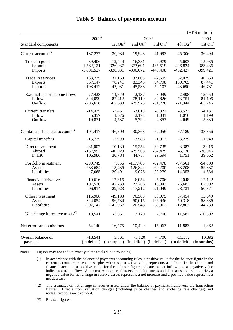|                                              |                     |                                        |             |             |                        | (HK\$ million) |
|----------------------------------------------|---------------------|----------------------------------------|-------------|-------------|------------------------|----------------|
|                                              | $2002$ <sup>#</sup> |                                        |             | 2002        |                        | 2003           |
| Standard components                          |                     | 1st $Qtr^*$                            | 2nd $Qtr^*$ | 3rd $Qtr^*$ | $4th$ Qtr <sup>#</sup> | 1st $Qtr^*$    |
| Current account <sup>(1)</sup>               | 137,277             | 30,034                                 | 19,943      | 41,993      | 45,306                 | 36,494         |
| Trade in goods                               | $-39,406$           | $-12,444$                              | $-16,381$   | $-4,979$    | $-5,603$               | $-15,985$      |
| <b>Exports</b>                               | 1,562,121           | 326,087                                | 373,691     | 435,519     | 426,824                | 383,436        |
| <b>Imports</b>                               | $-1,601,527$        | $-338,531$                             | $-390,072$  | $-440,498$  | $-432,427$             | $-399,421$     |
| Trade in services                            | 163,735             | 31,160                                 | 37,805      | 42,695      | 52,075                 | 40,660         |
| <b>Exports</b>                               | 357,147             | 78,241                                 | 83,343      | 94,798      | 100,765                | 87,441         |
| <b>Imports</b>                               | $-193,412$          | $-47,081$                              | $-45,538$   | $-52,103$   | $-48,690$              | $-46,781$      |
| External factor income flows                 | 27,423              | 14,779                                 | 2,137       | 8,099       | 2,408                  | 15,950         |
| Inflow                                       | 324,099             | 82,412                                 | 78,110      | 89,826      | 73,751                 | 81,196         |
| Outflow                                      | $-296,676$          | $-67,633$                              | $-75,973$   | $-81,726$   | $-71,344$              | $-65,246$      |
| <b>Current transfers</b>                     | $-14,475$           | $-3,461$                               | $-3,618$    | $-3,822$    | $-3,573$               | $-4,131$       |
| Inflow                                       | 5,357               | 1,076                                  | 2,174       | 1,031       | 1,076                  | 1,199          |
| Outflow                                      | $-19,831$           | $-4,537$                               | $-5,792$    | $-4,853$    | $-4,649$               | $-5,330$       |
| Capital and financial account <sup>(1)</sup> | $-191,417$          | $-46,809$                              | $-30,363$   | $-57,056$   | $-57,189$              | $-38,356$      |
| Capital transfers                            | $-15,725$           | $-2,998$                               | $-7,586$    | $-1,912$    | $-3,229$               | $-1,948$       |
| Direct investment                            | $-31,007$           | $-10,139$                              | 15,254      | $-32,735$   | $-3,387$               | 3,016          |
| Abroad                                       | $-137,993$          | $-40,923$                              | $-29,503$   | $-62,429$   | $-5,138$               | $-36,046$      |
| In HK                                        | 106,986             | 30,784                                 | 44,757      | 29,694      | 1,751                  | 39,062         |
| Portfolio investment                         | $-290,749$          | 7,056                                  | $-117,765$  | $-82,478$   | $-97,561$              | $-54,803$      |
| Assets                                       | $-283,684$          | $-13,435$                              | $-126,842$  | $-60,200$   | $-83,208$              | $-59,387$      |
| Liabilities                                  | $-7,065$            | 20,491                                 | 9,076       | $-22,279$   | $-14,353$              | 4,584          |
| Financial derivatives                        | 10,616              | 12,316                                 | 6,054       | $-5,706$    | $-2,048$               | 12,122         |
| Assets                                       | 107,530             | 42,239                                 | 23,266      | 15,343      | 26,683                 | 62,992         |
| Liabilities                                  | $-96,914$           | $-29,923$                              | $-17,212$   | $-21,049$   | $-28,731$              | $-50,871$      |
| Other investment                             | 116,906             | $-49,183$                              | 70,560      | 58,075      | 37,454                 | 13,649         |
| Assets                                       | 324,054             | 96,784                                 | 50,015      | 126,936     | 50,318                 | 58,386         |
| Liabilities                                  | $-207,147$          | $-145,967$                             | 20,545      | $-68,862$   | $-12,863$              | $-44,738$      |
| Net change in reserve assets $^{(2)}$        | 18,541              | $-3,861$                               | 3,120       | 7,700       | 11,582                 | $-10,392$      |
| Net errors and omissions                     | 54,140              | 16,775                                 | 10,420      | 15,063      | 11,883                 | 1,862          |
| Overall balance of                           | $-18,541$           | 3,861                                  | $-3,120$    | $-7,700$    | $-11,582$              | 10,392         |
| payments                                     | (in deficit)        | (in surplus) (in deficit) (in deficit) |             |             | (in deficit)           | (in surplus)   |

## **Table 5 Balance of payments account**

Notes : Figures may not add up exactly to the totals due to rounding.

- (1) In accordance with the balance of payments accounting rules, a positive value for the balance figure in the current account represents a surplus whereas a negative value represents a deficit. In the capital and financial account, a positive value for the balance figure indicates a net inflow and a negative value indicates a net outflow. As increases in external assets are debit entries and decreases are credit entries, a negative value for net change in reserve assets represents a net increase and a positive value represents a net decrease.
- (2) The estimates on net change in reserve assets under the balance of payments framework are transaction figures. Effects from valuation changes (including price changes and exchange rate changes) and reclassifications are excluded.
- (#) Revised figures.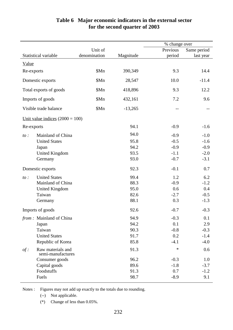|            |                                        |              |           | % change over |             |
|------------|----------------------------------------|--------------|-----------|---------------|-------------|
|            |                                        | Unit of      |           | Previous      | Same period |
|            | Statistical variable                   | denomination | Magnitude | period        | last year   |
| Value      |                                        |              |           |               |             |
| Re-exports |                                        | \$Mn         | 390,349   | 9.3           | 14.4        |
|            | Domestic exports                       | \$Mn         | 28,547    | 10.0          | $-11.4$     |
|            | Total exports of goods                 | \$Mn         | 418,896   | 9.3           | 12.2        |
|            | Imports of goods                       | \$Mn         | 432,161   | 7.2           | 9.6         |
|            | Visible trade balance                  | \$Mn         | $-13,265$ | $-$           |             |
|            | Unit value indices $(2000 = 100)$      |              |           |               |             |
| Re-exports |                                        |              | 94.1      | $-0.9$        | $-1.6$      |
| $to$ :     | Mainland of China                      |              | 94.0      | $-0.9$        | $-1.0$      |
|            | <b>United States</b>                   |              | 95.8      | $-0.5$        | $-1.6$      |
|            | Japan                                  |              | 94.2      | $-0.9$        | $-0.9$      |
|            | <b>United Kingdom</b>                  |              | 93.5      | $-1.1$        | $-2.0$      |
|            | Germany                                |              | 93.0      | $-0.7$        | $-3.1$      |
|            | Domestic exports                       |              | 92.3      | $-0.1$        | 0.7         |
| $to$ :     | <b>United States</b>                   |              | 99.4      | 1.2           | 6.2         |
|            | Mainland of China                      |              | 88.3      | $-0.9$        | $-1.2$      |
|            | <b>United Kingdom</b>                  |              | 95.0      | 0.6           | 0.4         |
|            | Taiwan                                 |              | 82.6      | $-2.7$        | $-0.5$      |
|            | Germany                                |              | 88.1      | 0.3           | $-1.3$      |
|            | Imports of goods                       |              | 92.6      | $-0.7$        | $-0.3$      |
|            | from: Mainland of China                |              | 94.9      | $-0.3$        | 0.1         |
|            | Japan                                  |              | 94.2      | 0.1           | 2.9         |
|            | Taiwan                                 |              | 90.3      | $-0.8$        | $-0.3$      |
|            | <b>United States</b>                   |              | 91.7      | 0.2           | $-1.4$      |
|            | Republic of Korea                      |              | 85.8      | $-4.1$        | $-4.0$      |
| $of$ :     | Raw materials and<br>semi-manufactures |              | 91.3      | $\ast$        | 0.6         |
|            | Consumer goods                         |              | 96.2      | $-0.3$        | 1.0         |
|            | Capital goods                          |              | 89.6      | $-1.8$        | $-3.7$      |
|            | Foodstuffs                             |              | 91.3      | 0.7           | $-1.2$      |
|            | Fuels                                  |              | 98.7      | $-8.9$        | 9.1         |

## **Table 6 Major economic indicators in the external sector for the second quarter of 2003**

Notes : Figures may not add up exactly to the totals due to rounding.

(--) Not applicable.

(\*) Change of less than 0.05%.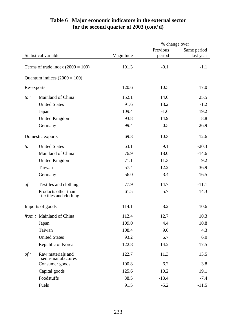## **Table 6 Major economic indicators in the external sector for the second quarter of 2003 (cont'd)**

|            |                                              |           | % change over |             |
|------------|----------------------------------------------|-----------|---------------|-------------|
|            |                                              |           | Previous      | Same period |
|            | Statistical variable                         | Magnitude | period        | last year   |
|            | Terms of trade index $(2000 = 100)$          | 101.3     | $-0.1$        | $-1.1$      |
|            | Quantum indices $(2000 = 100)$               |           |               |             |
| Re-exports |                                              | 120.6     | 10.5          | 17.0        |
| $to$ :     | Mainland of China                            | 152.1     | 14.0          | 25.5        |
|            | <b>United States</b>                         | 91.6      | 13.2          | $-1.2$      |
|            | Japan                                        | 109.4     | $-1.6$        | 19.2        |
|            | <b>United Kingdom</b>                        | 93.8      | 14.9          | 8.8         |
|            | Germany                                      | 99.4      | $-0.5$        | 26.9        |
|            | Domestic exports                             | 69.3      | 10.3          | $-12.6$     |
| $to$ :     | <b>United States</b>                         | 63.1      | 9.1           | $-20.3$     |
|            | Mainland of China                            | 76.9      | 18.0          | $-14.6$     |
|            | <b>United Kingdom</b>                        | 71.1      | 11.3          | 9.2         |
|            | Taiwan                                       | 57.4      | $-12.2$       | $-36.9$     |
|            | Germany                                      | 56.0      | 3.4           | 16.5        |
| $of$ :     | Textiles and clothing                        | 77.9      | 14.7          | $-11.1$     |
|            | Products other than<br>textiles and clothing | 61.5      | 5.7           | $-14.3$     |
|            | Imports of goods                             | 114.1     | 8.2           | 10.6        |
|            | from: Mainland of China                      | 112.4     | 12.7          | 10.3        |
|            | Japan                                        | 109.0     | 4.4           | 10.8        |
|            | Taiwan                                       | 108.4     | 9.6           | 4.3         |
|            | <b>United States</b>                         | 93.2      | 6.7           | 6.0         |
|            | Republic of Korea                            | 122.8     | 14.2          | 17.5        |
| $of$ :     | Raw materials and<br>semi-manufactures       | 122.7     | 11.3          | 13.5        |
|            | Consumer goods                               | 100.8     | 6.2           | 3.8         |
|            | Capital goods                                | 125.6     | 10.2          | 19.1        |
|            | Foodstuffs                                   | 88.5      | $-13.4$       | $-7.4$      |
|            | Fuels                                        | 91.5      | $-5.2$        | $-11.5$     |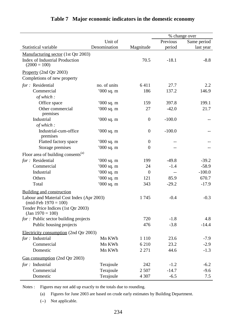|                                                                     |              |                  |          | % change over |
|---------------------------------------------------------------------|--------------|------------------|----------|---------------|
|                                                                     | Unit of      |                  | Previous | Same period   |
| Statistical variable                                                | Denomination | Magnitude        | period   | last year     |
| Manufacturing sector (1st Qtr 2003)                                 |              |                  |          |               |
| Index of Industrial Production<br>$(2000 = 100)$                    |              | 70.5             | $-18.1$  | $-8.8$        |
| Property (2nd Qtr 2003)                                             |              |                  |          |               |
| Completions of new property                                         |              |                  |          |               |
| for: Residential                                                    | no. of units | 6411             | 27.7     | 2.2           |
| Commercial                                                          | $000$ sq. m  | 186              | 137.2    | 146.9         |
| of which:                                                           |              |                  |          |               |
| Office space                                                        | $000$ sq. m  | 159              | 397.8    | 199.1         |
| Other commercial<br>premises                                        | '000 sq. m   | 27               | $-42.0$  | 21.7          |
| Industrial                                                          | $000$ sq. m  | $\boldsymbol{0}$ | $-100.0$ |               |
| of which:                                                           |              |                  |          |               |
| Industrial-cum-office<br>premises                                   | $000$ sq. m  | $\boldsymbol{0}$ | $-100.0$ |               |
| Flatted factory space                                               | $000$ sq. m  | $\boldsymbol{0}$ |          |               |
| Storage premises                                                    | $000$ sq. m  | $\boldsymbol{0}$ |          |               |
| Floor area of building consents <sup>(a)</sup>                      |              |                  |          |               |
| for: Residential                                                    | $000$ sq. m  | 199              | $-49.8$  | $-39.2$       |
| Commercial                                                          | $000$ sq. m  | 24               | $-1.4$   | $-58.9$       |
| Industrial                                                          | '000 sq. m   | $\theta$         |          | $-100.0$      |
| Others                                                              | $000$ sq. m  | 121              | 85.9     | 670.7         |
| Total                                                               | '000 sq. m   | 343              | $-29.2$  | $-17.9$       |
| Building and construction                                           |              |                  |          |               |
| Labour and Material Cost Index (Apr 2003)<br>$(mid-Feb 1970 = 100)$ |              | 1745             | $-0.4$   | $-0.3$        |
| Tender Price Indices (1st Qtr 2003)<br>$\text{(Jan 1970)} = 100$    |              |                  |          |               |
| for : Public sector building projects                               |              | 720              | $-1.8$   | 4.8           |
| Public housing projects                                             |              | 476              | $-3.8$   | $-14.4$       |
| Electricity consumption (2nd Qtr 2003)                              |              |                  |          |               |
| $for:$ Industrial                                                   | Mn KWh       | 1 1 1 0          | 23.6     | $-7.9$        |
| Commercial                                                          | Mn KWh       | 6 2 1 0          | 23.2     | $-2.9$        |
| Domestic                                                            | Mn KWh       | 2 2 7 1          | 44.6     | $-1.3$        |
| Gas consumption (2nd Qtr 2003)                                      |              |                  |          |               |
| for : Industrial                                                    | Terajoule    | 242              | $-1.2$   | $-6.2$        |
| Commercial                                                          | Terajoule    | 2 5 0 7          | $-14.7$  | $-9.6$        |
| Domestic                                                            | Terajoule    | 4 3 0 7          | $-6.5$   | 7.5           |

## **Table 7 Major economic indicators in the domestic economy**

Notes : Figures may not add up exactly to the totals due to rounding.

(a) Figures for June 2003 are based on crude early estimates by Building Department.

(--) Not applicable.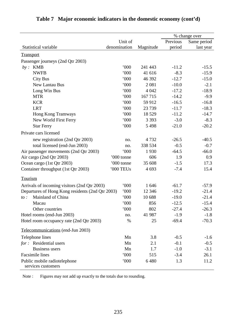|                                                    |              |           |          | % change over |
|----------------------------------------------------|--------------|-----------|----------|---------------|
|                                                    | Unit of      |           | Previous | Same period   |
| Statistical variable                               | denomination | Magnitude | period   | last year     |
| <b>Transport</b>                                   |              |           |          |               |
| Passenger journeys (2nd Qtr 2003)                  |              |           |          |               |
| <b>KMB</b><br>by:                                  | 000          | 241 443   | $-11.2$  | $-15.5$       |
| <b>NWFB</b>                                        | 000          | 41 616    | $-8.3$   | $-15.9$       |
| <b>City Bus</b>                                    | 000          | 46 392    | $-12.7$  | $-15.0$       |
| New Lantau Bus                                     | 000          | 2 0 8 1   | $-10.0$  | $-2.1$        |
| Long Win Bus                                       | 000          | 4 0 4 2   | $-17.2$  | $-18.9$       |
| <b>MTR</b>                                         | '000         | 167 715   | $-14.2$  | $-9.9$        |
| <b>KCR</b>                                         | 000          | 59 912    | $-16.5$  | $-16.8$       |
| <b>LRT</b>                                         | 000          | 23 7 39   | $-11.7$  | $-18.3$       |
| Hong Kong Tramways                                 | 000          | 18 5 29   | $-11.2$  | $-14.7$       |
| New World First Ferry                              | 000          | 3 3 9 3   | $-3.0$   | $-8.3$        |
| <b>Star Ferry</b>                                  | 000          | 5 4 9 8   | $-21.0$  | $-20.2$       |
| Private cars licensed                              |              |           |          |               |
| new registration (2nd Qtr 2003)                    | no.          | 4732      | $-26.5$  | $-40.5$       |
| total licensed (end-Jun 2003)                      | no.          | 338 534   | $-0.5$   | $-0.7$        |
| Air passenger movements (2nd Qtr 2003)             | 000          | 1930      | $-64.5$  | $-66.0$       |
| Air cargo (2nd Qtr 2003)                           | '000 tonne   | 606       | 1.9      | 0.9           |
| Ocean cargo (1st Qtr 2003)                         | '000 tonne   | 35 608    | $-1.5$   | 17.3          |
| Container throughput (1st Qtr 2003)                | '000 TEUs    | 4 6 9 3   | $-7.4$   | 15.4          |
| Tourism                                            |              |           |          |               |
| Arrivals of incoming visitors (2nd Qtr 2003)       | 000          | 1646      | $-61.7$  | $-57.9$       |
| Departures of Hong Kong residents (2nd Qtr 2003)   | 000          | 12 3 46   | $-19.2$  | $-21.4$       |
| Mainland of China<br>$to$ :                        | 000          | 10 688    | $-19.0$  | $-21.4$       |
| Macau                                              | 000          | 856       | $-12.5$  | $-15.4$       |
| Other countries                                    | 000          | 802       | $-27.4$  | $-26.3$       |
| Hotel rooms (end-Jun 2003)                         | no.          | 41 987    | $-1.9$   | $-1.8$        |
| Hotel room occupancy rate (2nd Qtr 2003)           | $\%$         | 25        | $-69.4$  | $-70.3$       |
|                                                    |              |           |          |               |
| Telecommunications (end-Jun 2003)                  |              |           |          |               |
| Telephone lines                                    | Mn           | 3.8       | $-0.5$   | $-1.6$        |
| for: Residential users                             | Mn           | 2.1       | $-0.1$   | $-0.5$        |
| <b>Business users</b>                              | Mn           | 1.7       | $-1.0$   | $-3.1$        |
| Facsimile lines                                    | 000          | 515       | $-3.4$   | 26.1          |
| Public mobile radiotelephone<br>services customers | 000          | 6480      | 1.3      | 11.2          |

# **Table 7 Major economic indicators in the domestic economy (cont'd)**

Note : Figures may not add up exactly to the totals due to rounding.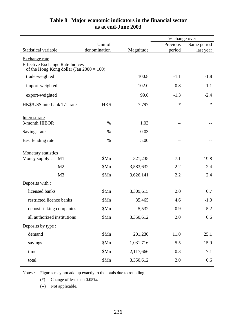|                                                                                       |              |           | % change over |             |
|---------------------------------------------------------------------------------------|--------------|-----------|---------------|-------------|
|                                                                                       | Unit of      |           | Previous      | Same period |
| Statistical variable                                                                  | denomination | Magnitude | period        | last year   |
| Exchange rate                                                                         |              |           |               |             |
| <b>Effective Exchange Rate Indices</b><br>of the Hong Kong dollar (Jan $2000 = 100$ ) |              |           |               |             |
| trade-weighted                                                                        |              | 100.8     | $-1.1$        | $-1.8$      |
| import-weighted                                                                       |              | 102.0     | $-0.8$        | $-1.1$      |
| export-weighted                                                                       |              | 99.6      | $-1.3$        | $-2.4$      |
| HK\$/US\$ interbank T/T rate                                                          | HK\$         | 7.797     | $\ast$        | $\ast$      |
| Interest rate                                                                         |              |           |               |             |
| 3-month HIBOR                                                                         | $\%$         | 1.03      | $-$           |             |
| Savings rate                                                                          | %            | 0.03      | --            |             |
| Best lending rate                                                                     | $\%$         | 5.00      | $-1$          |             |
| <b>Monetary statistics</b>                                                            |              |           |               |             |
| Money supply:<br>M1                                                                   | \$Mn         | 321,238   | 7.1           | 19.8        |
| M <sub>2</sub>                                                                        | \$Mn         | 3,583,632 | 2.2           | 2.4         |
| M <sub>3</sub>                                                                        | \$Mn         | 3,626,141 | 2.2           | 2.4         |
| Deposits with :                                                                       |              |           |               |             |
| licensed banks                                                                        | \$Mn         | 3,309,615 | 2.0           | 0.7         |
| restricted licence banks                                                              | \$Mn         | 35,465    | 4.6           | $-1.0$      |
| deposit-taking companies                                                              | \$Mn         | 5,532     | 0.9           | $-5.2$      |
| all authorized institutions                                                           | \$Mn         | 3,350,612 | 2.0           | 0.6         |
| Deposits by type :                                                                    |              |           |               |             |
| demand                                                                                | \$Mn         | 201,230   | 11.0          | 25.1        |
| savings                                                                               | \$Mn         | 1,031,716 | 5.5           | 15.9        |
| time                                                                                  | \$Mn         | 2,117,666 | $-0.3$        | $-7.1$      |
| total                                                                                 | \$Mn         | 3,350,612 | 2.0           | 0.6         |

## **Table 8 Major economic indicators in the financial sector as at end-June 2003**

Notes : Figures may not add up exactly to the totals due to rounding.

(\*) Change of less than 0.05%.

(--) Not applicable.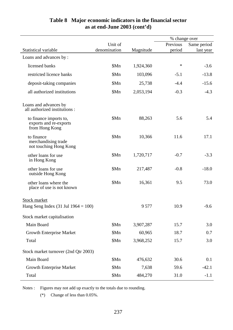|                                                                    |              |           | % change over |             |
|--------------------------------------------------------------------|--------------|-----------|---------------|-------------|
|                                                                    | Unit of      |           | Previous      | Same period |
| <b>Statistical variable</b>                                        | denomination | Magnitude | period        | last year   |
| Loans and advances by:                                             |              |           |               |             |
| licensed banks                                                     | \$Mn         | 1,924,360 | $\ast$        | $-3.6$      |
| restricted licence banks                                           | \$Mn         | 103,096   | $-5.1$        | $-13.8$     |
| deposit-taking companies                                           | \$Mn         | 25,738    | $-4.4$        | $-15.6$     |
| all authorized institutions                                        | \$Mn         | 2,053,194 | $-0.3$        | $-4.3$      |
| Loans and advances by<br>all authorized institutions :             |              |           |               |             |
| to finance imports to,<br>exports and re-exports<br>from Hong Kong | \$Mn         | 88,263    | 5.6           | 5.4         |
| to finance<br>merchandising trade<br>not touching Hong Kong        | \$Mn         | 10,366    | 11.6          | 17.1        |
| other loans for use<br>in Hong Kong                                | \$Mn         | 1,720,717 | $-0.7$        | $-3.3$      |
| other loans for use<br>outside Hong Kong                           | \$Mn         | 217,487   | $-0.8$        | $-18.0$     |
| other loans where the<br>place of use is not known                 | \$Mn         | 16,361    | 9.5           | 73.0        |
| <b>Stock market</b>                                                |              |           |               |             |
| Hang Seng Index $(31 \text{ Jul } 1964 = 100)$                     |              | 9 5 7 7   | 10.9          | $-9.6$      |
| Stock market capitalisation                                        |              |           |               |             |
| Main Board                                                         | \$Mn         | 3,907,287 | 15.7          | 3.0         |
| <b>Growth Enterprise Market</b>                                    | \$Mn         | 60,965    | 18.7          | 0.7         |
| Total                                                              | \$Mn         | 3,968,252 | 15.7          | 3.0         |
| Stock market turnover (2nd Qtr 2003)                               |              |           |               |             |
| Main Board                                                         | \$Mn         | 476,632   | 30.6          | 0.1         |
| <b>Growth Enterprise Market</b>                                    | \$Mn         | 7,638     | 59.6          | $-42.1$     |
| Total                                                              | \$Mn         | 484,270   | 31.0          | $-1.1$      |

## **Table 8 Major economic indicators in the financial sector as at end-June 2003 (cont'd)**

Notes : Figures may not add up exactly to the totals due to rounding.

(\*) Change of less than 0.05%.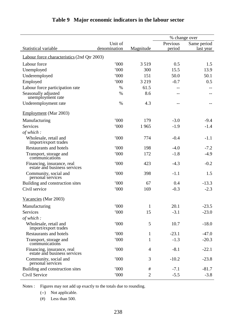|                                                            |              |                | % change over |             |
|------------------------------------------------------------|--------------|----------------|---------------|-------------|
|                                                            | Unit of      |                | Previous      | Same period |
| Statistical variable                                       | denomination | Magnitude      | period        | last year   |
| Labour force characteristics (2nd Qtr 2003)                |              |                |               |             |
| Labour force                                               | 000          | 3519           | 0.5           | 1.5         |
| Unemployed                                                 | 000          | 300            | 15.5          | 13.9        |
| Underemployed                                              | 000          | 151            | 50.0          | 50.1        |
| Employed                                                   | 000          | 3 2 1 9        | $-0.7$        | 0.5         |
| Labour force participation rate                            | $\%$         | 61.5           |               |             |
| Seasonally adjusted<br>unemployment rate                   | $\%$         | 8.6            |               |             |
| Underemployment rate                                       | $\%$         | 4.3            |               |             |
| Employment (Mar 2003)                                      |              |                |               |             |
| Manufacturing                                              | 000          | 179            | $-3.0$        | $-9.4$      |
| <b>Services</b>                                            | 000          | 1965           | $-1.9$        | $-1.4$      |
| of which:                                                  |              |                |               |             |
| Wholesale, retail and<br>import/export trades              | 000          | 774            | $-0.4$        | $-1.1$      |
| <b>Restaurants and hotels</b>                              | 000          | 198            | $-4.0$        | $-7.2$      |
| Transport, storage and<br>communications                   | 000          | 172            | $-1.8$        | $-4.9$      |
| Financing, insurance, real<br>estate and business services | 000          | 423            | $-4.3$        | $-0.2$      |
| Community, social and<br>personal services                 | 000          | 398            | $-1.1$        | 1.5         |
| Building and construction sites                            | 000          | 67             | 0.4           | $-13.3$     |
| Civil service                                              | 000          | 169            | $-0.3$        | $-2.3$      |
| Vacancies (Mar 2003)                                       |              |                |               |             |
| Manufacturing                                              | '000         | 1              | 20.1          | $-23.5$     |
| Services                                                   | 000          | 15             | $-3.1$        | $-23.0$     |
| of which:                                                  |              |                |               |             |
| Wholesale, retail and<br>import/export trades              | 000          | 5              | 10.7          | $-18.0$     |
| Restaurants and hotels                                     | 000          | $\mathbf{1}$   | $-23.1$       | $-47.0$     |
| Transport, storage and<br>communications                   | 000          | 1              | $-1.3$        | $-20.3$     |
| Financing, insurance, real<br>estate and business services | 000          | $\overline{4}$ | $-8.1$        | $-22.1$     |
| Community, social and<br>personal services                 | 000          | 3              | $-10.2$       | $-23.8$     |
| Building and construction sites                            | 000          | $\#$           | $-7.1$        | $-81.7$     |
| Civil Service                                              | 000          | $\overline{c}$ | $-5.5$        | $-3.8$      |

## **Table 9 Major economic indicators in the labour sector**

Notes : Figures may not add up exactly to the totals due to rounding.

(--) Not applicable.

(#) Less than 500.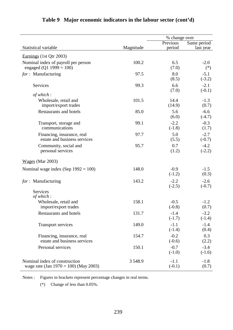|                                                                           |            | % change over      |                    |
|---------------------------------------------------------------------------|------------|--------------------|--------------------|
|                                                                           |            | Previous           | Same period        |
| Statistical variable                                                      | Magnitude  | period             | last year          |
| Earnings (1st Qtr 2003)                                                   |            |                    |                    |
| Nominal index of payroll per person<br>engaged (Q1 1999 = 100)            | 100.2      | 6.5<br>(7.0)       | $-2.0$<br>$(*)$    |
| for: Manufacturing                                                        | 97.5       | 8.0<br>(8.5)       | $-5.1$<br>$(-3.2)$ |
| Services                                                                  | 99.3       | 6.6<br>(7.0)       | $-2.1$<br>$(-0.1)$ |
| of which:                                                                 |            |                    |                    |
| Wholesale, retail and<br>import/export trades                             | 101.5      | 14.4<br>(14.9)     | $-1.3$<br>(0.7)    |
| <b>Restaurants and hotels</b>                                             | 85.0       | 5.6<br>(6.0)       | $-6.6$<br>$(-4.7)$ |
| Transport, storage and<br>communications                                  | 99.1       | $-2.2$<br>$(-1.8)$ | $-0.3$<br>(1.7)    |
| Financing, insurance, real<br>estate and business services                | 97.7       | 5.0<br>(5.5)       | $-2.7$<br>$(-0.7)$ |
| Community, social and<br>personal services                                | 95.7       | 0.7<br>(1.2)       | $-4.2$<br>$(-2.2)$ |
| $Wages$ (Mar 2003)                                                        |            |                    |                    |
| Nominal wage index (Sep $1992 = 100$ )                                    | 148.0      | $-0.9$<br>$(-1.2)$ | $-1.5$<br>(0.3)    |
| for: Manufacturing                                                        | 143.2      | $-2.2$<br>$(-2.5)$ | $-2.6$<br>$(-0.7)$ |
| Services<br>of which:                                                     |            |                    |                    |
| Wholesale, retail and<br>import/export trades                             | 158.1      | $-0.5$<br>$(-0.8)$ | $-1.2$<br>(0.7)    |
| <b>Restaurants and hotels</b>                                             | 131.7      | $-1.4$<br>$(-1.7)$ | $-3.2$<br>$(-1.4)$ |
| Transport services                                                        | 149.0      | $-1.1$<br>$(-1.4)$ | $-1.4$<br>(0.4)    |
| Financing, insurance, real<br>estate and business services                | 154.7      | $-0.2$<br>$(-0.6)$ | 0.3<br>(2.2)       |
| Personal services                                                         | 150.1      | $-0.7$<br>$(-1.0)$ | $-3.4$<br>$(-1.6)$ |
| Nominal index of construction<br>wage rate (Jan $1970 = 100$ ) (May 2003) | 3 5 4 8 .9 | $-1.1$<br>$(-0.1)$ | $-1.8$<br>(0.7)    |

## **Table 9 Major economic indicators in the labour sector (cont'd)**

Notes : Figures in brackets represent percentage changes in real terms.

(\*) Change of less than 0.05%.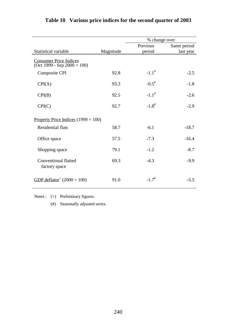|                                                                                         |           | % change over       |             |
|-----------------------------------------------------------------------------------------|-----------|---------------------|-------------|
|                                                                                         |           | Previous            | Same period |
| Statistical variable                                                                    | Magnitude | period              | last year   |
| <b>Consumer Price Indices</b><br>$\overline{(\text{Oct }1999 - \text{Sep }2000 = 100)}$ |           |                     |             |
| <b>Composite CPI</b>                                                                    | 92.8      | $-1.1$ <sup>#</sup> | $-2.5$      |
| CPI(A)                                                                                  | 93.3      | $-0.5$ <sup>#</sup> | $-1.8$      |
| CPI(B)                                                                                  | 92.5      | $-1.1$ <sup>#</sup> | $-2.6$      |
| CPI(C)                                                                                  | 92.7      | $-1.8$ <sup>#</sup> | $-2.9$      |
| Property Price Indices $(1999 = 100)$                                                   |           |                     |             |
| <b>Residential flats</b>                                                                | 58.7      | $-6.1$              | $-18.7$     |
| Office space                                                                            | 57.5      | $-7.3$              | $-16.4$     |
| Shopping space                                                                          | 79.1      | $-1.2$              | $-8.7$      |
| <b>Conventional flatted</b><br>factory space                                            | 69.3      | $-4.3$              | $-9.9$      |
| GDP deflator <sup>+</sup> (2000 = 100)                                                  | 91.0      | $-1.7$ <sup>#</sup> | $-5.5$      |

## **Table 10 Various price indices for the second quarter of 2003**

Notes : (+) Preliminary figures.

(#) Seasonally adjusted series.